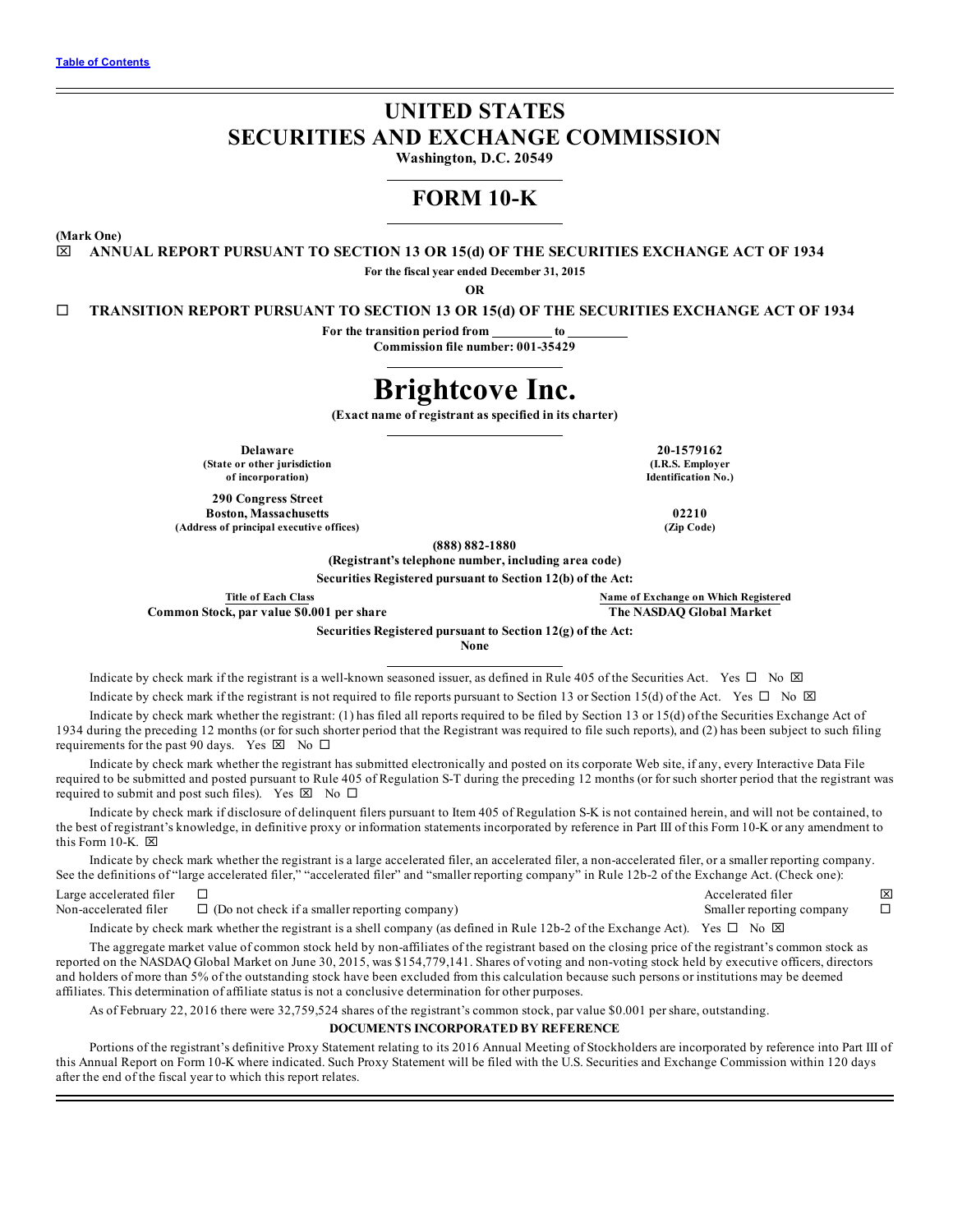# **UNITED STATES SECURITIES AND EXCHANGE COMMISSION**

**Washington, D.C. 20549**

# **FORM 10-K**

**(Mark One)**

x **ANNUAL REPORT PURSUANT TO SECTION 13 OR 15(d) OF THE SECURITIES EXCHANGE ACT OF 1934**

**For the fiscal year ended December 31, 2015**

**OR**

¨ **TRANSITION REPORT PURSUANT TO SECTION 13 OR 15(d) OF THE SECURITIES EXCHANGE ACT OF 1934**

**For the transition period from to**

**Commission file number: 001-35429**

# **Brightcove Inc.**

**(Exact name of registrant as specified in its charter)**

**(State or other jurisdiction of incorporation)**

**290 Congress Street Boston, Massachusetts 02210 (Address of principal executive offices) (Zip Code)**

**(888) 882-1880**

**(Registrant's telephone number, including area code)**

**Securities Registered pursuant to Section 12(b) of the Act:**

**Common Stock, par value \$0.001 per share The NASDAQ Global Market**

**Title of Each Class Name of Exchange on Which Registered**

**Securities Registered pursuant to Section 12(g) of the Act:**

**None**

Indicate by check mark if the registrant is a well-known seasoned issuer, as defined in Rule 405 of the Securities Act. Yes  $\Box$  No  $\boxtimes$ Indicate by check mark if the registrant is not required to file reports pursuant to Section 13 or Section 15(d) of the Act. Yes  $\Box$  No  $\boxtimes$ 

Indicate by check mark whether the registrant: (1) has filed all reports required to be filed by Section 13 or 15(d) of the Securities Exchange Act of 1934 during the preceding 12 months (or for such shorter period that the Registrant was required to file such reports), and (2) has been subject to such filing requirements for the past 90 days. Yes  $\boxtimes$  No  $\Box$ 

Indicate by check mark whether the registrant has submitted electronically and posted on its corporate Web site, if any, every Interactive Data File required to be submitted and posted pursuant to Rule 405 of Regulation S-T during the preceding 12 months (or for such shorter period that the registrant was required to submit and post such files). Yes  $\boxtimes$  No  $\Box$ 

Indicate by check mark if disclosure of delinquent filers pursuant to Item 405 of Regulation S-K is not contained herein, and will not be contained, to the best of registrant's knowledge, in definitive proxy or information statements incorporated by reference in Part III of this Form 10-K or any amendment to this Form 10-K.  $\boxtimes$ 

Indicate by check mark whether the registrant is a large accelerated filer, an accelerated filer, a non-accelerated filer, or a smaller reporting company. See the definitions of "large accelerated filer," "accelerated filer" and "smaller reporting company" in Rule 12b-2 of the Exchange Act. (Check one):

Large accelerated filer  $\square$ <br>
Non-accelerated filer  $\square$  (Do not check if a smaller reporting company)  $\square$ <br>
Non-accelerated filer  $\square$  (Do not check if a smaller reporting company) Non-accelerated filer  $\square$  (Do not check if a smaller reporting company) Smaller reporting company

Indicate by check mark whether the registrant is a shell company (as defined in Rule 12b-2 of the Exchange Act). Yes  $\Box$  No  $\boxtimes$ 

The aggregate market value of common stock held by non-affiliates of the registrant based on the closing price of the registrant's common stock as reported on the NASDAQ Global Market on June 30, 2015, was \$154,779,141. Shares of voting and non-voting stock held by executive officers, directors and holders of more than 5% of the outstanding stock have been excluded from this calculation because such persons or institutions may be deemed affiliates. This determination of affiliate status is not a conclusive determination for other purposes.

As of February 22, 2016 there were 32,759,524 shares of the registrant's common stock, par value \$0.001 per share, outstanding.

**DOCUMENTS INCORPORATED BY REFERENCE**

Portions of the registrant's definitive Proxy Statement relating to its 2016 Annual Meeting of Stockholders are incorporated by reference into Part III of this Annual Report on Form 10-K where indicated. Such Proxy Statement will be filed with the U.S. Securities and Exchange Commission within 120 days after the end of the fiscal year to which this report relates.

**Delaware 20-1579162 (I.R.S. Employer Identification No.)**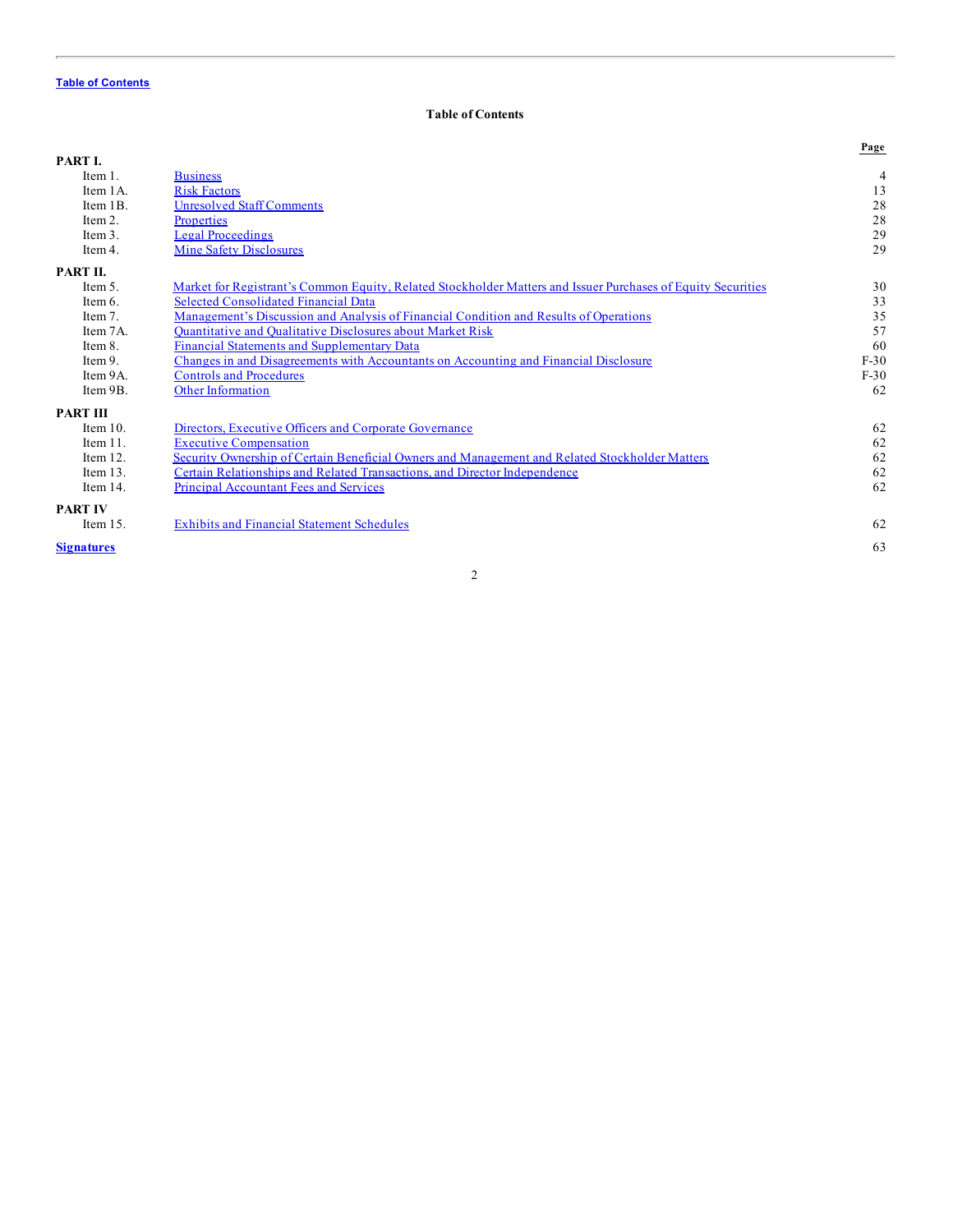# **Table of Contents**

<span id="page-1-0"></span>

|                   |                                                                                                              | Page           |
|-------------------|--------------------------------------------------------------------------------------------------------------|----------------|
| PART I.           |                                                                                                              |                |
| Item $1$ .        | <b>Business</b>                                                                                              | $\overline{4}$ |
| Item 1A.          | <b>Risk Factors</b>                                                                                          | 13             |
| Item 1B.          | <b>Unresolved Staff Comments</b>                                                                             | 28             |
| Item 2.           | <b>Properties</b>                                                                                            | 28             |
| Item $3$ .        | <b>Legal Proceedings</b>                                                                                     | 29             |
| Item 4.           | <b>Mine Safety Disclosures</b>                                                                               | 29             |
| PART II.          |                                                                                                              |                |
| Item $5$ .        | Market for Registrant's Common Equity, Related Stockholder Matters and Issuer Purchases of Equity Securities | 30             |
| Item 6.           | Selected Consolidated Financial Data                                                                         | 33             |
| Item 7.           | Management's Discussion and Analysis of Financial Condition and Results of Operations                        | 35             |
| Item 7A.          | <b>Ouantitative and Oualitative Disclosures about Market Risk</b>                                            | 57             |
| Item 8.           | <b>Financial Statements and Supplementary Data</b>                                                           | 60             |
| Item 9.           | Changes in and Disagreements with Accountants on Accounting and Financial Disclosure                         | $F-30$         |
| Item 9A.          | <b>Controls and Procedures</b>                                                                               | $F-30$         |
| Item 9B.          | <b>Other Information</b>                                                                                     | 62             |
| <b>PART III</b>   |                                                                                                              |                |
| Item $10$ .       | Directors, Executive Officers and Corporate Governance                                                       | 62             |
| Item $11$ .       | <b>Executive Compensation</b>                                                                                | 62             |
| Item 12.          | <b>Security Ownership of Certain Beneficial Owners and Management and Related Stockholder Matters</b>        | 62             |
| Item $13$ .       | Certain Relationships and Related Transactions, and Director Independence                                    | 62             |
| Item 14.          | <b>Principal Accountant Fees and Services</b>                                                                | 62             |
| <b>PART IV</b>    |                                                                                                              |                |
| Item $15$ .       | <b>Exhibits and Financial Statement Schedules</b>                                                            | 62             |
| <b>Signatures</b> |                                                                                                              | 63             |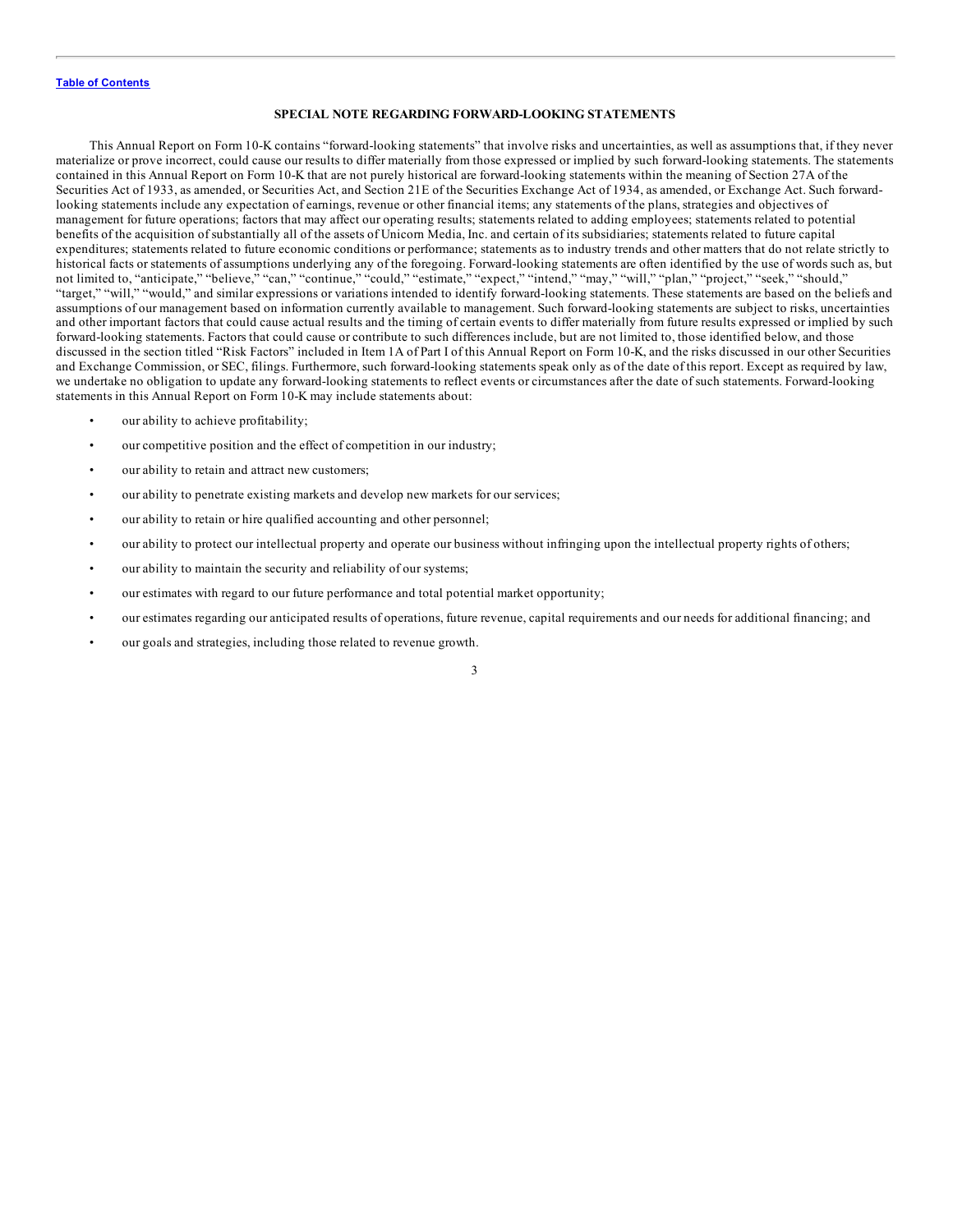#### **SPECIAL NOTE REGARDING FORWARD-LOOKING STATEMENTS**

This Annual Report on Form 10-K contains "forward-looking statements" that involve risks and uncertainties, as well as assumptions that, if they never materialize or prove incorrect, could cause our results to differ materially from those expressed or implied by such forward-looking statements. The statements contained in this Annual Report on Form 10-K that are not purely historical are forward-looking statements within the meaning of Section 27A of the Securities Act of 1933, as amended, or Securities Act, and Section 21E of the Securities Exchange Act of 1934, as amended, or Exchange Act. Such forwardlooking statements include any expectation of earnings, revenue or other financial items; any statements of the plans, strategies and objectives of management for future operations; factors that may affect our operating results; statements related to adding employees; statements related to potential benefits of the acquisition of substantially all of the assets of Unicorn Media, Inc. and certain of its subsidiaries; statements related to future capital expenditures; statements related to future economic conditions or performance; statements as to industry trends and other matters that do not relate strictly to historical facts or statements of assumptions underlying any of the foregoing. Forward-looking statements are often identified by the use of words such as, but not limited to, "anticipate," "believe," "can," "continue," "could," "estimate," "expect," "intend," "may," "will," "plan," "project," "seek," "should," "target," "will," "would," and similar expressions or variations intended to identify forward-looking statements. These statements are based on the beliefs and assumptions of our management based on information currently available to management. Such forward-looking statements are subject to risks, uncertainties and other important factors that could cause actual results and the timing of certain events to differ materially from future results expressed or implied by such forward-looking statements. Factors that could cause or contribute to such differences include, but are not limited to, those identified below, and those discussed in the section titled "Risk Factors" included in Item 1A of Part I of this Annual Report on Form 10-K, and the risks discussed in our other Securities and Exchange Commission, or SEC, filings. Furthermore, such forward-looking statements speak only as of the date of this report. Except as required by law, we undertake no obligation to update any forward-looking statements to reflect events or circumstances after the date of such statements. Forward-looking statements in this Annual Report on Form 10-K may include statements about:

- our ability to achieve profitability;
- our competitive position and the effect of competition in our industry;
- our ability to retain and attract new customers;
- our ability to penetrate existing markets and develop new markets for our services;
- our ability to retain or hire qualified accounting and other personnel;
- our ability to protect our intellectual property and operate our business without infringing upon the intellectual property rights of others;
- our ability to maintain the security and reliability of our systems;
- our estimates with regard to our future performance and total potential market opportunity;
- our estimates regarding our anticipated results of operations, future revenue, capital requirements and our needs for additional financing; and
- our goals and strategies, including those related to revenue growth.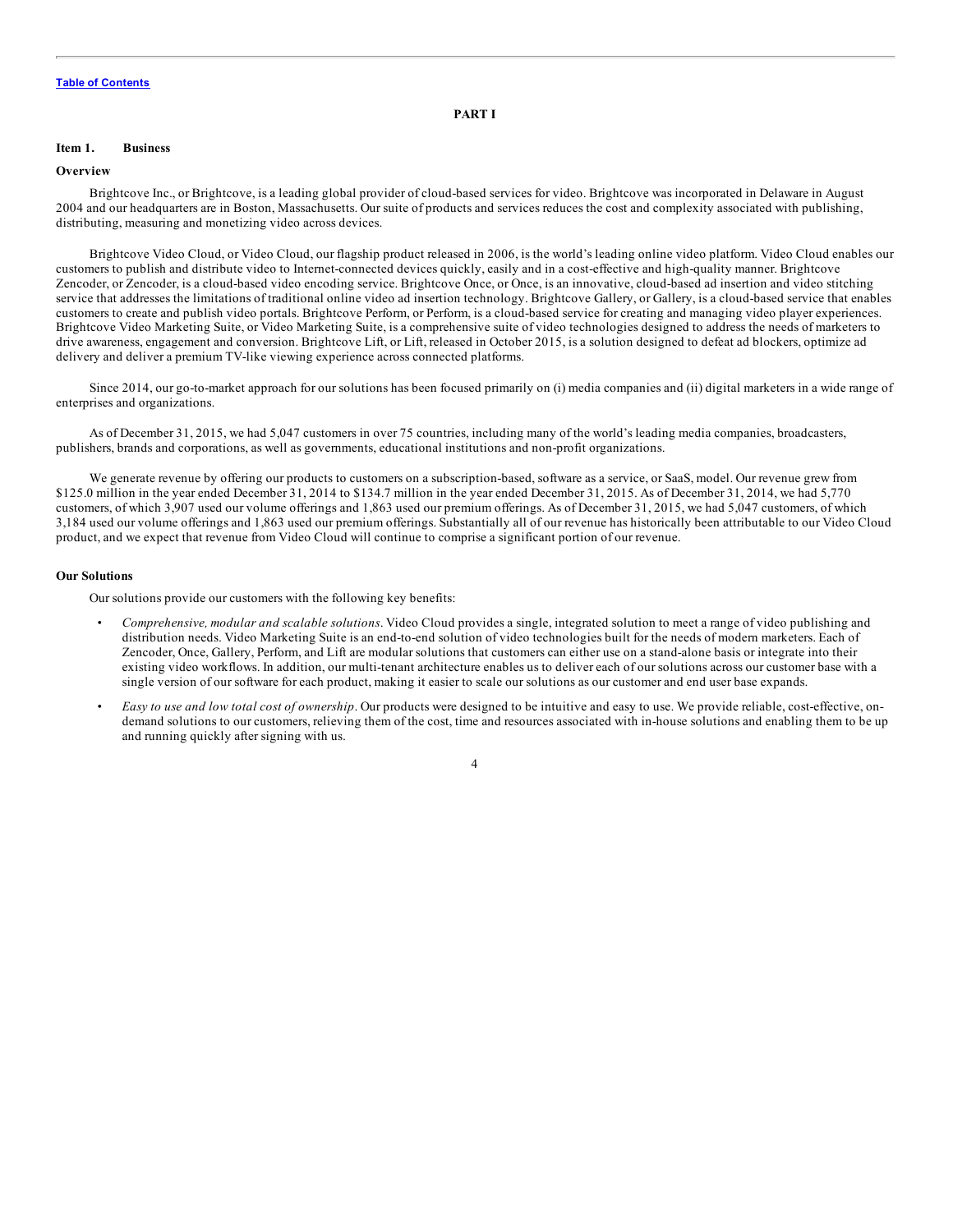#### **PART I**

#### <span id="page-3-0"></span>**Item 1. Business**

#### **Overview**

Brightcove Inc., or Brightcove, is a leading global provider of cloud-based services for video. Brightcove was incorporated in Delaware in August 2004 and our headquarters are in Boston, Massachusetts. Our suite of products and services reduces the cost and complexity associated with publishing, distributing, measuring and monetizing video across devices.

Brightcove Video Cloud, or Video Cloud, our flagship product released in 2006, is the world's leading online video platform. Video Cloud enables our customers to publish and distribute video to Internet-connected devices quickly, easily and in a cost-effective and high-quality manner. Brightcove Zencoder, or Zencoder, is a cloud-based video encoding service. Brightcove Once, or Once, is an innovative, cloud-based ad insertion and video stitching service that addresses the limitations of traditional online video ad insertion technology. Brightcove Gallery, or Gallery, is a cloud-based service that enables customers to create and publish video portals. Brightcove Perform, or Perform, is a cloud-based service for creating and managing video player experiences. Brightcove Video Marketing Suite, or Video Marketing Suite, is a comprehensive suite of video technologies designed to address the needs of marketers to drive awareness, engagement and conversion. Brightcove Lift, or Lift, released in October 2015, is a solution designed to defeat ad blockers, optimize ad delivery and deliver a premium TV-like viewing experience across connected platforms.

Since 2014, our go-to-market approach for our solutions has been focused primarily on (i) media companies and (ii) digital marketers in a wide range of enterprises and organizations.

As of December 31, 2015, we had 5,047 customers in over 75 countries, including many of the world's leading media companies, broadcasters, publishers, brands and corporations, as well as governments, educational institutions and non-profit organizations.

We generate revenue by offering our products to customers on a subscription-based, software as a service, or SaaS, model. Our revenue grew from \$125.0 million in the year ended December 31, 2014 to \$134.7 million in the year ended December 31, 2015. As of December 31, 2014, we had 5,770 customers, of which 3,907 used our volume offerings and 1,863 used our premium offerings. As of December 31, 2015, we had 5,047 customers, of which 3,184 used our volume offerings and 1,863 used our premium offerings. Substantially all of our revenue has historically been attributable to our Video Cloud product, and we expect that revenue from Video Cloud will continue to comprise a significant portion of our revenue.

#### **Our Solutions**

Our solutions provide our customers with the following key benefits:

- *Comprehensive, modular and scalable solutions*. Video Cloud provides a single, integrated solution to meet a range of video publishing and distribution needs. Video Marketing Suite is an end-to-end solution of video technologies built for the needs of modern marketers. Each of Zencoder, Once, Gallery, Perform, and Lift are modular solutions that customers can either use on a stand-alone basis or integrate into their existing video workflows. In addition, our multi-tenant architecture enables us to deliver each of our solutions across our customer base with a single version of our software for each product, making it easier to scale our solutions as our customer and end user base expands.
- *Easy to use and low total cost of ownership*. Our products were designed to be intuitive and easy to use. We provide reliable, cost-effective, ondemand solutions to our customers, relieving them of the cost, time and resources associated with in-house solutions and enabling them to be up and running quickly after signing with us.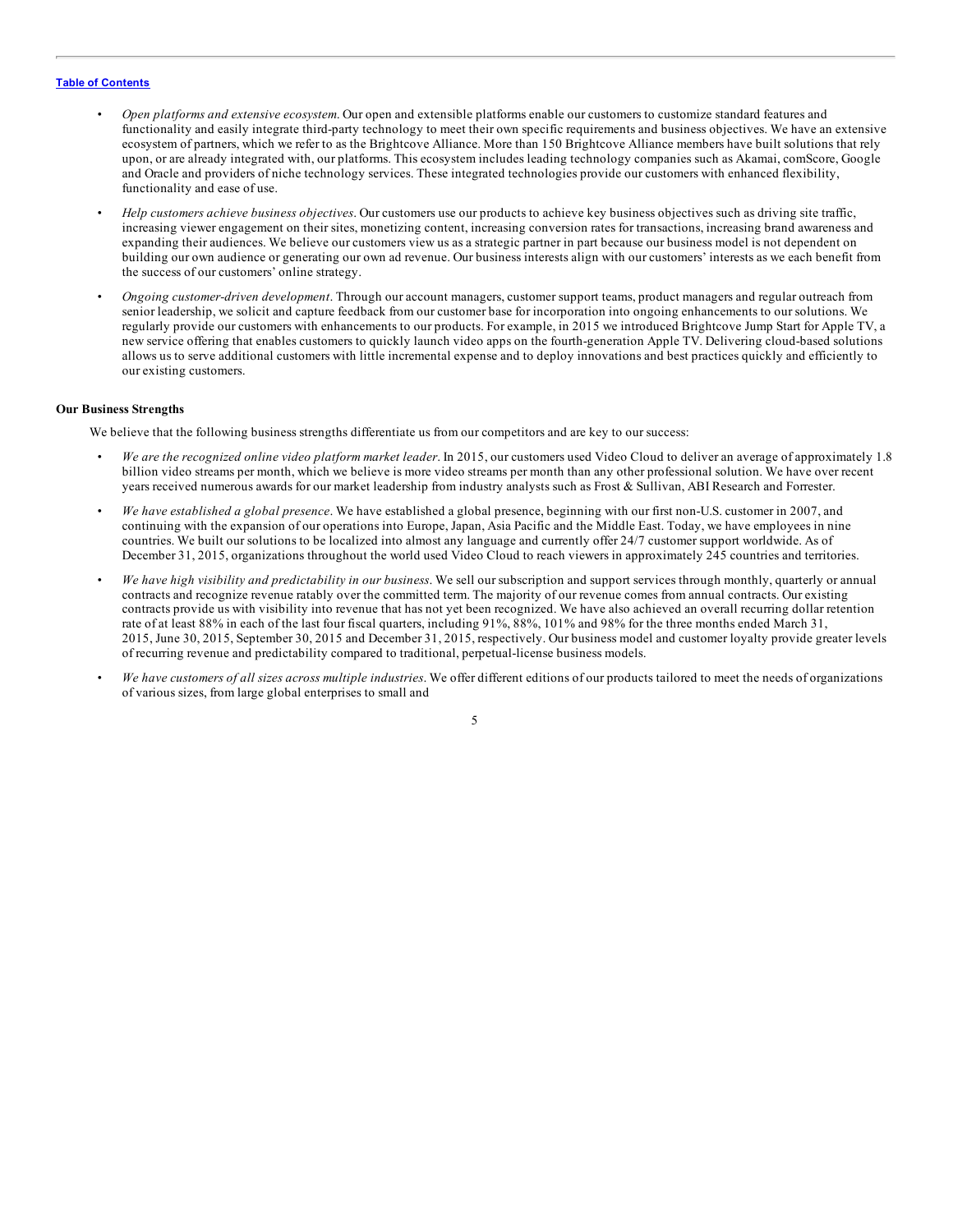- *Open platforms and extensive ecosystem*. Our open and extensible platforms enable our customers to customize standard features and functionality and easily integrate third-party technology to meet their own specific requirements and business objectives. We have an extensive ecosystem of partners, which we refer to as the Brightcove Alliance. More than 150 Brightcove Alliance members have built solutions that rely upon, or are already integrated with, our platforms. This ecosystem includes leading technology companies such as Akamai, comScore, Google and Oracle and providers of niche technology services. These integrated technologies provide our customers with enhanced flexibility, functionality and ease of use.
- *Help customers achieve business objectives*. Our customers use our products to achieve key business objectives such as driving site traffic, increasing viewer engagement on their sites, monetizing content, increasing conversion rates for transactions, increasing brand awareness and expanding their audiences. We believe our customers view us as a strategic partner in part because our business model is not dependent on building our own audience or generating our own ad revenue. Our business interests align with our customers' interests as we each benefit from the success of our customers' online strategy.
- *Ongoing customer-driven development*. Through our account managers, customer support teams, product managers and regular outreach from senior leadership, we solicit and capture feedback from our customer base for incorporation into ongoing enhancements to our solutions. We regularly provide our customers with enhancements to our products. For example, in 2015 we introduced Brightcove Jump Start for Apple TV, a new service offering that enables customers to quickly launch video apps on the fourth-generation Apple TV. Delivering cloud-based solutions allows us to serve additional customers with little incremental expense and to deploy innovations and best practices quickly and efficiently to our existing customers.

# **Our Business Strengths**

We believe that the following business strengths differentiate us from our competitors and are key to our success:

- *We are the recognized online video platform market leader*. In 2015, our customers used Video Cloud to deliver an average of approximately 1.8 billion video streams per month, which we believe is more video streams per month than any other professional solution. We have over recent years received numerous awards for our market leadership from industry analysts such as Frost & Sullivan, ABI Research and Forrester.
- *We have established a global presence*. We have established a global presence, beginning with our first non-U.S. customer in 2007, and continuing with the expansion of our operations into Europe, Japan, Asia Pacific and the Middle East. Today, we have employees in nine countries. We built our solutions to be localized into almost any language and currently offer 24/7 customer support worldwide. As of December 31, 2015, organizations throughout the world used Video Cloud to reach viewers in approximately 245 countries and territories.
- *We have high visibility and predictability in our business*. We sell our subscription and support services through monthly, quarterly or annual contracts and recognize revenue ratably over the committed term. The majority of our revenue comes from annual contracts. Our existing contracts provide us with visibility into revenue that has not yet been recognized. We have also achieved an overall recurring dollar retention rate of at least 88% in each of the last four fiscal quarters, including 91%, 88%, 101% and 98% for the three months ended March 31, 2015, June 30, 2015, September 30, 2015 and December 31, 2015, respectively. Our business model and customer loyalty provide greater levels of recurring revenue and predictability compared to traditional, perpetual-license business models.
- *We have customers of all sizes across multiple industries*. We offer different editions of our products tailored to meet the needs of organizations of various sizes, from large global enterprises to small and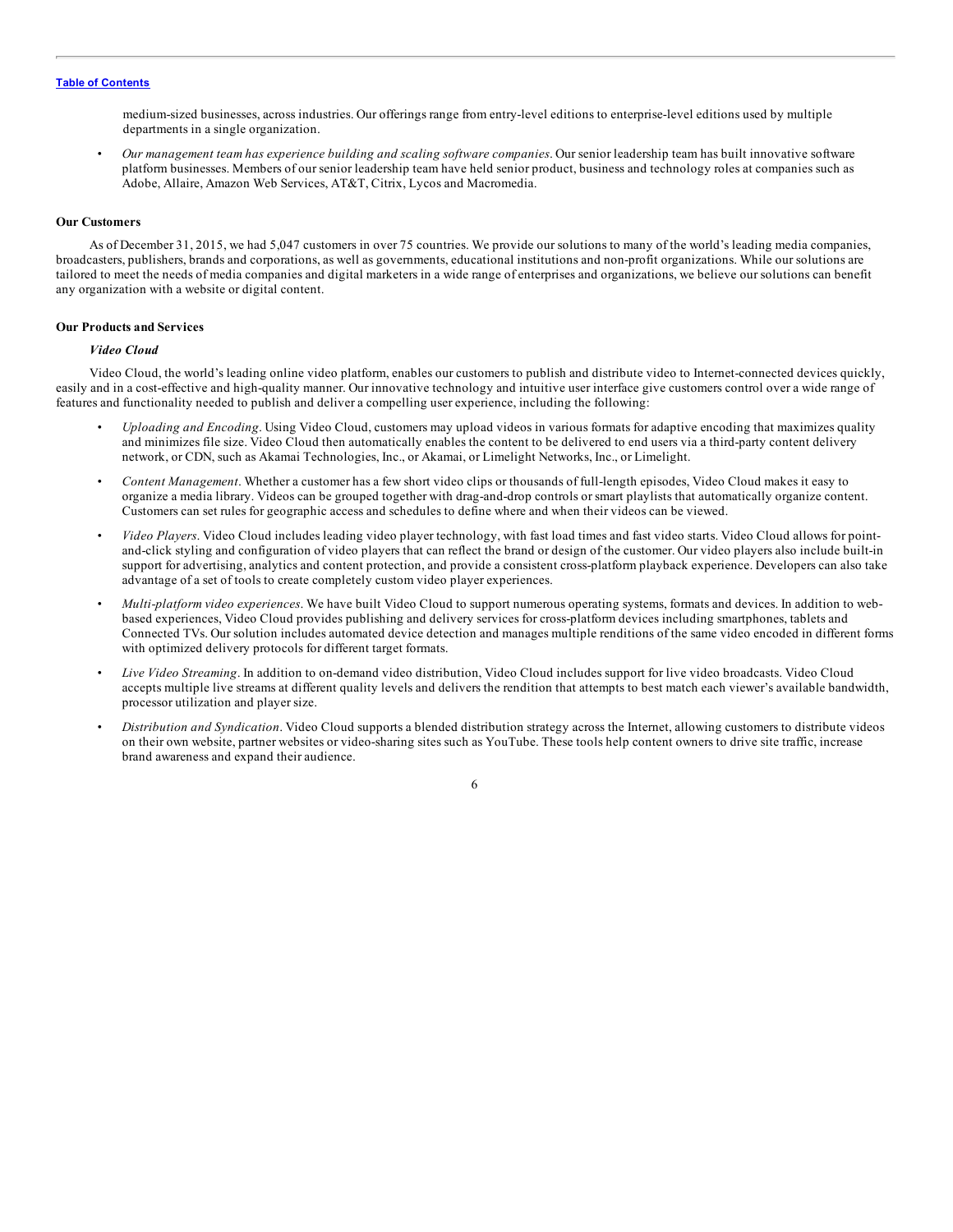medium-sized businesses, across industries. Our offerings range from entry-level editions to enterprise-level editions used by multiple departments in a single organization.

• *Our management team has experience building and scaling software companies*. Our senior leadership team has built innovative software platform businesses. Members of our senior leadership team have held senior product, business and technology roles at companies such as Adobe, Allaire, Amazon Web Services, AT&T, Citrix, Lycos and Macromedia.

#### **Our Customers**

As of December 31, 2015, we had 5,047 customers in over 75 countries. We provide our solutions to many of the world's leading media companies, broadcasters, publishers, brands and corporations, as well as governments, educational institutions and non-profit organizations. While our solutions are tailored to meet the needs of media companies and digital marketers in a wide range of enterprises and organizations, we believe our solutions can benefit any organization with a website or digital content.

#### **Our Products and Services**

# *Video Cloud*

Video Cloud, the world's leading online video platform, enables our customers to publish and distribute video to Internet-connected devices quickly, easily and in a cost-effective and high-quality manner. Our innovative technology and intuitive user interface give customers control over a wide range of features and functionality needed to publish and deliver a compelling user experience, including the following:

- *Uploading and Encoding*. Using Video Cloud, customers may upload videos in various formats for adaptive encoding that maximizes quality and minimizes file size. Video Cloud then automatically enables the content to be delivered to end users via a third-party content delivery network, or CDN, such as Akamai Technologies, Inc., or Akamai, or Limelight Networks, Inc., or Limelight.
- *Content Management*. Whether a customer has a few short video clips or thousands of full-length episodes, Video Cloud makes it easy to organize a media library. Videos can be grouped together with drag-and-drop controls or smart playlists that automatically organize content. Customers can set rules for geographic access and schedules to define where and when their videos can be viewed.
- *Video Players*. Video Cloud includes leading video player technology, with fast load times and fast video starts. Video Cloud allows for pointand-click styling and configuration of video players that can reflect the brand or design of the customer. Our video players also include built-in support for advertising, analytics and content protection, and provide a consistent cross-platform playback experience. Developers can also take advantage of a set of tools to create completely custom video player experiences.
- *Multi-platform video experiences*. We have built Video Cloud to support numerous operating systems, formats and devices. In addition to webbased experiences, Video Cloud provides publishing and delivery services for cross-platform devices including smartphones, tablets and Connected TVs. Our solution includes automated device detection and manages multiple renditions of the same video encoded in different forms with optimized delivery protocols for different target formats.
- *Live Video Streaming*. In addition to on-demand video distribution, Video Cloud includes support for live video broadcasts. Video Cloud accepts multiple live streams at different quality levels and delivers the rendition that attempts to best match each viewer's available bandwidth, processor utilization and player size.
- *Distribution and Syndication*. Video Cloud supports a blended distribution strategy across the Internet, allowing customers to distribute videos on their own website, partner websites or video-sharing sites such as YouTube. These tools help content owners to drive site traffic, increase brand awareness and expand their audience.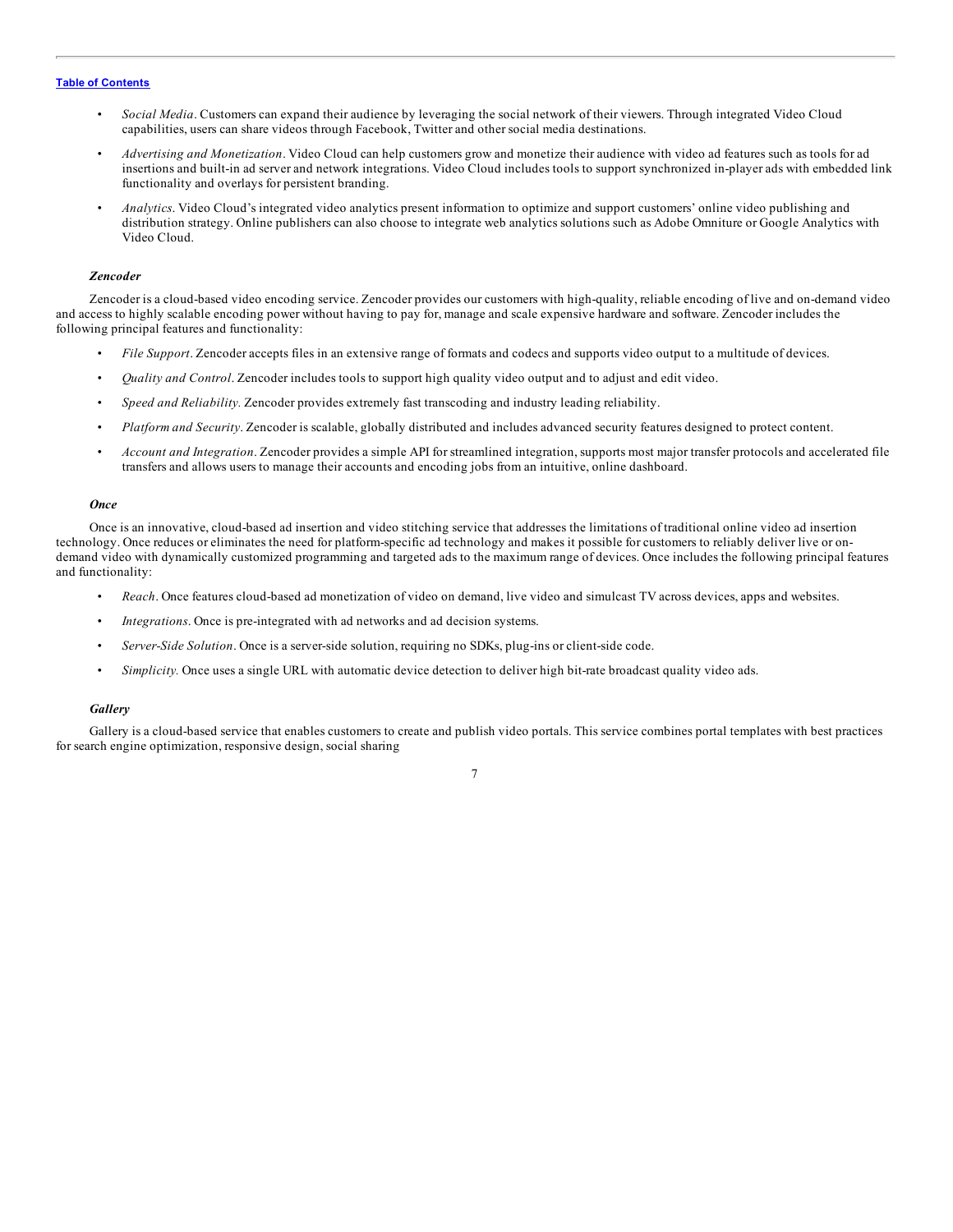- *Social Media*. Customers can expand their audience by leveraging the social network of their viewers. Through integrated Video Cloud capabilities, users can share videos through Facebook, Twitter and other social media destinations.
- *Advertising and Monetization*. Video Cloud can help customers grow and monetize their audience with video ad features such as tools for ad insertions and built-in ad server and network integrations. Video Cloud includes tools to support synchronized in-player ads with embedded link functionality and overlays for persistent branding.
- *Analytics*. Video Cloud's integrated video analytics present information to optimize and support customers' online video publishing and distribution strategy. Online publishers can also choose to integrate web analytics solutions such as Adobe Omniture or Google Analytics with Video Cloud.

#### *Zencoder*

Zencoder is a cloud-based video encoding service. Zencoder provides our customers with high-quality, reliable encoding of live and on-demand video and access to highly scalable encoding power without having to pay for, manage and scale expensive hardware and software. Zencoder includes the following principal features and functionality:

- *File Support*. Zencoder accepts files in an extensive range of formats and codecs and supports video output to a multitude of devices.
- *Quality and Control*. Zencoder includes tools to support high quality video output and to adjust and edit video.
- *Speed and Reliability.* Zencoder provides extremely fast transcoding and industry leading reliability.
- *Platform and Security*. Zencoder is scalable, globally distributed and includes advanced security features designed to protect content.
- *Account and Integration*. Zencoder provides a simple API for streamlined integration, supports most major transfer protocols and accelerated file transfers and allows users to manage their accounts and encoding jobs from an intuitive, online dashboard.

#### *Once*

Once is an innovative, cloud-based ad insertion and video stitching service that addresses the limitations of traditional online video ad insertion technology. Once reduces or eliminates the need for platform-specific ad technology and makes it possible for customers to reliably deliver live or ondemand video with dynamically customized programming and targeted ads to the maximum range of devices. Once includes the following principal features and functionality:

- *Reach*. Once features cloud-based ad monetization of video on demand, live video and simulcast TV across devices, apps and websites.
- *Integrations*. Once is pre-integrated with ad networks and ad decision systems.
- *Server-Side Solution*. Once is a server-side solution, requiring no SDKs, plug-ins or client-side code.
- *Simplicity.* Once uses a single URL with automatic device detection to deliver high bit-rate broadcast quality video ads.

#### *Gallery*

Gallery is a cloud-based service that enables customers to create and publish video portals. This service combines portal templates with best practices for search engine optimization, responsive design, social sharing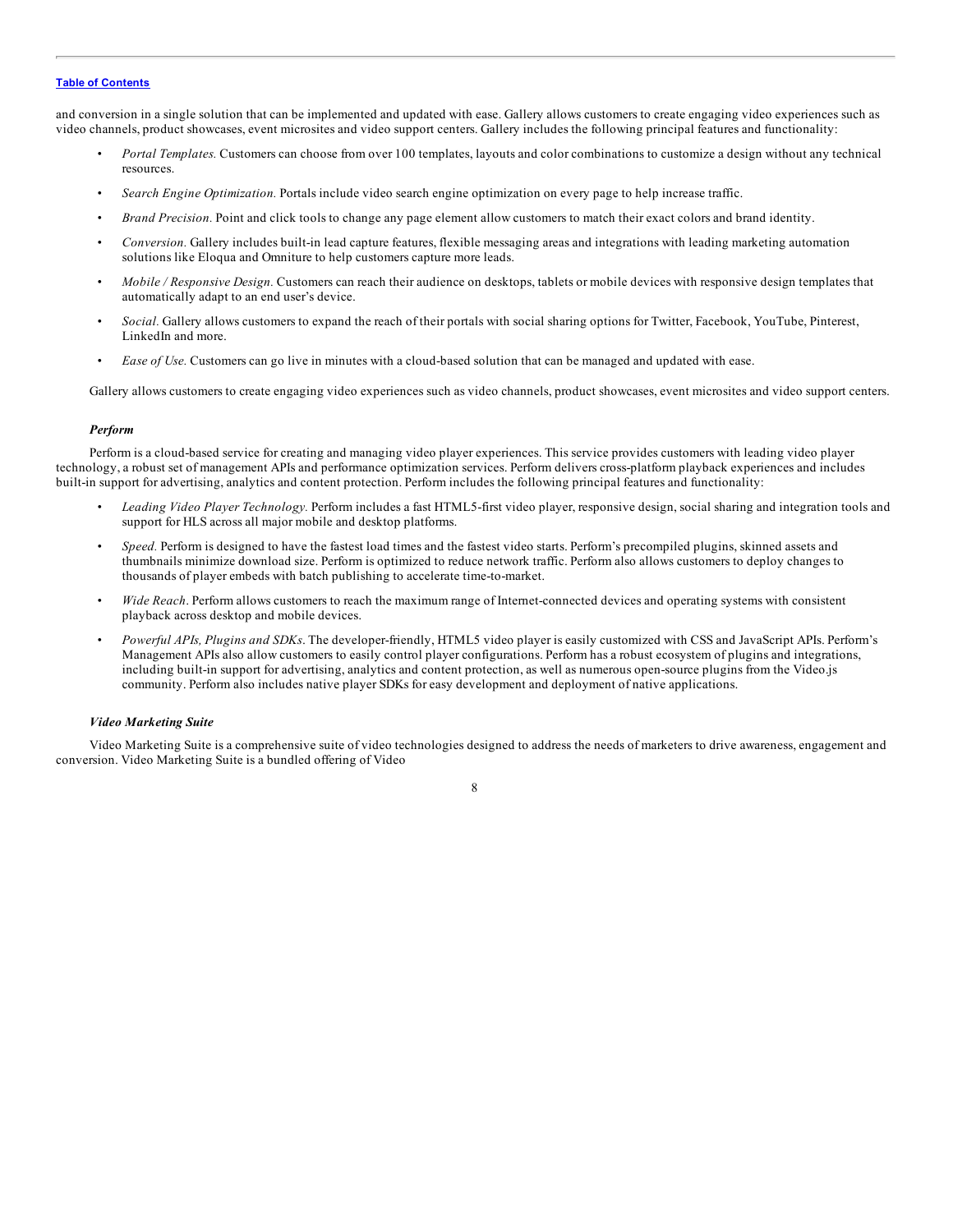and conversion in a single solution that can be implemented and updated with ease. Gallery allows customers to create engaging video experiences such as video channels, product showcases, event microsites and video support centers. Gallery includes the following principal features and functionality:

- *Portal Templates.* Customers can choose from over 100 templates, layouts and color combinations to customize a design without any technical resources.
- *Search Engine Optimization.* Portals include video search engine optimization on every page to help increase traffic.
- *Brand Precision.* Point and click tools to change any page element allow customers to match their exact colors and brand identity.
- *Conversion.* Gallery includes built-in lead capture features, flexible messaging areas and integrations with leading marketing automation solutions like Eloqua and Omniture to help customers capture more leads.
- *Mobile / Responsive Design.* Customers can reach their audience on desktops, tablets or mobile devices with responsive design templates that automatically adapt to an end user's device.
- *Social.* Gallery allows customers to expand the reach of their portals with social sharing options for Twitter, Facebook, YouTube, Pinterest, LinkedIn and more.
- *Ease of Use.* Customers can go live in minutes with a cloud-based solution that can be managed and updated with ease.

Gallery allows customers to create engaging video experiences such as video channels, product showcases, event microsites and video support centers.

#### *Perform*

Perform is a cloud-based service for creating and managing video player experiences. This service provides customers with leading video player technology, a robust set of management APIs and performance optimization services. Perform delivers cross-platform playback experiences and includes built-in support for advertising, analytics and content protection. Perform includes the following principal features and functionality:

- *Leading Video Player Technology.* Perform includes a fast HTML5-first video player, responsive design, social sharing and integration tools and support for HLS across all major mobile and desktop platforms.
- *Speed.* Perform is designed to have the fastest load times and the fastest video starts. Perform's precompiled plugins, skinned assets and thumbnails minimize download size. Perform is optimized to reduce network traffic. Perform also allows customers to deploy changes to thousands of player embeds with batch publishing to accelerate time-to-market.
- *Wide Reach*. Perform allows customers to reach the maximum range of Internet-connected devices and operating systems with consistent playback across desktop and mobile devices.
- *Powerful APIs, Plugins and SDKs*. The developer-friendly, HTML5 video player is easily customized with CSS and JavaScript APIs. Perform's Management APIs also allow customers to easily control player configurations. Perform has a robust ecosystem of plugins and integrations, including built-in support for advertising, analytics and content protection, as well as numerous open-source plugins from the Video.js community. Perform also includes native player SDKs for easy development and deployment of native applications.

#### *Video Marketing Suite*

Video Marketing Suite is a comprehensive suite of video technologies designed to address the needs of marketers to drive awareness, engagement and conversion. Video Marketing Suite is a bundled offering of Video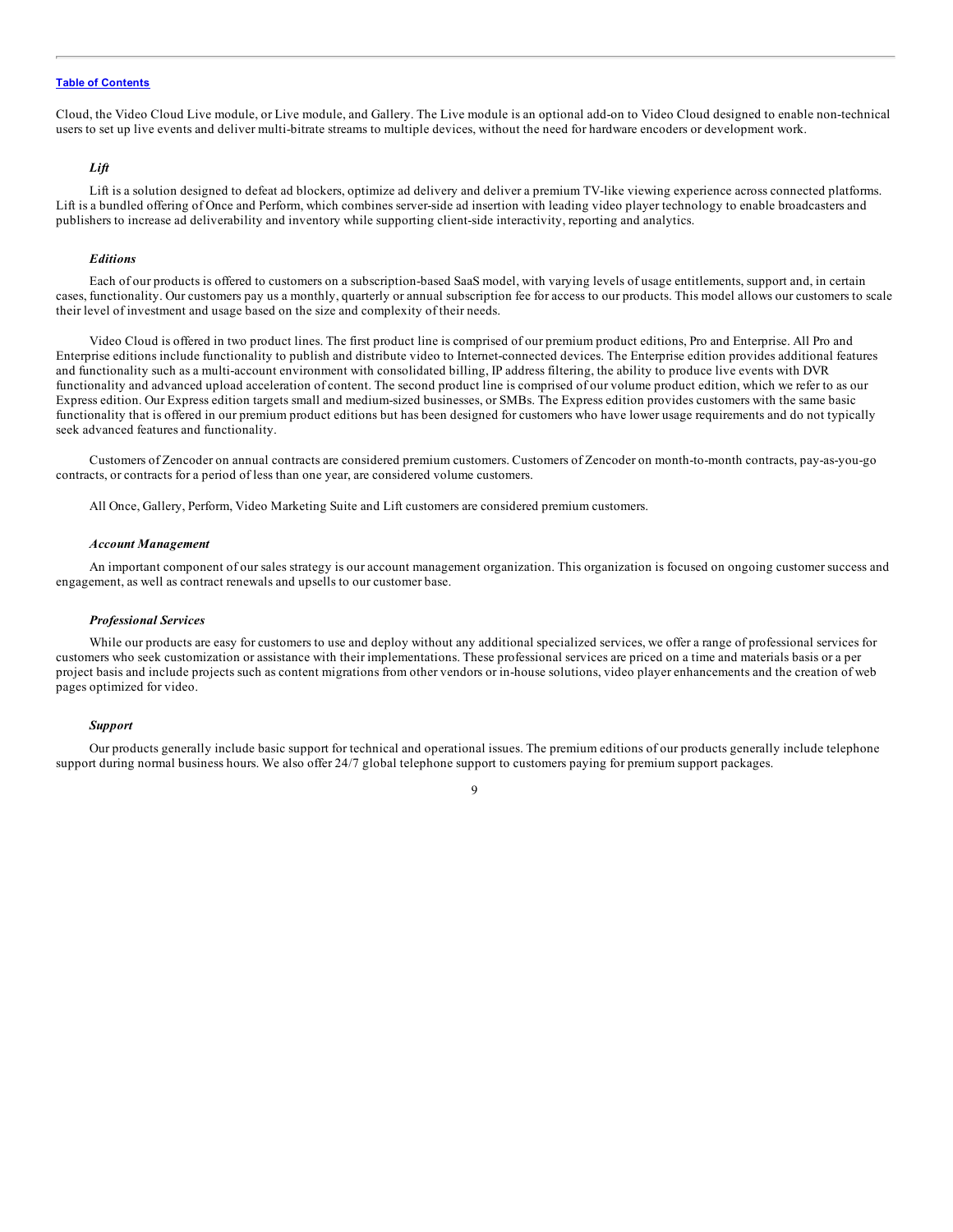Cloud, the Video Cloud Live module, or Live module, and Gallery. The Live module is an optional add-on to Video Cloud designed to enable non-technical users to set up live events and deliver multi-bitrate streams to multiple devices, without the need for hardware encoders or development work.

# *Lift*

Lift is a solution designed to defeat ad blockers, optimize ad delivery and deliver a premium TV-like viewing experience across connected platforms. Lift is a bundled offering of Once and Perform, which combines server-side ad insertion with leading video player technology to enable broadcasters and publishers to increase ad deliverability and inventory while supporting client-side interactivity, reporting and analytics.

#### *Editions*

Each of our products is offered to customers on a subscription-based SaaS model, with varying levels of usage entitlements, support and, in certain cases, functionality. Our customers pay us a monthly, quarterly or annual subscription fee for access to our products. This model allows our customers to scale their level of investment and usage based on the size and complexity of their needs.

Video Cloud is offered in two product lines. The first product line is comprised of our premium product editions, Pro and Enterprise. All Pro and Enterprise editions include functionality to publish and distribute video to Internet-connected devices. The Enterprise edition provides additional features and functionality such as a multi-account environment with consolidated billing, IP address filtering, the ability to produce live events with DVR functionality and advanced upload acceleration of content. The second product line is comprised of our volume product edition, which we refer to as our Express edition. Our Express edition targets small and medium-sized businesses, or SMBs. The Express edition provides customers with the same basic functionality that is offered in our premium product editions but has been designed for customers who have lower usage requirements and do not typically seek advanced features and functionality.

Customers of Zencoder on annual contracts are considered premium customers. Customers of Zencoder on month-to-month contracts, pay-as-you-go contracts, or contracts for a period of less than one year, are considered volume customers.

All Once, Gallery, Perform, Video Marketing Suite and Lift customers are considered premium customers.

#### *Account Management*

An important component of our sales strategy is our account management organization. This organization is focused on ongoing customer success and engagement, as well as contract renewals and upsells to our customer base.

#### *Professional Services*

While our products are easy for customers to use and deploy without any additional specialized services, we offer a range of professional services for customers who seek customization or assistance with their implementations. These professional services are priced on a time and materials basis or a per project basis and include projects such as content migrations from other vendors or in-house solutions, video player enhancements and the creation of web pages optimized for video.

#### *Support*

Our products generally include basic support for technical and operational issues. The premium editions of our products generally include telephone support during normal business hours. We also offer 24/7 global telephone support to customers paying for premium support packages.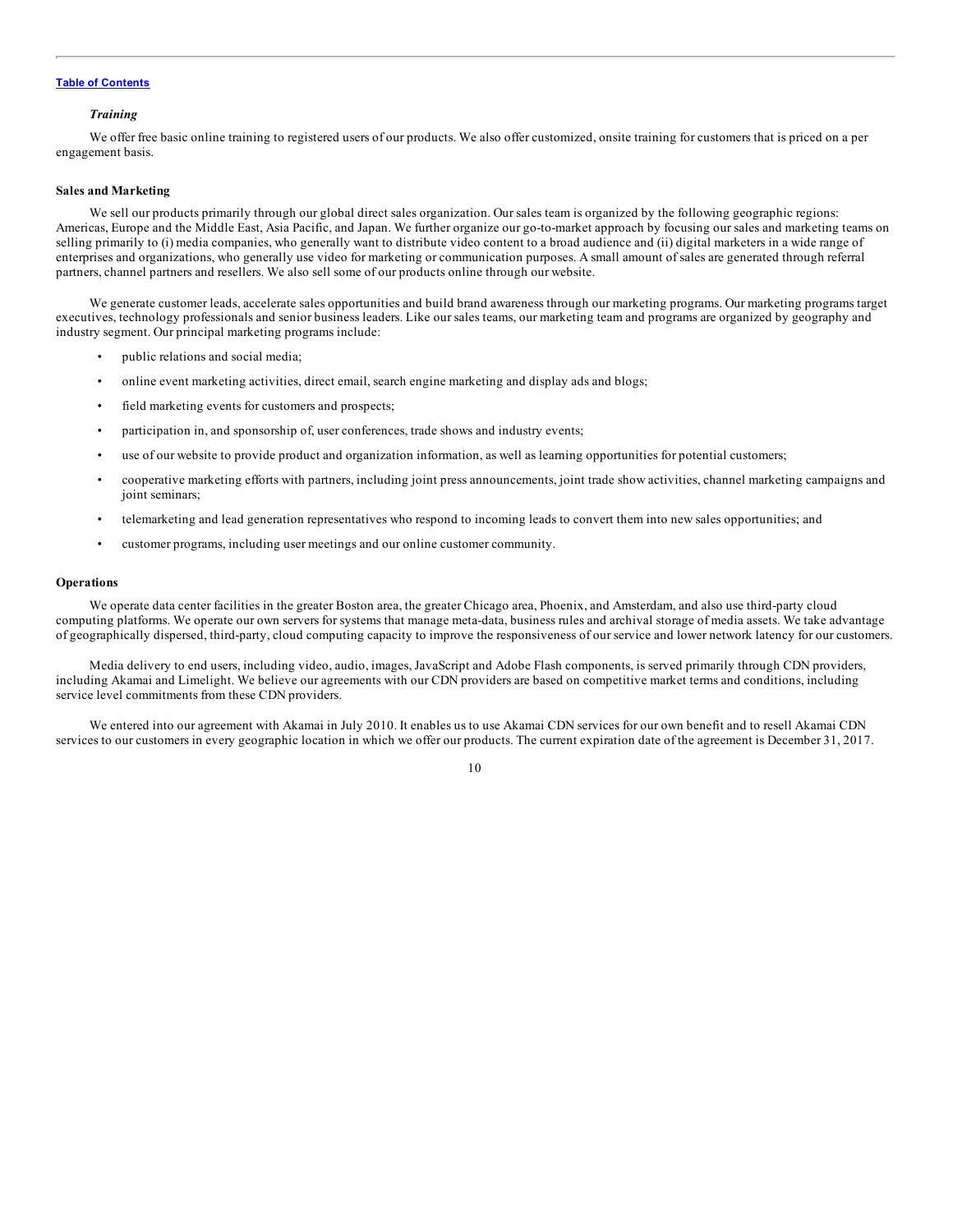#### *Training*

We offer free basic online training to registered users of our products. We also offer customized, onsite training for customers that is priced on a per engagement basis.

#### **Sales and Marketing**

We sell our products primarily through our global direct sales organization. Our sales team is organized by the following geographic regions: Americas, Europe and the Middle East, Asia Pacific, and Japan. We further organize our go-to-market approach by focusing our sales and marketing teams on selling primarily to (i) media companies, who generally want to distribute video content to a broad audience and (ii) digital marketers in a wide range of enterprises and organizations, who generally use video for marketing or communication purposes. A small amount of sales are generated through referral partners, channel partners and resellers. We also sell some of our products online through our website.

We generate customer leads, accelerate sales opportunities and build brand awareness through our marketing programs. Our marketing programs target executives, technology professionals and senior business leaders. Like our sales teams, our marketing team and programs are organized by geography and industry segment. Our principal marketing programs include:

- public relations and social media;
- online event marketing activities, direct email, search engine marketing and display ads and blogs;
- field marketing events for customers and prospects;
- participation in, and sponsorship of, user conferences, trade shows and industry events;
- use of our website to provide product and organization information, as well as learning opportunities for potential customers;
- cooperative marketing efforts with partners, including joint press announcements, joint trade show activities, channel marketing campaigns and joint seminars;
- telemarketing and lead generation representatives who respond to incoming leads to convert them into new sales opportunities; and
- customer programs, including user meetings and our online customer community.

#### **Operations**

We operate data center facilities in the greater Boston area, the greater Chicago area, Phoenix, and Amsterdam, and also use third-party cloud computing platforms. We operate our own servers for systems that manage meta-data, business rules and archival storage of media assets. We take advantage of geographically dispersed, third-party, cloud computing capacity to improve the responsiveness of our service and lower network latency for our customers.

Media delivery to end users, including video, audio, images, JavaScript and Adobe Flash components, is served primarily through CDN providers, including Akamai and Limelight. We believe our agreements with our CDN providers are based on competitive market terms and conditions, including service level commitments from these CDN providers.

We entered into our agreement with Akamai in July 2010. It enables us to use Akamai CDN services for our own benefit and to resell Akamai CDN services to our customers in every geographic location in which we offer our products. The current expiration date of the agreement is December 31, 2017.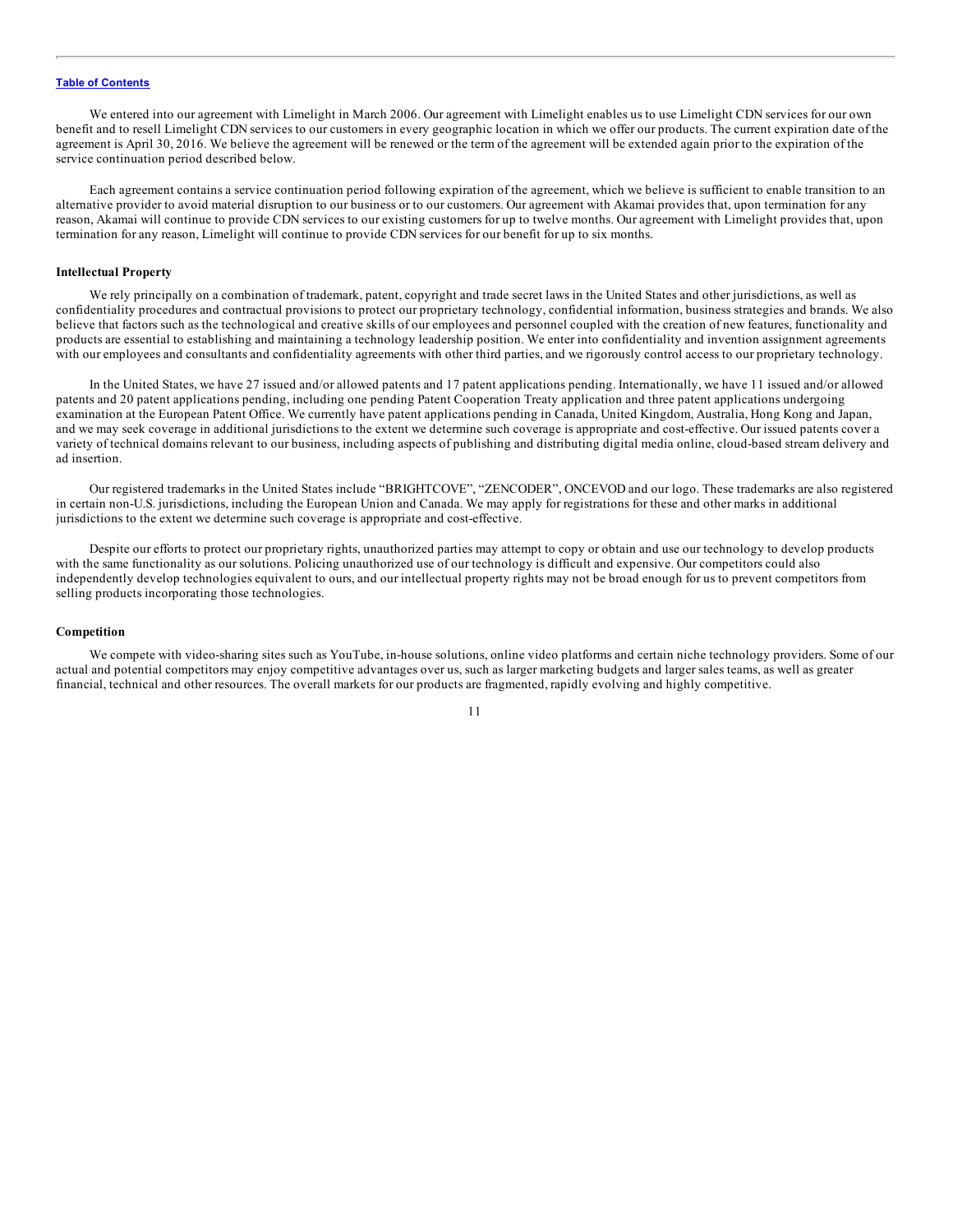We entered into our agreement with Limelight in March 2006. Our agreement with Limelight enables us to use Limelight CDN services for our own benefit and to resell Limelight CDN services to our customers in every geographic location in which we offer our products. The current expiration date of the agreement is April 30, 2016. We believe the agreement will be renewed or the term of the agreement will be extended again prior to the expiration of the service continuation period described below.

Each agreement contains a service continuation period following expiration of the agreement, which we believe is sufficient to enable transition to an alternative provider to avoid material disruption to our business or to our customers. Our agreement with Akamai provides that, upon termination for any reason, Akamai will continue to provide CDN services to our existing customers for up to twelve months. Our agreement with Limelight provides that, upon termination for any reason, Limelight will continue to provide CDN services for our benefit for up to six months.

#### **Intellectual Property**

We rely principally on a combination of trademark, patent, copyright and trade secret laws in the United States and other jurisdictions, as well as confidentiality procedures and contractual provisions to protect our proprietary technology, confidential information, business strategies and brands. We also believe that factors such as the technological and creative skills of our employees and personnel coupled with the creation of new features, functionality and products are essential to establishing and maintaining a technology leadership position. We enter into confidentiality and invention assignment agreements with our employees and consultants and confidentiality agreements with other third parties, and we rigorously control access to our proprietary technology.

In the United States, we have 27 issued and/or allowed patents and 17 patent applications pending. Internationally, we have 11 issued and/or allowed patents and 20 patent applications pending, including one pending Patent Cooperation Treaty application and three patent applications undergoing examination at the European Patent Office. We currently have patent applications pending in Canada, United Kingdom, Australia, Hong Kong and Japan, and we may seek coverage in additional jurisdictions to the extent we determine such coverage is appropriate and cost-effective. Our issued patents cover a variety of technical domains relevant to our business, including aspects of publishing and distributing digital media online, cloud-based stream delivery and ad insertion.

Our registered trademarks in the United States include "BRIGHTCOVE", "ZENCODER", ONCEVOD and our logo. These trademarks are also registered in certain non-U.S. jurisdictions, including the European Union and Canada. We may apply for registrations for these and other marks in additional jurisdictions to the extent we determine such coverage is appropriate and cost-effective.

Despite our efforts to protect our proprietary rights, unauthorized parties may attempt to copy or obtain and use our technology to develop products with the same functionality as our solutions. Policing unauthorized use of our technology is difficult and expensive. Our competitors could also independently develop technologies equivalent to ours, and our intellectual property rights may not be broad enough for us to prevent competitors from selling products incorporating those technologies.

#### **Competition**

We compete with video-sharing sites such as YouTube, in-house solutions, online video platforms and certain niche technology providers. Some of our actual and potential competitors may enjoy competitive advantages over us, such as larger marketing budgets and larger sales teams, as well as greater financial, technical and other resources. The overall markets for our products are fragmented, rapidly evolving and highly competitive.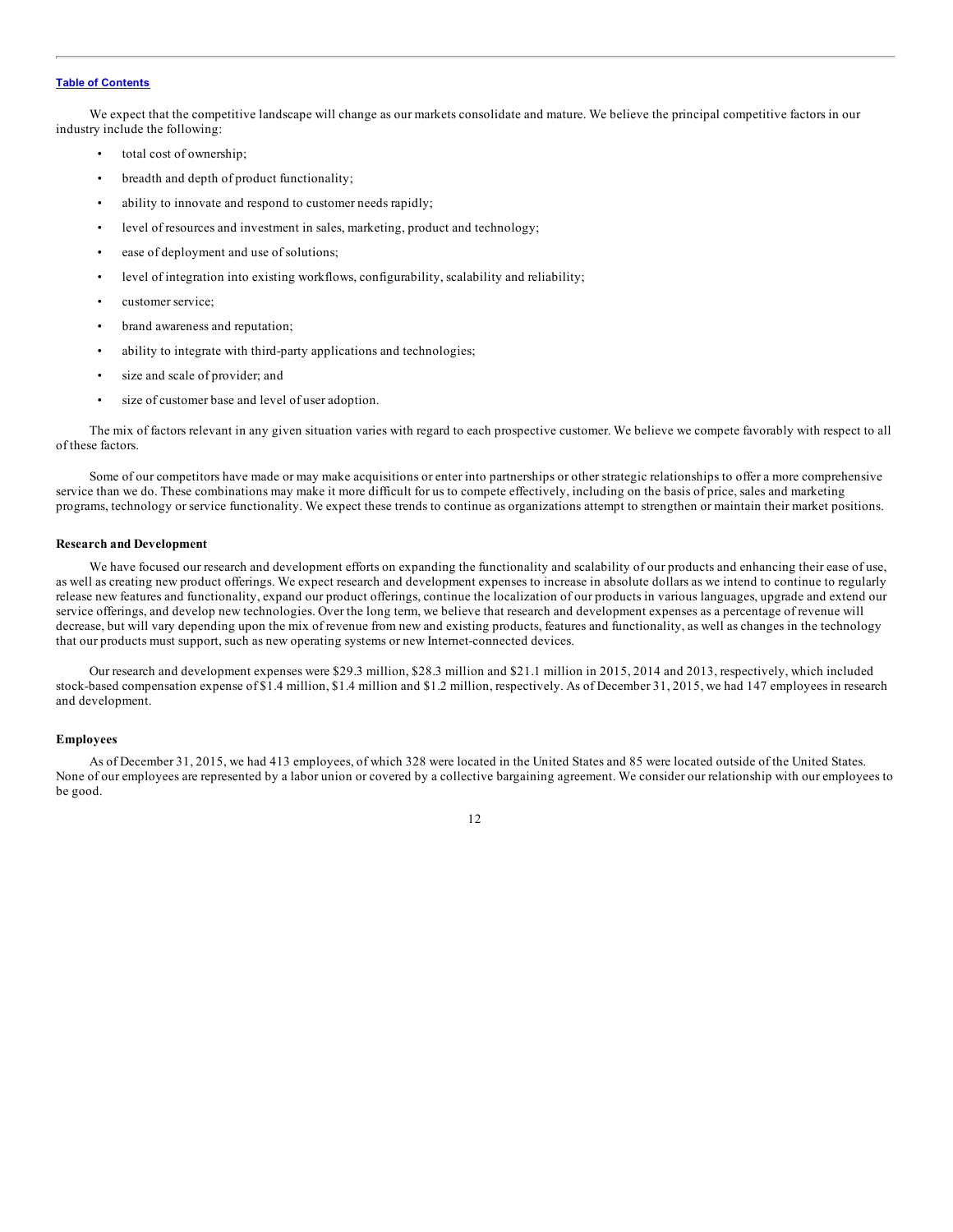We expect that the competitive landscape will change as our markets consolidate and mature. We believe the principal competitive factors in our industry include the following:

- total cost of ownership;
- breadth and depth of product functionality;
- ability to innovate and respond to customer needs rapidly;
- level of resources and investment in sales, marketing, product and technology;
- ease of deployment and use of solutions;
- level of integration into existing workflows, configurability, scalability and reliability;
- customer service;
- brand awareness and reputation;
- ability to integrate with third-party applications and technologies;
- size and scale of provider; and
- size of customer base and level of user adoption.

The mix of factors relevant in any given situation varies with regard to each prospective customer. We believe we compete favorably with respect to all of these factors.

Some of our competitors have made or may make acquisitions or enter into partnerships or other strategic relationships to offer a more comprehensive service than we do. These combinations may make it more difficult for us to compete effectively, including on the basis of price, sales and marketing programs, technology or service functionality. We expect these trends to continue as organizations attempt to strengthen or maintain their market positions.

#### **Research and Development**

We have focused our research and development efforts on expanding the functionality and scalability of our products and enhancing their ease of use, as well as creating new product offerings. We expect research and development expenses to increase in absolute dollars as we intend to continue to regularly release new features and functionality, expand our product offerings, continue the localization of our products in various languages, upgrade and extend our service offerings, and develop new technologies. Over the long term, we believe that research and development expenses as a percentage of revenue will decrease, but will vary depending upon the mix of revenue from new and existing products, features and functionality, as well as changes in the technology that our products must support, such as new operating systems or new Internet-connected devices.

Our research and development expenses were \$29.3 million, \$28.3 million and \$21.1 million in 2015, 2014 and 2013, respectively, which included stock-based compensation expense of \$1.4 million, \$1.4 million and \$1.2 million, respectively. As of December 31, 2015, we had 147 employees in research and development.

#### **Employees**

As of December 31, 2015, we had 413 employees, of which 328 were located in the United States and 85 were located outside of the United States. None of our employees are represented by a labor union or covered by a collective bargaining agreement. We consider our relationship with our employees to be good.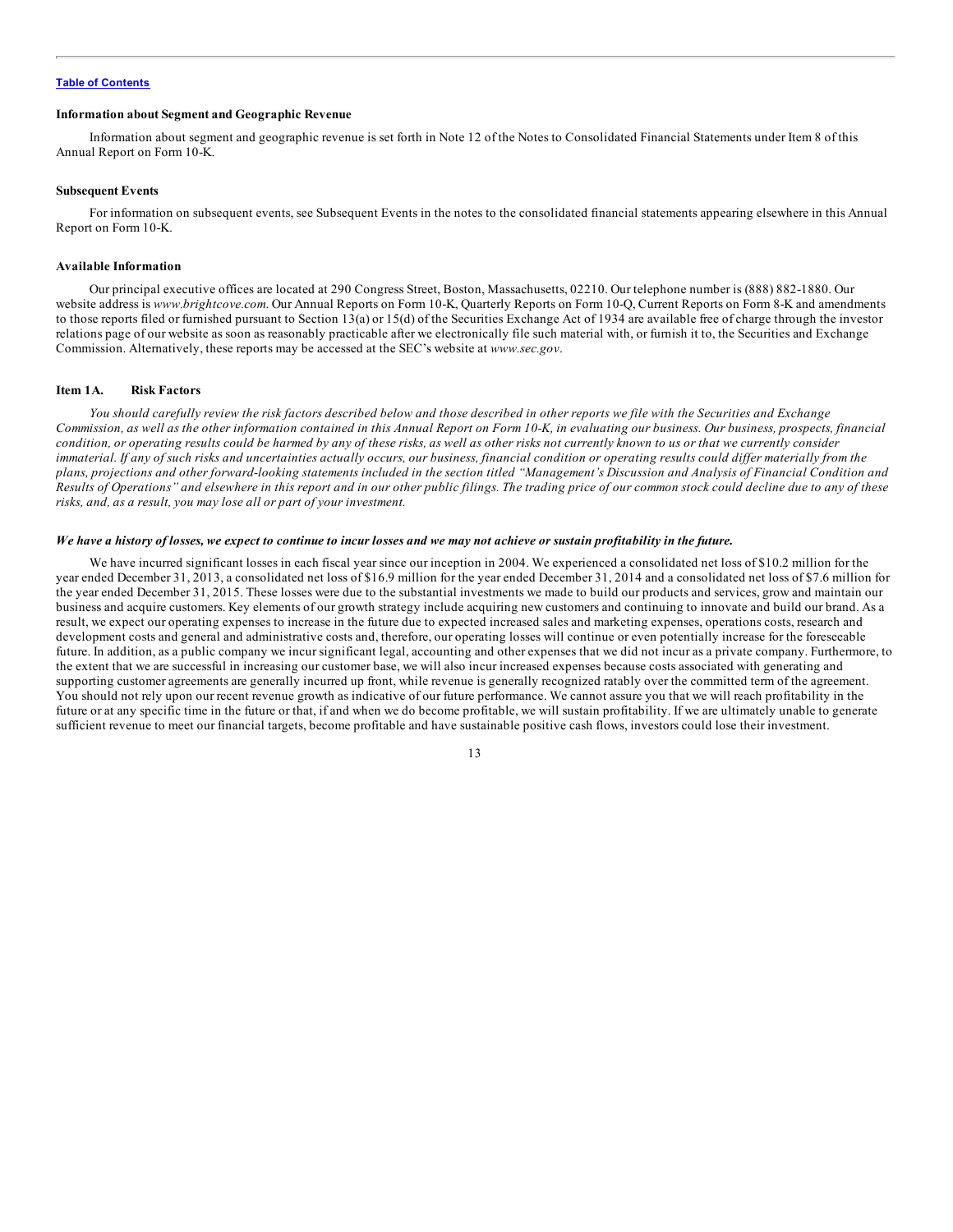#### <span id="page-12-0"></span>**Information about Segment and Geographic Revenue**

Information about segment and geographic revenue is set forth in Note 12 of the Notes to Consolidated Financial Statements under Item 8 of this Annual Report on Form 10-K.

#### **Subsequent Events**

For information on subsequent events, see Subsequent Events in the notes to the consolidated financial statements appearing elsewhere in this Annual Report on Form 10-K.

#### **Available Information**

Our principal executive offices are located at 290 Congress Street, Boston, Massachusetts, 02210. Our telephone number is (888) 882-1880. Our website address is *www.brightcove.com*. Our Annual Reports on Form 10-K, Quarterly Reports on Form 10-Q, Current Reports on Form 8-K and amendments to those reports filed or furnished pursuant to Section 13(a) or 15(d) of the Securities Exchange Act of 1934 are available free of charge through the investor relations page of our website as soon as reasonably practicable after we electronically file such material with, or furnish it to, the Securities and Exchange Commission. Alternatively, these reports may be accessed at the SEC's website at *www.sec.gov*.

#### **Item 1A. Risk Factors**

You should carefully review the risk factors described below and those described in other reports we file with the Securities and Exchange Commission, as well as the other information contained in this Annual Report on Form 10-K, in evaluating our business. Our business, prospects, financial condition, or operating results could be harmed by any of these risks, as well as other risks not currently known to us or that we currently consider immaterial. If any of such risks and uncertainties actually occurs, our business, financial condition or operating results could differ materially from the plans, projections and other forward-looking statements included in the section titled "Management's Discussion and Analysis of Financial Condition and Results of Operations" and elsewhere in this report and in our other public filings. The trading price of our common stock could decline due to any of these *risks, and, as a result, you may lose all or part of your investment.*

#### We have a history of losses, we expect to continue to incur losses and we may not achieve or sustain profitability in the future.

We have incurred significant losses in each fiscal year since our inception in 2004. We experienced a consolidated net loss of \$10.2 million for the year ended December 31, 2013, a consolidated net loss of \$16.9 million for the year ended December 31, 2014 and a consolidated net loss of \$7.6 million for the year ended December 31, 2015. These losses were due to the substantial investments we made to build our products and services, grow and maintain our business and acquire customers. Key elements of our growth strategy include acquiring new customers and continuing to innovate and build our brand. As a result, we expect our operating expenses to increase in the future due to expected increased sales and marketing expenses, operations costs, research and development costs and general and administrative costs and, therefore, our operating losses will continue or even potentially increase for the foreseeable future. In addition, as a public company we incur significant legal, accounting and other expenses that we did not incur as a private company. Furthermore, to the extent that we are successful in increasing our customer base, we will also incur increased expenses because costs associated with generating and supporting customer agreements are generally incurred up front, while revenue is generally recognized ratably over the committed term of the agreement. You should not rely upon our recent revenue growth as indicative of our future performance. We cannot assure you that we will reach profitability in the future or at any specific time in the future or that, if and when we do become profitable, we will sustain profitability. If we are ultimately unable to generate sufficient revenue to meet our financial targets, become profitable and have sustainable positive cash flows, investors could lose their investment.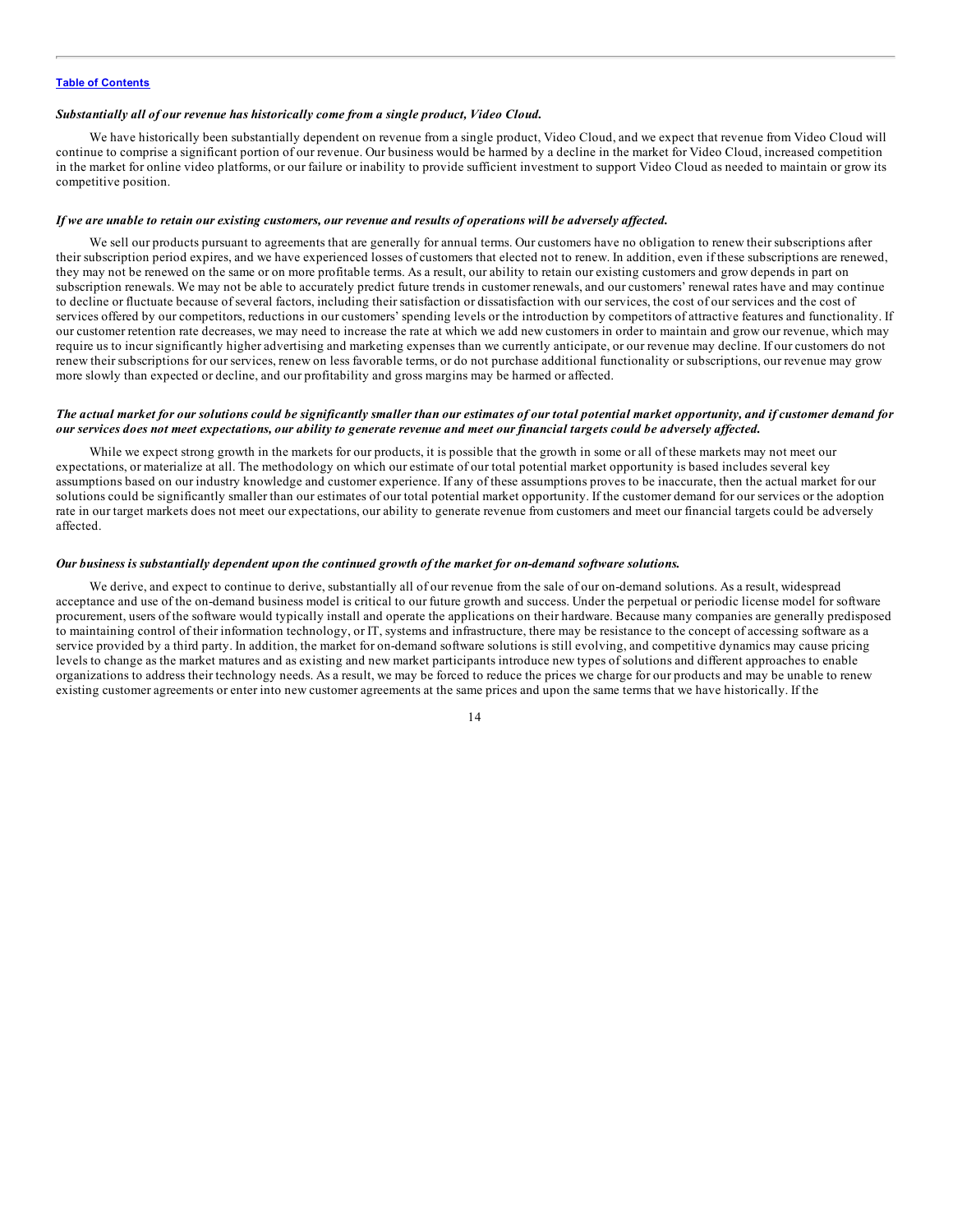#### *Substantially all of our revenue has historically come from a single product, Video Cloud.*

We have historically been substantially dependent on revenue from a single product, Video Cloud, and we expect that revenue from Video Cloud will continue to comprise a significant portion of our revenue. Our business would be harmed by a decline in the market for Video Cloud, increased competition in the market for online video platforms, or our failure or inability to provide sufficient investment to support Video Cloud as needed to maintain or grow its competitive position.

#### If we are unable to retain our existing customers, our revenue and results of operations will be adversely affected.

We sell our products pursuant to agreements that are generally for annual terms. Our customers have no obligation to renew their subscriptions after their subscription period expires, and we have experienced losses of customers that elected not to renew. In addition, even if these subscriptions are renewed, they may not be renewed on the same or on more profitable terms. As a result, our ability to retain our existing customers and grow depends in part on subscription renewals. We may not be able to accurately predict future trends in customer renewals, and our customers' renewal rates have and may continue to decline or fluctuate because of several factors, including their satisfaction or dissatisfaction with our services, the cost of our services and the cost of services offered by our competitors, reductions in our customers' spending levels or the introduction by competitors of attractive features and functionality. If our customer retention rate decreases, we may need to increase the rate at which we add new customers in order to maintain and grow our revenue, which may require us to incur significantly higher advertising and marketing expenses than we currently anticipate, or our revenue may decline. If our customers do not renew their subscriptions for our services, renew on less favorable terms, or do not purchase additional functionality or subscriptions, our revenue may grow more slowly than expected or decline, and our profitability and gross margins may be harmed or affected.

#### The actual market for our solutions could be significantly smaller than our estimates of our total potential market opportunity, and if customer demand for our services does not meet expectations, our ability to generate revenue and meet our financial targets could be adversely affected.

While we expect strong growth in the markets for our products, it is possible that the growth in some or all of these markets may not meet our expectations, or materialize at all. The methodology on which our estimate of our total potential market opportunity is based includes several key assumptions based on our industry knowledge and customer experience. If any of these assumptions proves to be inaccurate, then the actual market for our solutions could be significantly smaller than our estimates of our total potential market opportunity. If the customer demand for our services or the adoption rate in our target markets does not meet our expectations, our ability to generate revenue from customers and meet our financial targets could be adversely affected.

#### Our business is substantially dependent upon the continued growth of the market for on-demand software solutions.

We derive, and expect to continue to derive, substantially all of our revenue from the sale of our on-demand solutions. As a result, widespread acceptance and use of the on-demand business model is critical to our future growth and success. Under the perpetual or periodic license model for software procurement, users of the software would typically install and operate the applications on their hardware. Because many companies are generally predisposed to maintaining control of their information technology, or IT, systems and infrastructure, there may be resistance to the concept of accessing software as a service provided by a third party. In addition, the market for on-demand software solutions is still evolving, and competitive dynamics may cause pricing levels to change as the market matures and as existing and new market participants introduce new types of solutions and different approaches to enable organizations to address their technology needs. As a result, we may be forced to reduce the prices we charge for our products and may be unable to renew existing customer agreements or enter into new customer agreements at the same prices and upon the same terms that we have historically. If the

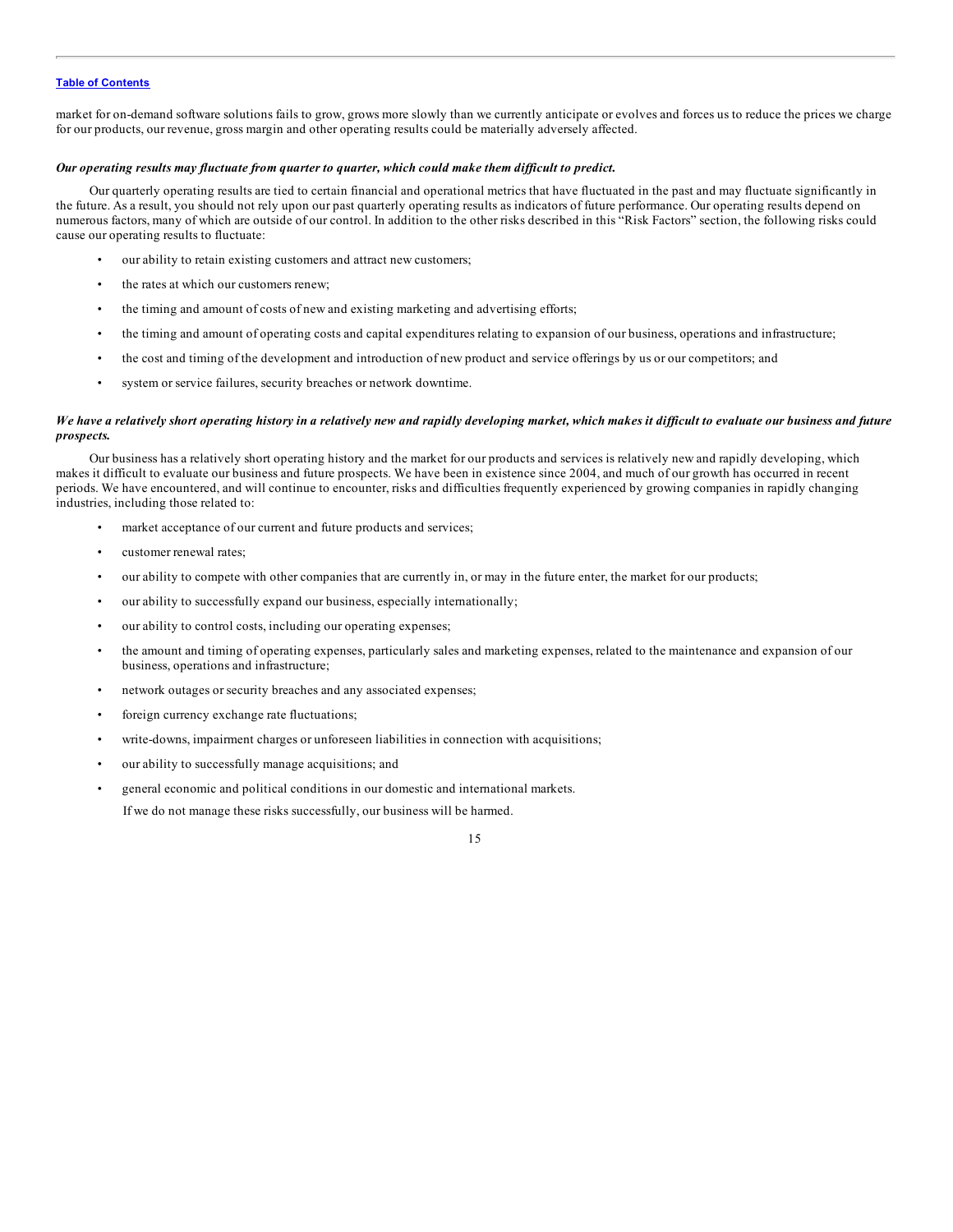market for on-demand software solutions fails to grow, grows more slowly than we currently anticipate or evolves and forces us to reduce the prices we charge for our products, our revenue, gross margin and other operating results could be materially adversely affected.

#### *Our operating results may fluctuate from quarter to quarter, which could make them dif icult to predict.*

Our quarterly operating results are tied to certain financial and operational metrics that have fluctuated in the past and may fluctuate significantly in the future. As a result, you should not rely upon our past quarterly operating results as indicators of future performance. Our operating results depend on numerous factors, many of which are outside of our control. In addition to the other risks described in this "Risk Factors" section, the following risks could cause our operating results to fluctuate:

- our ability to retain existing customers and attract new customers;
- the rates at which our customers renew;
- the timing and amount of costs of new and existing marketing and advertising efforts;
- the timing and amount of operating costs and capital expenditures relating to expansion of our business, operations and infrastructure;
- the cost and timing of the development and introduction of new product and service offerings by us or our competitors; and
- system or service failures, security breaches or network downtime.

#### We have a relatively short operating history in a relatively new and rapidly developing market, which makes it difficult to evaluate our business and future *prospects.*

Our business has a relatively short operating history and the market for our products and services is relatively new and rapidly developing, which makes it difficult to evaluate our business and future prospects. We have been in existence since 2004, and much of our growth has occurred in recent periods. We have encountered, and will continue to encounter, risks and difficulties frequently experienced by growing companies in rapidly changing industries, including those related to:

- market acceptance of our current and future products and services;
- customer renewal rates;
- our ability to compete with other companies that are currently in, or may in the future enter, the market for our products;
- our ability to successfully expand our business, especially internationally;
- our ability to control costs, including our operating expenses;
- the amount and timing of operating expenses, particularly sales and marketing expenses, related to the maintenance and expansion of our business, operations and infrastructure;
- network outages or security breaches and any associated expenses;
- foreign currency exchange rate fluctuations;
- write-downs, impairment charges or unforeseen liabilities in connection with acquisitions;
- our ability to successfully manage acquisitions; and
- general economic and political conditions in our domestic and international markets. If we do not manage these risks successfully, our business will be harmed.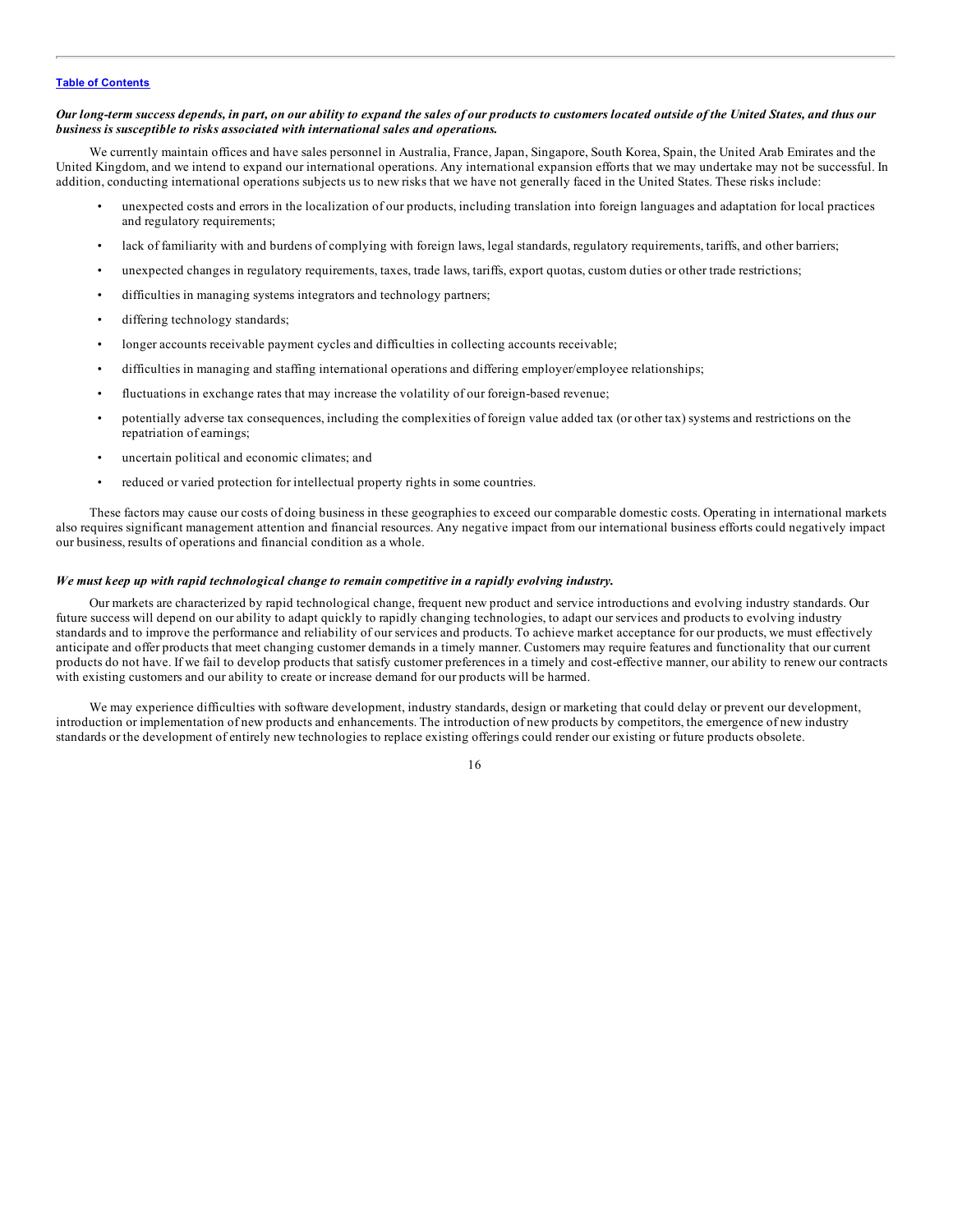#### Our long-term success depends, in part, on our ability to expand the sales of our products to customers located outside of the United States, and thus our *business is susceptible to risks associated with international sales and operations.*

We currently maintain offices and have sales personnel in Australia, France, Japan, Singapore, South Korea, Spain, the United Arab Emirates and the United Kingdom, and we intend to expand our international operations. Any international expansion efforts that we may undertake may not be successful. In addition, conducting international operations subjects us to new risks that we have not generally faced in the United States. These risks include:

- unexpected costs and errors in the localization of our products, including translation into foreign languages and adaptation for local practices and regulatory requirements;
- lack of familiarity with and burdens of complying with foreign laws, legal standards, regulatory requirements, tariffs, and other barriers;
- unexpected changes in regulatory requirements, taxes, trade laws, tariffs, export quotas, custom duties or other trade restrictions;
- difficulties in managing systems integrators and technology partners;
- differing technology standards;
- longer accounts receivable payment cycles and difficulties in collecting accounts receivable;
- difficulties in managing and staffing international operations and differing employer/employee relationships;
- fluctuations in exchange rates that may increase the volatility of our foreign-based revenue;
- potentially adverse tax consequences, including the complexities of foreign value added tax (or other tax) systems and restrictions on the repatriation of earnings;
- uncertain political and economic climates; and
- reduced or varied protection for intellectual property rights in some countries.

These factors may cause our costs of doing business in these geographies to exceed our comparable domestic costs. Operating in international markets also requires significant management attention and financial resources. Any negative impact from our international business efforts could negatively impact our business, results of operations and financial condition as a whole.

#### *We must keep up with rapid technological change to remain competitive in a rapidly evolving industry.*

Our markets are characterized by rapid technological change, frequent new product and service introductions and evolving industry standards. Our future success will depend on our ability to adapt quickly to rapidly changing technologies, to adapt our services and products to evolving industry standards and to improve the performance and reliability of our services and products. To achieve market acceptance for our products, we must effectively anticipate and offer products that meet changing customer demands in a timely manner. Customers may require features and functionality that our current products do not have. If we fail to develop products that satisfy customer preferences in a timely and cost-effective manner, our ability to renew our contracts with existing customers and our ability to create or increase demand for our products will be harmed.

We may experience difficulties with software development, industry standards, design or marketing that could delay or prevent our development, introduction or implementation of new products and enhancements. The introduction of new products by competitors, the emergence of new industry standards or the development of entirely new technologies to replace existing offerings could render our existing or future products obsolete.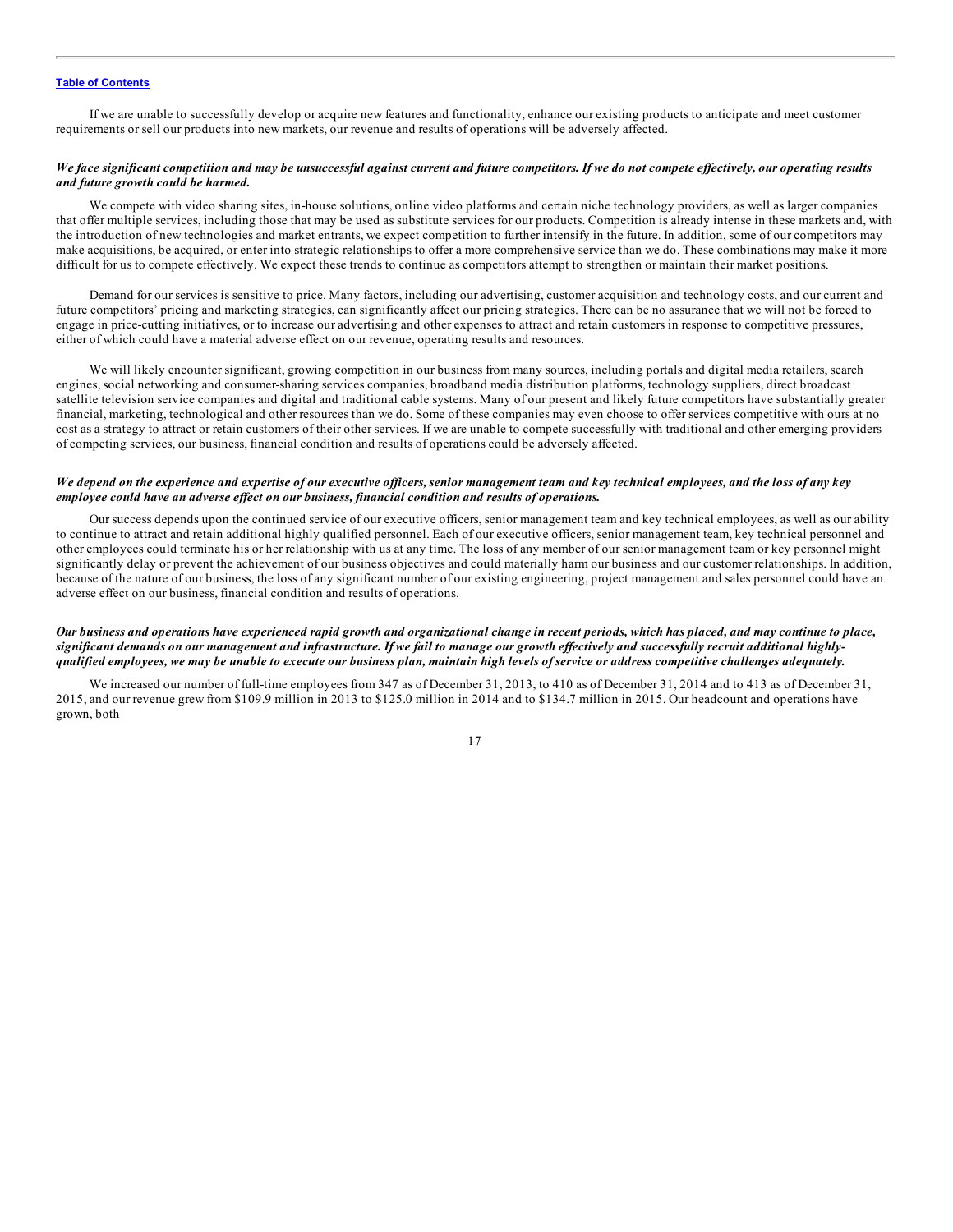If we are unable to successfully develop or acquire new features and functionality, enhance our existing products to anticipate and meet customer requirements or sell our products into new markets, our revenue and results of operations will be adversely affected.

#### We face significant competition and may be unsuccessful against current and future competitors. If we do not compete effectively, our operating results *and future growth could be harmed.*

We compete with video sharing sites, in-house solutions, online video platforms and certain niche technology providers, as well as larger companies that offer multiple services, including those that may be used as substitute services for our products. Competition is already intense in these markets and, with the introduction of new technologies and market entrants, we expect competition to further intensify in the future. In addition, some of our competitors may make acquisitions, be acquired, or enter into strategic relationships to offer a more comprehensive service than we do. These combinations may make it more difficult for us to compete effectively. We expect these trends to continue as competitors attempt to strengthen or maintain their market positions.

Demand for our services is sensitive to price. Many factors, including our advertising, customer acquisition and technology costs, and our current and future competitors' pricing and marketing strategies, can significantly affect our pricing strategies. There can be no assurance that we will not be forced to engage in price-cutting initiatives, or to increase our advertising and other expenses to attract and retain customers in response to competitive pressures, either of which could have a material adverse effect on our revenue, operating results and resources.

We will likely encounter significant, growing competition in our business from many sources, including portals and digital media retailers, search engines, social networking and consumer-sharing services companies, broadband media distribution platforms, technology suppliers, direct broadcast satellite television service companies and digital and traditional cable systems. Many of our present and likely future competitors have substantially greater financial, marketing, technological and other resources than we do. Some of these companies may even choose to offer services competitive with ours at no cost as a strategy to attract or retain customers of their other services. If we are unable to compete successfully with traditional and other emerging providers of competing services, our business, financial condition and results of operations could be adversely affected.

#### We depend on the experience and expertise of our executive officers, senior management team and key technical employees, and the loss of any key *employee could have an adverse ef ect on our business, financial condition and results of operations.*

Our success depends upon the continued service of our executive officers, senior management team and key technical employees, as well as our ability to continue to attract and retain additional highly qualified personnel. Each of our executive officers, senior management team, key technical personnel and other employees could terminate his or her relationship with us at any time. The loss of any member of our senior management team or key personnel might significantly delay or prevent the achievement of our business objectives and could materially harm our business and our customer relationships. In addition, because of the nature of our business, the loss of any significant number of our existing engineering, project management and sales personnel could have an adverse effect on our business, financial condition and results of operations.

#### Our business and operations have experienced rapid growth and organizational change in recent periods, which has placed, and may continue to place, significant demands on our management and infrastructure. If we fail to manage our growth effectively and successfully recruit additional highlyqualified employees, we may be unable to execute our business plan, maintain high levels of service or address competitive challenges adequately.

We increased our number of full-time employees from 347 as of December 31, 2013, to 410 as of December 31, 2014 and to 413 as of December 31, 2015, and our revenue grew from \$109.9 million in 2013 to \$125.0 million in 2014 and to \$134.7 million in 2015. Our headcount and operations have grown, both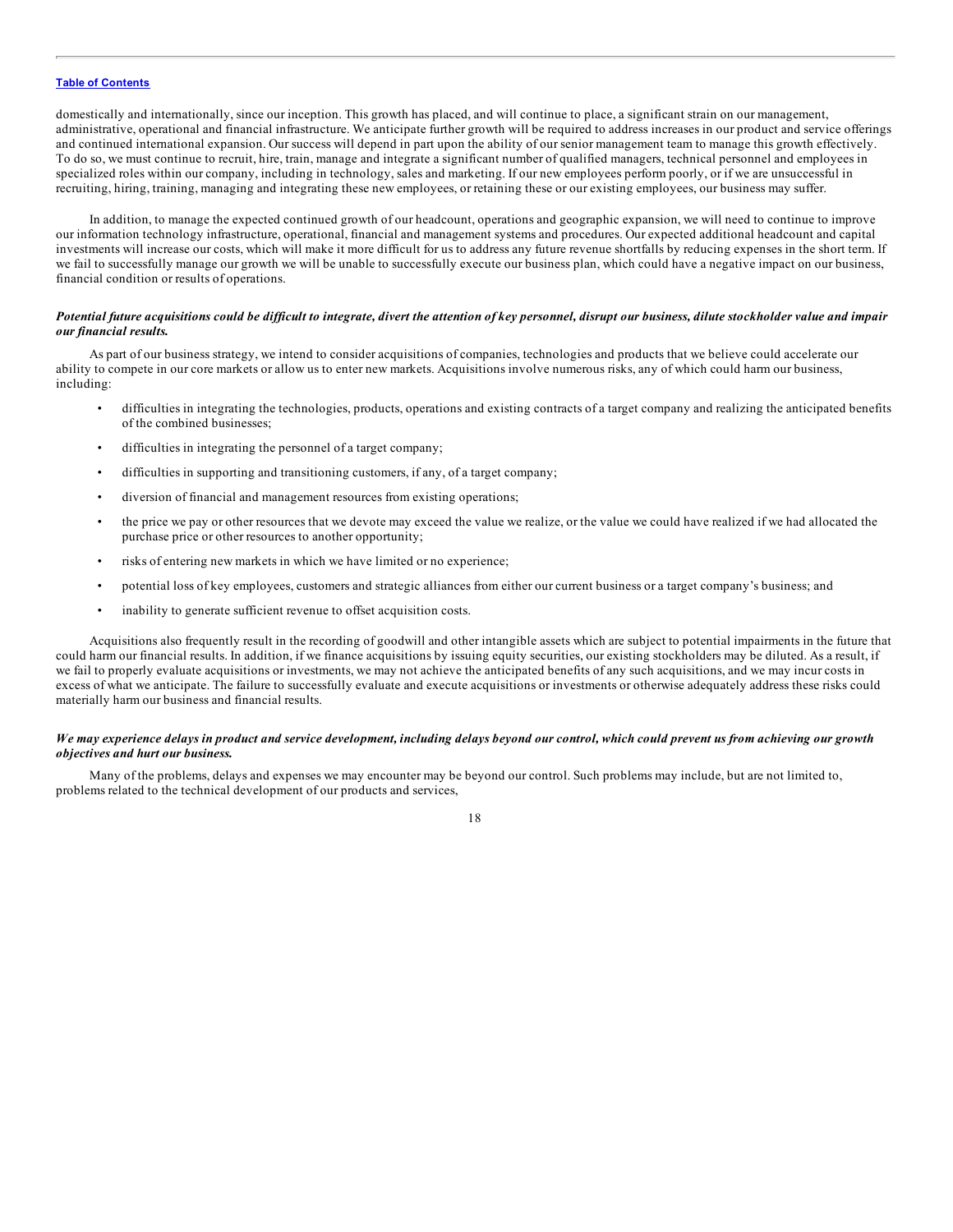domestically and internationally, since our inception. This growth has placed, and will continue to place, a significant strain on our management, administrative, operational and financial infrastructure. We anticipate further growth will be required to address increases in our product and service offerings and continued international expansion. Our success will depend in part upon the ability of our senior management team to manage this growth effectively. To do so, we must continue to recruit, hire, train, manage and integrate a significant number of qualified managers, technical personnel and employees in specialized roles within our company, including in technology, sales and marketing. If our new employees perform poorly, or if we are unsuccessful in recruiting, hiring, training, managing and integrating these new employees, or retaining these or our existing employees, our business may suffer.

In addition, to manage the expected continued growth of our headcount, operations and geographic expansion, we will need to continue to improve our information technology infrastructure, operational, financial and management systems and procedures. Our expected additional headcount and capital investments will increase our costs, which will make it more difficult for us to address any future revenue shortfalls by reducing expenses in the short term. If we fail to successfully manage our growth we will be unable to successfully execute our business plan, which could have a negative impact on our business, financial condition or results of operations.

#### Potential future acquisitions could be difficult to integrate, divert the attention of key personnel, disrupt our business, dilute stockholder value and impair *our financial results.*

As part of our business strategy, we intend to consider acquisitions of companies, technologies and products that we believe could accelerate our ability to compete in our core markets or allow us to enter new markets. Acquisitions involve numerous risks, any of which could harm our business, including:

- difficulties in integrating the technologies, products, operations and existing contracts of a target company and realizing the anticipated benefits of the combined businesses;
- difficulties in integrating the personnel of a target company;
- difficulties in supporting and transitioning customers, if any, of a target company;
- diversion of financial and management resources from existing operations;
- the price we pay or other resources that we devote may exceed the value we realize, or the value we could have realized if we had allocated the purchase price or other resources to another opportunity;
- risks of entering new markets in which we have limited or no experience;
- potential loss of key employees, customers and strategic alliances from either our current business or a target company's business; and
- inability to generate sufficient revenue to offset acquisition costs.

Acquisitions also frequently result in the recording of goodwill and other intangible assets which are subject to potential impairments in the future that could harm our financial results. In addition, if we finance acquisitions by issuing equity securities, our existing stockholders may be diluted. As a result, if we fail to properly evaluate acquisitions or investments, we may not achieve the anticipated benefits of any such acquisitions, and we may incur costs in excess of what we anticipate. The failure to successfully evaluate and execute acquisitions or investments or otherwise adequately address these risks could materially harm our business and financial results.

#### We may experience delays in product and service development, including delays beyond our control, which could prevent us from achieving our growth *objectives and hurt our business.*

Many of the problems, delays and expenses we may encounter may be beyond our control. Such problems may include, but are not limited to, problems related to the technical development of our products and services,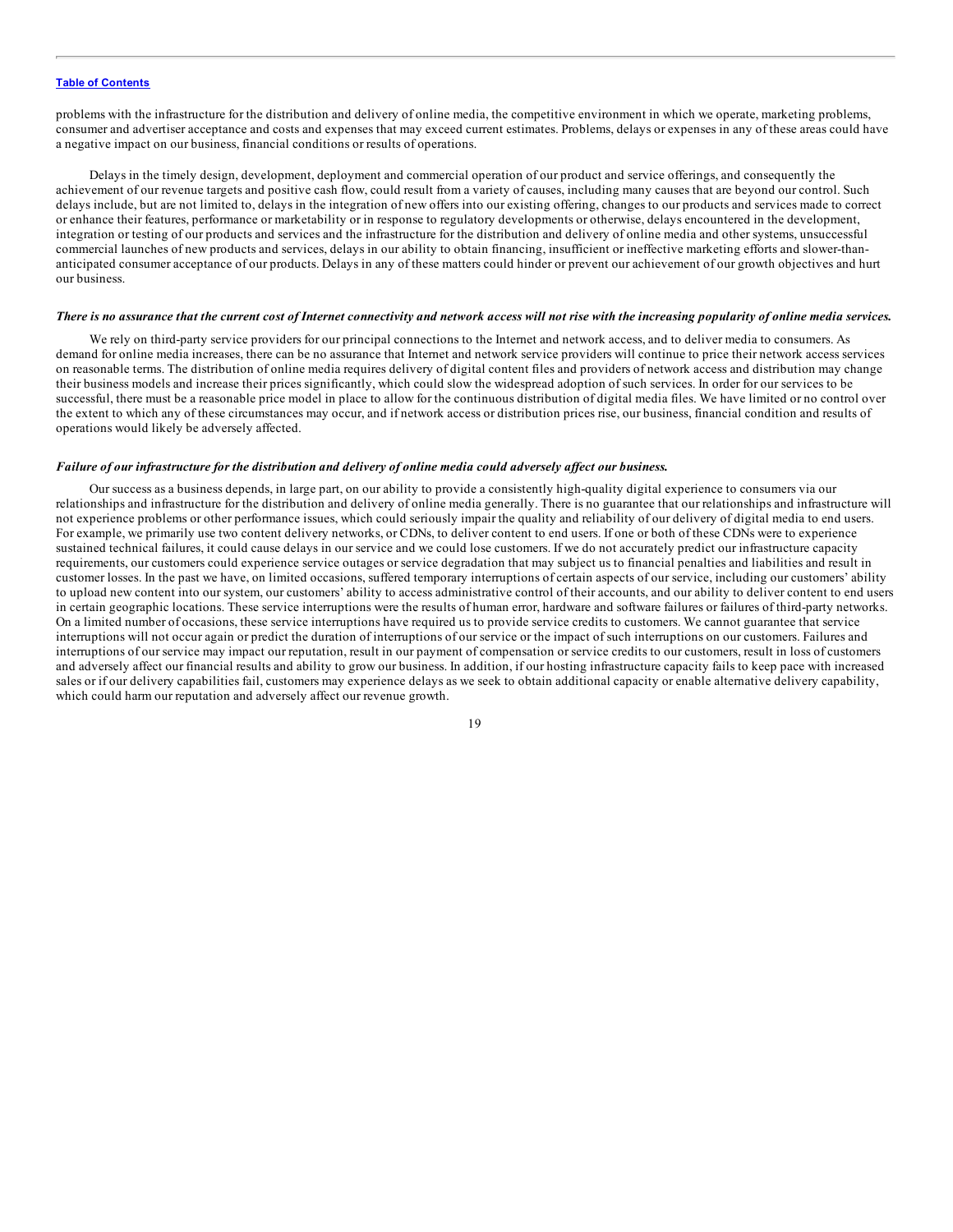problems with the infrastructure for the distribution and delivery of online media, the competitive environment in which we operate, marketing problems, consumer and advertiser acceptance and costs and expenses that may exceed current estimates. Problems, delays or expenses in any of these areas could have a negative impact on our business, financial conditions or results of operations.

Delays in the timely design, development, deployment and commercial operation of our product and service offerings, and consequently the achievement of our revenue targets and positive cash flow, could result from a variety of causes, including many causes that are beyond our control. Such delays include, but are not limited to, delays in the integration of new offers into our existing offering, changes to our products and services made to correct or enhance their features, performance or marketability or in response to regulatory developments or otherwise, delays encountered in the development, integration or testing of our products and services and the infrastructure for the distribution and delivery of online media and other systems, unsuccessful commercial launches of new products and services, delays in our ability to obtain financing, insufficient or ineffective marketing efforts and slower-thananticipated consumer acceptance of our products. Delays in any of these matters could hinder or prevent our achievement of our growth objectives and hurt our business.

#### There is no assurance that the current cost of Internet connectivity and network access will not rise with the increasing popularity of online media services.

We rely on third-party service providers for our principal connections to the Internet and network access, and to deliver media to consumers. As demand for online media increases, there can be no assurance that Internet and network service providers will continue to price their network access services on reasonable terms. The distribution of online media requires delivery of digital content files and providers of network access and distribution may change their business models and increase their prices significantly, which could slow the widespread adoption of such services. In order for our services to be successful, there must be a reasonable price model in place to allow for the continuous distribution of digital media files. We have limited or no control over the extent to which any of these circumstances may occur, and if network access or distribution prices rise, our business, financial condition and results of operations would likely be adversely affected.

#### Failure of our infrastructure for the distribution and delivery of online media could adversely affect our business.

Our success as a business depends, in large part, on our ability to provide a consistently high-quality digital experience to consumers via our relationships and infrastructure for the distribution and delivery of online media generally. There is no guarantee that our relationships and infrastructure will not experience problems or other performance issues, which could seriously impair the quality and reliability of our delivery of digital media to end users. For example, we primarily use two content delivery networks, or CDNs, to deliver content to end users. If one or both of these CDNs were to experience sustained technical failures, it could cause delays in our service and we could lose customers. If we do not accurately predict our infrastructure capacity requirements, our customers could experience service outages or service degradation that may subject us to financial penalties and liabilities and result in customer losses. In the past we have, on limited occasions, suffered temporary interruptions of certain aspects of our service, including our customers' ability to upload new content into our system, our customers' ability to access administrative control of their accounts, and our ability to deliver content to end users in certain geographic locations. These service interruptions were the results of human error, hardware and software failures or failures of third-party networks. On a limited number of occasions, these service interruptions have required us to provide service credits to customers. We cannot guarantee that service interruptions will not occur again or predict the duration of interruptions of our service or the impact of such interruptions on our customers. Failures and interruptions of our service may impact our reputation, result in our payment of compensation or service credits to our customers, result in loss of customers and adversely affect our financial results and ability to grow our business. In addition, if our hosting infrastructure capacity fails to keep pace with increased sales or if our delivery capabilities fail, customers may experience delays as we seek to obtain additional capacity or enable alternative delivery capability, which could harm our reputation and adversely affect our revenue growth.

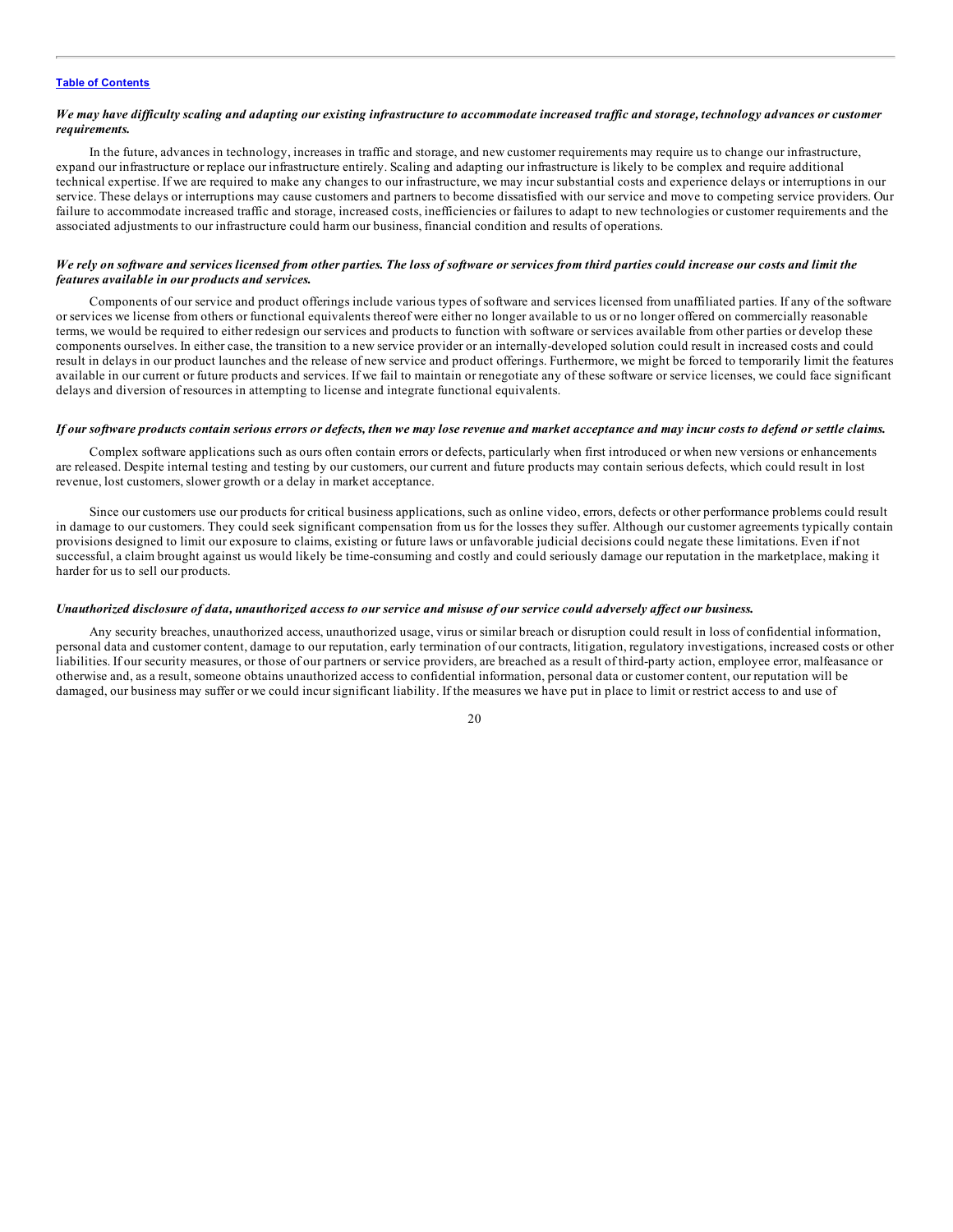#### We may have difficulty scaling and adapting our existing infrastructure to accommodate increased traffic and storage, technology advances or customer *requirements.*

In the future, advances in technology, increases in traffic and storage, and new customer requirements may require us to change our infrastructure, expand our infrastructure or replace our infrastructure entirely. Scaling and adapting our infrastructure is likely to be complex and require additional technical expertise. If we are required to make any changes to our infrastructure, we may incur substantial costs and experience delays or interruptions in our service. These delays or interruptions may cause customers and partners to become dissatisfied with our service and move to competing service providers. Our failure to accommodate increased traffic and storage, increased costs, inefficiencies or failures to adapt to new technologies or customer requirements and the associated adjustments to our infrastructure could harm our business, financial condition and results of operations.

#### We rely on software and services licensed from other parties. The loss of software or services from third parties could increase our costs and limit the *features available in our products and services.*

Components of our service and product offerings include various types of software and services licensed from unaffiliated parties. If any of the software or services we license from others or functional equivalents thereof were either no longer available to us or no longer offered on commercially reasonable terms, we would be required to either redesign our services and products to function with software or services available from other parties or develop these components ourselves. In either case, the transition to a new service provider or an internally-developed solution could result in increased costs and could result in delays in our product launches and the release of new service and product offerings. Furthermore, we might be forced to temporarily limit the features available in our current or future products and services. If we fail to maintain or renegotiate any of these software or service licenses, we could face significant delays and diversion of resources in attempting to license and integrate functional equivalents.

#### If our software products contain serious errors or defects, then we may lose revenue and market acceptance and may incur costs to defend or settle claims.

Complex software applications such as ours often contain errors or defects, particularly when first introduced or when new versions or enhancements are released. Despite internal testing and testing by our customers, our current and future products may contain serious defects, which could result in lost revenue, lost customers, slower growth or a delay in market acceptance.

Since our customers use our products for critical business applications, such as online video, errors, defects or other performance problems could result in damage to our customers. They could seek significant compensation from us for the losses they suffer. Although our customer agreements typically contain provisions designed to limit our exposure to claims, existing or future laws or unfavorable judicial decisions could negate these limitations. Even if not successful, a claim brought against us would likely be time-consuming and costly and could seriously damage our reputation in the marketplace, making it harder for us to sell our products.

#### Unauthorized disclosure of data, unauthorized access to our service and misuse of our service could adversely affect our business.

Any security breaches, unauthorized access, unauthorized usage, virus or similar breach or disruption could result in loss of confidential information, personal data and customer content, damage to our reputation, early termination of our contracts, litigation, regulatory investigations, increased costs or other liabilities. If our security measures, or those of our partners or service providers, are breached as a result of third-party action, employee error, malfeasance or otherwise and, as a result, someone obtains unauthorized access to confidential information, personal data or customer content, our reputation will be damaged, our business may suffer or we could incur significant liability. If the measures we have put in place to limit or restrict access to and use of

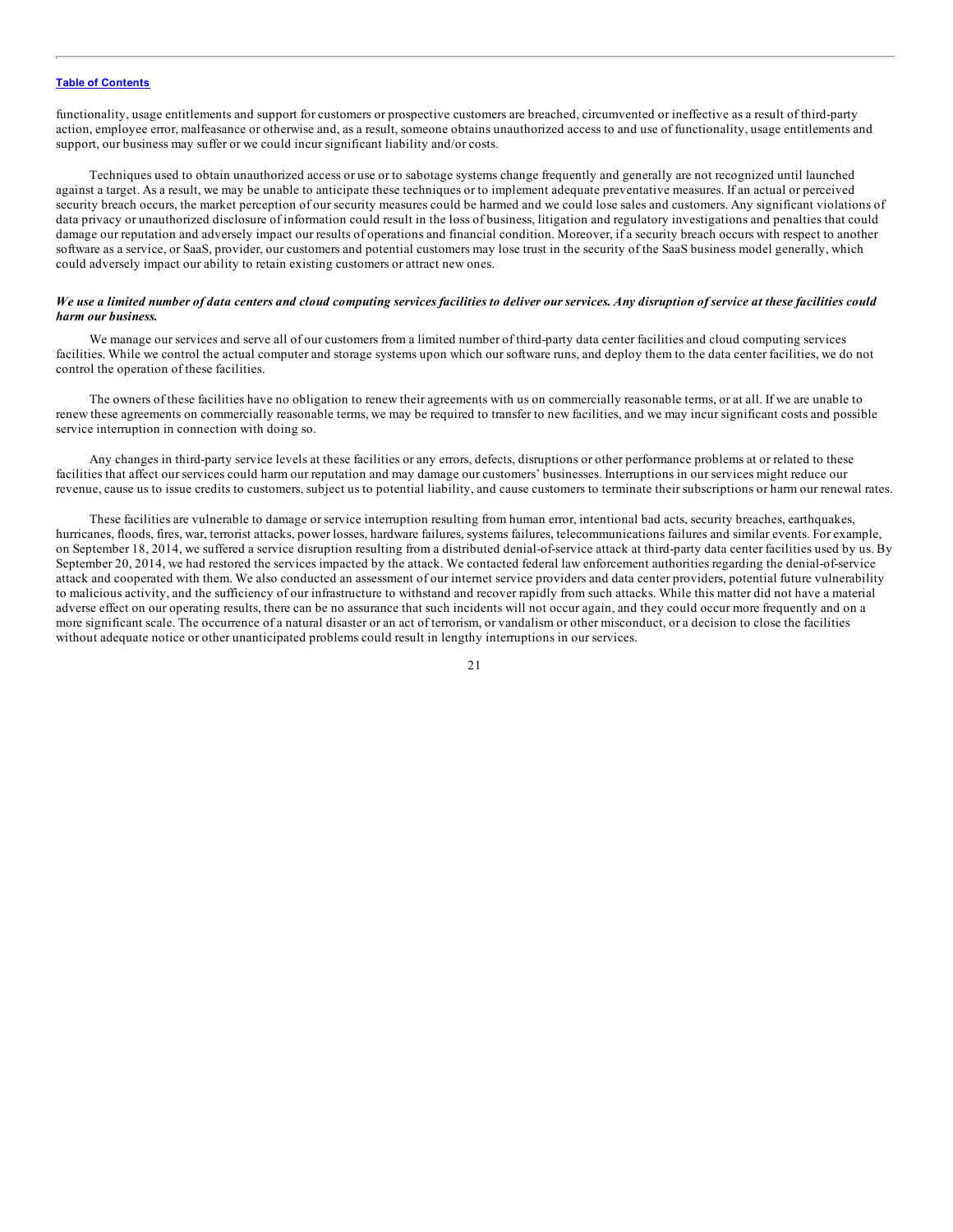functionality, usage entitlements and support for customers or prospective customers are breached, circumvented or ineffective as a result of third-party action, employee error, malfeasance or otherwise and, as a result, someone obtains unauthorized access to and use of functionality, usage entitlements and support, our business may suffer or we could incur significant liability and/or costs.

Techniques used to obtain unauthorized access or use or to sabotage systems change frequently and generally are not recognized until launched against a target. As a result, we may be unable to anticipate these techniques or to implement adequate preventative measures. If an actual or perceived security breach occurs, the market perception of our security measures could be harmed and we could lose sales and customers. Any significant violations of data privacy or unauthorized disclosure of information could result in the loss of business, litigation and regulatory investigations and penalties that could damage our reputation and adversely impact our results of operations and financial condition. Moreover, if a security breach occurs with respect to another software as a service, or SaaS, provider, our customers and potential customers may lose trust in the security of the SaaS business model generally, which could adversely impact our ability to retain existing customers or attract new ones.

#### We use a limited number of data centers and cloud computing services facilities to deliver our services. Any disruption of service at these facilities could *harm our business.*

We manage our services and serve all of our customers from a limited number of third-party data center facilities and cloud computing services facilities. While we control the actual computer and storage systems upon which our software runs, and deploy them to the data center facilities, we do not control the operation of these facilities.

The owners of these facilities have no obligation to renew their agreements with us on commercially reasonable terms, or at all. If we are unable to renew these agreements on commercially reasonable terms, we may be required to transfer to new facilities, and we may incur significant costs and possible service interruption in connection with doing so.

Any changes in third-party service levels at these facilities or any errors, defects, disruptions or other performance problems at or related to these facilities that affect our services could harm our reputation and may damage our customers' businesses. Interruptions in our services might reduce our revenue, cause us to issue credits to customers, subject us to potential liability, and cause customers to terminate their subscriptions or harm our renewal rates.

These facilities are vulnerable to damage or service interruption resulting from human error, intentional bad acts, security breaches, earthquakes, hurricanes, floods, fires, war, terrorist attacks, power losses, hardware failures, systems failures, telecommunications failures and similar events. For example, on September 18, 2014, we suffered a service disruption resulting from a distributed denial-of-service attack at third-party data center facilities used by us. By September 20, 2014, we had restored the services impacted by the attack. We contacted federal law enforcement authorities regarding the denial-of-service attack and cooperated with them. We also conducted an assessment of our internet service providers and data center providers, potential future vulnerability to malicious activity, and the sufficiency of our infrastructure to withstand and recover rapidly from such attacks. While this matter did not have a material adverse effect on our operating results, there can be no assurance that such incidents will not occur again, and they could occur more frequently and on a more significant scale. The occurrence of a natural disaster or an act of terrorism, or vandalism or other misconduct, or a decision to close the facilities without adequate notice or other unanticipated problems could result in lengthy interruptions in our services.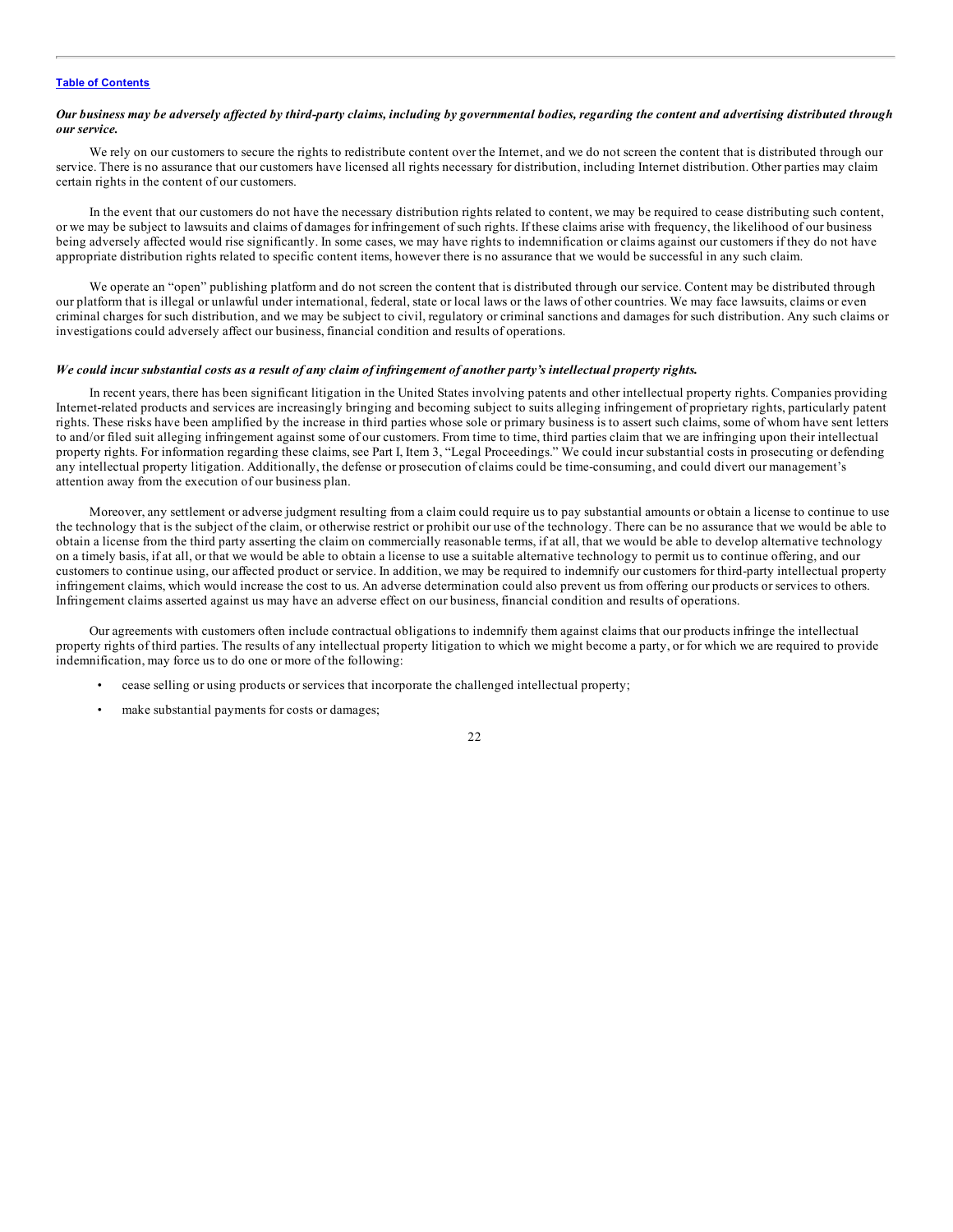#### Our business may be adversely affected by third-party claims, including by governmental bodies, regarding the content and advertising distributed through *our service.*

We rely on our customers to secure the rights to redistribute content over the Internet, and we do not screen the content that is distributed through our service. There is no assurance that our customers have licensed all rights necessary for distribution, including Internet distribution. Other parties may claim certain rights in the content of our customers.

In the event that our customers do not have the necessary distribution rights related to content, we may be required to cease distributing such content, or we may be subject to lawsuits and claims of damages for infringement of such rights. If these claims arise with frequency, the likelihood of our business being adversely affected would rise significantly. In some cases, we may have rights to indemnification or claims against our customers if they do not have appropriate distribution rights related to specific content items, however there is no assurance that we would be successful in any such claim.

We operate an "open" publishing platform and do not screen the content that is distributed through our service. Content may be distributed through our platform that is illegal or unlawful under international, federal, state or local laws or the laws of other countries. We may face lawsuits, claims or even criminal charges for such distribution, and we may be subject to civil, regulatory or criminal sanctions and damages for such distribution. Any such claims or investigations could adversely affect our business, financial condition and results of operations.

#### We could incur substantial costs as a result of any claim of infringement of another party's intellectual property rights.

In recent years, there has been significant litigation in the United States involving patents and other intellectual property rights. Companies providing Internet-related products and services are increasingly bringing and becoming subject to suits alleging infringement of proprietary rights, particularly patent rights. These risks have been amplified by the increase in third parties whose sole or primary business is to assert such claims, some of whom have sent letters to and/or filed suit alleging infringement against some of our customers. From time to time, third parties claim that we are infringing upon their intellectual property rights. For information regarding these claims, see Part I, Item 3, "Legal Proceedings." We could incur substantial costs in prosecuting or defending any intellectual property litigation. Additionally, the defense or prosecution of claims could be time-consuming, and could divert our management's attention away from the execution of our business plan.

Moreover, any settlement or adverse judgment resulting from a claim could require us to pay substantial amounts or obtain a license to continue to use the technology that is the subject of the claim, or otherwise restrict or prohibit our use of the technology. There can be no assurance that we would be able to obtain a license from the third party asserting the claim on commercially reasonable terms, if at all, that we would be able to develop alternative technology on a timely basis, if at all, or that we would be able to obtain a license to use a suitable alternative technology to permit us to continue offering, and our customers to continue using, our affected product or service. In addition, we may be required to indemnify our customers for third-party intellectual property infringement claims, which would increase the cost to us. An adverse determination could also prevent us from offering our products or services to others. Infringement claims asserted against us may have an adverse effect on our business, financial condition and results of operations.

Our agreements with customers often include contractual obligations to indemnify them against claims that our products infringe the intellectual property rights of third parties. The results of any intellectual property litigation to which we might become a party, or for which we are required to provide indemnification, may force us to do one or more of the following:

- cease selling or using products or services that incorporate the challenged intellectual property;
- make substantial payments for costs or damages;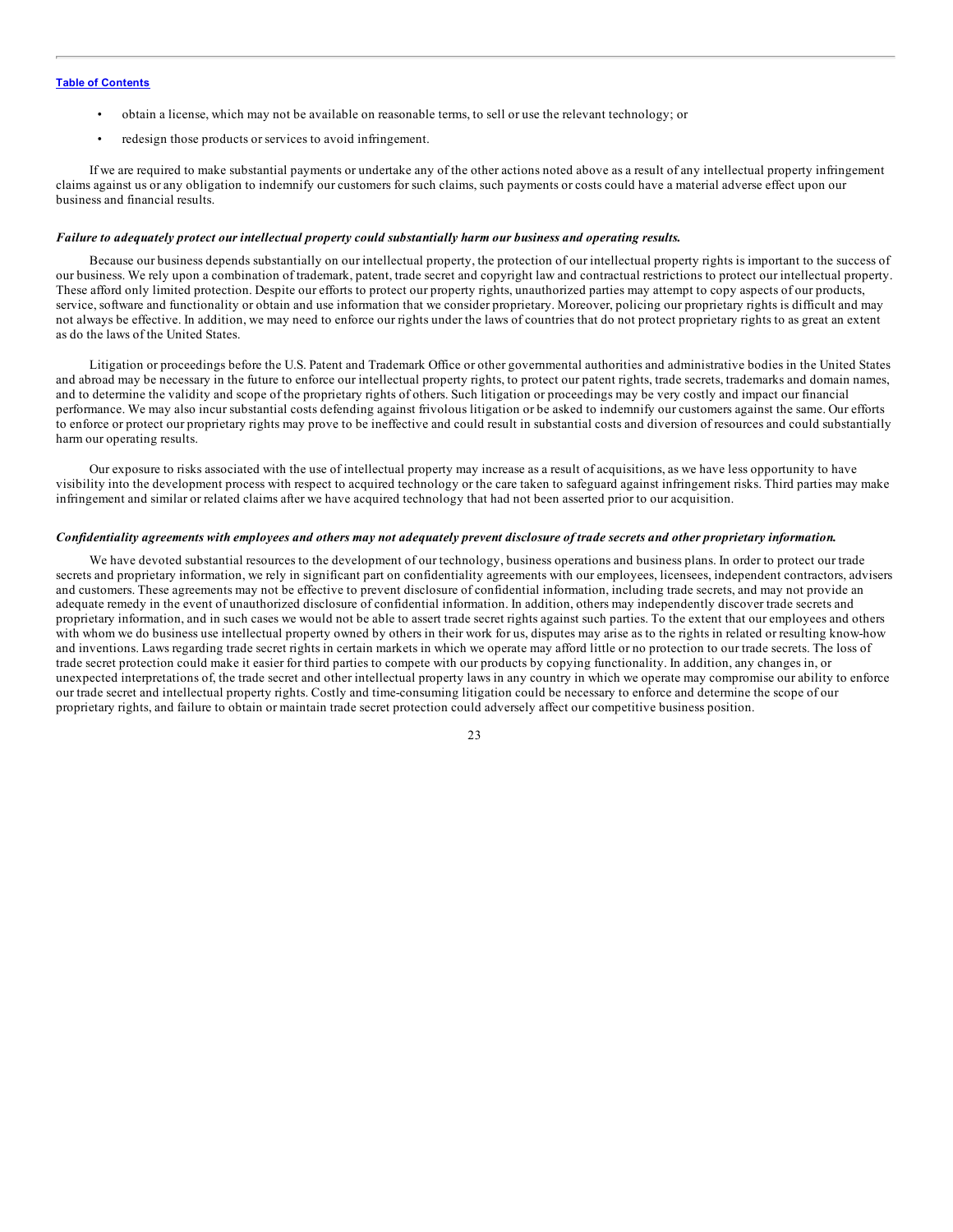- obtain a license, which may not be available on reasonable terms, to sell or use the relevant technology; or
- redesign those products or services to avoid infringement.

If we are required to make substantial payments or undertake any of the other actions noted above as a result of any intellectual property infringement claims against us or any obligation to indemnify our customers for such claims, such payments or costs could have a material adverse effect upon our business and financial results.

#### *Failure to adequately protect our intellectual property could substantially harm our business and operating results.*

Because our business depends substantially on our intellectual property, the protection of our intellectual property rights is important to the success of our business. We rely upon a combination of trademark, patent, trade secret and copyright law and contractual restrictions to protect our intellectual property. These afford only limited protection. Despite our efforts to protect our property rights, unauthorized parties may attempt to copy aspects of our products, service, software and functionality or obtain and use information that we consider proprietary. Moreover, policing our proprietary rights is difficult and may not always be effective. In addition, we may need to enforce our rights under the laws of countries that do not protect proprietary rights to as great an extent as do the laws of the United States.

Litigation or proceedings before the U.S. Patent and Trademark Office or other governmental authorities and administrative bodies in the United States and abroad may be necessary in the future to enforce our intellectual property rights, to protect our patent rights, trade secrets, trademarks and domain names, and to determine the validity and scope of the proprietary rights of others. Such litigation or proceedings may be very costly and impact our financial performance. We may also incur substantial costs defending against frivolous litigation or be asked to indemnify our customers against the same. Our efforts to enforce or protect our proprietary rights may prove to be ineffective and could result in substantial costs and diversion of resources and could substantially harm our operating results.

Our exposure to risks associated with the use of intellectual property may increase as a result of acquisitions, as we have less opportunity to have visibility into the development process with respect to acquired technology or the care taken to safeguard against infringement risks. Third parties may make infringement and similar or related claims after we have acquired technology that had not been asserted prior to our acquisition.

#### Confidentiality agreements with employees and others may not adequately prevent disclosure of trade secrets and other proprietary information.

We have devoted substantial resources to the development of our technology, business operations and business plans. In order to protect our trade secrets and proprietary information, we rely in significant part on confidentiality agreements with our employees, licensees, independent contractors, advisers and customers. These agreements may not be effective to prevent disclosure of confidential information, including trade secrets, and may not provide an adequate remedy in the event of unauthorized disclosure of confidential information. In addition, others may independently discover trade secrets and proprietary information, and in such cases we would not be able to assert trade secret rights against such parties. To the extent that our employees and others with whom we do business use intellectual property owned by others in their work for us, disputes may arise as to the rights in related or resulting know-how and inventions. Laws regarding trade secret rights in certain markets in which we operate may afford little or no protection to our trade secrets. The loss of trade secret protection could make it easier for third parties to compete with our products by copying functionality. In addition, any changes in, or unexpected interpretations of, the trade secret and other intellectual property laws in any country in which we operate may compromise our ability to enforce our trade secret and intellectual property rights. Costly and time-consuming litigation could be necessary to enforce and determine the scope of our proprietary rights, and failure to obtain or maintain trade secret protection could adversely affect our competitive business position.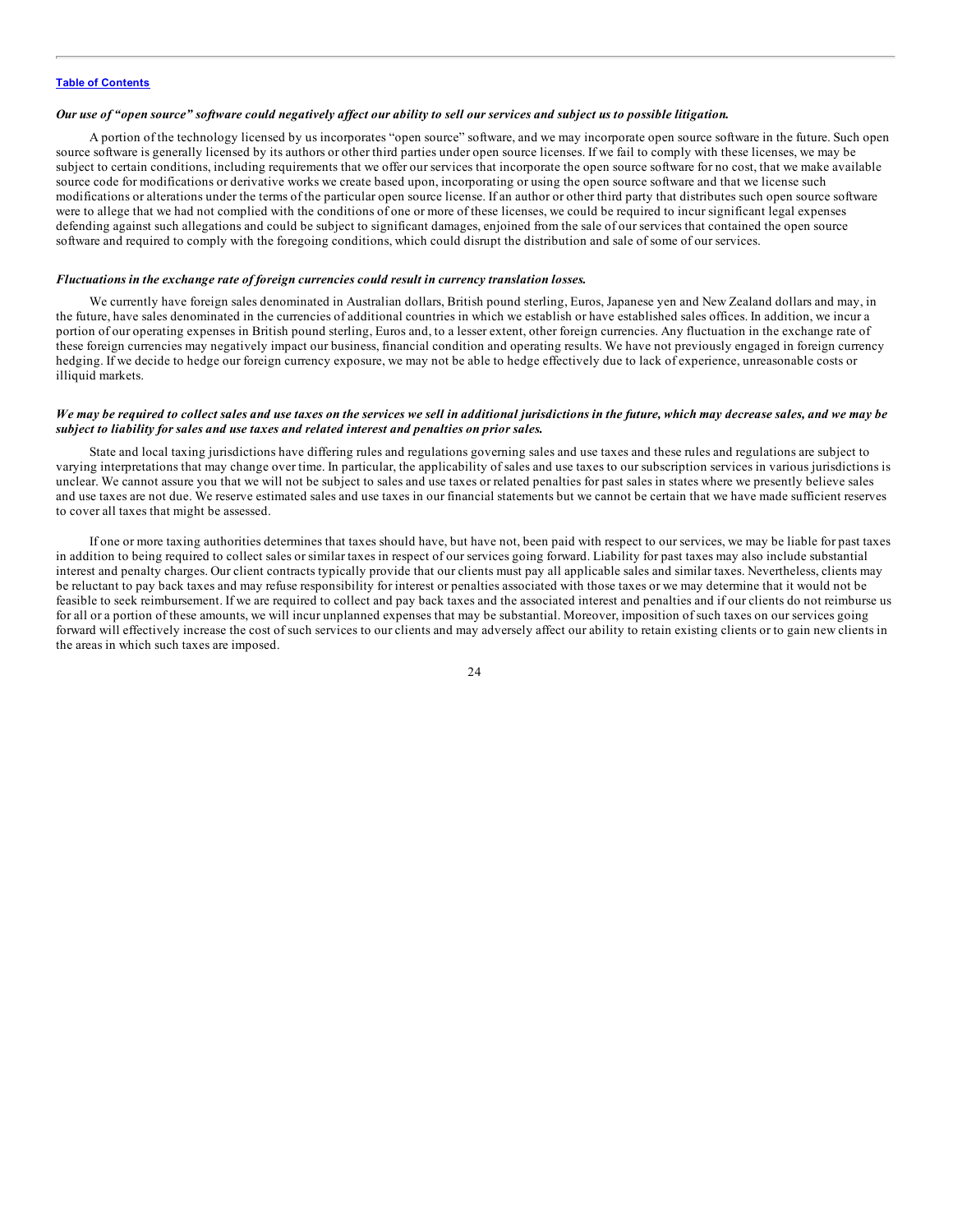#### Our use of "open source" software could negatively affect our ability to sell our services and subject us to possible litigation.

A portion of the technology licensed by us incorporates "open source" software, and we may incorporate open source software in the future. Such open source software is generally licensed by its authors or other third parties under open source licenses. If we fail to comply with these licenses, we may be subject to certain conditions, including requirements that we offer our services that incorporate the open source software for no cost, that we make available source code for modifications or derivative works we create based upon, incorporating or using the open source software and that we license such modifications or alterations under the terms of the particular open source license. If an author or other third party that distributes such open source software were to allege that we had not complied with the conditions of one or more of these licenses, we could be required to incur significant legal expenses defending against such allegations and could be subject to significant damages, enjoined from the sale of our services that contained the open source software and required to comply with the foregoing conditions, which could disrupt the distribution and sale of some of our services.

#### *Fluctuations in the exchange rate of foreign currencies could result in currency translation losses.*

We currently have foreign sales denominated in Australian dollars, British pound sterling, Euros, Japanese yen and New Zealand dollars and may, in the future, have sales denominated in the currencies of additional countries in which we establish or have established sales offices. In addition, we incur a portion of our operating expenses in British pound sterling, Euros and, to a lesser extent, other foreign currencies. Any fluctuation in the exchange rate of these foreign currencies may negatively impact our business, financial condition and operating results. We have not previously engaged in foreign currency hedging. If we decide to hedge our foreign currency exposure, we may not be able to hedge effectively due to lack of experience, unreasonable costs or illiquid markets.

#### We may be required to collect sales and use taxes on the services we sell in additional jurisdictions in the future, which may decrease sales, and we may be *subject to liability for sales and use taxes and related interest and penalties on prior sales.*

State and local taxing jurisdictions have differing rules and regulations governing sales and use taxes and these rules and regulations are subject to varying interpretations that may change over time. In particular, the applicability of sales and use taxes to our subscription services in various jurisdictions is unclear. We cannot assure you that we will not be subject to sales and use taxes or related penalties for past sales in states where we presently believe sales and use taxes are not due. We reserve estimated sales and use taxes in our financial statements but we cannot be certain that we have made sufficient reserves to cover all taxes that might be assessed.

If one or more taxing authorities determines that taxes should have, but have not, been paid with respect to our services, we may be liable for past taxes in addition to being required to collect sales or similar taxes in respect of our services going forward. Liability for past taxes may also include substantial interest and penalty charges. Our client contracts typically provide that our clients must pay all applicable sales and similar taxes. Nevertheless, clients may be reluctant to pay back taxes and may refuse responsibility for interest or penalties associated with those taxes or we may determine that it would not be feasible to seek reimbursement. If we are required to collect and pay back taxes and the associated interest and penalties and if our clients do not reimburse us for all or a portion of these amounts, we will incur unplanned expenses that may be substantial. Moreover, imposition of such taxes on our services going forward will effectively increase the cost of such services to our clients and may adversely affect our ability to retain existing clients or to gain new clients in the areas in which such taxes are imposed.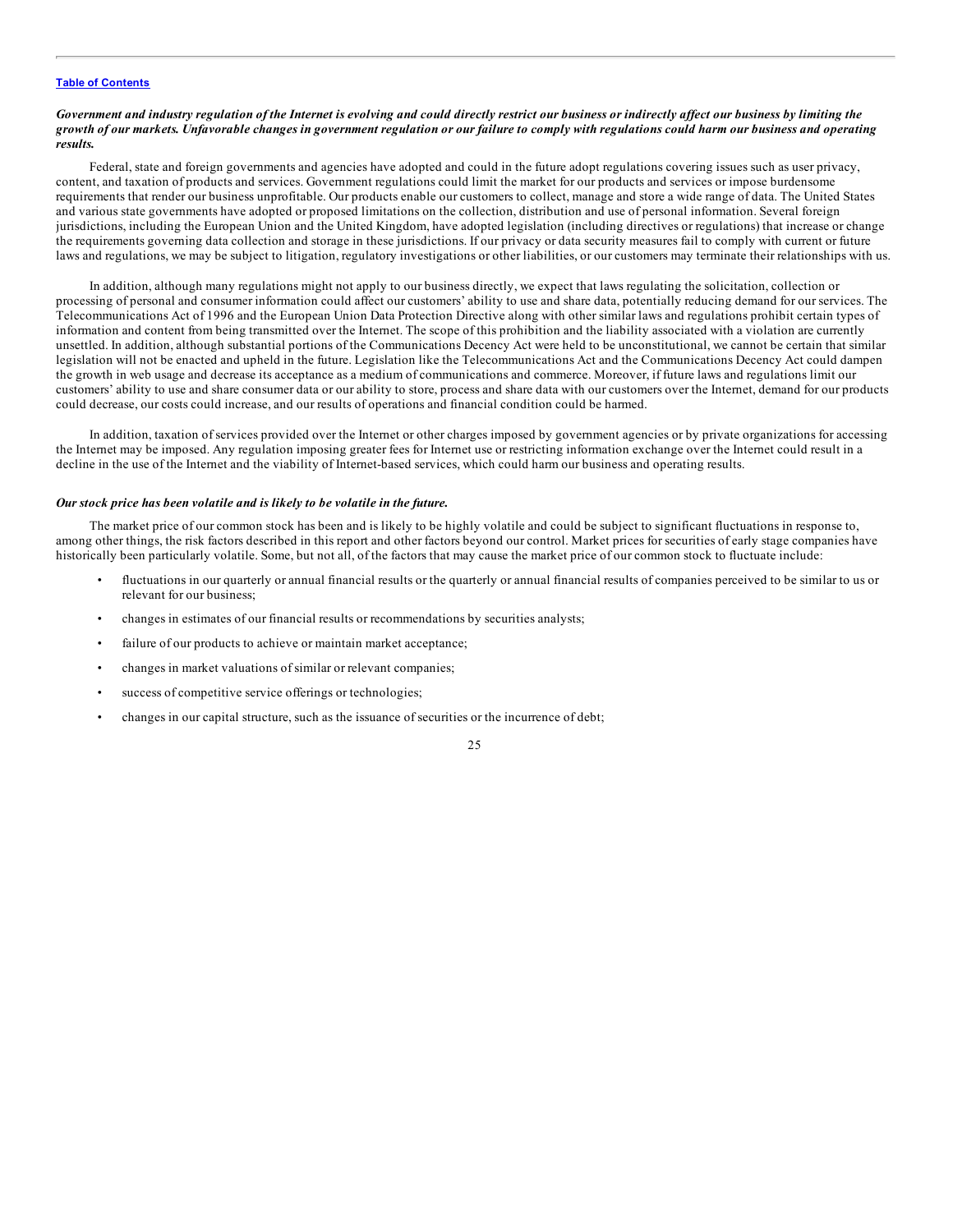#### Government and industry regulation of the Internet is evolving and could directly restrict our business or indirectly affect our business by limiting the growth of our markets. Unfavorable changes in government regulation or our failure to comply with regulations could harm our business and operating *results.*

Federal, state and foreign governments and agencies have adopted and could in the future adopt regulations covering issues such as user privacy, content, and taxation of products and services. Government regulations could limit the market for our products and services or impose burdensome requirements that render our business unprofitable. Our products enable our customers to collect, manage and store a wide range of data. The United States and various state governments have adopted or proposed limitations on the collection, distribution and use of personal information. Several foreign jurisdictions, including the European Union and the United Kingdom, have adopted legislation (including directives or regulations) that increase or change the requirements governing data collection and storage in these jurisdictions. If our privacy or data security measures fail to comply with current or future laws and regulations, we may be subject to litigation, regulatory investigations or other liabilities, or our customers may terminate their relationships with us.

In addition, although many regulations might not apply to our business directly, we expect that laws regulating the solicitation, collection or processing of personal and consumer information could affect our customers' ability to use and share data, potentially reducing demand for our services. The Telecommunications Act of 1996 and the European Union Data Protection Directive along with other similar laws and regulations prohibit certain types of information and content from being transmitted over the Internet. The scope of this prohibition and the liability associated with a violation are currently unsettled. In addition, although substantial portions of the Communications Decency Act were held to be unconstitutional, we cannot be certain that similar legislation will not be enacted and upheld in the future. Legislation like the Telecommunications Act and the Communications Decency Act could dampen the growth in web usage and decrease its acceptance as a medium of communications and commerce. Moreover, if future laws and regulations limit our customers' ability to use and share consumer data or our ability to store, process and share data with our customers over the Internet, demand for our products could decrease, our costs could increase, and our results of operations and financial condition could be harmed.

In addition, taxation of services provided over the Internet or other charges imposed by government agencies or by private organizations for accessing the Internet may be imposed. Any regulation imposing greater fees for Internet use or restricting information exchange over the Internet could result in a decline in the use of the Internet and the viability of Internet-based services, which could harm our business and operating results.

#### *Our stock price has been volatile and is likely to be volatile in the future.*

The market price of our common stock has been and is likely to be highly volatile and could be subject to significant fluctuations in response to, among other things, the risk factors described in this report and other factors beyond our control. Market prices for securities of early stage companies have historically been particularly volatile. Some, but not all, of the factors that may cause the market price of our common stock to fluctuate include:

- fluctuations in our quarterly or annual financial results or the quarterly or annual financial results of companies perceived to be similar to us or relevant for our business;
- changes in estimates of our financial results or recommendations by securities analysts;
- failure of our products to achieve or maintain market acceptance;
- changes in market valuations of similar or relevant companies;
- success of competitive service offerings or technologies;
- changes in our capital structure, such as the issuance of securities or the incurrence of debt;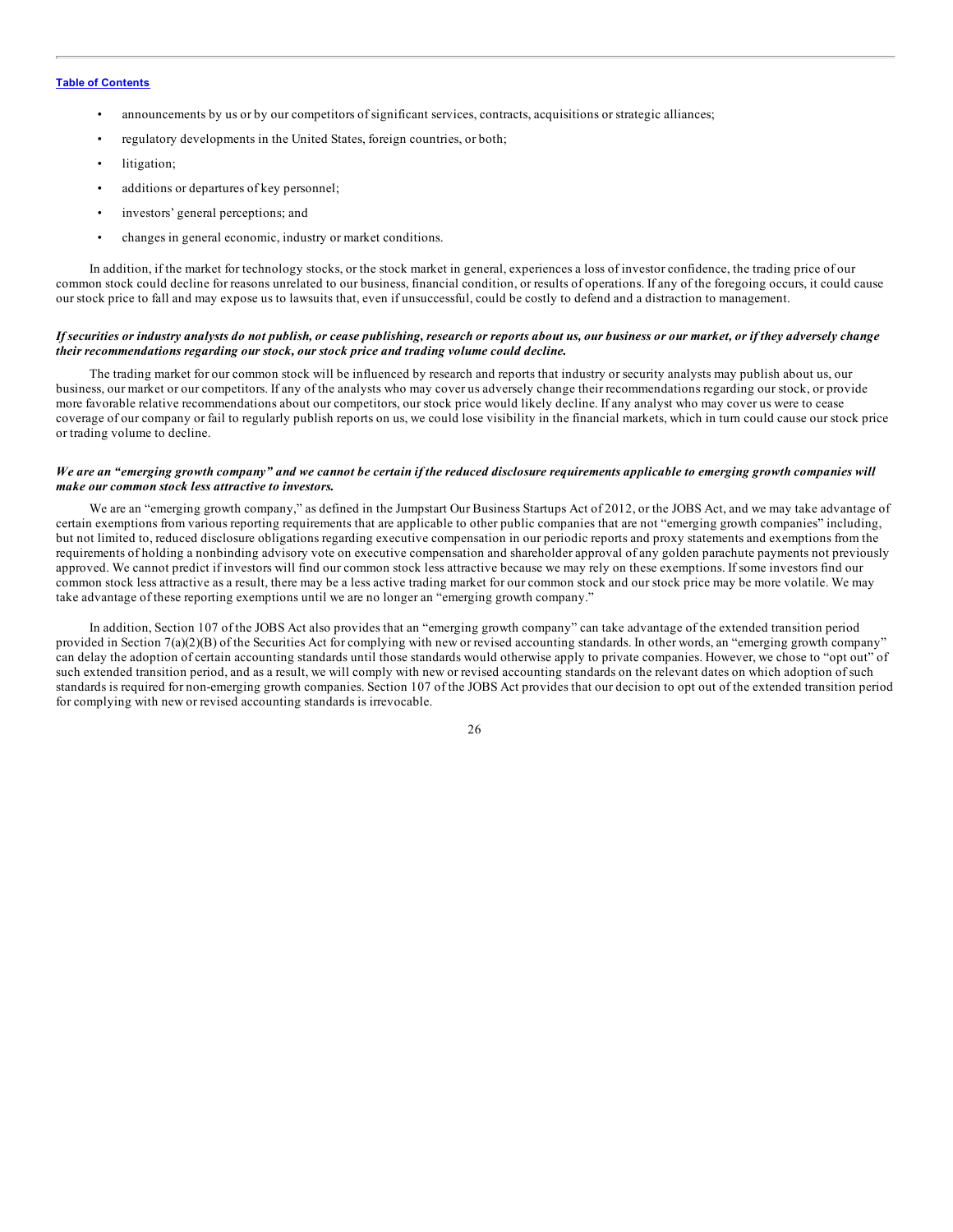- announcements by us or by our competitors of significant services, contracts, acquisitions or strategic alliances;
- regulatory developments in the United States, foreign countries, or both;
- litigation;
- additions or departures of key personnel;
- investors' general perceptions; and
- changes in general economic, industry or market conditions.

In addition, if the market for technology stocks, or the stock market in general, experiences a loss of investor confidence, the trading price of our common stock could decline for reasons unrelated to our business, financial condition, or results of operations. If any of the foregoing occurs, it could cause our stock price to fall and may expose us to lawsuits that, even if unsuccessful, could be costly to defend and a distraction to management.

#### If securities or industry analysts do not publish, or cease publishing, research or reports about us, our business or our market, or if they adversely change *their recommendations regarding our stock, our stock price and trading volume could decline.*

The trading market for our common stock will be influenced by research and reports that industry or security analysts may publish about us, our business, our market or our competitors. If any of the analysts who may cover us adversely change their recommendations regarding our stock, or provide more favorable relative recommendations about our competitors, our stock price would likely decline. If any analyst who may cover us were to cease coverage of our company or fail to regularly publish reports on us, we could lose visibility in the financial markets, which in turn could cause our stock price or trading volume to decline.

#### We are an "emerging growth company" and we cannot be certain if the reduced disclosure requirements applicable to emerging growth companies will *make our common stock less attractive to investors.*

We are an "emerging growth company," as defined in the Jumpstart Our Business Startups Act of 2012, or the JOBS Act, and we may take advantage of certain exemptions from various reporting requirements that are applicable to other public companies that are not "emerging growth companies" including, but not limited to, reduced disclosure obligations regarding executive compensation in our periodic reports and proxy statements and exemptions from the requirements of holding a nonbinding advisory vote on executive compensation and shareholder approval of any golden parachute payments not previously approved. We cannot predict if investors will find our common stock less attractive because we may rely on these exemptions. If some investors find our common stock less attractive as a result, there may be a less active trading market for our common stock and our stock price may be more volatile. We may take advantage of these reporting exemptions until we are no longer an "emerging growth company."

In addition, Section 107 of the JOBS Act also provides that an "emerging growth company" can take advantage of the extended transition period provided in Section 7(a)(2)(B) of the Securities Act for complying with new or revised accounting standards. In other words, an "emerging growth company" can delay the adoption of certain accounting standards until those standards would otherwise apply to private companies. However, we chose to "opt out" of such extended transition period, and as a result, we will comply with new or revised accounting standards on the relevant dates on which adoption of such standards is required for non-emerging growth companies. Section 107 of the JOBS Act provides that our decision to opt out of the extended transition period for complying with new or revised accounting standards is irrevocable.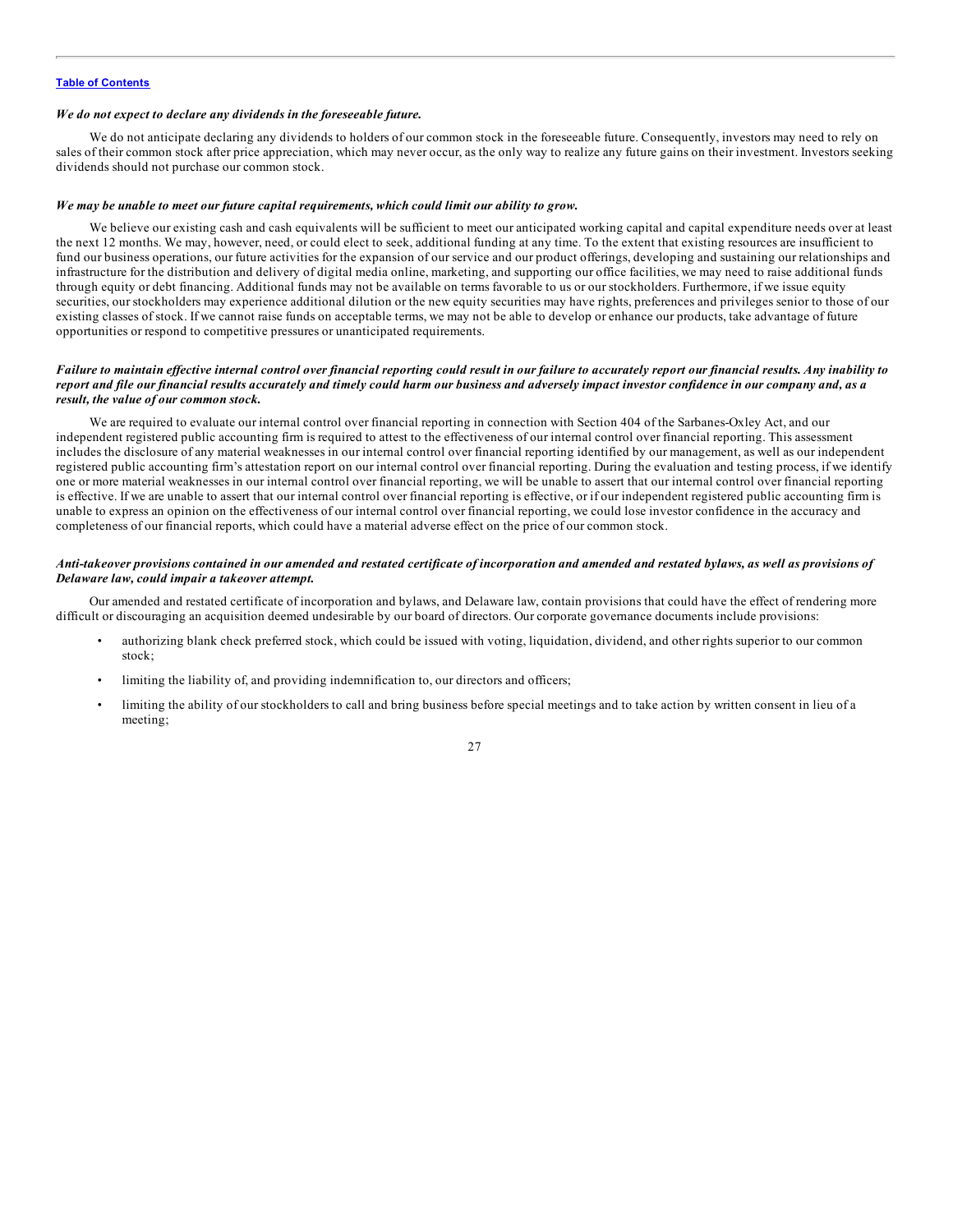#### *We do not expect to declare any dividends in the foreseeable future.*

We do not anticipate declaring any dividends to holders of our common stock in the foreseeable future. Consequently, investors may need to rely on sales of their common stock after price appreciation, which may never occur, as the only way to realize any future gains on their investment. Investors seeking dividends should not purchase our common stock.

#### *We may be unable to meet our future capital requirements, which could limit our ability to grow.*

We believe our existing cash and cash equivalents will be sufficient to meet our anticipated working capital and capital expenditure needs over at least the next 12 months. We may, however, need, or could elect to seek, additional funding at any time. To the extent that existing resources are insufficient to fund our business operations, our future activities for the expansion of our service and our product offerings, developing and sustaining our relationships and infrastructure for the distribution and delivery of digital media online, marketing, and supporting our office facilities, we may need to raise additional funds through equity or debt financing. Additional funds may not be available on terms favorable to us or our stockholders. Furthermore, if we issue equity securities, our stockholders may experience additional dilution or the new equity securities may have rights, preferences and privileges senior to those of our existing classes of stock. If we cannot raise funds on acceptable terms, we may not be able to develop or enhance our products, take advantage of future opportunities or respond to competitive pressures or unanticipated requirements.

#### Failure to maintain effective internal control over financial reporting could result in our failure to accurately report our financial results. Any inability to report and file our financial results accurately and timely could harm our business and adversely impact investor confidence in our company and, as a *result, the value of our common stock.*

We are required to evaluate our internal control over financial reporting in connection with Section 404 of the Sarbanes-Oxley Act, and our independent registered public accounting firm is required to attest to the effectiveness of our internal control over financial reporting. This assessment includes the disclosure of any material weaknesses in our internal control over financial reporting identified by our management, as well as our independent registered public accounting firm's attestation report on our internal control over financial reporting. During the evaluation and testing process, if we identify one or more material weaknesses in our internal control over financial reporting, we will be unable to assert that our internal control over financial reporting is effective. If we are unable to assert that our internal control over financial reporting is effective, or if our independent registered public accounting firm is unable to express an opinion on the effectiveness of our internal control over financial reporting, we could lose investor confidence in the accuracy and completeness of our financial reports, which could have a material adverse effect on the price of our common stock.

#### Anti-takeover provisions contained in our amended and restated certificate of incorporation and amended and restated bylaws, as well as provisions of *Delaware law, could impair a takeover attempt.*

Our amended and restated certificate of incorporation and bylaws, and Delaware law, contain provisions that could have the effect of rendering more difficult or discouraging an acquisition deemed undesirable by our board of directors. Our corporate governance documents include provisions:

- authorizing blank check preferred stock, which could be issued with voting, liquidation, dividend, and other rights superior to our common stock;
- limiting the liability of, and providing indemnification to, our directors and officers;
- limiting the ability of our stockholders to call and bring business before special meetings and to take action by written consent in lieu of a meeting;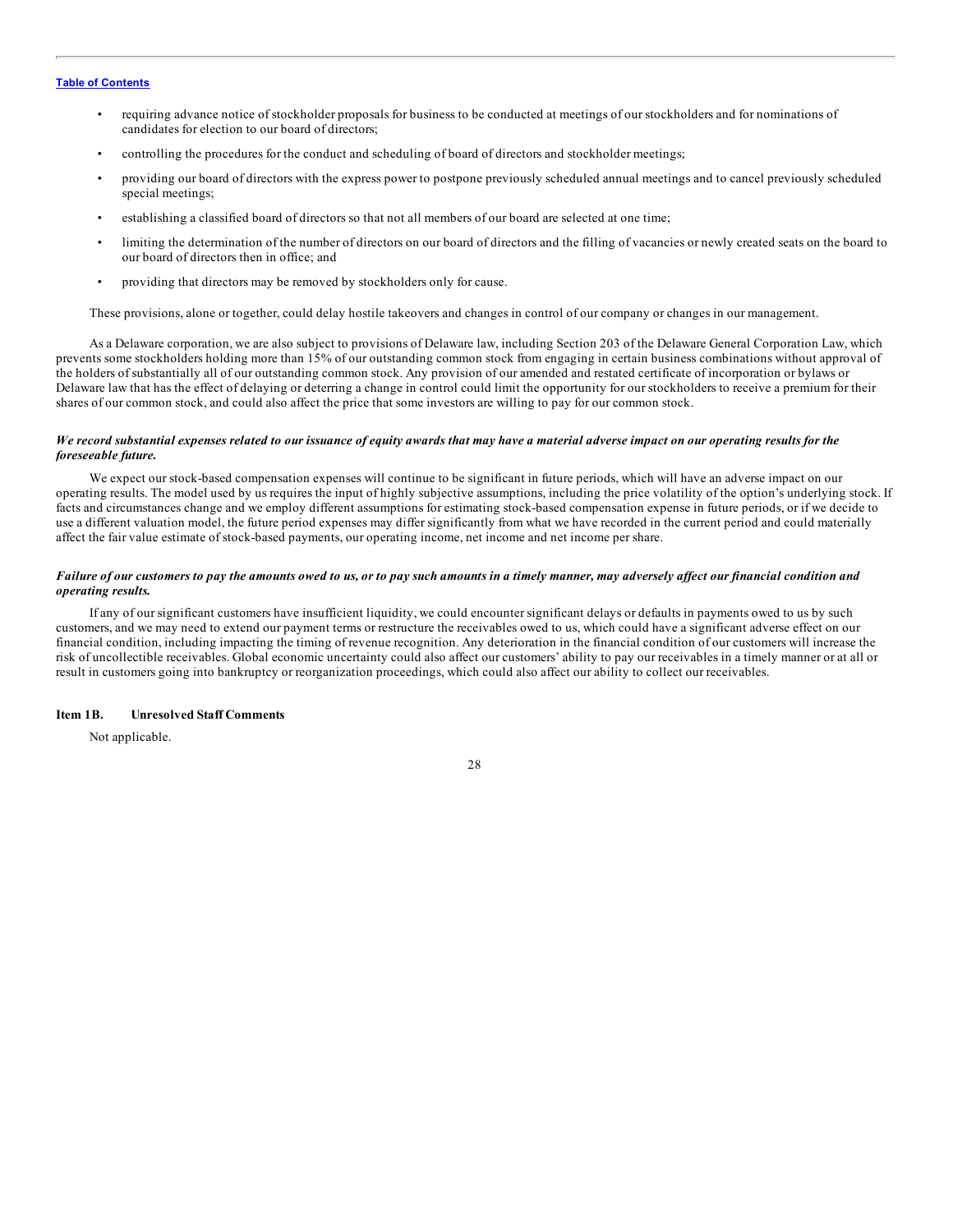- <span id="page-27-0"></span>• requiring advance notice of stockholder proposals for business to be conducted at meetings of our stockholders and for nominations of candidates for election to our board of directors;
- controlling the procedures for the conduct and scheduling of board of directors and stockholder meetings;
- providing our board of directors with the express power to postpone previously scheduled annual meetings and to cancel previously scheduled special meetings;
- establishing a classified board of directors so that not all members of our board are selected at one time;
- limiting the determination of the number of directors on our board of directors and the filling of vacancies or newly created seats on the board to our board of directors then in office; and
- providing that directors may be removed by stockholders only for cause.

These provisions, alone or together, could delay hostile takeovers and changes in control of our company or changes in our management.

As a Delaware corporation, we are also subject to provisions of Delaware law, including Section 203 of the Delaware General Corporation Law, which prevents some stockholders holding more than 15% of our outstanding common stock from engaging in certain business combinations without approval of the holders of substantially all of our outstanding common stock. Any provision of our amended and restated certificate of incorporation or bylaws or Delaware law that has the effect of delaying or deterring a change in control could limit the opportunity for our stockholders to receive a premium for their shares of our common stock, and could also affect the price that some investors are willing to pay for our common stock.

#### We record substantial expenses related to our issuance of equity awards that may have a material adverse impact on our operating results for the *foreseeable future.*

We expect our stock-based compensation expenses will continue to be significant in future periods, which will have an adverse impact on our operating results. The model used by us requires the input of highly subjective assumptions, including the price volatility of the option's underlying stock. If facts and circumstances change and we employ different assumptions for estimating stock-based compensation expense in future periods, or if we decide to use a different valuation model, the future period expenses may differ significantly from what we have recorded in the current period and could materially affect the fair value estimate of stock-based payments, our operating income, net income and net income per share.

#### Failure of our customers to pay the amounts owed to us, or to pay such amounts in a timely manner, may adversely affect our financial condition and *operating results.*

If any of our significant customers have insufficient liquidity, we could encounter significant delays or defaults in payments owed to us by such customers, and we may need to extend our payment terms or restructure the receivables owed to us, which could have a significant adverse effect on our financial condition, including impacting the timing of revenue recognition. Any deterioration in the financial condition of our customers will increase the risk of uncollectible receivables. Global economic uncertainty could also affect our customers' ability to pay our receivables in a timely manner or at all or result in customers going into bankruptcy or reorganization proceedings, which could also affect our ability to collect our receivables.

# **Item 1B. Unresolved Staff Comments**

Not applicable.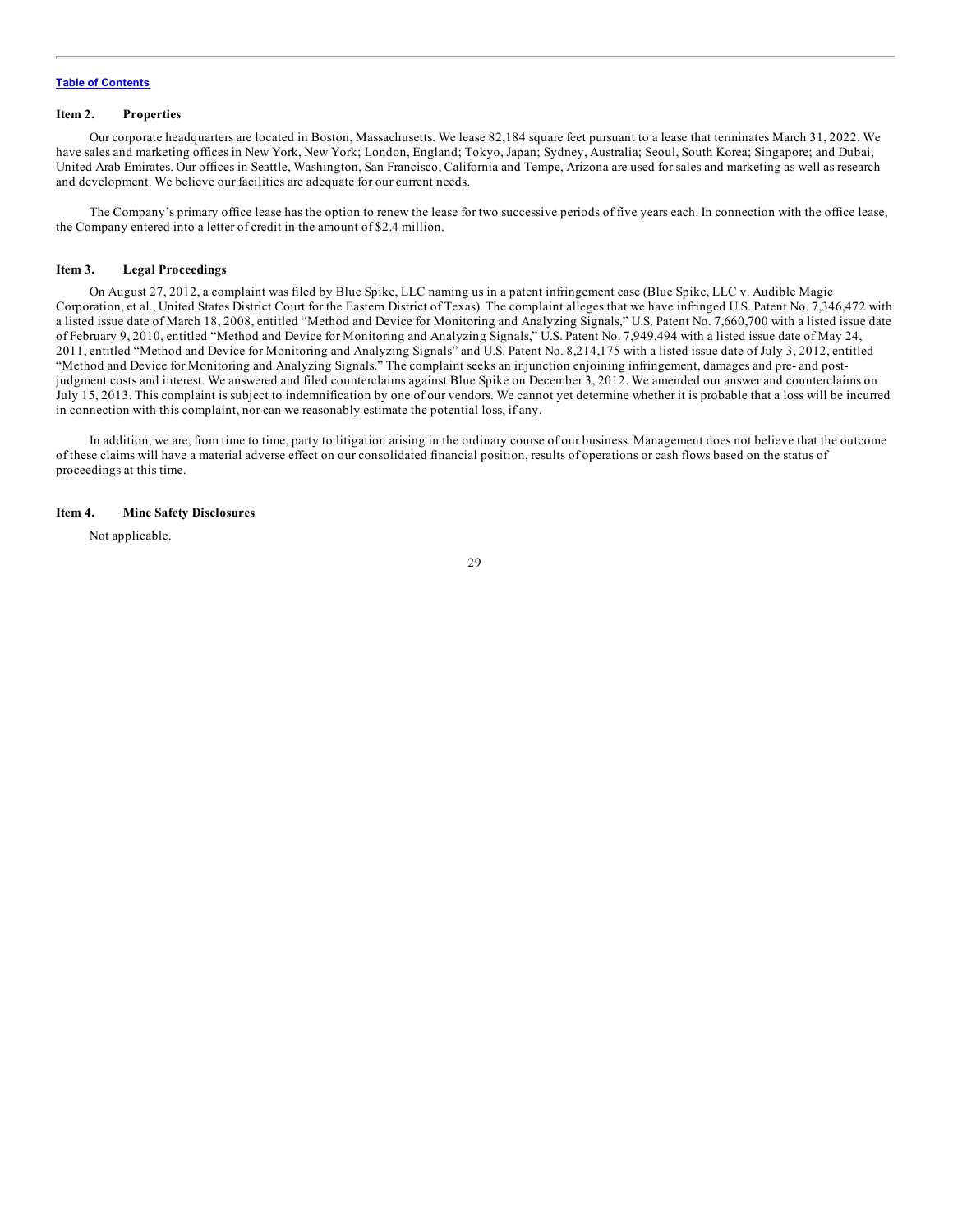#### <span id="page-28-0"></span>**Item 2. Properties**

Our corporate headquarters are located in Boston, Massachusetts. We lease 82,184 square feet pursuant to a lease that terminates March 31, 2022. We have sales and marketing offices in New York, New York; London, England; Tokyo, Japan; Sydney, Australia; Seoul, South Korea; Singapore; and Dubai, United Arab Emirates. Our offices in Seattle, Washington, San Francisco, California and Tempe, Arizona are used for sales and marketing as well as research and development. We believe our facilities are adequate for our current needs.

The Company's primary office lease has the option to renew the lease for two successive periods of five years each. In connection with the office lease, the Company entered into a letter of credit in the amount of \$2.4 million.

#### **Item 3. Legal Proceedings**

On August 27, 2012, a complaint was filed by Blue Spike, LLC naming us in a patent infringement case (Blue Spike, LLC v. Audible Magic Corporation, et al., United States District Court for the Eastern District of Texas). The complaint alleges that we have infringed U.S. Patent No. 7,346,472 with a listed issue date of March 18, 2008, entitled "Method and Device for Monitoring and Analyzing Signals," U.S. Patent No. 7,660,700 with a listed issue date of February 9, 2010, entitled "Method and Device for Monitoring and Analyzing Signals," U.S. Patent No. 7,949,494 with a listed issue date of May 24, 2011, entitled "Method and Device for Monitoring and Analyzing Signals" and U.S. Patent No. 8,214,175 with a listed issue date of July 3, 2012, entitled "Method and Device for Monitoring and Analyzing Signals." The complaint seeks an injunction enjoining infringement, damages and pre- and postjudgment costs and interest. We answered and filed counterclaims against Blue Spike on December 3, 2012. We amended our answer and counterclaims on July 15, 2013. This complaint is subject to indemnification by one of our vendors. We cannot yet determine whether it is probable that a loss will be incurred in connection with this complaint, nor can we reasonably estimate the potential loss, if any.

In addition, we are, from time to time, party to litigation arising in the ordinary course of our business. Management does not believe that the outcome of these claims will have a material adverse effect on our consolidated financial position, results of operations or cash flows based on the status of proceedings at this time.

#### **Item 4. Mine Safety Disclosures**

Not applicable.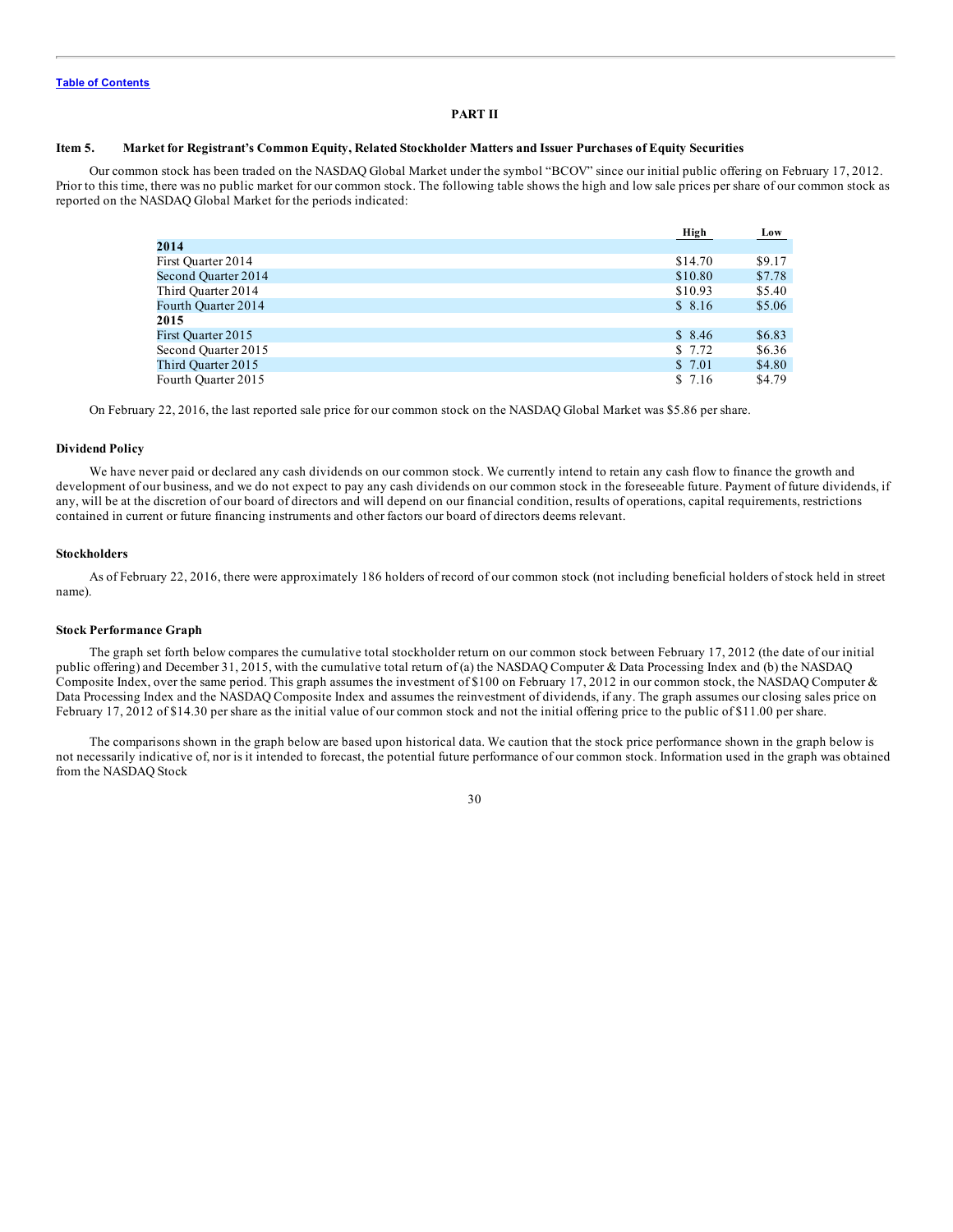#### **PART II**

#### <span id="page-29-0"></span>Item 5. Market for Registrant's Common Equity, Related Stockholder Matters and Issuer Purchases of Equity Securities

Our common stock has been traded on the NASDAQ Global Market under the symbol "BCOV" since our initial public offering on February 17, 2012. Prior to this time, there was no public market for our common stock. The following table shows the high and low sale prices per share of our common stock as reported on the NASDAQ Global Market for the periods indicated:

|                     | High    | Low    |
|---------------------|---------|--------|
| 2014                |         |        |
| First Quarter 2014  | \$14.70 | \$9.17 |
| Second Quarter 2014 | \$10.80 | \$7.78 |
| Third Ouarter 2014  | \$10.93 | \$5.40 |
| Fourth Quarter 2014 | \$8.16  | \$5.06 |
| 2015                |         |        |
| First Quarter 2015  | \$8.46  | \$6.83 |
| Second Ouarter 2015 | \$7.72  | \$6.36 |
| Third Quarter 2015  | \$ 7.01 | \$4.80 |
| Fourth Quarter 2015 | \$ 7.16 | \$4.79 |

On February 22, 2016, the last reported sale price for our common stock on the NASDAQ Global Market was \$5.86 per share.

#### **Dividend Policy**

We have never paid or declared any cash dividends on our common stock. We currently intend to retain any cash flow to finance the growth and development of our business, and we do not expect to pay any cash dividends on our common stock in the foreseeable future. Payment of future dividends, if any, will be at the discretion of our board of directors and will depend on our financial condition, results of operations, capital requirements, restrictions contained in current or future financing instruments and other factors our board of directors deems relevant.

#### **Stockholders**

As of February 22, 2016, there were approximately 186 holders of record of our common stock (not including beneficial holders of stock held in street name).

#### **Stock Performance Graph**

The graph set forth below compares the cumulative total stockholder return on our common stock between February 17, 2012 (the date of our initial public offering) and December 31, 2015, with the cumulative total return of (a) the NASDAQ Computer & Data Processing Index and (b) the NASDAQ Composite Index, over the same period. This graph assumes the investment of \$100 on February 17, 2012 in our common stock, the NASDAQ Computer & Data Processing Index and the NASDAQ Composite Index and assumes the reinvestment of dividends, if any. The graph assumes our closing sales price on February 17, 2012 of \$14.30 per share as the initial value of our common stock and not the initial offering price to the public of \$11.00 per share.

The comparisons shown in the graph below are based upon historical data. We caution that the stock price performance shown in the graph below is not necessarily indicative of, nor is it intended to forecast, the potential future performance of our common stock. Information used in the graph was obtained from the NASDAQ Stock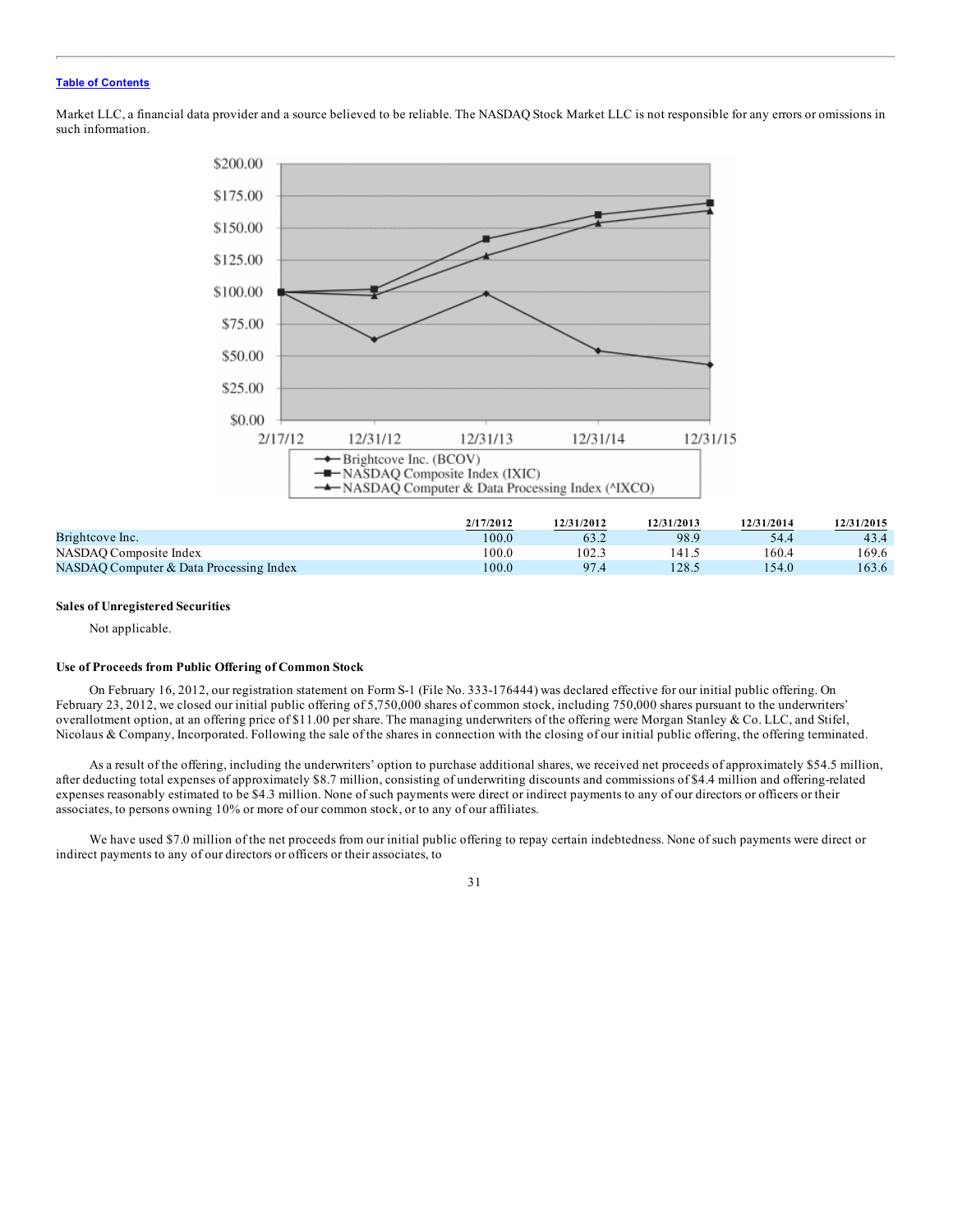Market LLC, a financial data provider and a source believed to be reliable. The NASDAQ Stock Market LLC is not responsible for any errors or omissions in such information.



|                                         | 2/17/2012 | 12/31/2012 | 12/31/2013 | 12/31/2014 | 12/31/2015 |
|-----------------------------------------|-----------|------------|------------|------------|------------|
| Brightcove Inc.                         | 100.0     |            | 98.9       | 54.4       | 43.4       |
| NASDAO Composite Index                  | 00.0      | 102.1      | 141.       | 160.4      | 169.6      |
| NASDAO Computer & Data Processing Index | 0.00      | 97.4       | 128.5      | 54.0       | 163.6      |

#### **Sales of Unregistered Securities**

Not applicable.

#### **Use of Proceeds from Public Offering of Common Stock**

On February 16, 2012, our registration statement on Form S-1 (File No. 333-176444) was declared effective for our initial public offering. On February 23, 2012, we closed our initial public offering of 5,750,000 shares of common stock, including 750,000 shares pursuant to the underwriters' overallotment option, at an offering price of \$11.00 per share. The managing underwriters of the offering were Morgan Stanley & Co. LLC, and Stifel, Nicolaus & Company, Incorporated. Following the sale of the shares in connection with the closing of our initial public offering, the offering terminated.

As a result of the offering, including the underwriters' option to purchase additional shares, we received net proceeds of approximately \$54.5 million, after deducting total expenses of approximately \$8.7 million, consisting of underwriting discounts and commissions of \$4.4 million and offering-related expenses reasonably estimated to be \$4.3 million. None of such payments were direct or indirect payments to any of our directors or officers or their associates, to persons owning 10% or more of our common stock, or to any of our affiliates.

We have used \$7.0 million of the net proceeds from our initial public offering to repay certain indebtedness. None of such payments were direct or indirect payments to any of our directors or officers or their associates, to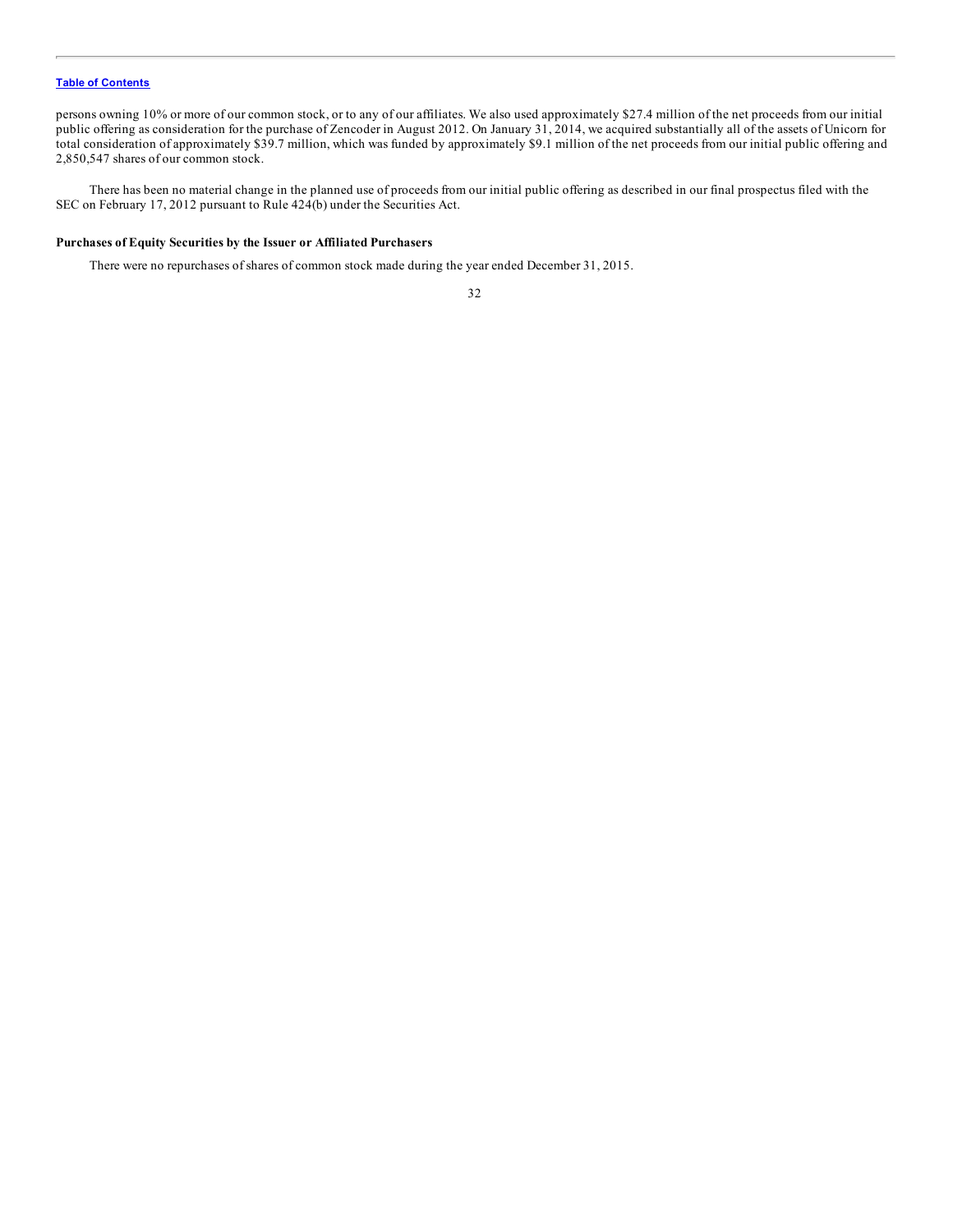persons owning 10% or more of our common stock, or to any of our affiliates. We also used approximately \$27.4 million of the net proceeds from our initial public offering as consideration for the purchase of Zencoder in August 2012. On January 31, 2014, we acquired substantially all of the assets of Unicorn for total consideration of approximately \$39.7 million, which was funded by approximately \$9.1 million of the net proceeds from our initial public offering and 2,850,547 shares of our common stock.

There has been no material change in the planned use of proceeds from our initial public offering as described in our final prospectus filed with the SEC on February 17, 2012 pursuant to Rule 424(b) under the Securities Act.

# **Purchases of Equity Securities by the Issuer or Affiliated Purchasers**

There were no repurchases of shares of common stock made during the year ended December 31, 2015.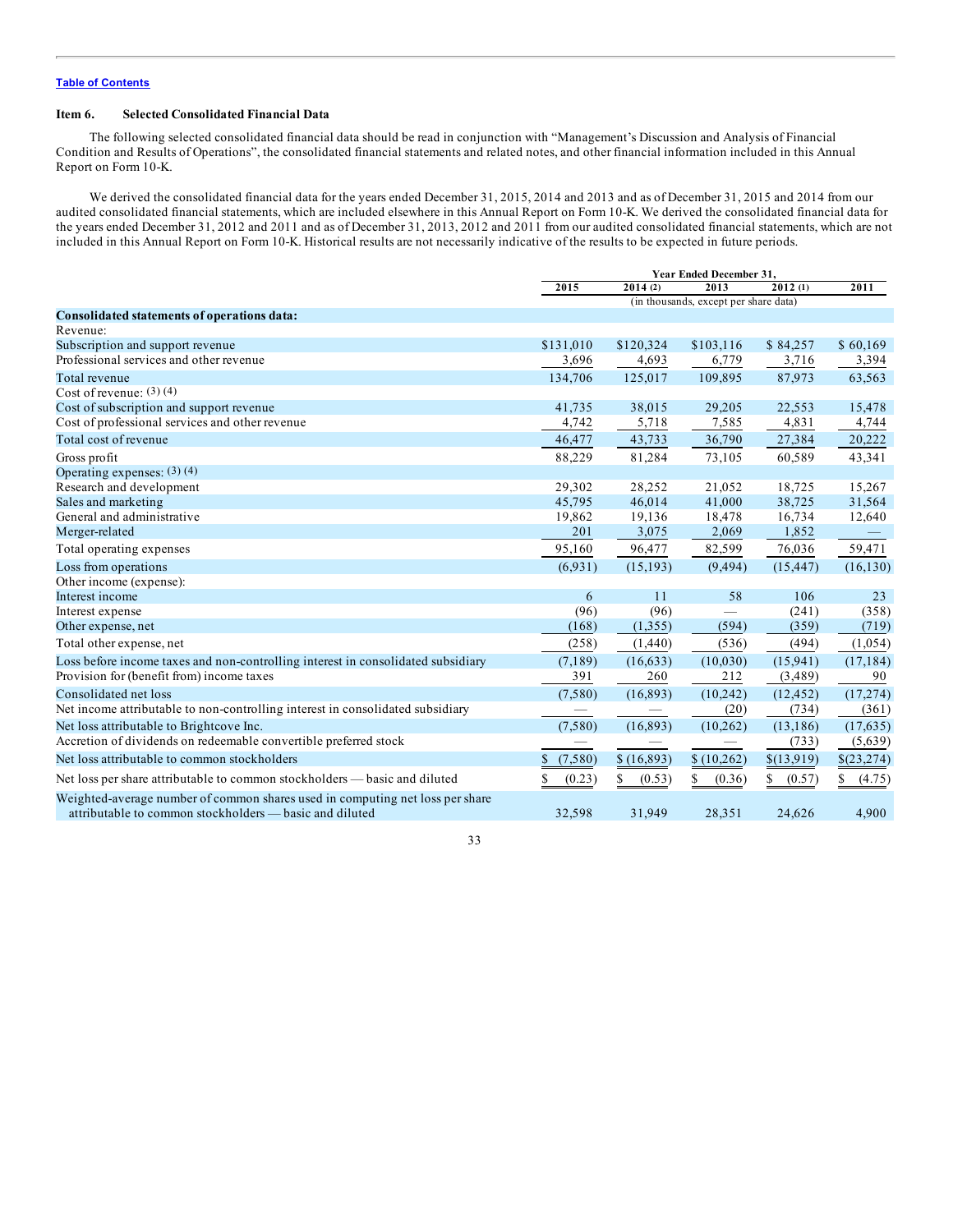#### <span id="page-32-0"></span>**Item 6. Selected Consolidated Financial Data**

The following selected consolidated financial data should be read in conjunction with "Management's Discussion and Analysis of Financial Condition and Results of Operations", the consolidated financial statements and related notes, and other financial information included in this Annual Report on Form 10-K.

We derived the consolidated financial data for the years ended December 31, 2015, 2014 and 2013 and as of December 31, 2015 and 2014 from our audited consolidated financial statements, which are included elsewhere in this Annual Report on Form 10-K. We derived the consolidated financial data for the years ended December 31, 2012 and 2011 and as of December 31, 2013, 2012 and 2011 from our audited consolidated financial statements, which are not included in this Annual Report on Form 10-K. Historical results are not necessarily indicative of the results to be expected in future periods.

|                                                                                  | Year Ended December 31,         |              |                                               |            |             |
|----------------------------------------------------------------------------------|---------------------------------|--------------|-----------------------------------------------|------------|-------------|
|                                                                                  | 2015                            | 2014(2)      | 2013<br>(in thousands, except per share data) | 2012(1)    | 2011        |
|                                                                                  |                                 |              |                                               |            |             |
| Consolidated statements of operations data:                                      |                                 |              |                                               |            |             |
| Revenue:                                                                         |                                 |              |                                               |            |             |
| Subscription and support revenue                                                 | \$131,010                       | \$120,324    | \$103,116                                     | \$84,257   | \$60,169    |
| Professional services and other revenue                                          | 3,696                           | 4,693        | 6,779                                         | 3,716      | 3,394       |
| Total revenue                                                                    | 134,706                         | 125,017      | 109.895                                       | 87,973     | 63,563      |
| Cost of revenue: $(3)$ $(4)$                                                     |                                 |              |                                               |            |             |
| Cost of subscription and support revenue                                         | 41,735                          | 38,015       | 29,205                                        | 22,553     | 15,478      |
| Cost of professional services and other revenue                                  | 4,742                           | 5,718        | 7,585                                         | 4,831      | 4,744       |
| Total cost of revenue                                                            | 46,477                          | 43,733       | 36,790                                        | 27,384     | 20,222      |
| Gross profit                                                                     | 88,229                          | 81,284       | 73,105                                        | 60,589     | 43,341      |
| Operating expenses: $(3)(4)$                                                     |                                 |              |                                               |            |             |
| Research and development                                                         | 29,302                          | 28,252       | 21,052                                        | 18,725     | 15,267      |
| Sales and marketing                                                              | 45,795                          | 46,014       | 41,000                                        | 38,725     | 31,564      |
| General and administrative                                                       | 19,862                          | 19,136       | 18,478                                        | 16,734     | 12,640      |
| Merger-related                                                                   | 201                             | 3,075        | 2,069                                         | 1,852      |             |
| Total operating expenses                                                         | 95,160                          | 96,477       | 82,599                                        | 76,036     | 59,471      |
| Loss from operations                                                             | (6.931)                         | (15, 193)    | (9, 494)                                      | (15, 447)  | (16, 130)   |
| Other income (expense):                                                          |                                 |              |                                               |            |             |
| Interest income                                                                  | 6                               | 11           | 58                                            | 106        | 23          |
| Interest expense                                                                 | (96)                            | (96)         |                                               | (241)      | (358)       |
| Other expense, net                                                               | (168)                           | (1,355)      | (594)                                         | (359)      | (719)       |
| Total other expense, net                                                         | (258)                           | (1,440)      | (536)                                         | (494)      | (1,054)     |
| Loss before income taxes and non-controlling interest in consolidated subsidiary | (7,189)                         | (16, 633)    | (10,030)                                      | (15,941)   | (17, 184)   |
| Provision for (benefit from) income taxes                                        | 391                             | 260          | 212                                           | (3,489)    | 90          |
| Consolidated net loss                                                            | (7,580)                         | (16, 893)    | (10, 242)                                     | (12, 452)  | (17, 274)   |
| Net income attributable to non-controlling interest in consolidated subsidiary   | $\hspace{0.1mm}-\hspace{0.1mm}$ |              | (20)                                          | (734)      | (361)       |
| Net loss attributable to Brightcove Inc.                                         | (7,580)                         | (16, 893)    | (10, 262)                                     | (13, 186)  | (17, 635)   |
| Accretion of dividends on redeemable convertible preferred stock                 |                                 |              |                                               | (733)      | (5,639)     |
| Net loss attributable to common stockholders                                     | (7,580)<br><sup>\$</sup>        | \$(16,893)   | \$(10,262)                                    | \$(13,919) | \$(23,274)  |
| Net loss per share attributable to common stockholders — basic and diluted       | (0.23)                          | \$<br>(0.53) | \$<br>(0.36)                                  | (0.57)     | S<br>(4.75) |
| Weighted-average number of common shares used in computing net loss per share    |                                 |              |                                               |            |             |
| attributable to common stockholders — basic and diluted                          | 32,598                          | 31,949       | 28,351                                        | 24,626     | 4,900       |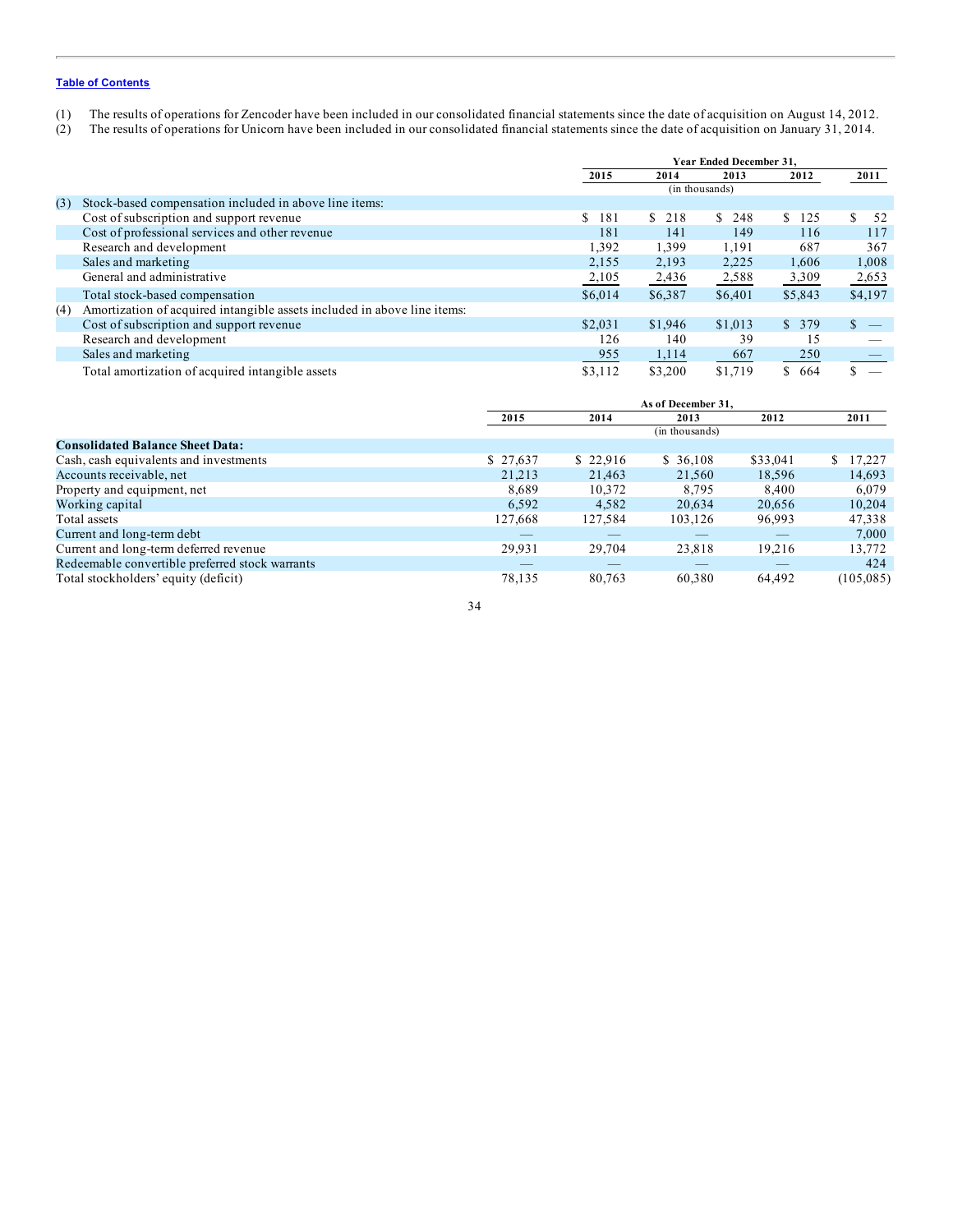- (1) The results of operations for Zencoder have been included in our consolidated financial statements since the date of acquisition on August 14, 2012.
- (2) The results of operations for Unicorn have been included in our consolidated financial statements since the date of acquisition on January 31, 2014.

|     |                                                                          | Year Ended December 31, |           |                |           |           |
|-----|--------------------------------------------------------------------------|-------------------------|-----------|----------------|-----------|-----------|
|     |                                                                          | 2015                    | 2014      | 2013           | 2012      | 2011      |
|     |                                                                          |                         |           | (in thousands) |           |           |
| (3) | Stock-based compensation included in above line items:                   |                         |           |                |           |           |
|     | Cost of subscription and support revenue                                 | 181<br>S.               | S.<br>218 | S.<br>248      | 125<br>S. | \$.<br>52 |
|     | Cost of professional services and other revenue                          | 181                     | 141       | 149            | 116       | 117       |
|     | Research and development                                                 | 1,392                   | 1,399     | 1,191          | 687       | 367       |
|     | Sales and marketing                                                      | 2,155                   | 2,193     | 2,225          | 1,606     | 1,008     |
|     | General and administrative                                               | 2,105                   | 2,436     | 2,588          | 3,309     | 2,653     |
|     | Total stock-based compensation                                           | \$6,014                 | \$6,387   | \$6,401        | \$5,843   | \$4,197   |
| (4) | Amortization of acquired intangible assets included in above line items: |                         |           |                |           |           |
|     | Cost of subscription and support revenue                                 | \$2,031                 | \$1,946   | \$1,013        | \$379     | \$.       |
|     | Research and development                                                 | 126                     | 140       | 39             | 15        |           |
|     | Sales and marketing                                                      | 955                     | 1,114     | 667            | 250       |           |
|     | Total amortization of acquired intangible assets                         | \$3,112                 | \$3,200   | \$1,719        | 664<br>\$ |           |

|                                                 |          | As of December 31. |                |          |             |  |
|-------------------------------------------------|----------|--------------------|----------------|----------|-------------|--|
|                                                 | 2015     | 2014               | 2013           | 2012     | 2011        |  |
|                                                 |          |                    | (in thousands) |          |             |  |
| <b>Consolidated Balance Sheet Data:</b>         |          |                    |                |          |             |  |
| Cash, cash equivalents and investments          | \$27,637 | \$22,916           | \$36,108       | \$33,041 | 17.227<br>S |  |
| Accounts receivable, net                        | 21.213   | 21,463             | 21,560         | 18.596   | 14,693      |  |
| Property and equipment, net                     | 8.689    | 10,372             | 8.795          | 8.400    | 6.079       |  |
| Working capital                                 | 6,592    | 4,582              | 20,634         | 20,656   | 10,204      |  |
| Total assets                                    | 127,668  | 127,584            | 103,126        | 96,993   | 47,338      |  |
| Current and long-term debt                      |          |                    |                |          | 7,000       |  |
| Current and long-term deferred revenue          | 29.931   | 29,704             | 23,818         | 19,216   | 13,772      |  |
| Redeemable convertible preferred stock warrants |          |                    |                |          | 424         |  |
| Total stockholders' equity (deficit)            | 78,135   | 80,763             | 60,380         | 64,492   | (105, 085)  |  |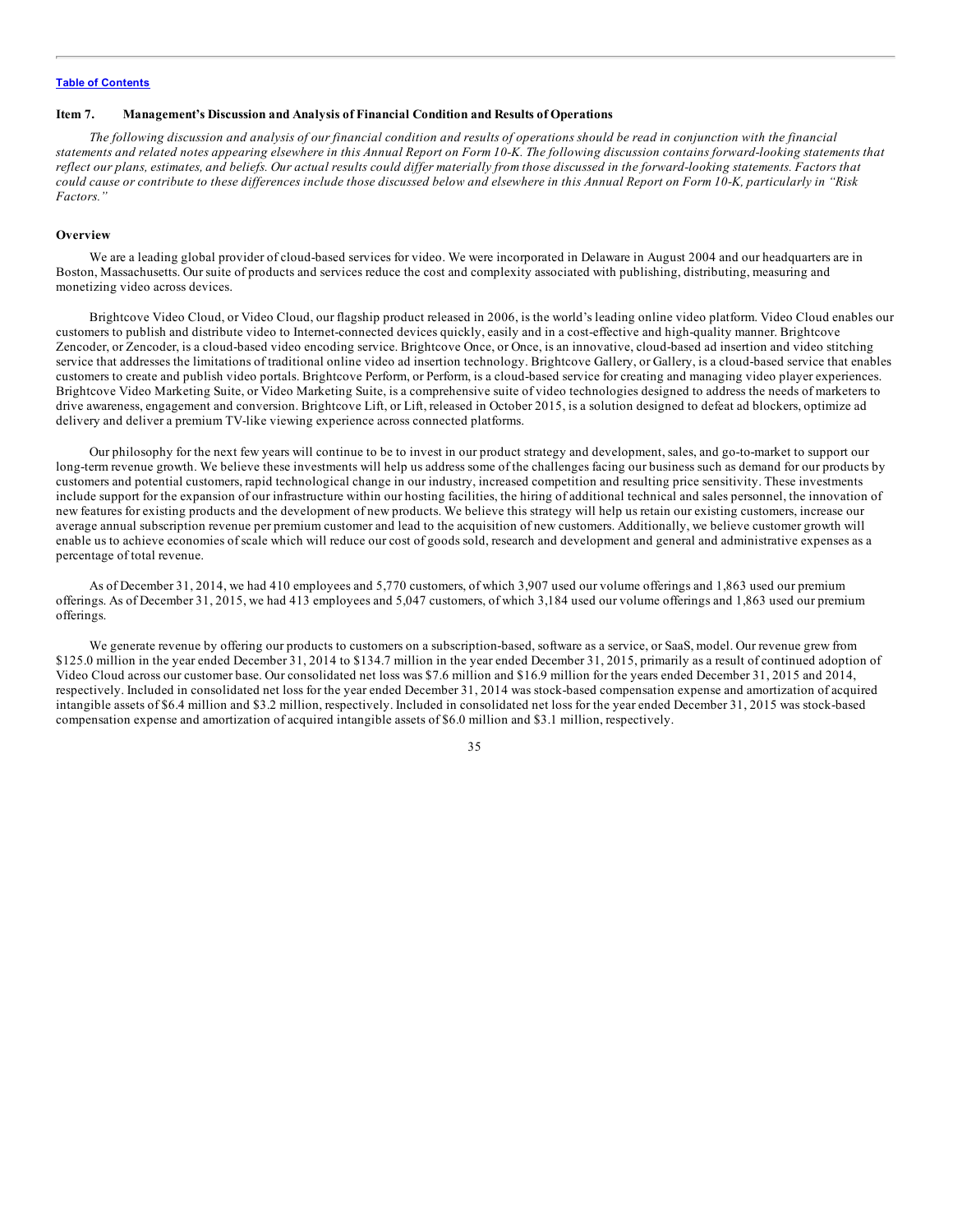#### <span id="page-34-0"></span>**Item 7. Management's Discussion and Analysis of Financial Condition and Results of Operations**

The following discussion and analysis of our financial condition and results of operations should be read in conjunction with the financial statements and related notes appearing elsewhere in this Annual Report on Form 10-K. The following discussion contains forward-looking statements that reflect our plans, estimates, and beliefs. Our actual results could differ materially from those discussed in the forward-looking statements. Factors that could cause or contribute to these differences include those discussed below and elsewhere in this Annual Report on Form 10-K, particularly in "Risk *Factors."*

#### **Overview**

We are a leading global provider of cloud-based services for video. We were incorporated in Delaware in August 2004 and our headquarters are in Boston, Massachusetts. Our suite of products and services reduce the cost and complexity associated with publishing, distributing, measuring and monetizing video across devices.

Brightcove Video Cloud, or Video Cloud, our flagship product released in 2006, is the world's leading online video platform. Video Cloud enables our customers to publish and distribute video to Internet-connected devices quickly, easily and in a cost-effective and high-quality manner. Brightcove Zencoder, or Zencoder, is a cloud-based video encoding service. Brightcove Once, or Once, is an innovative, cloud-based ad insertion and video stitching service that addresses the limitations of traditional online video ad insertion technology. Brightcove Gallery, or Gallery, is a cloud-based service that enables customers to create and publish video portals. Brightcove Perform, or Perform, is a cloud-based service for creating and managing video player experiences. Brightcove Video Marketing Suite, or Video Marketing Suite, is a comprehensive suite of video technologies designed to address the needs of marketers to drive awareness, engagement and conversion. Brightcove Lift, or Lift, released in October 2015, is a solution designed to defeat ad blockers, optimize ad delivery and deliver a premium TV-like viewing experience across connected platforms.

Our philosophy for the next few years will continue to be to invest in our product strategy and development, sales, and go-to-market to support our long-term revenue growth. We believe these investments will help us address some of the challenges facing our business such as demand for our products by customers and potential customers, rapid technological change in our industry, increased competition and resulting price sensitivity. These investments include support for the expansion of our infrastructure within our hosting facilities, the hiring of additional technical and sales personnel, the innovation of new features for existing products and the development of new products. We believe this strategy will help us retain our existing customers, increase our average annual subscription revenue per premium customer and lead to the acquisition of new customers. Additionally, we believe customer growth will enable us to achieve economies of scale which will reduce our cost of goods sold, research and development and general and administrative expenses as a percentage of total revenue.

As of December 31, 2014, we had 410 employees and 5,770 customers, of which 3,907 used our volume offerings and 1,863 used our premium offerings. As of December 31, 2015, we had 413 employees and 5,047 customers, of which 3,184 used our volume offerings and 1,863 used our premium offerings.

We generate revenue by offering our products to customers on a subscription-based, software as a service, or SaaS, model. Our revenue grew from \$125.0 million in the year ended December 31, 2014 to \$134.7 million in the year ended December 31, 2015, primarily as a result of continued adoption of Video Cloud across our customer base. Our consolidated net loss was \$7.6 million and \$16.9 million for the years ended December 31, 2015 and 2014, respectively. Included in consolidated net loss for the year ended December 31, 2014 was stock-based compensation expense and amortization of acquired intangible assets of \$6.4 million and \$3.2 million, respectively. Included in consolidated net loss for the year ended December 31, 2015 was stock-based compensation expense and amortization of acquired intangible assets of \$6.0 million and \$3.1 million, respectively.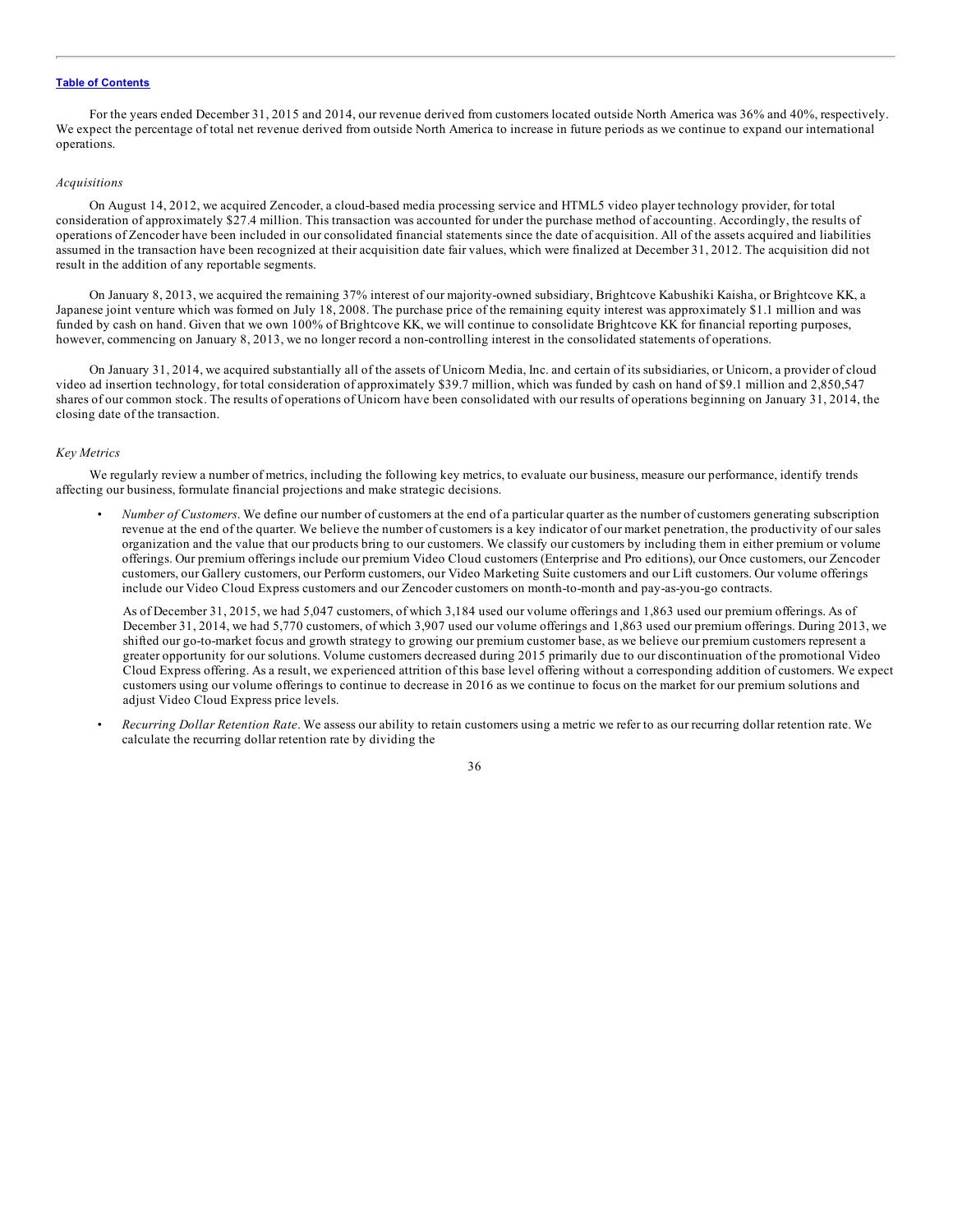For the years ended December 31, 2015 and 2014, our revenue derived from customers located outside North America was 36% and 40%, respectively. We expect the percentage of total net revenue derived from outside North America to increase in future periods as we continue to expand our international operations.

#### *Acquisitions*

On August 14, 2012, we acquired Zencoder, a cloud-based media processing service and HTML5 video player technology provider, for total consideration of approximately \$27.4 million. This transaction was accounted for under the purchase method of accounting. Accordingly, the results of operations of Zencoder have been included in our consolidated financial statements since the date of acquisition. All of the assets acquired and liabilities assumed in the transaction have been recognized at their acquisition date fair values, which were finalized at December 31, 2012. The acquisition did not result in the addition of any reportable segments.

On January 8, 2013, we acquired the remaining 37% interest of our majority-owned subsidiary, Brightcove Kabushiki Kaisha, or Brightcove KK, a Japanese joint venture which was formed on July 18, 2008. The purchase price of the remaining equity interest was approximately \$1.1 million and was funded by cash on hand. Given that we own 100% of Brightcove KK, we will continue to consolidate Brightcove KK for financial reporting purposes, however, commencing on January 8, 2013, we no longer record a non-controlling interest in the consolidated statements of operations.

On January 31, 2014, we acquired substantially all of the assets of Unicorn Media, Inc. and certain of its subsidiaries, or Unicorn, a provider of cloud video ad insertion technology, for total consideration of approximately \$39.7 million, which was funded by cash on hand of \$9.1 million and 2,850,547 shares of our common stock. The results of operations of Unicorn have been consolidated with our results of operations beginning on January 31, 2014, the closing date of the transaction.

#### *Key Metrics*

We regularly review a number of metrics, including the following key metrics, to evaluate our business, measure our performance, identify trends affecting our business, formulate financial projections and make strategic decisions.

• *Number of Customers*. We define our number of customers at the end of a particular quarter as the number of customers generating subscription revenue at the end of the quarter. We believe the number of customers is a key indicator of our market penetration, the productivity of our sales organization and the value that our products bring to our customers. We classify our customers by including them in either premium or volume offerings. Our premium offerings include our premium Video Cloud customers (Enterprise and Pro editions), our Once customers, our Zencoder customers, our Gallery customers, our Perform customers, our Video Marketing Suite customers and our Lift customers. Our volume offerings include our Video Cloud Express customers and our Zencoder customers on month-to-month and pay-as-you-go contracts.

As of December 31, 2015, we had 5,047 customers, of which 3,184 used our volume offerings and 1,863 used our premium offerings. As of December 31, 2014, we had 5,770 customers, of which 3,907 used our volume offerings and 1,863 used our premium offerings. During 2013, we shifted our go-to-market focus and growth strategy to growing our premium customer base, as we believe our premium customers represent a greater opportunity for our solutions. Volume customers decreased during 2015 primarily due to our discontinuation of the promotional Video Cloud Express offering. As a result, we experienced attrition of this base level offering without a corresponding addition of customers. We expect customers using our volume offerings to continue to decrease in 2016 as we continue to focus on the market for our premium solutions and adjust Video Cloud Express price levels.

• *Recurring Dollar Retention Rate*. We assess our ability to retain customers using a metric we refer to as our recurring dollar retention rate. We calculate the recurring dollar retention rate by dividing the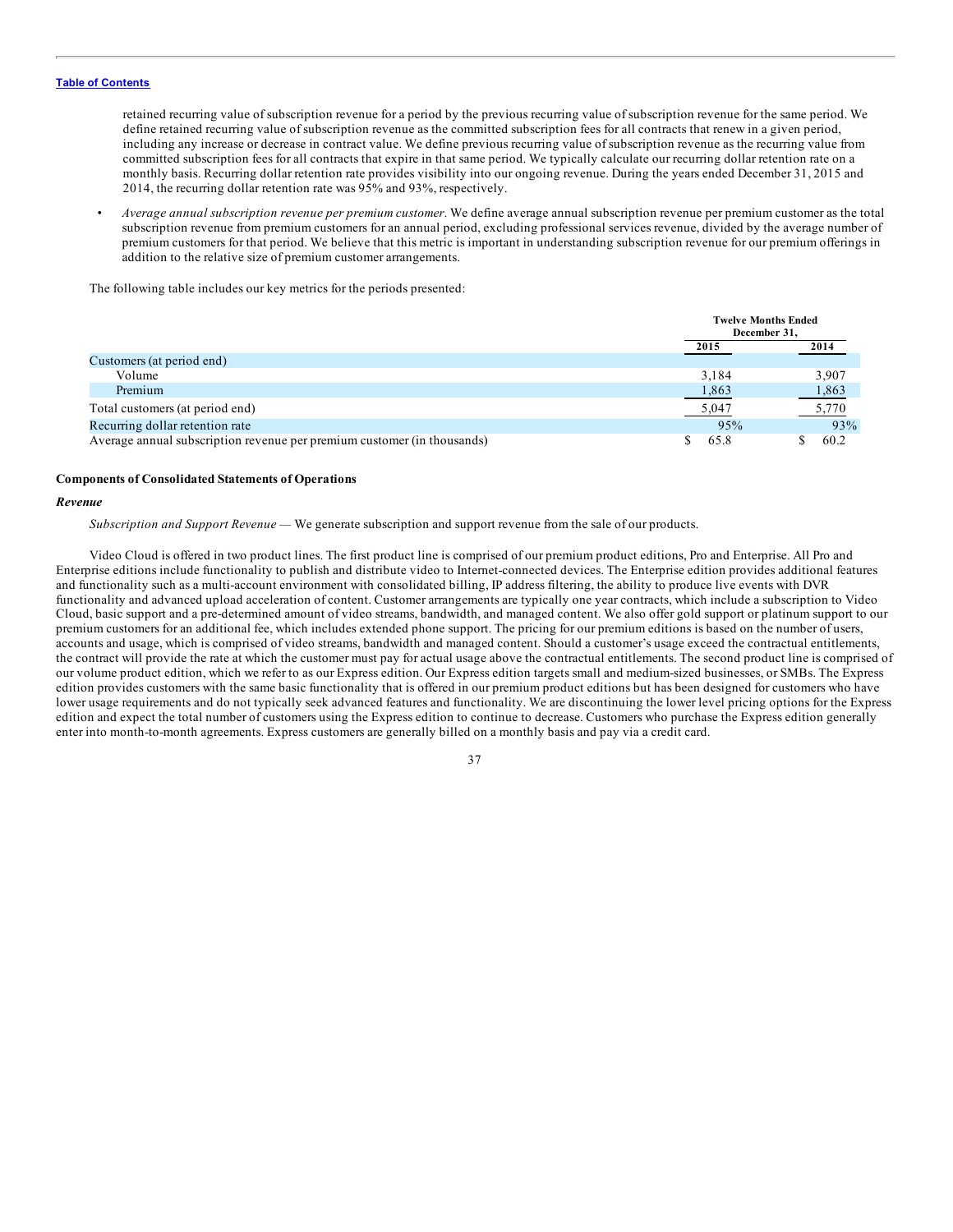retained recurring value of subscription revenue for a period by the previous recurring value of subscription revenue for the same period. We define retained recurring value of subscription revenue as the committed subscription fees for all contracts that renew in a given period, including any increase or decrease in contract value. We define previous recurring value of subscription revenue as the recurring value from committed subscription fees for all contracts that expire in that same period. We typically calculate our recurring dollar retention rate on a monthly basis. Recurring dollar retention rate provides visibility into our ongoing revenue. During the years ended December 31, 2015 and 2014, the recurring dollar retention rate was 95% and 93%, respectively.

• *Average annual subscription revenue per premium customer*. We define average annual subscription revenue per premium customer as the total subscription revenue from premium customers for an annual period, excluding professional services revenue, divided by the average number of premium customers for that period. We believe that this metric is important in understanding subscription revenue for our premium offerings in addition to the relative size of premium customer arrangements.

The following table includes our key metrics for the periods presented:

|                                                                         | <b>Twelve Months Ended</b><br>December 31. |       |
|-------------------------------------------------------------------------|--------------------------------------------|-------|
|                                                                         | 2015                                       | 2014  |
| Customers (at period end)                                               |                                            |       |
| Volume                                                                  | 3.184                                      | 3,907 |
| Premium                                                                 | 1,863                                      | 1,863 |
| Total customers (at period end)                                         | 5,047                                      | 5,770 |
| Recurring dollar retention rate                                         | 95%                                        | 93%   |
| Average annual subscription revenue per premium customer (in thousands) | 65.8                                       | 60.2  |

#### **Components of Consolidated Statements of Operations**

### *Revenue*

*Subscription and Support Revenue —* We generate subscription and support revenue from the sale of our products.

Video Cloud is offered in two product lines. The first product line is comprised of our premium product editions, Pro and Enterprise. All Pro and Enterprise editions include functionality to publish and distribute video to Internet-connected devices. The Enterprise edition provides additional features and functionality such as a multi-account environment with consolidated billing, IP address filtering, the ability to produce live events with DVR functionality and advanced upload acceleration of content. Customer arrangements are typically one year contracts, which include a subscription to Video Cloud, basic support and a pre-determined amount of video streams, bandwidth, and managed content. We also offer gold support or platinum support to our premium customers for an additional fee, which includes extended phone support. The pricing for our premium editions is based on the number of users, accounts and usage, which is comprised of video streams, bandwidth and managed content. Should a customer's usage exceed the contractual entitlements, the contract will provide the rate at which the customer must pay for actual usage above the contractual entitlements. The second product line is comprised of our volume product edition, which we refer to as our Express edition. Our Express edition targets small and medium-sized businesses, or SMBs. The Express edition provides customers with the same basic functionality that is offered in our premium product editions but has been designed for customers who have lower usage requirements and do not typically seek advanced features and functionality. We are discontinuing the lower level pricing options for the Express edition and expect the total number of customers using the Express edition to continue to decrease. Customers who purchase the Express edition generally enter into month-to-month agreements. Express customers are generally billed on a monthly basis and pay via a credit card.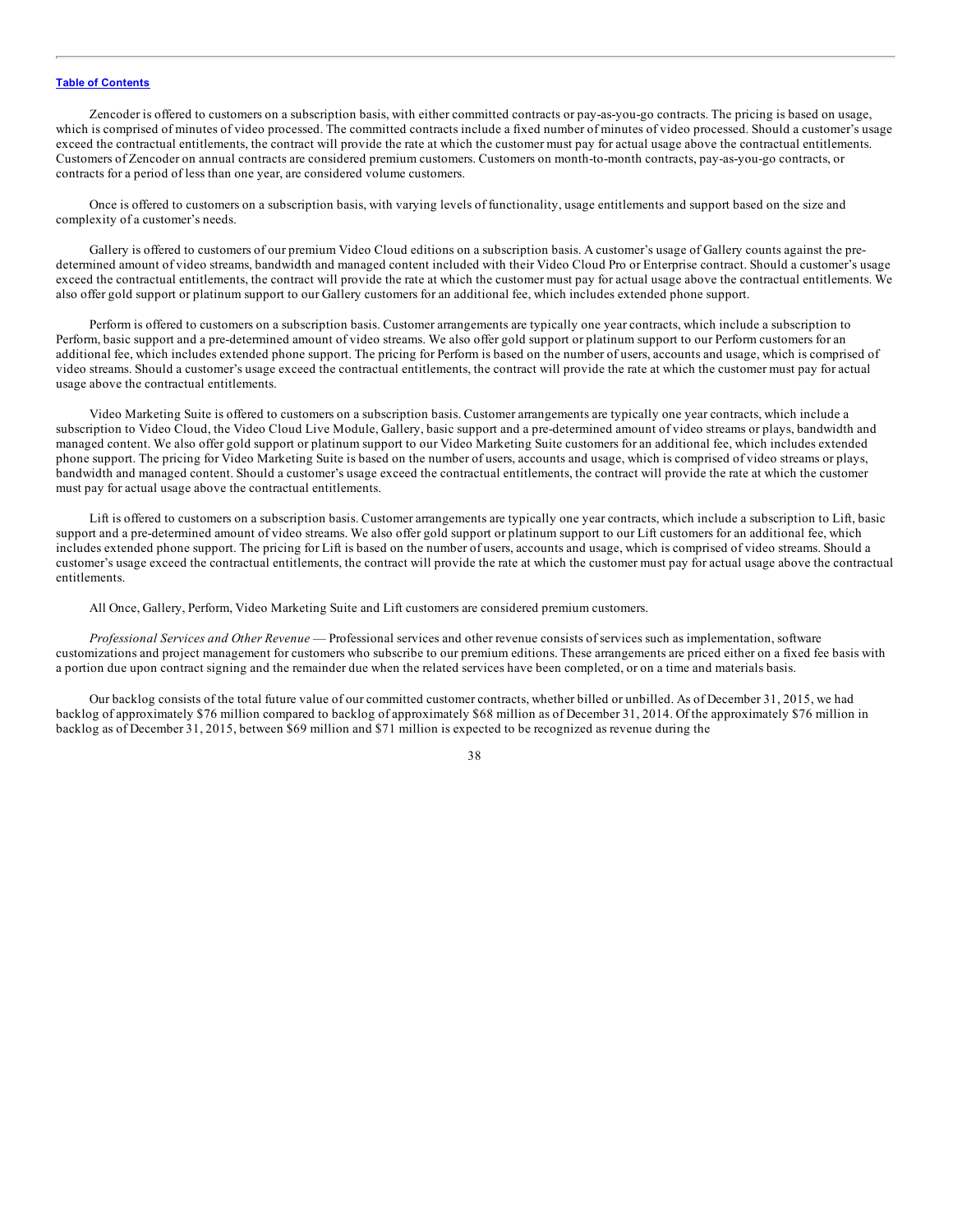Zencoder is offered to customers on a subscription basis, with either committed contracts or pay-as-you-go contracts. The pricing is based on usage, which is comprised of minutes of video processed. The committed contracts include a fixed number of minutes of video processed. Should a customer's usage exceed the contractual entitlements, the contract will provide the rate at which the customer must pay for actual usage above the contractual entitlements. Customers of Zencoder on annual contracts are considered premium customers. Customers on month-to-month contracts, pay-as-you-go contracts, or contracts for a period of less than one year, are considered volume customers.

Once is offered to customers on a subscription basis, with varying levels of functionality, usage entitlements and support based on the size and complexity of a customer's needs.

Gallery is offered to customers of our premium Video Cloud editions on a subscription basis. A customer's usage of Gallery counts against the predetermined amount of video streams, bandwidth and managed content included with their Video Cloud Pro or Enterprise contract. Should a customer's usage exceed the contractual entitlements, the contract will provide the rate at which the customer must pay for actual usage above the contractual entitlements. We also offer gold support or platinum support to our Gallery customers for an additional fee, which includes extended phone support.

Perform is offered to customers on a subscription basis. Customer arrangements are typically one year contracts, which include a subscription to Perform, basic support and a pre-determined amount of video streams. We also offer gold support or platinum support to our Perform customers for an additional fee, which includes extended phone support. The pricing for Perform is based on the number of users, accounts and usage, which is comprised of video streams. Should a customer's usage exceed the contractual entitlements, the contract will provide the rate at which the customer must pay for actual usage above the contractual entitlements.

Video Marketing Suite is offered to customers on a subscription basis. Customer arrangements are typically one year contracts, which include a subscription to Video Cloud, the Video Cloud Live Module, Gallery, basic support and a pre-determined amount of video streams or plays, bandwidth and managed content. We also offer gold support or platinum support to our Video Marketing Suite customers for an additional fee, which includes extended phone support. The pricing for Video Marketing Suite is based on the number of users, accounts and usage, which is comprised of video streams or plays, bandwidth and managed content. Should a customer's usage exceed the contractual entitlements, the contract will provide the rate at which the customer must pay for actual usage above the contractual entitlements.

Lift is offered to customers on a subscription basis. Customer arrangements are typically one year contracts, which include a subscription to Lift, basic support and a pre-determined amount of video streams. We also offer gold support or platinum support to our Lift customers for an additional fee, which includes extended phone support. The pricing for Lift is based on the number of users, accounts and usage, which is comprised of video streams. Should a customer's usage exceed the contractual entitlements, the contract will provide the rate at which the customer must pay for actual usage above the contractual entitlements.

All Once, Gallery, Perform, Video Marketing Suite and Lift customers are considered premium customers.

*Professional Services and Other Revenue* — Professional services and other revenue consists of services such as implementation, software customizations and project management for customers who subscribe to our premium editions. These arrangements are priced either on a fixed fee basis with a portion due upon contract signing and the remainder due when the related services have been completed, or on a time and materials basis.

Our backlog consists of the total future value of our committed customer contracts, whether billed or unbilled. As of December 31, 2015, we had backlog of approximately \$76 million compared to backlog of approximately \$68 million as of December 31, 2014. Of the approximately \$76 million in backlog as of December 31, 2015, between \$69 million and \$71 million is expected to be recognized as revenue during the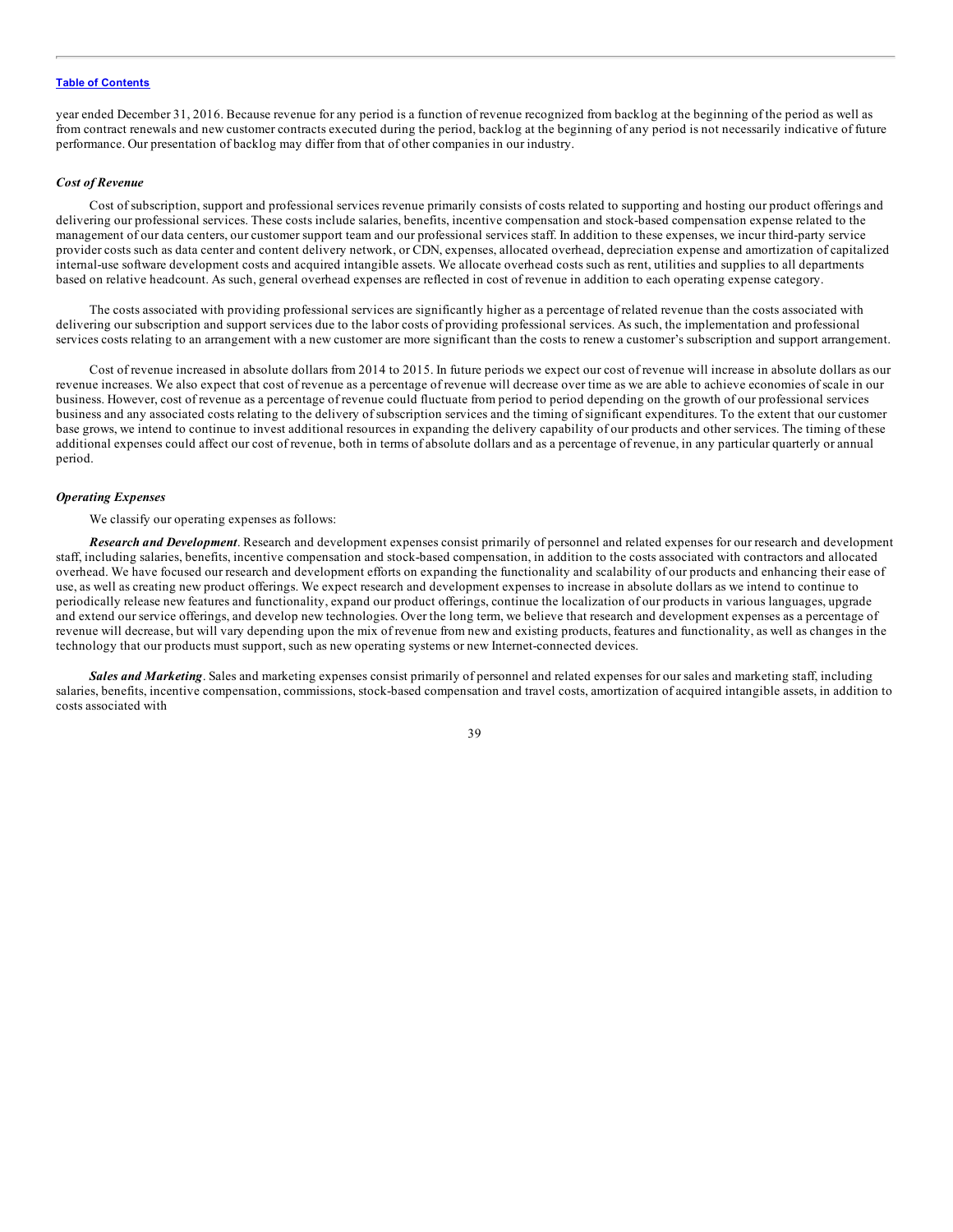year ended December 31, 2016. Because revenue for any period is a function of revenue recognized from backlog at the beginning of the period as well as from contract renewals and new customer contracts executed during the period, backlog at the beginning of any period is not necessarily indicative of future performance. Our presentation of backlog may differ from that of other companies in our industry.

## *Cost of Revenue*

Cost of subscription, support and professional services revenue primarily consists of costs related to supporting and hosting our product offerings and delivering our professional services. These costs include salaries, benefits, incentive compensation and stock-based compensation expense related to the management of our data centers, our customer support team and our professional services staff. In addition to these expenses, we incur third-party service provider costs such as data center and content delivery network, or CDN, expenses, allocated overhead, depreciation expense and amortization of capitalized internal-use software development costs and acquired intangible assets. We allocate overhead costs such as rent, utilities and supplies to all departments based on relative headcount. As such, general overhead expenses are reflected in cost of revenue in addition to each operating expense category.

The costs associated with providing professional services are significantly higher as a percentage of related revenue than the costs associated with delivering our subscription and support services due to the labor costs of providing professional services. As such, the implementation and professional services costs relating to an arrangement with a new customer are more significant than the costs to renew a customer's subscription and support arrangement.

Cost of revenue increased in absolute dollars from 2014 to 2015. In future periods we expect our cost of revenue will increase in absolute dollars as our revenue increases. We also expect that cost of revenue as a percentage of revenue will decrease over time as we are able to achieve economies of scale in our business. However, cost of revenue as a percentage of revenue could fluctuate from period to period depending on the growth of our professional services business and any associated costs relating to the delivery of subscription services and the timing of significant expenditures. To the extent that our customer base grows, we intend to continue to invest additional resources in expanding the delivery capability of our products and other services. The timing of these additional expenses could affect our cost of revenue, both in terms of absolute dollars and as a percentage of revenue, in any particular quarterly or annual period.

## *Operating Expenses*

We classify our operating expenses as follows:

*Research and Development*. Research and development expenses consist primarily of personnel and related expenses for our research and development staff, including salaries, benefits, incentive compensation and stock-based compensation, in addition to the costs associated with contractors and allocated overhead. We have focused our research and development efforts on expanding the functionality and scalability of our products and enhancing their ease of use, as well as creating new product offerings. We expect research and development expenses to increase in absolute dollars as we intend to continue to periodically release new features and functionality, expand our product offerings, continue the localization of our products in various languages, upgrade and extend our service offerings, and develop new technologies. Over the long term, we believe that research and development expenses as a percentage of revenue will decrease, but will vary depending upon the mix of revenue from new and existing products, features and functionality, as well as changes in the technology that our products must support, such as new operating systems or new Internet-connected devices.

*Sales and Marketing*. Sales and marketing expenses consist primarily of personnel and related expenses for our sales and marketing staff, including salaries, benefits, incentive compensation, commissions, stock-based compensation and travel costs, amortization of acquired intangible assets, in addition to costs associated with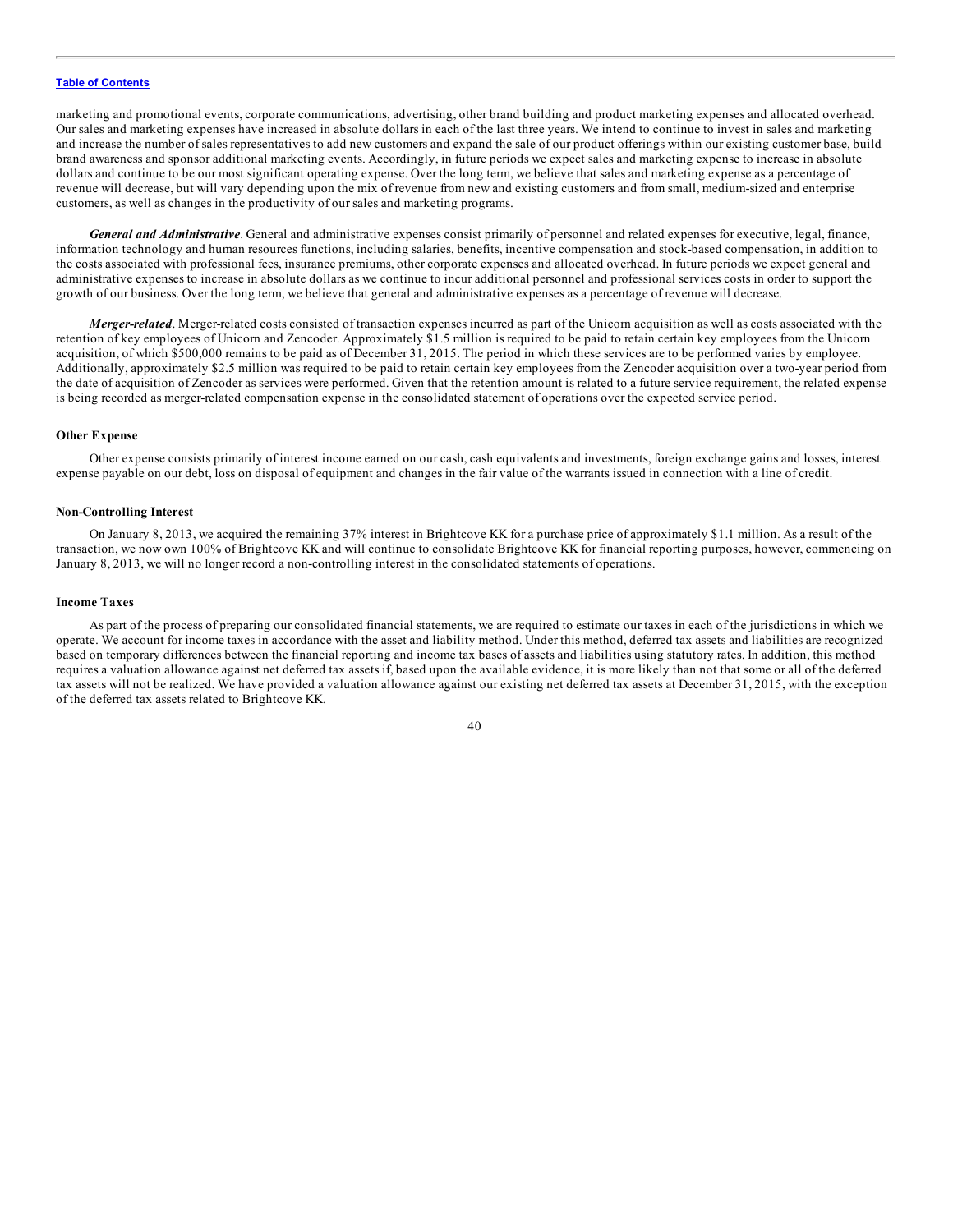marketing and promotional events, corporate communications, advertising, other brand building and product marketing expenses and allocated overhead. Our sales and marketing expenses have increased in absolute dollars in each of the last three years. We intend to continue to invest in sales and marketing and increase the number of sales representatives to add new customers and expand the sale of our product offerings within our existing customer base, build brand awareness and sponsor additional marketing events. Accordingly, in future periods we expect sales and marketing expense to increase in absolute dollars and continue to be our most significant operating expense. Over the long term, we believe that sales and marketing expense as a percentage of revenue will decrease, but will vary depending upon the mix of revenue from new and existing customers and from small, medium-sized and enterprise customers, as well as changes in the productivity of our sales and marketing programs.

*General and Administrative*. General and administrative expenses consist primarily of personnel and related expenses for executive, legal, finance, information technology and human resources functions, including salaries, benefits, incentive compensation and stock-based compensation, in addition to the costs associated with professional fees, insurance premiums, other corporate expenses and allocated overhead. In future periods we expect general and administrative expenses to increase in absolute dollars as we continue to incur additional personnel and professional services costs in order to support the growth of our business. Over the long term, we believe that general and administrative expenses as a percentage of revenue will decrease.

*Merger-related*. Merger-related costs consisted of transaction expenses incurred as part of the Unicorn acquisition as well as costs associated with the retention of key employees of Unicorn and Zencoder. Approximately \$1.5 million is required to be paid to retain certain key employees from the Unicorn acquisition, of which \$500,000 remains to be paid as of December 31, 2015. The period in which these services are to be performed varies by employee. Additionally, approximately \$2.5 million was required to be paid to retain certain key employees from the Zencoder acquisition over a two-year period from the date of acquisition of Zencoder as services were performed. Given that the retention amount is related to a future service requirement, the related expense is being recorded as merger-related compensation expense in the consolidated statement of operations over the expected service period.

## **Other Expense**

Other expense consists primarily of interest income earned on our cash, cash equivalents and investments, foreign exchange gains and losses, interest expense payable on our debt, loss on disposal of equipment and changes in the fair value of the warrants issued in connection with a line of credit.

## **Non-Controlling Interest**

On January 8, 2013, we acquired the remaining 37% interest in Brightcove KK for a purchase price of approximately \$1.1 million. As a result of the transaction, we now own 100% of Brightcove KK and will continue to consolidate Brightcove KK for financial reporting purposes, however, commencing on January 8, 2013, we will no longer record a non-controlling interest in the consolidated statements of operations.

#### **Income Taxes**

As part of the process of preparing our consolidated financial statements, we are required to estimate our taxes in each of the jurisdictions in which we operate. We account for income taxes in accordance with the asset and liability method. Under this method, deferred tax assets and liabilities are recognized based on temporary differences between the financial reporting and income tax bases of assets and liabilities using statutory rates. In addition, this method requires a valuation allowance against net deferred tax assets if, based upon the available evidence, it is more likely than not that some or all of the deferred tax assets will not be realized. We have provided a valuation allowance against our existing net deferred tax assets at December 31, 2015, with the exception of the deferred tax assets related to Brightcove KK.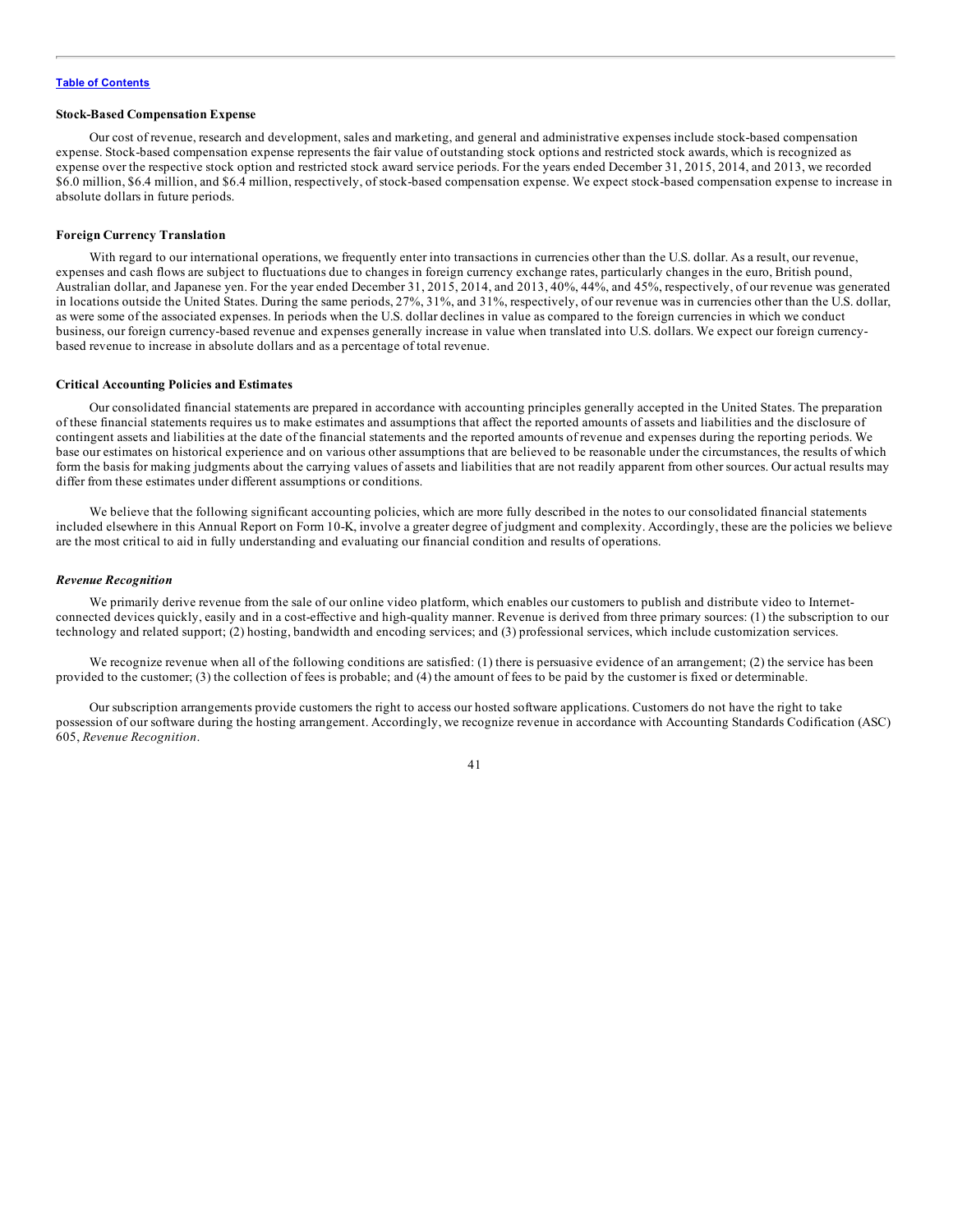## **Stock-Based Compensation Expense**

Our cost of revenue, research and development, sales and marketing, and general and administrative expenses include stock-based compensation expense. Stock-based compensation expense represents the fair value of outstanding stock options and restricted stock awards, which is recognized as expense over the respective stock option and restricted stock award service periods. For the years ended December 31, 2015, 2014, and 2013, we recorded \$6.0 million, \$6.4 million, and \$6.4 million, respectively, of stock-based compensation expense. We expect stock-based compensation expense to increase in absolute dollars in future periods.

### **Foreign Currency Translation**

With regard to our international operations, we frequently enter into transactions in currencies other than the U.S. dollar. As a result, our revenue, expenses and cash flows are subject to fluctuations due to changes in foreign currency exchange rates, particularly changes in the euro, British pound, Australian dollar, and Japanese yen. For the year ended December 31, 2015, 2014, and 2013, 40%, 44%, and 45%, respectively, of our revenue was generated in locations outside the United States. During the same periods, 27%, 31%, and 31%, respectively, of our revenue was in currencies other than the U.S. dollar, as were some of the associated expenses. In periods when the U.S. dollar declines in value as compared to the foreign currencies in which we conduct business, our foreign currency-based revenue and expenses generally increase in value when translated into U.S. dollars. We expect our foreign currencybased revenue to increase in absolute dollars and as a percentage of total revenue.

#### **Critical Accounting Policies and Estimates**

Our consolidated financial statements are prepared in accordance with accounting principles generally accepted in the United States. The preparation of these financial statements requires us to make estimates and assumptions that affect the reported amounts of assets and liabilities and the disclosure of contingent assets and liabilities at the date of the financial statements and the reported amounts of revenue and expenses during the reporting periods. We base our estimates on historical experience and on various other assumptions that are believed to be reasonable under the circumstances, the results of which form the basis for making judgments about the carrying values of assets and liabilities that are not readily apparent from other sources. Our actual results may differ from these estimates under different assumptions or conditions.

We believe that the following significant accounting policies, which are more fully described in the notes to our consolidated financial statements included elsewhere in this Annual Report on Form 10-K, involve a greater degree of judgment and complexity. Accordingly, these are the policies we believe are the most critical to aid in fully understanding and evaluating our financial condition and results of operations.

#### *Revenue Recognition*

We primarily derive revenue from the sale of our online video platform, which enables our customers to publish and distribute video to Internetconnected devices quickly, easily and in a cost-effective and high-quality manner. Revenue is derived from three primary sources: (1) the subscription to our technology and related support; (2) hosting, bandwidth and encoding services; and (3) professional services, which include customization services.

We recognize revenue when all of the following conditions are satisfied: (1) there is persuasive evidence of an arrangement; (2) the service has been provided to the customer; (3) the collection of fees is probable; and (4) the amount of fees to be paid by the customer is fixed or determinable.

Our subscription arrangements provide customers the right to access our hosted software applications. Customers do not have the right to take possession of our software during the hosting arrangement. Accordingly, we recognize revenue in accordance with Accounting Standards Codification (ASC) 605, *Revenue Recognition*.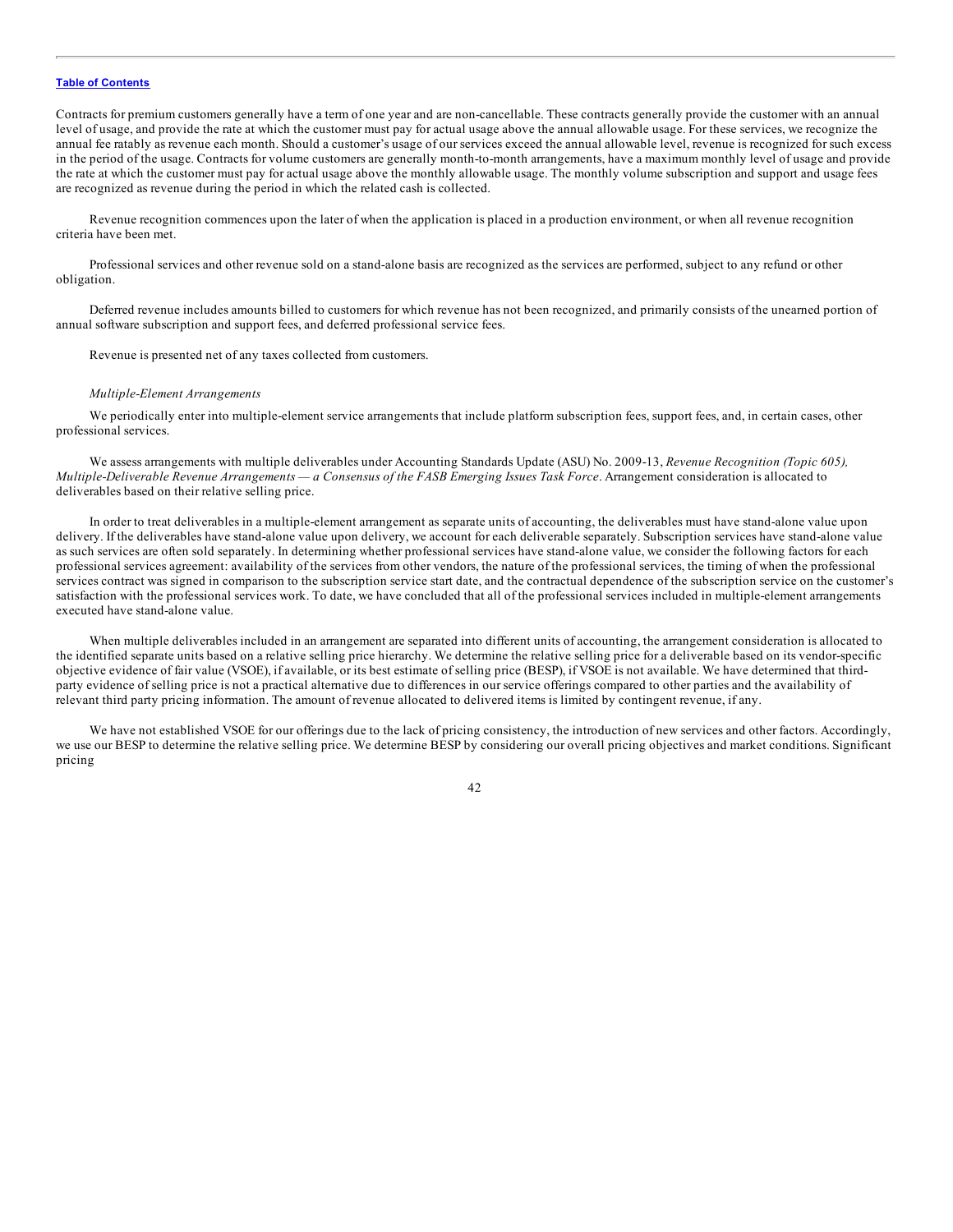Contracts for premium customers generally have a term of one year and are non-cancellable. These contracts generally provide the customer with an annual level of usage, and provide the rate at which the customer must pay for actual usage above the annual allowable usage. For these services, we recognize the annual fee ratably as revenue each month. Should a customer's usage of our services exceed the annual allowable level, revenue is recognized for such excess in the period of the usage. Contracts for volume customers are generally month-to-month arrangements, have a maximum monthly level of usage and provide the rate at which the customer must pay for actual usage above the monthly allowable usage. The monthly volume subscription and support and usage fees are recognized as revenue during the period in which the related cash is collected.

Revenue recognition commences upon the later of when the application is placed in a production environment, or when all revenue recognition criteria have been met.

Professional services and other revenue sold on a stand-alone basis are recognized as the services are performed, subject to any refund or other obligation.

Deferred revenue includes amounts billed to customers for which revenue has not been recognized, and primarily consists of the unearned portion of annual software subscription and support fees, and deferred professional service fees.

Revenue is presented net of any taxes collected from customers.

## *Multiple-Element Arrangements*

We periodically enter into multiple-element service arrangements that include platform subscription fees, support fees, and, in certain cases, other professional services.

We assess arrangements with multiple deliverables under Accounting Standards Update (ASU) No. 2009-13, *Revenue Recognition (Topic 605),* Multiple-Deliverable Revenue Arrangements - a Consensus of the FASB Emerging Issues Task Force. Arrangement consideration is allocated to deliverables based on their relative selling price.

In order to treat deliverables in a multiple-element arrangement as separate units of accounting, the deliverables must have stand-alone value upon delivery. If the deliverables have stand-alone value upon delivery, we account for each deliverable separately. Subscription services have stand-alone value as such services are often sold separately. In determining whether professional services have stand-alone value, we consider the following factors for each professional services agreement: availability of the services from other vendors, the nature of the professional services, the timing of when the professional services contract was signed in comparison to the subscription service start date, and the contractual dependence of the subscription service on the customer's satisfaction with the professional services work. To date, we have concluded that all of the professional services included in multiple-element arrangements executed have stand-alone value.

When multiple deliverables included in an arrangement are separated into different units of accounting, the arrangement consideration is allocated to the identified separate units based on a relative selling price hierarchy. We determine the relative selling price for a deliverable based on its vendor-specific objective evidence of fair value (VSOE), if available, or its best estimate of selling price (BESP), if VSOE is not available. We have determined that thirdparty evidence of selling price is not a practical alternative due to differences in our service offerings compared to other parties and the availability of relevant third party pricing information. The amount of revenue allocated to delivered items is limited by contingent revenue, if any.

We have not established VSOE for our offerings due to the lack of pricing consistency, the introduction of new services and other factors. Accordingly, we use our BESP to determine the relative selling price. We determine BESP by considering our overall pricing objectives and market conditions. Significant pricing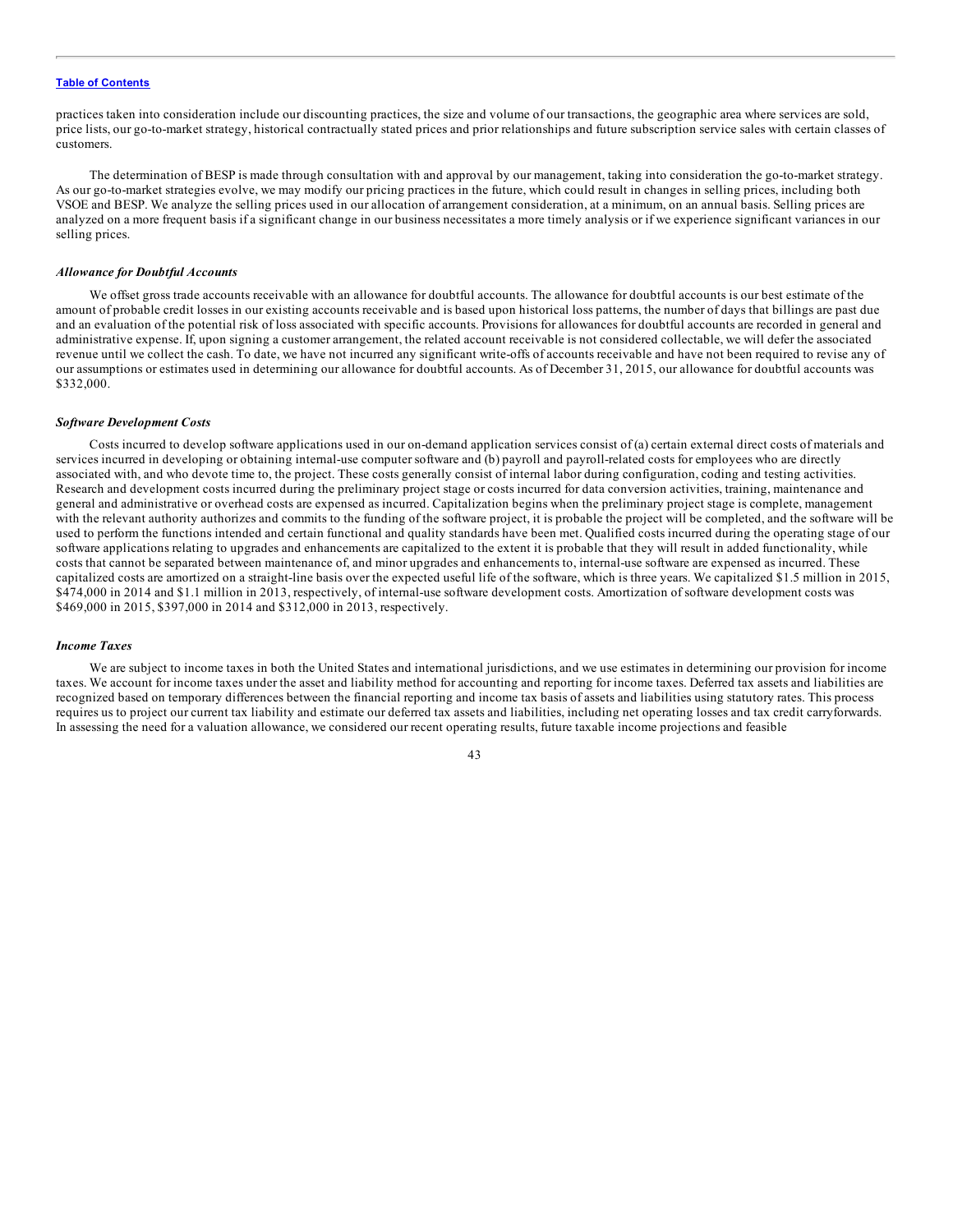practices taken into consideration include our discounting practices, the size and volume of our transactions, the geographic area where services are sold, price lists, our go-to-market strategy, historical contractually stated prices and prior relationships and future subscription service sales with certain classes of customers.

The determination of BESP is made through consultation with and approval by our management, taking into consideration the go-to-market strategy. As our go-to-market strategies evolve, we may modify our pricing practices in the future, which could result in changes in selling prices, including both VSOE and BESP. We analyze the selling prices used in our allocation of arrangement consideration, at a minimum, on an annual basis. Selling prices are analyzed on a more frequent basis if a significant change in our business necessitates a more timely analysis or if we experience significant variances in our selling prices.

## *Allowance for Doubtful Accounts*

We offset gross trade accounts receivable with an allowance for doubtful accounts. The allowance for doubtful accounts is our best estimate of the amount of probable credit losses in our existing accounts receivable and is based upon historical loss patterns, the number of days that billings are past due and an evaluation of the potential risk of loss associated with specific accounts. Provisions for allowances for doubtful accounts are recorded in general and administrative expense. If, upon signing a customer arrangement, the related account receivable is not considered collectable, we will defer the associated revenue until we collect the cash. To date, we have not incurred any significant write-offs of accounts receivable and have not been required to revise any of our assumptions or estimates used in determining our allowance for doubtful accounts. As of December 31, 2015, our allowance for doubtful accounts was \$332,000.

#### *Software Development Costs*

Costs incurred to develop software applications used in our on-demand application services consist of (a) certain external direct costs of materials and services incurred in developing or obtaining internal-use computer software and (b) payroll and payroll-related costs for employees who are directly associated with, and who devote time to, the project. These costs generally consist of internal labor during configuration, coding and testing activities. Research and development costs incurred during the preliminary project stage or costs incurred for data conversion activities, training, maintenance and general and administrative or overhead costs are expensed as incurred. Capitalization begins when the preliminary project stage is complete, management with the relevant authority authorizes and commits to the funding of the software project, it is probable the project will be completed, and the software will be used to perform the functions intended and certain functional and quality standards have been met. Qualified costs incurred during the operating stage of our software applications relating to upgrades and enhancements are capitalized to the extent it is probable that they will result in added functionality, while costs that cannot be separated between maintenance of, and minor upgrades and enhancements to, internal-use software are expensed as incurred. These capitalized costs are amortized on a straight-line basis over the expected useful life of the software, which is three years. We capitalized \$1.5 million in 2015, \$474,000 in 2014 and \$1.1 million in 2013, respectively, of internal-use software development costs. Amortization of software development costs was \$469,000 in 2015, \$397,000 in 2014 and \$312,000 in 2013, respectively.

## *Income Taxes*

We are subject to income taxes in both the United States and international jurisdictions, and we use estimates in determining our provision for income taxes. We account for income taxes under the asset and liability method for accounting and reporting for income taxes. Deferred tax assets and liabilities are recognized based on temporary differences between the financial reporting and income tax basis of assets and liabilities using statutory rates. This process requires us to project our current tax liability and estimate our deferred tax assets and liabilities, including net operating losses and tax credit carryforwards. In assessing the need for a valuation allowance, we considered our recent operating results, future taxable income projections and feasible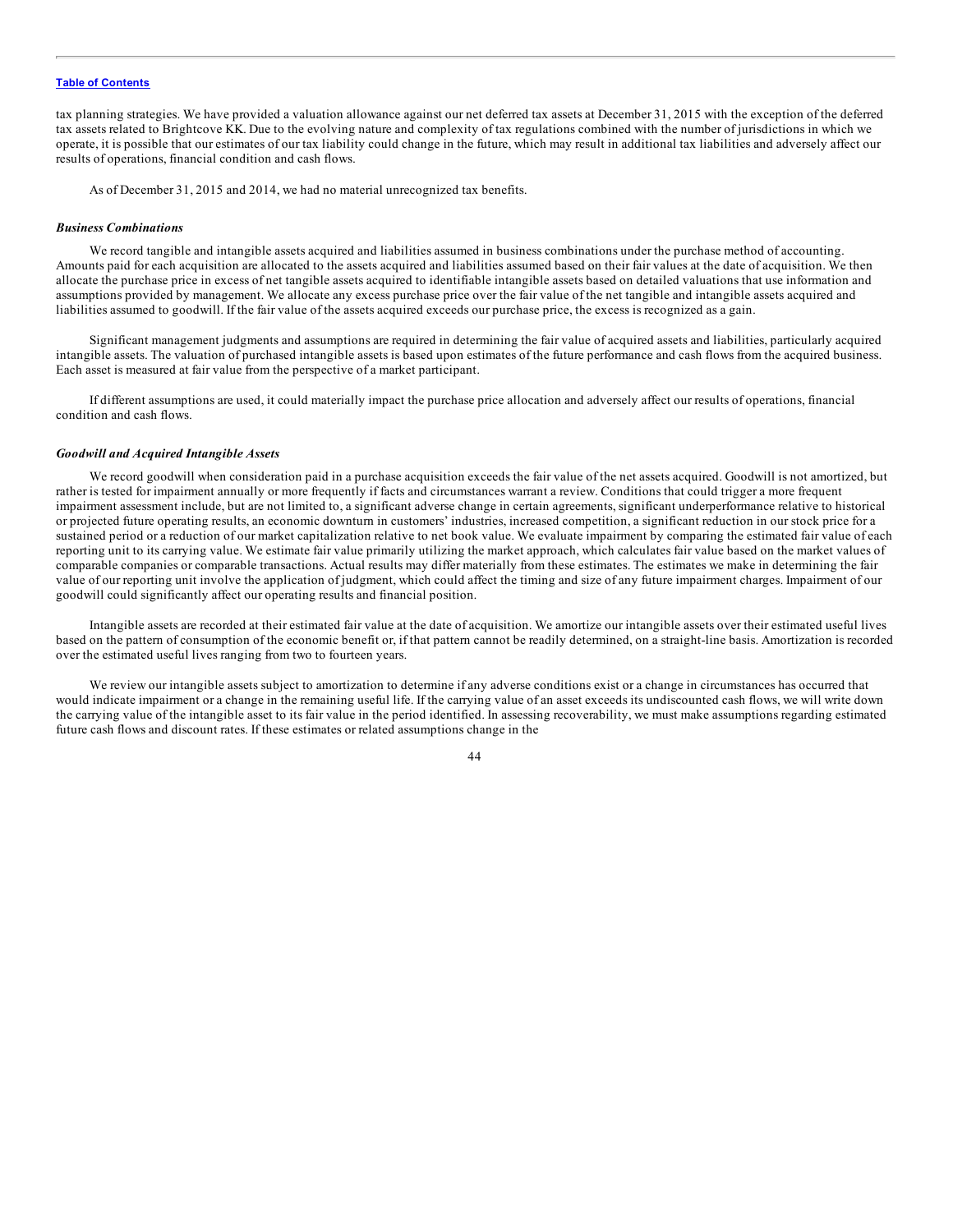tax planning strategies. We have provided a valuation allowance against our net deferred tax assets at December 31, 2015 with the exception of the deferred tax assets related to Brightcove KK. Due to the evolving nature and complexity of tax regulations combined with the number of jurisdictions in which we operate, it is possible that our estimates of our tax liability could change in the future, which may result in additional tax liabilities and adversely affect our results of operations, financial condition and cash flows.

As of December 31, 2015 and 2014, we had no material unrecognized tax benefits.

#### *Business Combinations*

We record tangible and intangible assets acquired and liabilities assumed in business combinations under the purchase method of accounting. Amounts paid for each acquisition are allocated to the assets acquired and liabilities assumed based on their fair values at the date of acquisition. We then allocate the purchase price in excess of net tangible assets acquired to identifiable intangible assets based on detailed valuations that use information and assumptions provided by management. We allocate any excess purchase price over the fair value of the net tangible and intangible assets acquired and liabilities assumed to goodwill. If the fair value of the assets acquired exceeds our purchase price, the excess is recognized as a gain.

Significant management judgments and assumptions are required in determining the fair value of acquired assets and liabilities, particularly acquired intangible assets. The valuation of purchased intangible assets is based upon estimates of the future performance and cash flows from the acquired business. Each asset is measured at fair value from the perspective of a market participant.

If different assumptions are used, it could materially impact the purchase price allocation and adversely affect our results of operations, financial condition and cash flows.

# *Goodwill and Acquired Intangible Assets*

We record goodwill when consideration paid in a purchase acquisition exceeds the fair value of the net assets acquired. Goodwill is not amortized, but rather is tested for impairment annually or more frequently if facts and circumstances warrant a review. Conditions that could trigger a more frequent impairment assessment include, but are not limited to, a significant adverse change in certain agreements, significant underperformance relative to historical or projected future operating results, an economic downturn in customers' industries, increased competition, a significant reduction in our stock price for a sustained period or a reduction of our market capitalization relative to net book value. We evaluate impairment by comparing the estimated fair value of each reporting unit to its carrying value. We estimate fair value primarily utilizing the market approach, which calculates fair value based on the market values of comparable companies or comparable transactions. Actual results may differ materially from these estimates. The estimates we make in determining the fair value of our reporting unit involve the application of judgment, which could affect the timing and size of any future impairment charges. Impairment of our goodwill could significantly affect our operating results and financial position.

Intangible assets are recorded at their estimated fair value at the date of acquisition. We amortize our intangible assets over their estimated useful lives based on the pattern of consumption of the economic benefit or, if that pattern cannot be readily determined, on a straight-line basis. Amortization is recorded over the estimated useful lives ranging from two to fourteen years.

We review our intangible assets subject to amortization to determine if any adverse conditions exist or a change in circumstances has occurred that would indicate impairment or a change in the remaining useful life. If the carrying value of an asset exceeds its undiscounted cash flows, we will write down the carrying value of the intangible asset to its fair value in the period identified. In assessing recoverability, we must make assumptions regarding estimated future cash flows and discount rates. If these estimates or related assumptions change in the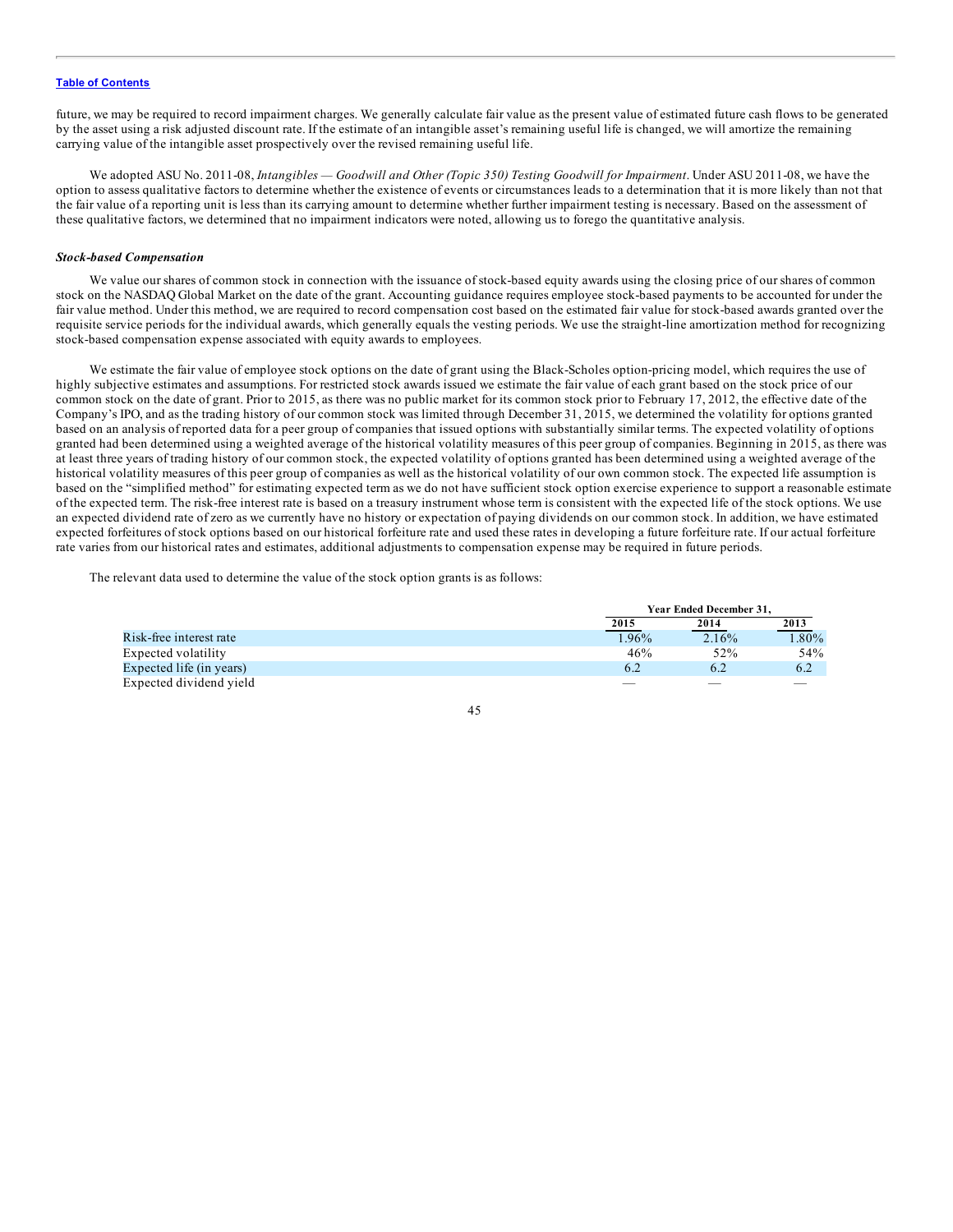future, we may be required to record impairment charges. We generally calculate fair value as the present value of estimated future cash flows to be generated by the asset using a risk adjusted discount rate. If the estimate of an intangible asset's remaining useful life is changed, we will amortize the remaining carrying value of the intangible asset prospectively over the revised remaining useful life.

We adopted ASU No. 2011-08, *Intangibles — Goodwill and Other (Topic 350) Testing Goodwill for Impairment*. Under ASU 2011-08, we have the option to assess qualitative factors to determine whether the existence of events or circumstances leads to a determination that it is more likely than not that the fair value of a reporting unit is less than its carrying amount to determine whether further impairment testing is necessary. Based on the assessment of these qualitative factors, we determined that no impairment indicators were noted, allowing us to forego the quantitative analysis.

## *Stock-based Compensation*

We value our shares of common stock in connection with the issuance of stock-based equity awards using the closing price of our shares of common stock on the NASDAQ Global Market on the date of the grant. Accounting guidance requires employee stock-based payments to be accounted for under the fair value method. Under this method, we are required to record compensation cost based on the estimated fair value for stock-based awards granted over the requisite service periods for the individual awards, which generally equals the vesting periods. We use the straight-line amortization method for recognizing stock-based compensation expense associated with equity awards to employees.

We estimate the fair value of employee stock options on the date of grant using the Black-Scholes option-pricing model, which requires the use of highly subjective estimates and assumptions. For restricted stock awards issued we estimate the fair value of each grant based on the stock price of our common stock on the date of grant. Prior to 2015, as there was no public market for its common stock prior to February 17, 2012, the effective date of the Company's IPO, and as the trading history of our common stock was limited through December 31, 2015, we determined the volatility for options granted based on an analysis of reported data for a peer group of companies that issued options with substantially similar terms. The expected volatility of options granted had been determined using a weighted average of the historical volatility measures of this peer group of companies. Beginning in 2015, as there was at least three years of trading history of our common stock, the expected volatility of options granted has been determined using a weighted average of the historical volatility measures of this peer group of companies as well as the historical volatility of our own common stock. The expected life assumption is based on the "simplified method" for estimating expected term as we do not have sufficient stock option exercise experience to support a reasonable estimate of the expected term. The risk-free interest rate is based on a treasury instrument whose term is consistent with the expected life of the stock options. We use an expected dividend rate of zero as we currently have no history or expectation of paying dividends on our common stock. In addition, we have estimated expected forfeitures of stock options based on our historical forfeiture rate and used these rates in developing a future forfeiture rate. If our actual forfeiture rate varies from our historical rates and estimates, additional adjustments to compensation expense may be required in future periods.

The relevant data used to determine the value of the stock option grants is as follows:

|                          |       | Year Ended December 31. |          |  |
|--------------------------|-------|-------------------------|----------|--|
|                          | 2015  | 2014                    | 2013     |  |
| Risk-free interest rate  | 1.96% | 2.16%                   | $1.80\%$ |  |
| Expected volatility      | 46%   | 52%                     | 54%      |  |
| Expected life (in years) | 6.2   |                         | 6.2      |  |
| Expected dividend yield  |       |                         |          |  |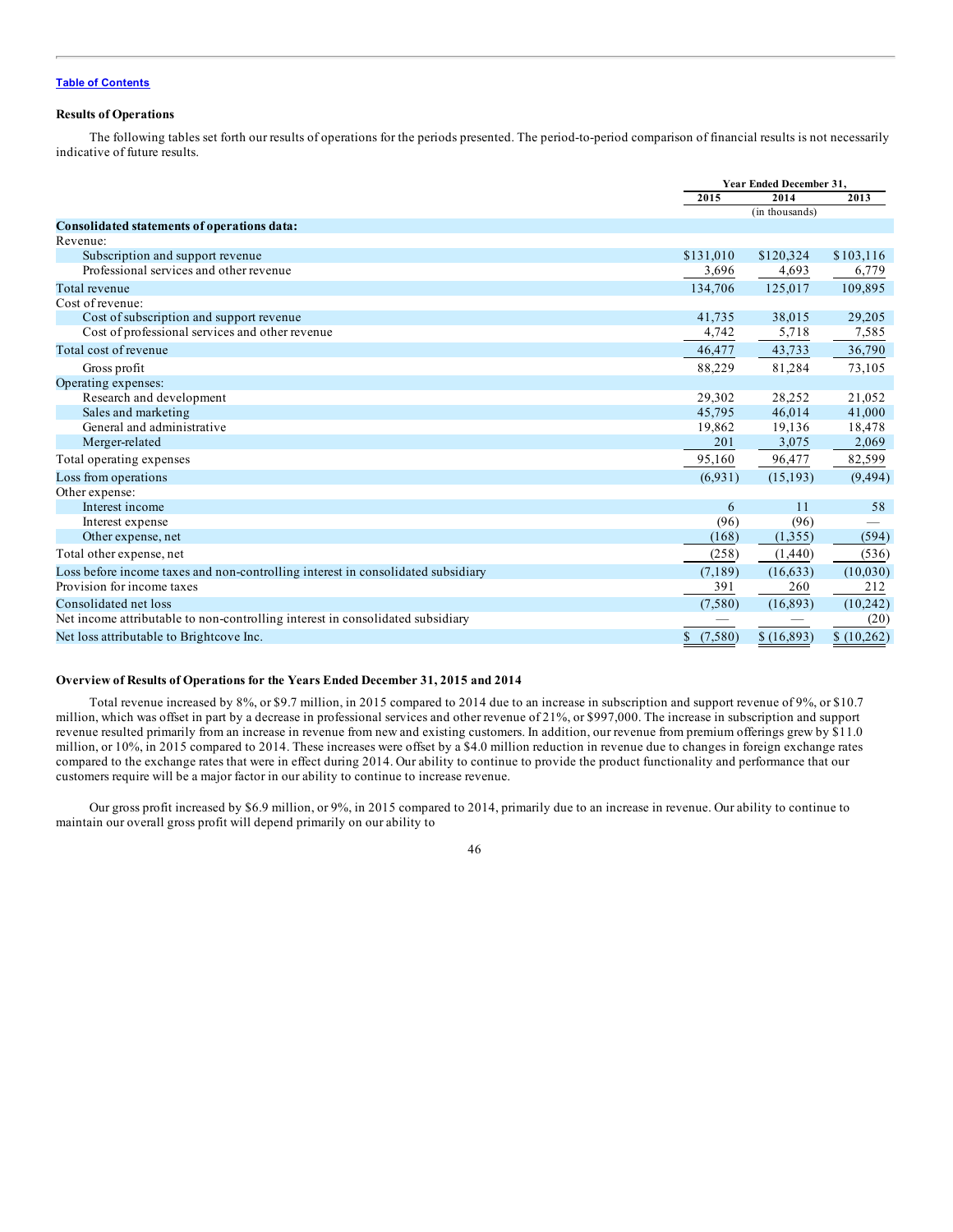# **Results of Operations**

The following tables set forth our results of operations for the periods presented. The period-to-period comparison of financial results is not necessarily indicative of future results.

|                                                                                  |                         | Year Ended December 31, |            |
|----------------------------------------------------------------------------------|-------------------------|-------------------------|------------|
|                                                                                  | 2015                    | 2014                    | 2013       |
|                                                                                  |                         | (in thousands)          |            |
| Consolidated statements of operations data:                                      |                         |                         |            |
| Revenue:                                                                         |                         |                         |            |
| Subscription and support revenue                                                 | \$131,010               | \$120,324               | \$103,116  |
| Professional services and other revenue                                          | 3,696                   | 4,693                   | 6,779      |
| Total revenue                                                                    | 134,706                 | 125,017                 | 109,895    |
| Cost of revenue:                                                                 |                         |                         |            |
| Cost of subscription and support revenue                                         | 41,735                  | 38,015                  | 29,205     |
| Cost of professional services and other revenue                                  | 4,742                   | 5,718                   | 7,585      |
| Total cost of revenue                                                            | 46,477                  | 43,733                  | 36,790     |
| Gross profit                                                                     | 88,229                  | 81,284                  | 73,105     |
| Operating expenses:                                                              |                         |                         |            |
| Research and development                                                         | 29,302                  | 28,252                  | 21,052     |
| Sales and marketing                                                              | 45,795                  | 46,014                  | 41,000     |
| General and administrative                                                       | 19,862                  | 19,136                  | 18,478     |
| Merger-related                                                                   | 201                     | 3,075                   | 2,069      |
| Total operating expenses                                                         | 95,160                  | 96,477                  | 82,599     |
| Loss from operations                                                             | (6.931)                 | (15, 193)               | (9, 494)   |
| Other expense:                                                                   |                         |                         |            |
| Interest income                                                                  | 6                       | 11                      | 58         |
| Interest expense                                                                 | (96)                    | (96)                    |            |
| Other expense, net                                                               | (168)                   | (1,355)                 | (594)      |
| Total other expense, net                                                         | (258)                   | (1,440)                 | (536)      |
| Loss before income taxes and non-controlling interest in consolidated subsidiary | (7,189)                 | (16, 633)               | (10,030)   |
| Provision for income taxes                                                       | 391                     | 260                     | 212        |
| Consolidated net loss                                                            | (7,580)                 | (16, 893)               | (10,242)   |
| Net income attributable to non-controlling interest in consolidated subsidiary   |                         |                         | (20)       |
| Net loss attributable to Brightcove Inc.                                         | (7,580)<br>$\mathbb{S}$ | \$(16,893)              | \$(10,262) |

## **Overview of Results of Operations for the Years Ended December 31, 2015 and 2014**

Total revenue increased by 8%, or \$9.7 million, in 2015 compared to 2014 due to an increase in subscription and support revenue of 9%, or \$10.7 million, which was offset in part by a decrease in professional services and other revenue of 21%, or \$997,000. The increase in subscription and support revenue resulted primarily from an increase in revenue from new and existing customers. In addition, our revenue from premium offerings grew by \$11.0 million, or 10%, in 2015 compared to 2014. These increases were offset by a \$4.0 million reduction in revenue due to changes in foreign exchange rates compared to the exchange rates that were in effect during 2014. Our ability to continue to provide the product functionality and performance that our customers require will be a major factor in our ability to continue to increase revenue.

Our gross profit increased by \$6.9 million, or 9%, in 2015 compared to 2014, primarily due to an increase in revenue. Our ability to continue to maintain our overall gross profit will depend primarily on our ability to

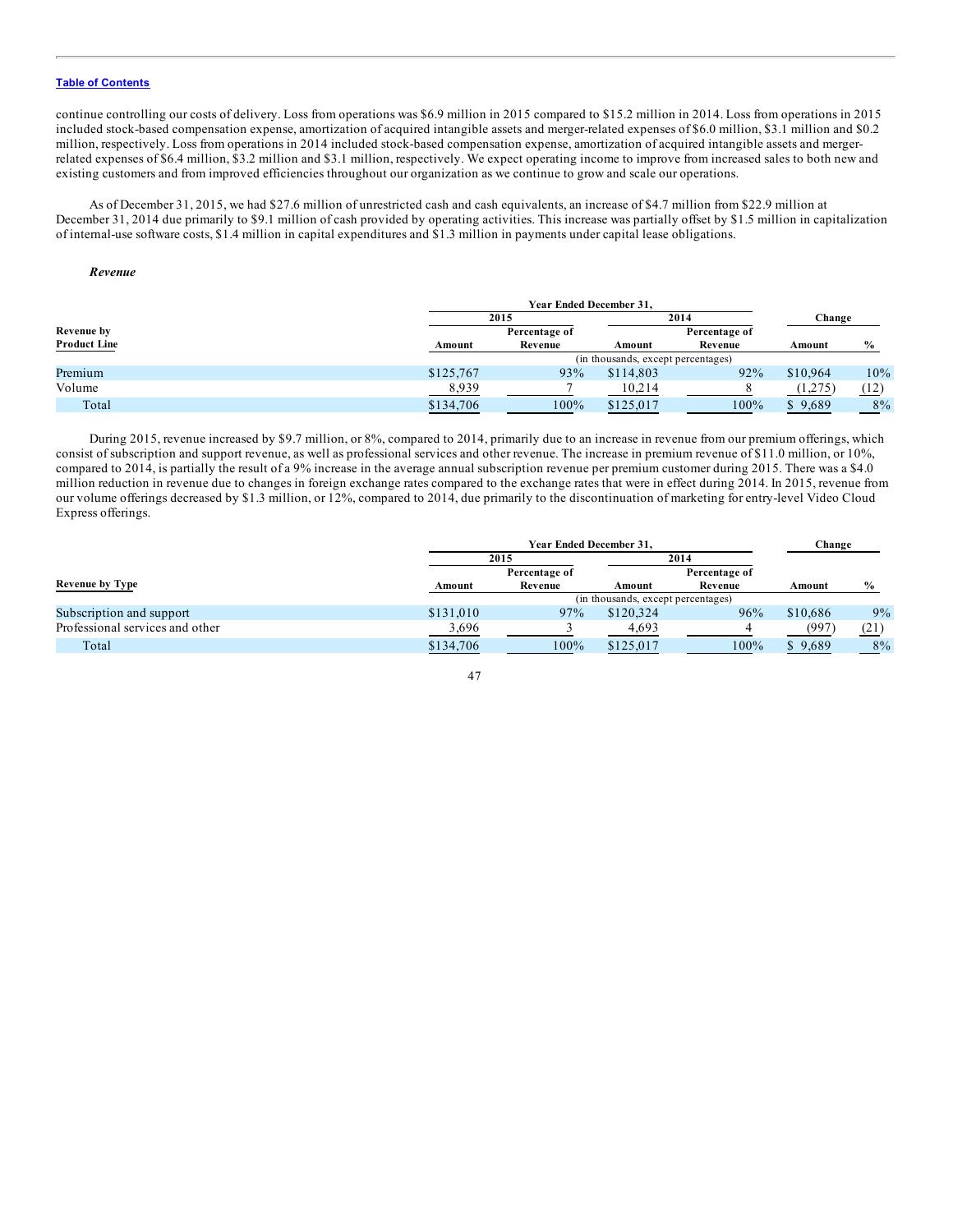continue controlling our costs of delivery. Loss from operations was \$6.9 million in 2015 compared to \$15.2 million in 2014. Loss from operations in 2015 included stock-based compensation expense, amortization of acquired intangible assets and merger-related expenses of \$6.0 million, \$3.1 million and \$0.2 million, respectively. Loss from operations in 2014 included stock-based compensation expense, amortization of acquired intangible assets and mergerrelated expenses of \$6.4 million, \$3.2 million and \$3.1 million, respectively. We expect operating income to improve from increased sales to both new and existing customers and from improved efficiencies throughout our organization as we continue to grow and scale our operations.

As of December 31, 2015, we had \$27.6 million of unrestricted cash and cash equivalents, an increase of \$4.7 million from \$22.9 million at December 31, 2014 due primarily to \$9.1 million of cash provided by operating activities. This increase was partially offset by \$1.5 million in capitalization of internal-use software costs, \$1.4 million in capital expenditures and \$1.3 million in payments under capital lease obligations.

# *Revenue*

|                     |           | <b>Year Ended December 31.</b> |                                    |               |          |               |
|---------------------|-----------|--------------------------------|------------------------------------|---------------|----------|---------------|
|                     |           | 2015                           |                                    | 2014          | Change   |               |
| <b>Revenue by</b>   |           | Percentage of                  |                                    | Percentage of |          |               |
| <b>Product Line</b> | Amount    | Revenue                        | Amount                             | Revenue       | Amount   | $\frac{0}{0}$ |
|                     |           |                                | (in thousands, except percentages) |               |          |               |
| Premium             | \$125,767 | 93%                            | \$114,803                          | 92%           | \$10,964 | 10%           |
| Volume              | 8,939     |                                | 10,214                             |               | (1.275)  | (12)          |
| Total               | \$134,706 | 100%                           | \$125,017                          | 100%          | \$9,689  | 8%            |

During 2015, revenue increased by \$9.7 million, or 8%, compared to 2014, primarily due to an increase in revenue from our premium offerings, which consist of subscription and support revenue, as well as professional services and other revenue. The increase in premium revenue of \$11.0 million, or 10%, compared to 2014, is partially the result of a 9% increase in the average annual subscription revenue per premium customer during 2015. There was a \$4.0 million reduction in revenue due to changes in foreign exchange rates compared to the exchange rates that were in effect during 2014. In 2015, revenue from our volume offerings decreased by \$1.3 million, or 12%, compared to 2014, due primarily to the discontinuation of marketing for entry-level Video Cloud Express offerings.

|                                 | <b>Year Ended December 31.</b> |               |                                    |               |          | Change        |
|---------------------------------|--------------------------------|---------------|------------------------------------|---------------|----------|---------------|
|                                 |                                | 2015          |                                    | 2014          |          |               |
|                                 |                                | Percentage of |                                    | Percentage of |          |               |
| <b>Revenue by Type</b>          | Amount                         | Revenue       | Amount                             | Revenue       | Amount   | $\frac{0}{0}$ |
|                                 |                                |               | (in thousands, except percentages) |               |          |               |
| Subscription and support        | \$131,010                      | 97%           | \$120.324                          | 96%           | \$10,686 | 9%            |
| Professional services and other | 3,696                          |               | 4,693                              |               | (997     | (21)          |
| Total                           | \$134,706                      | 100%          | \$125,017                          | 100%          | \$9,689  | 8%            |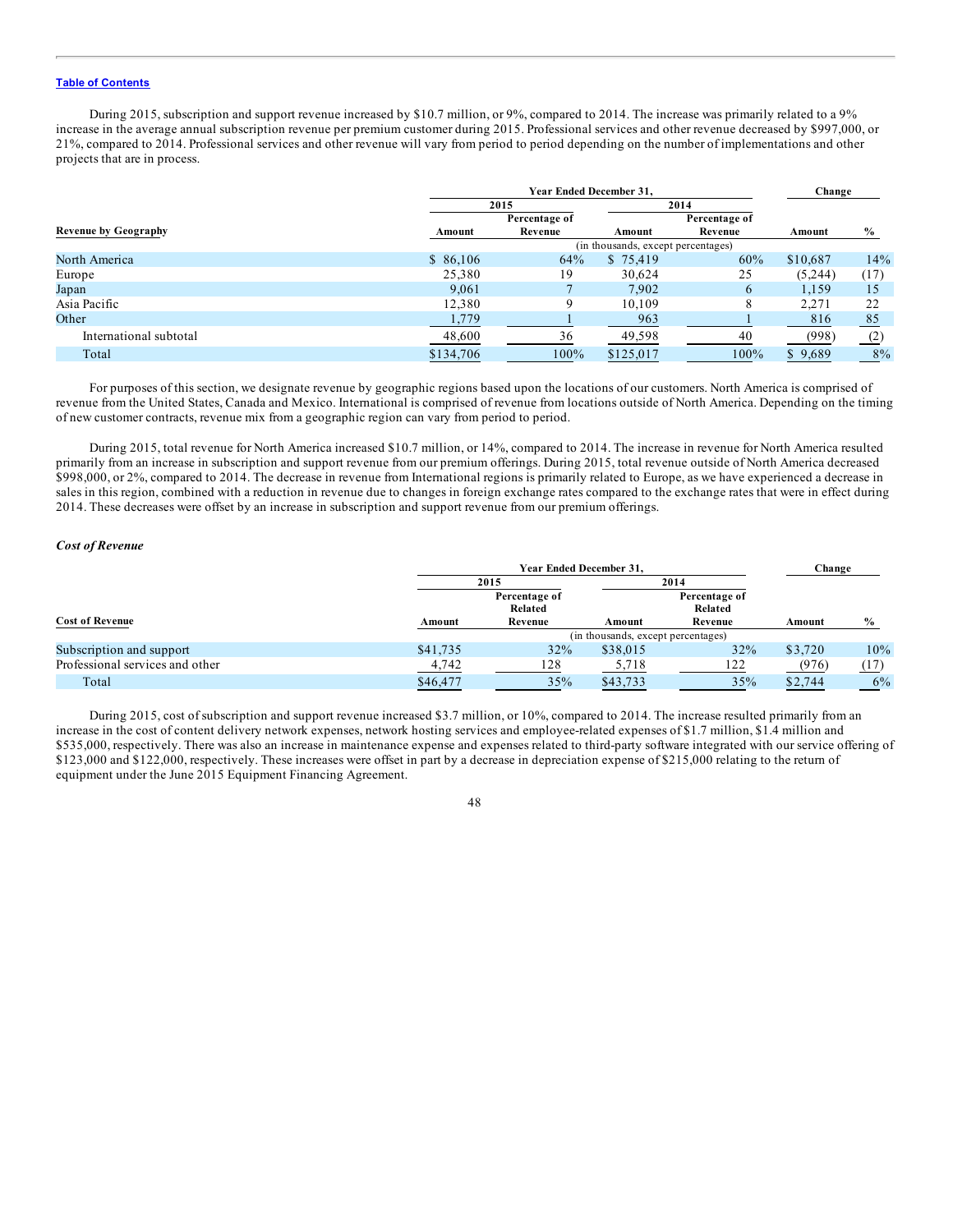During 2015, subscription and support revenue increased by \$10.7 million, or 9%, compared to 2014. The increase was primarily related to a 9% increase in the average annual subscription revenue per premium customer during 2015. Professional services and other revenue decreased by \$997,000, or 21%, compared to 2014. Professional services and other revenue will vary from period to period depending on the number of implementations and other projects that are in process.

|                             |           | Change        |                                    |               |          |               |
|-----------------------------|-----------|---------------|------------------------------------|---------------|----------|---------------|
|                             |           | 2015          |                                    | 2014          |          |               |
|                             |           | Percentage of |                                    | Percentage of |          |               |
| <b>Revenue by Geography</b> | Amount    | Revenue       | Amount                             | Revenue       | Amount   | $\frac{6}{6}$ |
|                             |           |               | (in thousands, except percentages) |               |          |               |
| North America               | \$86,106  | 64%           | \$75,419                           | 60%           | \$10,687 | 14%           |
| Europe                      | 25,380    | 19            | 30.624                             | 25            | (5,244)  | (17)          |
| Japan                       | 9,061     |               | 7,902                              | 6             | 1,159    | 15            |
| Asia Pacific                | 12,380    | 9             | 10.109                             | 8             | 2.271    | 22            |
| Other                       | 1,779     |               | 963                                |               | 816      | 85            |
| International subtotal      | 48,600    | 36            | 49,598                             | 40            | (998)    | (2)           |
| Total                       | \$134,706 | 100%          | \$125,017                          | 100%          | \$9,689  | 8%            |

For purposes of this section, we designate revenue by geographic regions based upon the locations of our customers. North America is comprised of revenue from the United States, Canada and Mexico. International is comprised of revenue from locations outside of North America. Depending on the timing of new customer contracts, revenue mix from a geographic region can vary from period to period.

During 2015, total revenue for North America increased \$10.7 million, or 14%, compared to 2014. The increase in revenue for North America resulted primarily from an increase in subscription and support revenue from our premium offerings. During 2015, total revenue outside of North America decreased \$998,000, or 2%, compared to 2014. The decrease in revenue from International regions is primarily related to Europe, as we have experienced a decrease in sales in this region, combined with a reduction in revenue due to changes in foreign exchange rates compared to the exchange rates that were in effect during 2014. These decreases were offset by an increase in subscription and support revenue from our premium offerings.

# *Cost of Revenue*

|                                 |          | <b>Year Ended December 31.</b> |                                    |               |         |               |
|---------------------------------|----------|--------------------------------|------------------------------------|---------------|---------|---------------|
|                                 |          | 2015                           |                                    | 2014          |         |               |
|                                 |          | Percentage of                  |                                    | Percentage of |         |               |
|                                 |          | Related                        |                                    | Related       |         |               |
| <b>Cost of Revenue</b>          | Amount   | Revenue                        | Amount                             | Revenue       | Amount  | $\frac{0}{0}$ |
|                                 |          |                                | (in thousands, except percentages) |               |         |               |
| Subscription and support        | \$41,735 | 32%                            | \$38,015                           | 32%           | \$3.720 | 10%           |
| Professional services and other | 4,742    | 128                            | 5,718                              | 122           | (976)   | (17)          |
| Total                           | \$46,477 | 35%                            | \$43,733                           | 35%           | \$2,744 | 6%            |

During 2015, cost of subscription and support revenue increased \$3.7 million, or 10%, compared to 2014. The increase resulted primarily from an increase in the cost of content delivery network expenses, network hosting services and employee-related expenses of \$1.7 million, \$1.4 million and \$535,000, respectively. There was also an increase in maintenance expense and expenses related to third-party software integrated with our service offering of \$123,000 and \$122,000, respectively. These increases were offset in part by a decrease in depreciation expense of \$215,000 relating to the return of equipment under the June 2015 Equipment Financing Agreement.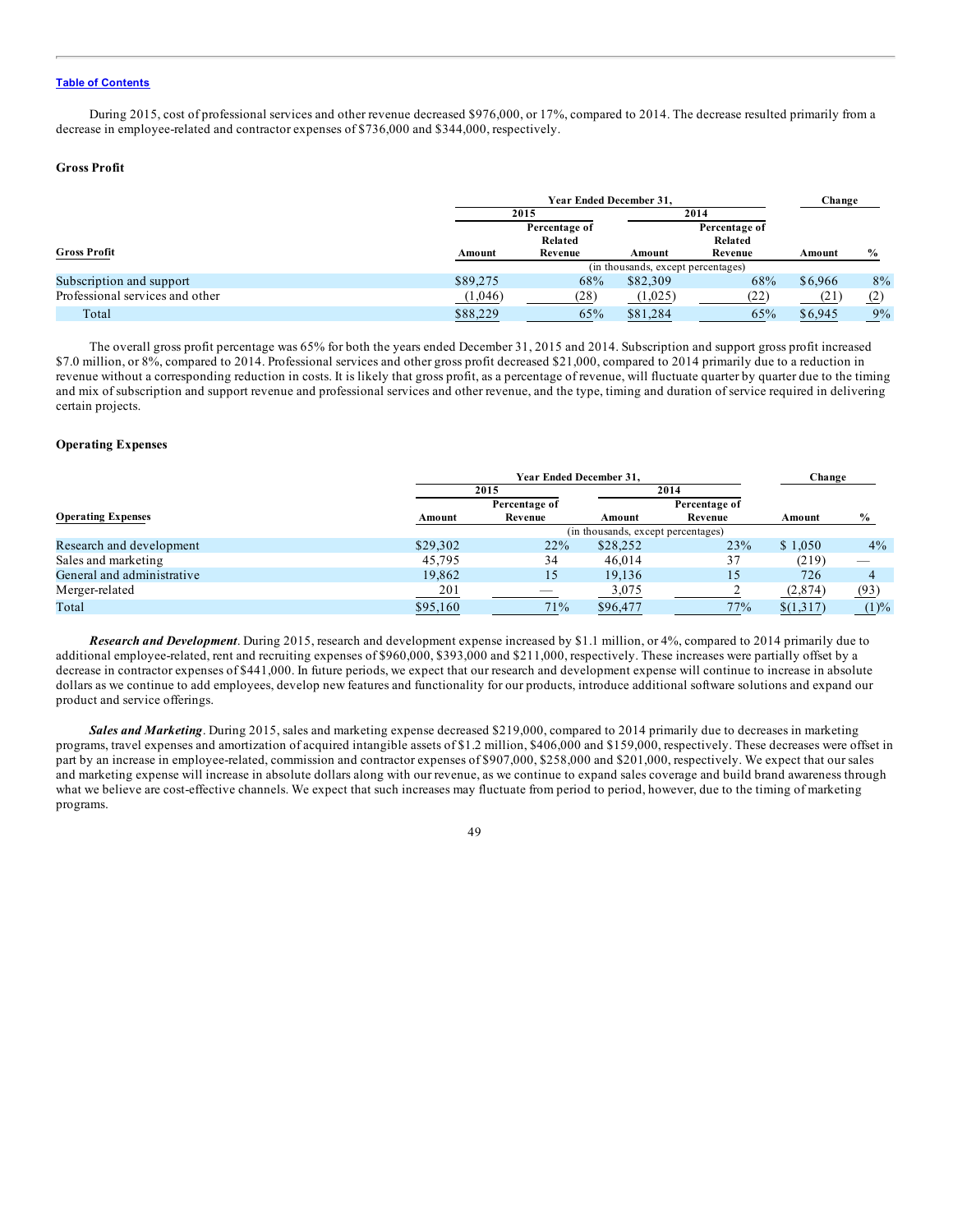During 2015, cost of professional services and other revenue decreased \$976,000, or 17%, compared to 2014. The decrease resulted primarily from a decrease in employee-related and contractor expenses of \$736,000 and \$344,000, respectively.

## **Gross Profit**

|                                 |          | Year Ended December 31,            |          |                          |         |               |  |  |
|---------------------------------|----------|------------------------------------|----------|--------------------------|---------|---------------|--|--|
|                                 |          | 2015                               |          | 2014                     |         |               |  |  |
|                                 |          | Percentage of<br>Related           |          | Percentage of<br>Related |         |               |  |  |
| <b>Gross Profit</b>             | Amount   | Revenue                            | Amount   | Revenue                  | Amount  | $\frac{0}{0}$ |  |  |
|                                 |          | (in thousands, except percentages) |          |                          |         |               |  |  |
| Subscription and support        | \$89,275 | 68%                                | \$82,309 | 68%                      | \$6,966 | 8%            |  |  |
| Professional services and other | (1,046)  | (28)                               | (1,025)  | (22)                     | (Z J    | (2)           |  |  |
| Total                           | \$88,229 | 65%                                | \$81.284 | 65%                      | \$6,945 | 9%            |  |  |

The overall gross profit percentage was 65% for both the years ended December 31, 2015 and 2014. Subscription and support gross profit increased \$7.0 million, or 8%, compared to 2014. Professional services and other gross profit decreased \$21,000, compared to 2014 primarily due to a reduction in revenue without a corresponding reduction in costs. It is likely that gross profit, as a percentage of revenue, will fluctuate quarter by quarter due to the timing and mix of subscription and support revenue and professional services and other revenue, and the type, timing and duration of service required in delivering certain projects.

# **Operating Expenses**

|                            |            | <b>Year Ended December 31.</b> |                                    |               |           |       |
|----------------------------|------------|--------------------------------|------------------------------------|---------------|-----------|-------|
|                            |            | 2015                           |                                    | 2014          |           |       |
|                            |            | Percentage of                  |                                    | Percentage of |           |       |
| <b>Operating Expenses</b>  | Amount     | Revenue                        | Amount                             | Revenue       | Amount    | $\%$  |
|                            |            |                                | (in thousands, except percentages) |               |           |       |
| Research and development   | \$29,302   | 22%                            | \$28,252                           | 23%           | \$1.050   | $4\%$ |
| Sales and marketing        | 45,795     | 34                             | 46,014                             | 37            | (219)     | __    |
| General and administrative | 19.862     | 15                             | 19.136                             | 15            | 726       |       |
| Merger-related             | <u>201</u> | $-$                            | 3,075                              |               | (2,874)   | (93)  |
| Total                      | \$95,160   | 71%                            | \$96,477                           | 77%           | \$(1,317) | (1)%  |

*Research and Development*. During 2015, research and development expense increased by \$1.1 million, or 4%, compared to 2014 primarily due to additional employee-related, rent and recruiting expenses of \$960,000, \$393,000 and \$211,000, respectively. These increases were partially offset by a decrease in contractor expenses of \$441,000. In future periods, we expect that our research and development expense will continue to increase in absolute dollars as we continue to add employees, develop new features and functionality for our products, introduce additional software solutions and expand our product and service offerings.

*Sales and Marketing*. During 2015, sales and marketing expense decreased \$219,000, compared to 2014 primarily due to decreases in marketing programs, travel expenses and amortization of acquired intangible assets of \$1.2 million, \$406,000 and \$159,000, respectively. These decreases were offset in part by an increase in employee-related, commission and contractor expenses of \$907,000, \$258,000 and \$201,000, respectively. We expect that our sales and marketing expense will increase in absolute dollars along with our revenue, as we continue to expand sales coverage and build brand awareness through what we believe are cost-effective channels. We expect that such increases may fluctuate from period to period, however, due to the timing of marketing programs.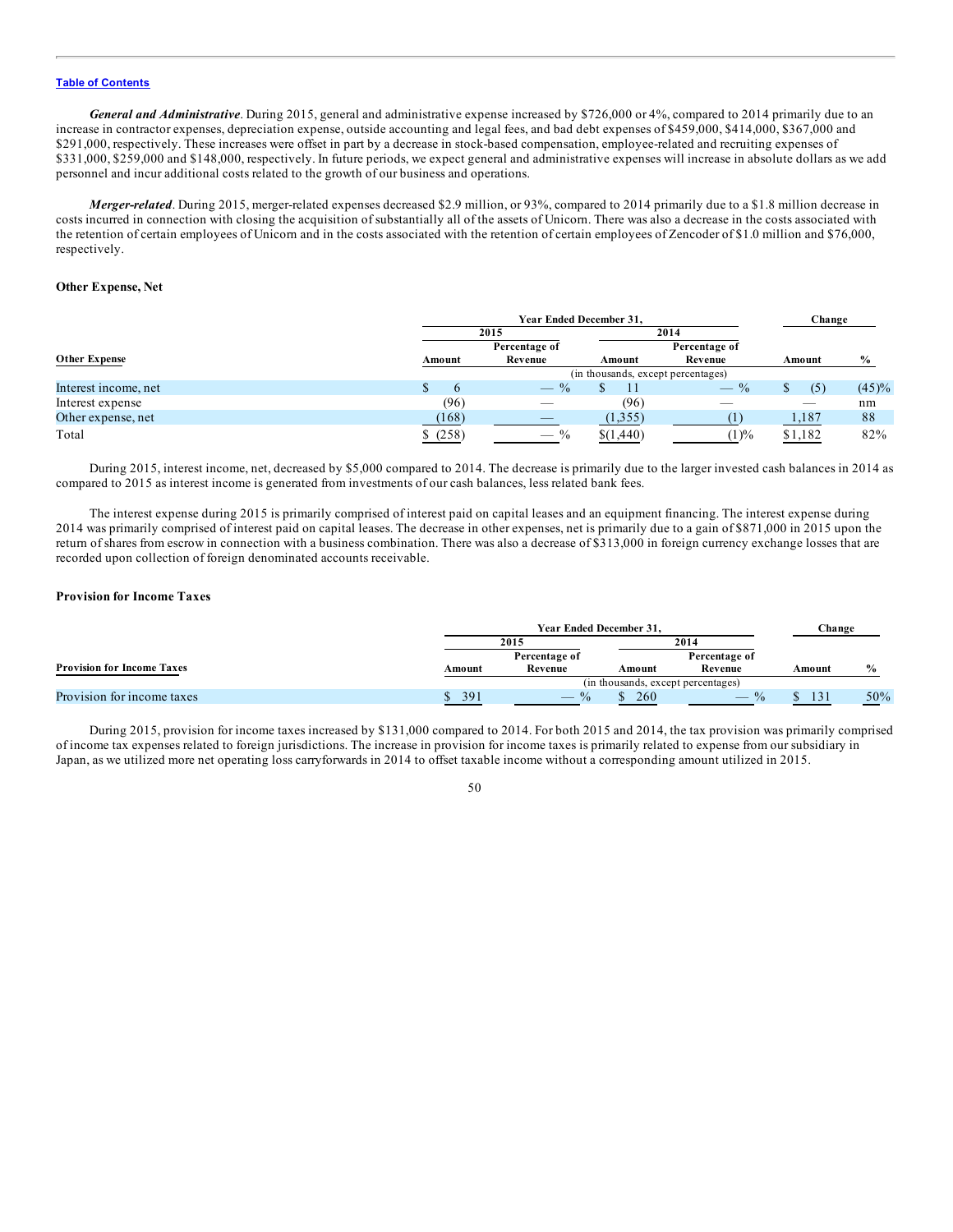*General and Administrative*. During 2015, general and administrative expense increased by \$726,000 or 4%, compared to 2014 primarily due to an increase in contractor expenses, depreciation expense, outside accounting and legal fees, and bad debt expenses of \$459,000, \$414,000, \$367,000 and \$291,000, respectively. These increases were offset in part by a decrease in stock-based compensation, employee-related and recruiting expenses of \$331,000, \$259,000 and \$148,000, respectively. In future periods, we expect general and administrative expenses will increase in absolute dollars as we add personnel and incur additional costs related to the growth of our business and operations.

*Merger-related*. During 2015, merger-related expenses decreased \$2.9 million, or 93%, compared to 2014 primarily due to a \$1.8 million decrease in costs incurred in connection with closing the acquisition of substantially all of the assets of Unicorn. There was also a decrease in the costs associated with the retention of certain employees of Unicorn and in the costs associated with the retention of certain employees of Zencoder of \$1.0 million and \$76,000, respectively.

## **Other Expense, Net**

|                      | Year Ended December 31. |                                                  |                                    |                                                  |         | Change        |
|----------------------|-------------------------|--------------------------------------------------|------------------------------------|--------------------------------------------------|---------|---------------|
|                      |                         | 2015                                             |                                    | 2014                                             |         |               |
|                      |                         | Percentage of                                    |                                    | Percentage of                                    |         |               |
| <b>Other Expense</b> | Amount                  | Revenue                                          | Amount                             | Revenue                                          | Amount  | $\frac{6}{6}$ |
|                      |                         |                                                  | (in thousands, except percentages) |                                                  |         |               |
| Interest income, net | <sub>6</sub>            | $\frac{0}{0}$<br>$\hspace{0.1mm}-\hspace{0.1mm}$ |                                    | $\frac{0}{0}$<br>$\hspace{0.1mm}-\hspace{0.1mm}$ | (5)     | (45)%         |
| Interest expense     | (96)                    |                                                  | (96)                               |                                                  |         | nm            |
| Other expense, net   | (168)                   |                                                  | (1,355)                            |                                                  | 1,187   | 88            |
| Total                | \$(258)                 | $-$ %                                            | \$(1,440)                          | (1)%                                             | \$1,182 | 82%           |

During 2015, interest income, net, decreased by \$5,000 compared to 2014. The decrease is primarily due to the larger invested cash balances in 2014 as compared to 2015 as interest income is generated from investments of our cash balances, less related bank fees.

The interest expense during 2015 is primarily comprised of interest paid on capital leases and an equipment financing. The interest expense during 2014 was primarily comprised of interest paid on capital leases. The decrease in other expenses, net is primarily due to a gain of \$871,000 in 2015 upon the return of shares from escrow in connection with a business combination. There was also a decrease of \$313,000 in foreign currency exchange losses that are recorded upon collection of foreign denominated accounts receivable.

# **Provision for Income Taxes**

|                                   |        | Year Ended December 31.            |        |                                    |                  | Change        |
|-----------------------------------|--------|------------------------------------|--------|------------------------------------|------------------|---------------|
|                                   |        | 2015                               |        | 2014                               |                  |               |
| <b>Provision for Income Taxes</b> | Amount | Percentage of<br>Revenue           | Amount | Percentage of<br>Revenue           | Amount           | $\frac{6}{9}$ |
|                                   |        |                                    |        | (in thousands, except percentages) |                  |               |
| Provision for income taxes        | 391    | $\frac{0}{0}$<br>$\hspace{0.05cm}$ | 260    | $\frac{0}{2}$                      | $\left 3\right $ | 50%           |

During 2015, provision for income taxes increased by \$131,000 compared to 2014. For both 2015 and 2014, the tax provision was primarily comprised of income tax expenses related to foreign jurisdictions. The increase in provision for income taxes is primarily related to expense from our subsidiary in Japan, as we utilized more net operating loss carryforwards in 2014 to offset taxable income without a corresponding amount utilized in 2015.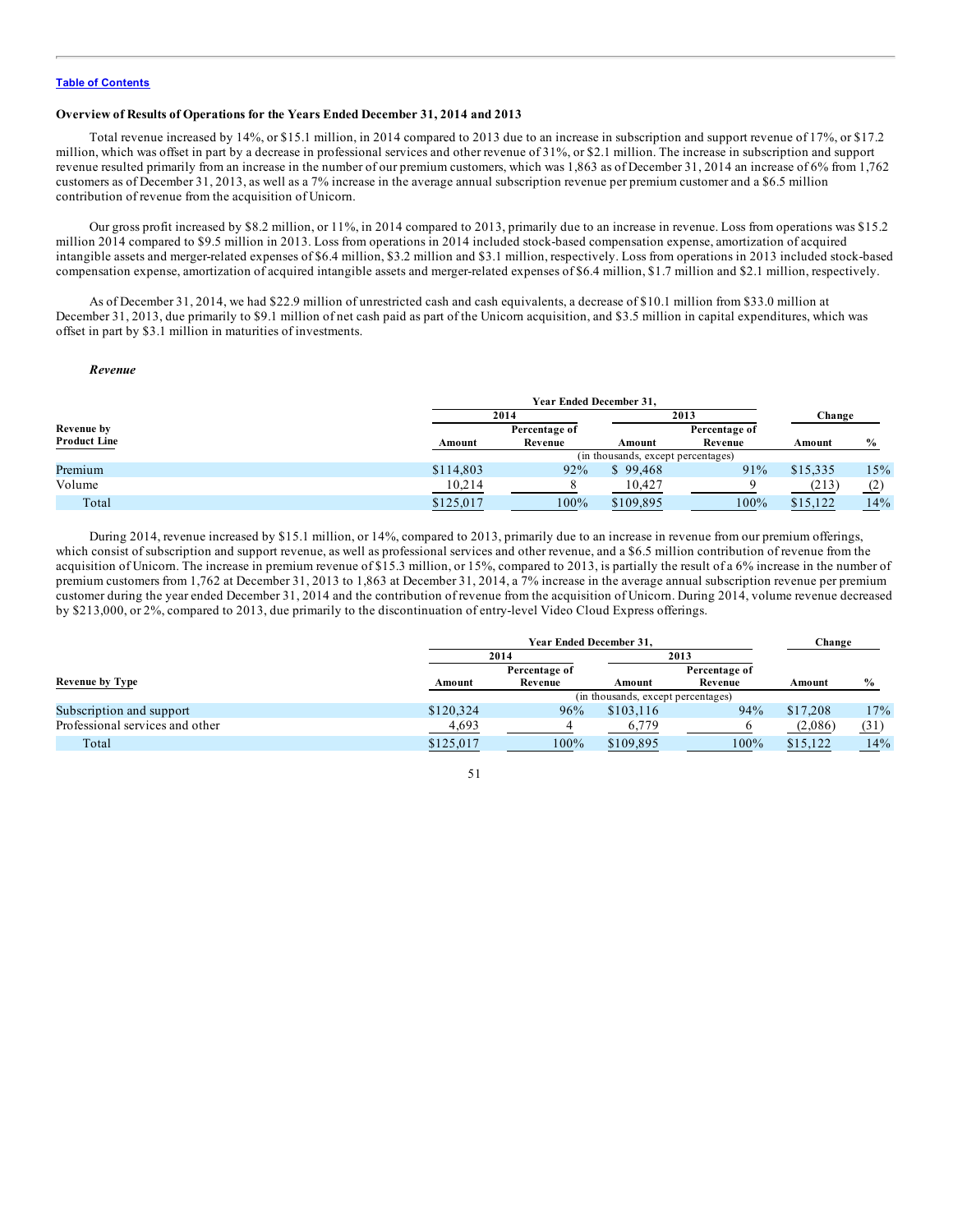## **Overview of Results of Operations for the Years Ended December 31, 2014 and 2013**

Total revenue increased by 14%, or \$15.1 million, in 2014 compared to 2013 due to an increase in subscription and support revenue of 17%, or \$17.2 million, which was offset in part by a decrease in professional services and other revenue of 31%, or \$2.1 million. The increase in subscription and support revenue resulted primarily from an increase in the number of our premium customers, which was 1,863 as of December 31, 2014 an increase of 6% from 1,762 customers as of December 31, 2013, as well as a 7% increase in the average annual subscription revenue per premium customer and a \$6.5 million contribution of revenue from the acquisition of Unicorn.

Our gross profit increased by \$8.2 million, or 11%, in 2014 compared to 2013, primarily due to an increase in revenue. Loss from operations was \$15.2 million 2014 compared to \$9.5 million in 2013. Loss from operations in 2014 included stock-based compensation expense, amortization of acquired intangible assets and merger-related expenses of \$6.4 million, \$3.2 million and \$3.1 million, respectively. Loss from operations in 2013 included stock-based compensation expense, amortization of acquired intangible assets and merger-related expenses of \$6.4 million, \$1.7 million and \$2.1 million, respectively.

As of December 31, 2014, we had \$22.9 million of unrestricted cash and cash equivalents, a decrease of \$10.1 million from \$33.0 million at December 31, 2013, due primarily to \$9.1 million of net cash paid as part of the Unicorn acquisition, and \$3.5 million in capital expenditures, which was offset in part by \$3.1 million in maturities of investments.

### *Revenue*

|                     | <b>Year Ended December 31.</b> |               |                                    |               |          |               |
|---------------------|--------------------------------|---------------|------------------------------------|---------------|----------|---------------|
|                     |                                | 2014          |                                    | 2013          | Change   |               |
| <b>Revenue by</b>   |                                | Percentage of |                                    | Percentage of |          |               |
| <b>Product Line</b> | Amount                         | Revenue       | Amount                             | Revenue       | Amount   | $\frac{6}{6}$ |
|                     |                                |               | (in thousands, except percentages) |               |          |               |
| Premium             | \$114,803                      | 92%           | \$99.468                           | 91%           | \$15,335 | 15%           |
| Volume              | 10,214                         |               | 10,427                             |               | (213)    | (2)           |
| Total               | \$125,017                      | 100%          | \$109,895                          | 100%          | \$15,122 | 14%           |

During 2014, revenue increased by \$15.1 million, or 14%, compared to 2013, primarily due to an increase in revenue from our premium offerings, which consist of subscription and support revenue, as well as professional services and other revenue, and a \$6.5 million contribution of revenue from the acquisition of Unicorn. The increase in premium revenue of \$15.3 million, or 15%, compared to 2013, is partially the result of a 6% increase in the number of premium customers from 1,762 at December 31, 2013 to 1,863 at December 31, 2014, a 7% increase in the average annual subscription revenue per premium customer during the year ended December 31, 2014 and the contribution of revenue from the acquisition of Unicorn. During 2014, volume revenue decreased by \$213,000, or 2%, compared to 2013, due primarily to the discontinuation of entry-level Video Cloud Express offerings.

|                                 | <b>Year Ended December 31.</b> |               |                                    |               | Change   |               |
|---------------------------------|--------------------------------|---------------|------------------------------------|---------------|----------|---------------|
|                                 | 2014                           |               |                                    | 2013          |          |               |
|                                 |                                | Percentage of |                                    | Percentage of |          |               |
| <b>Revenue by Type</b>          | Amount                         | Revenue       | Amount                             | Revenue       | Amount   | $\frac{0}{0}$ |
|                                 |                                |               | (in thousands, except percentages) |               |          |               |
| Subscription and support        | \$120,324                      | 96%           | \$103.116                          | 94%           | \$17,208 | 17%           |
| Professional services and other | 4,693                          |               | 6,779                              |               | (2,086)  | (31)          |
| Total                           | \$125,017                      | 100%          | \$109,895                          | 100%          | \$15,122 | 14%           |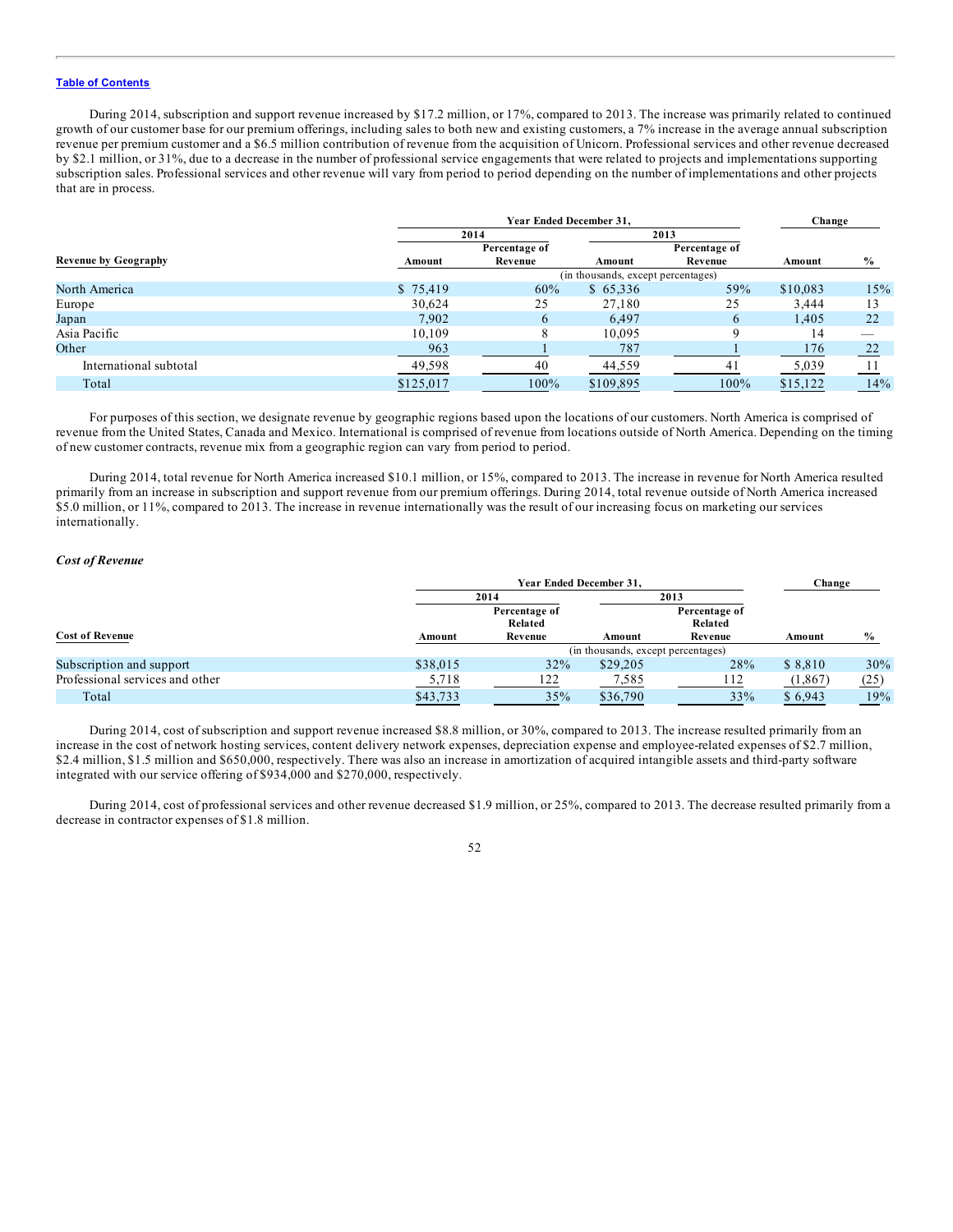During 2014, subscription and support revenue increased by \$17.2 million, or 17%, compared to 2013. The increase was primarily related to continued growth of our customer base for our premium offerings, including sales to both new and existing customers, a 7% increase in the average annual subscription revenue per premium customer and a \$6.5 million contribution of revenue from the acquisition of Unicorn. Professional services and other revenue decreased by \$2.1 million, or 31%, due to a decrease in the number of professional service engagements that were related to projects and implementations supporting subscription sales. Professional services and other revenue will vary from period to period depending on the number of implementations and other projects that are in process.

|                             |           | Year Ended December 31, |                                    |               |          | Change        |
|-----------------------------|-----------|-------------------------|------------------------------------|---------------|----------|---------------|
|                             | 2014      |                         |                                    | 2013          |          |               |
|                             |           | Percentage of           |                                    | Percentage of |          |               |
| <b>Revenue by Geography</b> | Amount    | Revenue                 | Amount                             | Revenue       | Amount   | $\frac{6}{9}$ |
|                             |           |                         | (in thousands, except percentages) |               |          |               |
| North America               | \$75,419  | 60%                     | \$65,336                           | 59%           | \$10,083 | 15%           |
| Europe                      | 30,624    | 25                      | 27,180                             | 25            | 3,444    |               |
| Japan                       | 7.902     | 6                       | 6,497                              | 6             | 1,405    | 22            |
| Asia Pacific                | 10,109    |                         | 10,095                             | C             | 14       |               |
| Other                       | 963       |                         | 787                                |               | 176      | 22            |
| International subtotal      | 49,598    | 40                      | 44,559                             | 41            | 5,039    |               |
| Total                       | \$125,017 | 100%                    | \$109.895                          | 100%          | \$15.122 | 14%           |

For purposes of this section, we designate revenue by geographic regions based upon the locations of our customers. North America is comprised of revenue from the United States, Canada and Mexico. International is comprised of revenue from locations outside of North America. Depending on the timing of new customer contracts, revenue mix from a geographic region can vary from period to period.

During 2014, total revenue for North America increased \$10.1 million, or 15%, compared to 2013. The increase in revenue for North America resulted primarily from an increase in subscription and support revenue from our premium offerings. During 2014, total revenue outside of North America increased \$5.0 million, or 11%, compared to 2013. The increase in revenue internationally was the result of our increasing focus on marketing our services internationally.

#### *Cost of Revenue*

|                                 |          | <b>Year Ended December 31.</b> |                                    |                          | Change   |               |
|---------------------------------|----------|--------------------------------|------------------------------------|--------------------------|----------|---------------|
|                                 |          | 2014                           |                                    | 2013                     |          |               |
|                                 |          | Percentage of<br>Related       |                                    | Percentage of<br>Related |          |               |
| <b>Cost of Revenue</b>          | Amount   | Revenue                        | Amount                             | Revenue                  | Amount   | $\frac{6}{6}$ |
|                                 |          |                                | (in thousands, except percentages) |                          |          |               |
| Subscription and support        | \$38,015 | 32%                            | \$29,205                           | 28%                      | \$8,810  | 30%           |
| Professional services and other | 5,718    | 122                            | 7,585                              | 112                      | (1, 867) | (25)          |
| Total                           | \$43,733 | 35%                            | \$36,790                           | 33%                      | \$6,943  | 19%           |

During 2014, cost of subscription and support revenue increased \$8.8 million, or 30%, compared to 2013. The increase resulted primarily from an increase in the cost of network hosting services, content delivery network expenses, depreciation expense and employee-related expenses of \$2.7 million, \$2.4 million, \$1.5 million and \$650,000, respectively. There was also an increase in amortization of acquired intangible assets and third-party software integrated with our service offering of \$934,000 and \$270,000, respectively.

During 2014, cost of professional services and other revenue decreased \$1.9 million, or 25%, compared to 2013. The decrease resulted primarily from a decrease in contractor expenses of \$1.8 million.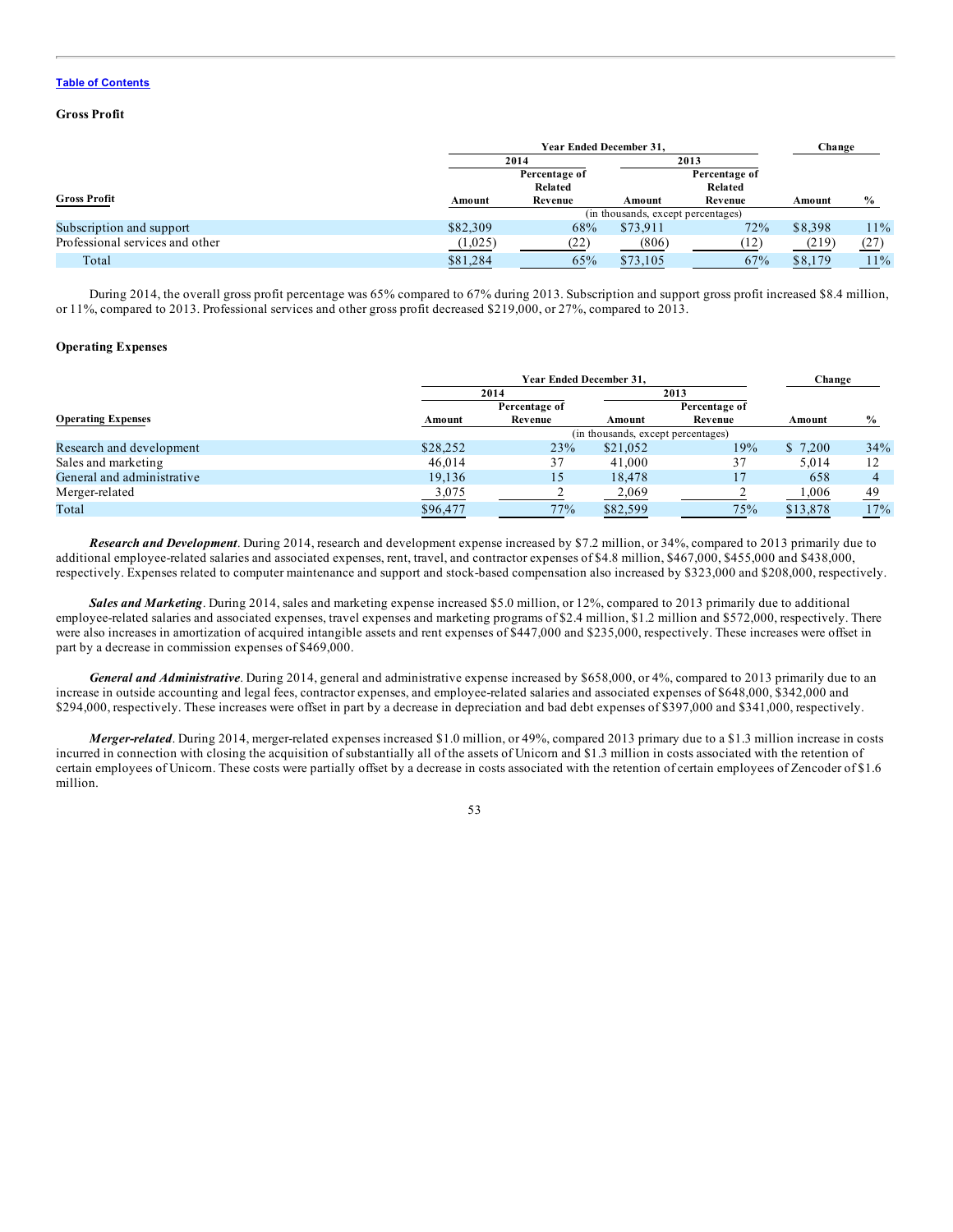## **Gross Profit**

|                                 | <b>Year Ended December 31.</b> |                          |                                    | Change                   |         |               |  |  |
|---------------------------------|--------------------------------|--------------------------|------------------------------------|--------------------------|---------|---------------|--|--|
|                                 |                                | 2014                     |                                    | 2013                     |         |               |  |  |
|                                 |                                | Percentage of<br>Related |                                    | Percentage of<br>Related |         |               |  |  |
| <b>Gross Profit</b>             | Amount                         | Revenue                  | Amount                             | Revenue                  | Amount  | $\frac{0}{0}$ |  |  |
|                                 |                                |                          | (in thousands, except percentages) |                          |         |               |  |  |
| Subscription and support        | \$82,309                       | 68%                      | \$73,911                           | 72%                      | \$8,398 | 11%           |  |  |
| Professional services and other | (1,025)                        | (22)                     | (806)                              | (12)                     | (219)   | (27)          |  |  |
| Total                           | \$81,284                       | 65%                      | \$73,105                           | 67%                      | \$8,179 | 11%           |  |  |

During 2014, the overall gross profit percentage was 65% compared to 67% during 2013. Subscription and support gross profit increased \$8.4 million, or 11%, compared to 2013. Professional services and other gross profit decreased \$219,000, or 27%, compared to 2013.

## **Operating Expenses**

|                            |          | <b>Year Ended December 31.</b> |                                    |               |          | Change        |
|----------------------------|----------|--------------------------------|------------------------------------|---------------|----------|---------------|
|                            |          | 2014                           |                                    | 2013          |          |               |
|                            |          | Percentage of                  |                                    | Percentage of |          |               |
| <b>Operating Expenses</b>  | Amount   | Revenue                        | Amount                             | Revenue       | Amount   | $\frac{6}{6}$ |
|                            |          |                                | (in thousands, except percentages) |               |          |               |
| Research and development   | \$28,252 | 23%                            | \$21,052                           | 19%           | \$7,200  | 34%           |
| Sales and marketing        | 46,014   | 37                             | 41,000                             | 37            | 5.014    | 12            |
| General and administrative | 19,136   | 15                             | 18.478                             |               | 658      |               |
| Merger-related             | 3,075    |                                | 2,069                              |               | 1,006    | 49            |
| Total                      | \$96,477 | 77%                            | \$82,599                           | 75%           | \$13,878 | 17%           |

*Research and Development*. During 2014, research and development expense increased by \$7.2 million, or 34%, compared to 2013 primarily due to additional employee-related salaries and associated expenses, rent, travel, and contractor expenses of \$4.8 million, \$467,000, \$455,000 and \$438,000, respectively. Expenses related to computer maintenance and support and stock-based compensation also increased by \$323,000 and \$208,000, respectively.

*Sales and Marketing*. During 2014, sales and marketing expense increased \$5.0 million, or 12%, compared to 2013 primarily due to additional employee-related salaries and associated expenses, travel expenses and marketing programs of \$2.4 million, \$1.2 million and \$572,000, respectively. There were also increases in amortization of acquired intangible assets and rent expenses of \$447,000 and \$235,000, respectively. These increases were offset in part by a decrease in commission expenses of \$469,000.

*General and Administrative*. During 2014, general and administrative expense increased by \$658,000, or 4%, compared to 2013 primarily due to an increase in outside accounting and legal fees, contractor expenses, and employee-related salaries and associated expenses of \$648,000, \$342,000 and \$294,000, respectively. These increases were offset in part by a decrease in depreciation and bad debt expenses of \$397,000 and \$341,000, respectively.

*Merger-related*. During 2014, merger-related expenses increased \$1.0 million, or 49%, compared 2013 primary due to a \$1.3 million increase in costs incurred in connection with closing the acquisition of substantially all of the assets of Unicorn and \$1.3 million in costs associated with the retention of certain employees of Unicorn. These costs were partially offset by a decrease in costs associated with the retention of certain employees of Zencoder of \$1.6 million.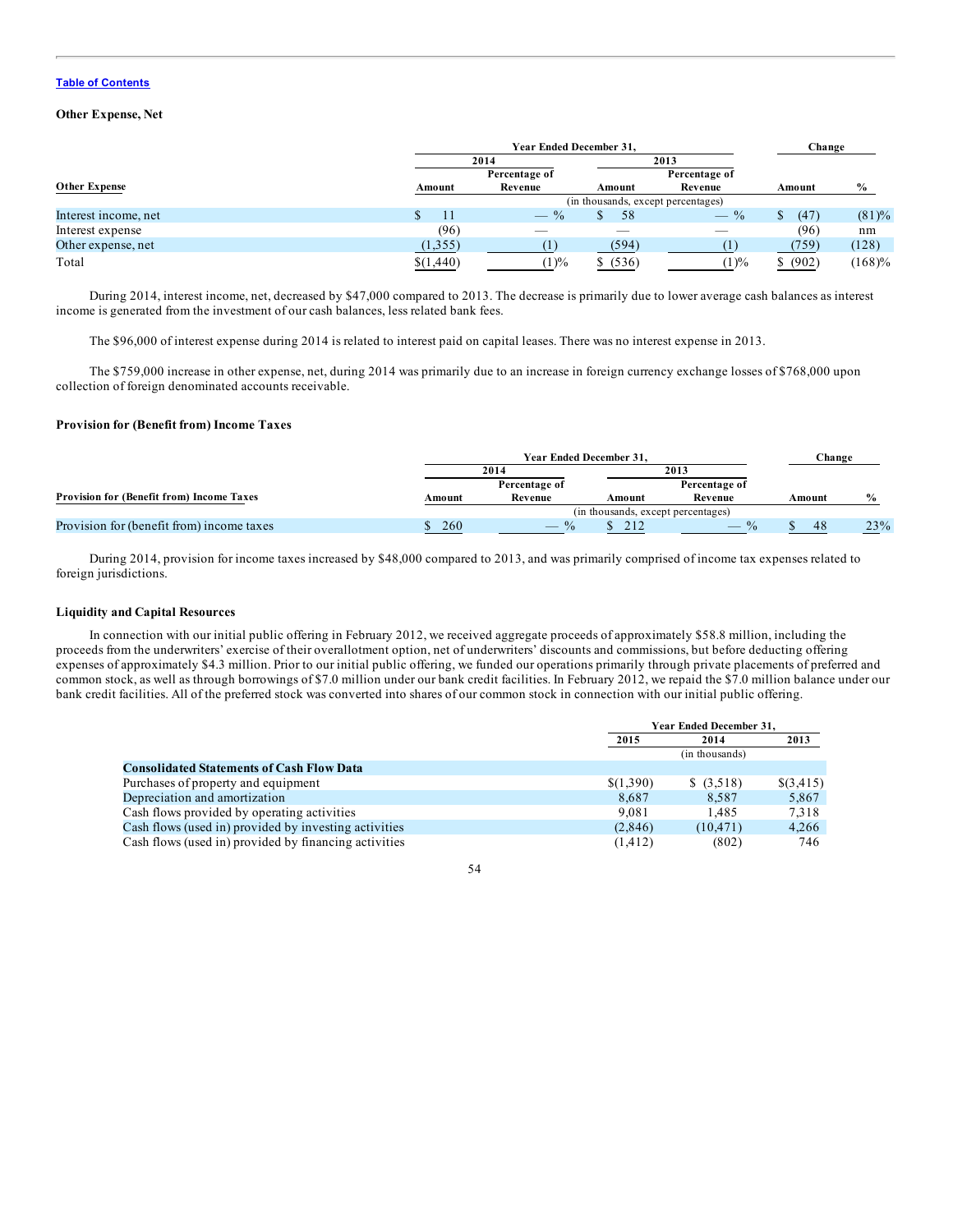## **Other Expense, Net**

|                      | <b>Year Ended December 31.</b> |               |                                    |               | Change   |           |
|----------------------|--------------------------------|---------------|------------------------------------|---------------|----------|-----------|
|                      |                                | 2014          |                                    | 2013          |          |           |
|                      |                                | Percentage of |                                    | Percentage of |          |           |
| <b>Other Expense</b> | Amount                         | Revenue       | Amount                             | Revenue       | Amount   | $\%$      |
|                      |                                |               | (in thousands, except percentages) |               |          |           |
| Interest income, net |                                | $-$ %         | 58                                 | $-$ %         | (47)     | $(81)\%$  |
| Interest expense     | (96)                           |               |                                    |               | (96)     | nm        |
| Other expense, net   | (1,355)                        |               | (594)                              |               | (759)    | (128)     |
| Total                | \$(1,440)                      | $(1)\%$       | \$ (536)                           | (1)%          | \$ (902) | $(168)\%$ |

During 2014, interest income, net, decreased by \$47,000 compared to 2013. The decrease is primarily due to lower average cash balances as interest income is generated from the investment of our cash balances, less related bank fees.

The \$96,000 of interest expense during 2014 is related to interest paid on capital leases. There was no interest expense in 2013.

The \$759,000 increase in other expense, net, during 2014 was primarily due to an increase in foreign currency exchange losses of \$768,000 upon collection of foreign denominated accounts receivable.

## **Provision for (Benefit from) Income Taxes**

|                                                  | <b>Year Ended December 31.</b> |               |                                    |               | Change |               |
|--------------------------------------------------|--------------------------------|---------------|------------------------------------|---------------|--------|---------------|
|                                                  | 2014                           |               | 2013                               |               |        |               |
|                                                  |                                | Percentage of |                                    | Percentage of |        |               |
| <b>Provision for (Benefit from) Income Taxes</b> | Amount                         | Revenue       | Amount                             | Revenue       | Amount | $\frac{0}{6}$ |
|                                                  |                                |               | (in thousands, except percentages) |               |        |               |
| Provision for (benefit from) income taxes        | 260                            | $\frac{0}{0}$ | 212                                | $\frac{0}{0}$ | 48     | 23%           |

During 2014, provision for income taxes increased by \$48,000 compared to 2013, and was primarily comprised of income tax expenses related to foreign jurisdictions.

## **Liquidity and Capital Resources**

In connection with our initial public offering in February 2012, we received aggregate proceeds of approximately \$58.8 million, including the proceeds from the underwriters' exercise of their overallotment option, net of underwriters' discounts and commissions, but before deducting offering expenses of approximately \$4.3 million. Prior to our initial public offering, we funded our operations primarily through private placements of preferred and common stock, as well as through borrowings of \$7.0 million under our bank credit facilities. In February 2012, we repaid the \$7.0 million balance under our bank credit facilities. All of the preferred stock was converted into shares of our common stock in connection with our initial public offering.

|                                                       |           | <b>Year Ended December 31.</b> |           |  |  |
|-------------------------------------------------------|-----------|--------------------------------|-----------|--|--|
|                                                       | 2015      | 2014                           | 2013      |  |  |
|                                                       |           | (in thousands)                 |           |  |  |
| <b>Consolidated Statements of Cash Flow Data</b>      |           |                                |           |  |  |
| Purchases of property and equipment                   | \$(1,390) | \$ (3,518)                     | \$(3,415) |  |  |
| Depreciation and amortization                         | 8.687     | 8.587                          | 5,867     |  |  |
| Cash flows provided by operating activities           | 9.081     | 1.485                          | 7.318     |  |  |
| Cash flows (used in) provided by investing activities | (2,846)   | (10.471)                       | 4,266     |  |  |
| Cash flows (used in) provided by financing activities | (1, 412)  | (802)                          | 746       |  |  |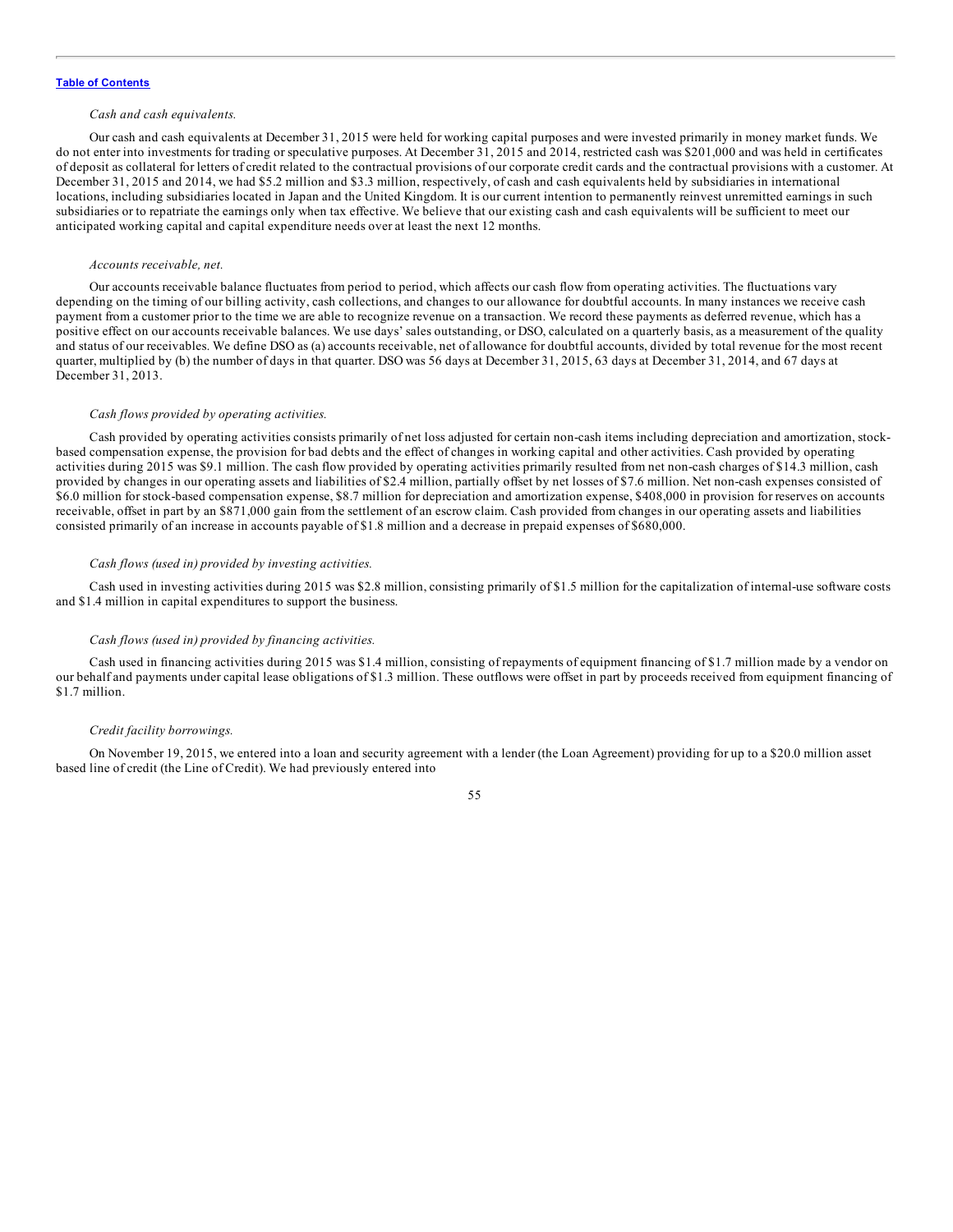## *Cash and cash equivalents.*

Our cash and cash equivalents at December 31, 2015 were held for working capital purposes and were invested primarily in money market funds. We do not enter into investments for trading or speculative purposes. At December 31, 2015 and 2014, restricted cash was \$201,000 and was held in certificates of deposit as collateral for letters of credit related to the contractual provisions of our corporate credit cards and the contractual provisions with a customer. At December 31, 2015 and 2014, we had \$5.2 million and \$3.3 million, respectively, of cash and cash equivalents held by subsidiaries in international locations, including subsidiaries located in Japan and the United Kingdom. It is our current intention to permanently reinvest unremitted earnings in such subsidiaries or to repatriate the earnings only when tax effective. We believe that our existing cash and cash equivalents will be sufficient to meet our anticipated working capital and capital expenditure needs over at least the next 12 months.

#### *Accounts receivable, net.*

Our accounts receivable balance fluctuates from period to period, which affects our cash flow from operating activities. The fluctuations vary depending on the timing of our billing activity, cash collections, and changes to our allowance for doubtful accounts. In many instances we receive cash payment from a customer prior to the time we are able to recognize revenue on a transaction. We record these payments as deferred revenue, which has a positive effect on our accounts receivable balances. We use days' sales outstanding, or DSO, calculated on a quarterly basis, as a measurement of the quality and status of our receivables. We define DSO as (a) accounts receivable, net of allowance for doubtful accounts, divided by total revenue for the most recent quarter, multiplied by (b) the number of days in that quarter. DSO was 56 days at December 31, 2015, 63 days at December 31, 2014, and 67 days at December 31, 2013.

### *Cash flows provided by operating activities.*

Cash provided by operating activities consists primarily of net loss adjusted for certain non-cash items including depreciation and amortization, stockbased compensation expense, the provision for bad debts and the effect of changes in working capital and other activities. Cash provided by operating activities during 2015 was \$9.1 million. The cash flow provided by operating activities primarily resulted from net non-cash charges of \$14.3 million, cash provided by changes in our operating assets and liabilities of \$2.4 million, partially offset by net losses of \$7.6 million. Net non-cash expenses consisted of \$6.0 million for stock-based compensation expense, \$8.7 million for depreciation and amortization expense, \$408,000 in provision for reserves on accounts receivable, offset in part by an \$871,000 gain from the settlement of an escrow claim. Cash provided from changes in our operating assets and liabilities consisted primarily of an increase in accounts payable of \$1.8 million and a decrease in prepaid expenses of \$680,000.

## *Cash flows (used in) provided by investing activities.*

Cash used in investing activities during 2015 was \$2.8 million, consisting primarily of \$1.5 million for the capitalization of internal-use software costs and \$1.4 million in capital expenditures to support the business.

## *Cash flows (used in) provided by financing activities.*

Cash used in financing activities during 2015 was \$1.4 million, consisting of repayments of equipment financing of \$1.7 million made by a vendor on our behalf and payments under capital lease obligations of \$1.3 million. These outflows were offset in part by proceeds received from equipment financing of \$1.7 million.

#### *Credit facility borrowings.*

On November 19, 2015, we entered into a loan and security agreement with a lender (the Loan Agreement) providing for up to a \$20.0 million asset based line of credit (the Line of Credit). We had previously entered into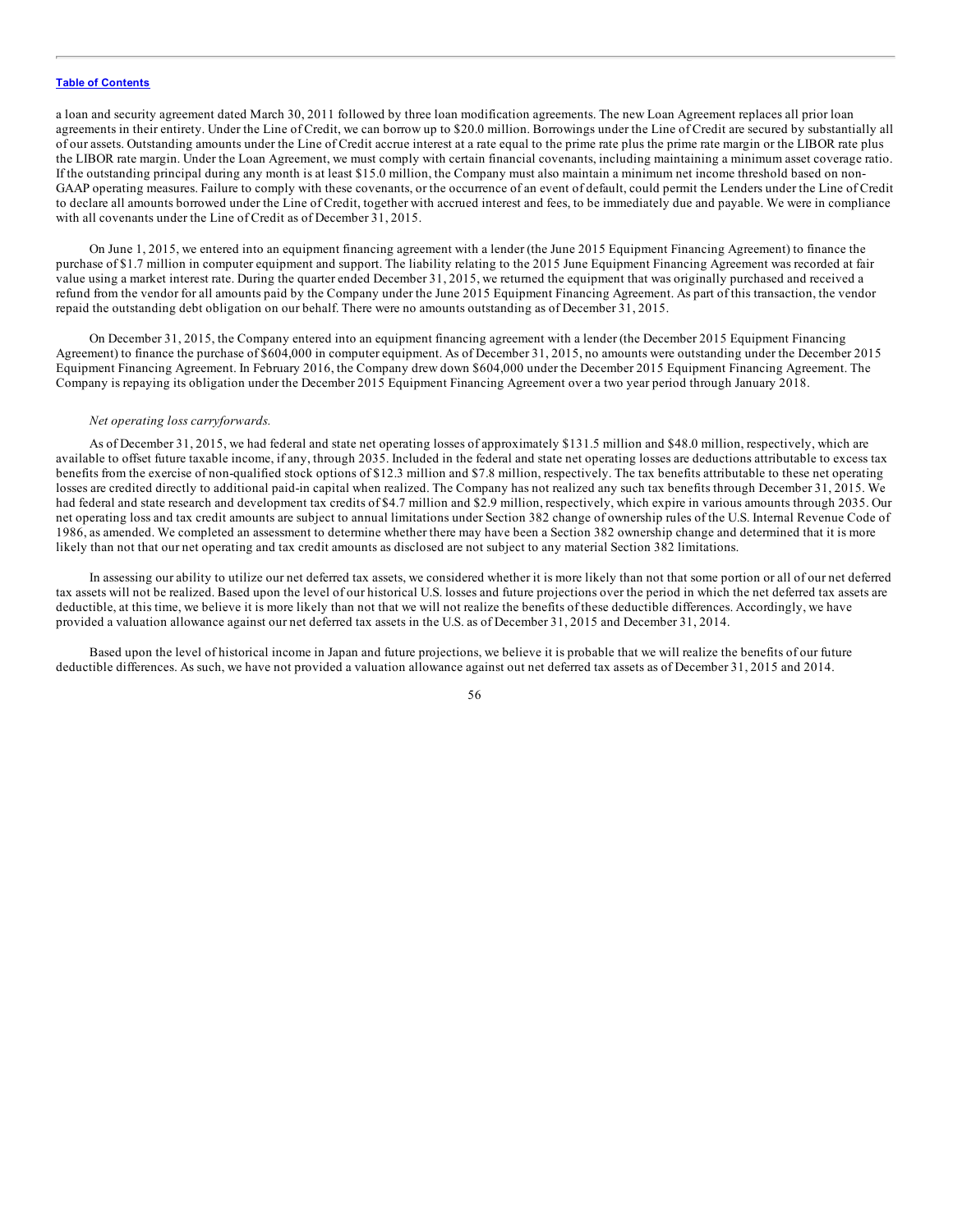a loan and security agreement dated March 30, 2011 followed by three loan modification agreements. The new Loan Agreement replaces all prior loan agreements in their entirety. Under the Line of Credit, we can borrow up to \$20.0 million. Borrowings under the Line of Credit are secured by substantially all of our assets. Outstanding amounts under the Line of Credit accrue interest at a rate equal to the prime rate plus the prime rate margin or the LIBOR rate plus the LIBOR rate margin. Under the Loan Agreement, we must comply with certain financial covenants, including maintaining a minimum asset coverage ratio. If the outstanding principal during any month is at least \$15.0 million, the Company must also maintain a minimum net income threshold based on non-GAAP operating measures. Failure to comply with these covenants, or the occurrence of an event of default, could permit the Lenders under the Line of Credit to declare all amounts borrowed under the Line of Credit, together with accrued interest and fees, to be immediately due and payable. We were in compliance with all covenants under the Line of Credit as of December 31, 2015.

On June 1, 2015, we entered into an equipment financing agreement with a lender (the June 2015 Equipment Financing Agreement) to finance the purchase of \$1.7 million in computer equipment and support. The liability relating to the 2015 June Equipment Financing Agreement was recorded at fair value using a market interest rate. During the quarter ended December 31, 2015, we returned the equipment that was originally purchased and received a refund from the vendor for all amounts paid by the Company under the June 2015 Equipment Financing Agreement. As part of this transaction, the vendor repaid the outstanding debt obligation on our behalf. There were no amounts outstanding as of December 31, 2015.

On December 31, 2015, the Company entered into an equipment financing agreement with a lender (the December 2015 Equipment Financing Agreement) to finance the purchase of \$604,000 in computer equipment. As of December 31, 2015, no amounts were outstanding under the December 2015 Equipment Financing Agreement. In February 2016, the Company drew down \$604,000 under the December 2015 Equipment Financing Agreement. The Company is repaying its obligation under the December 2015 Equipment Financing Agreement over a two year period through January 2018.

#### *Net operating loss carryforwards.*

As of December 31, 2015, we had federal and state net operating losses of approximately \$131.5 million and \$48.0 million, respectively, which are available to offset future taxable income, if any, through 2035. Included in the federal and state net operating losses are deductions attributable to excess tax benefits from the exercise of non-qualified stock options of \$12.3 million and \$7.8 million, respectively. The tax benefits attributable to these net operating losses are credited directly to additional paid-in capital when realized. The Company has not realized any such tax benefits through December 31, 2015. We had federal and state research and development tax credits of \$4.7 million and \$2.9 million, respectively, which expire in various amounts through 2035. Our net operating loss and tax credit amounts are subject to annual limitations under Section 382 change of ownership rules of the U.S. Internal Revenue Code of 1986, as amended. We completed an assessment to determine whether there may have been a Section 382 ownership change and determined that it is more likely than not that our net operating and tax credit amounts as disclosed are not subject to any material Section 382 limitations.

In assessing our ability to utilize our net deferred tax assets, we considered whether it is more likely than not that some portion or all of our net deferred tax assets will not be realized. Based upon the level of our historical U.S. losses and future projections over the period in which the net deferred tax assets are deductible, at this time, we believe it is more likely than not that we will not realize the benefits of these deductible differences. Accordingly, we have provided a valuation allowance against our net deferred tax assets in the U.S. as of December 31, 2015 and December 31, 2014.

Based upon the level of historical income in Japan and future projections, we believe it is probable that we will realize the benefits of our future deductible differences. As such, we have not provided a valuation allowance against out net deferred tax assets as of December 31, 2015 and 2014.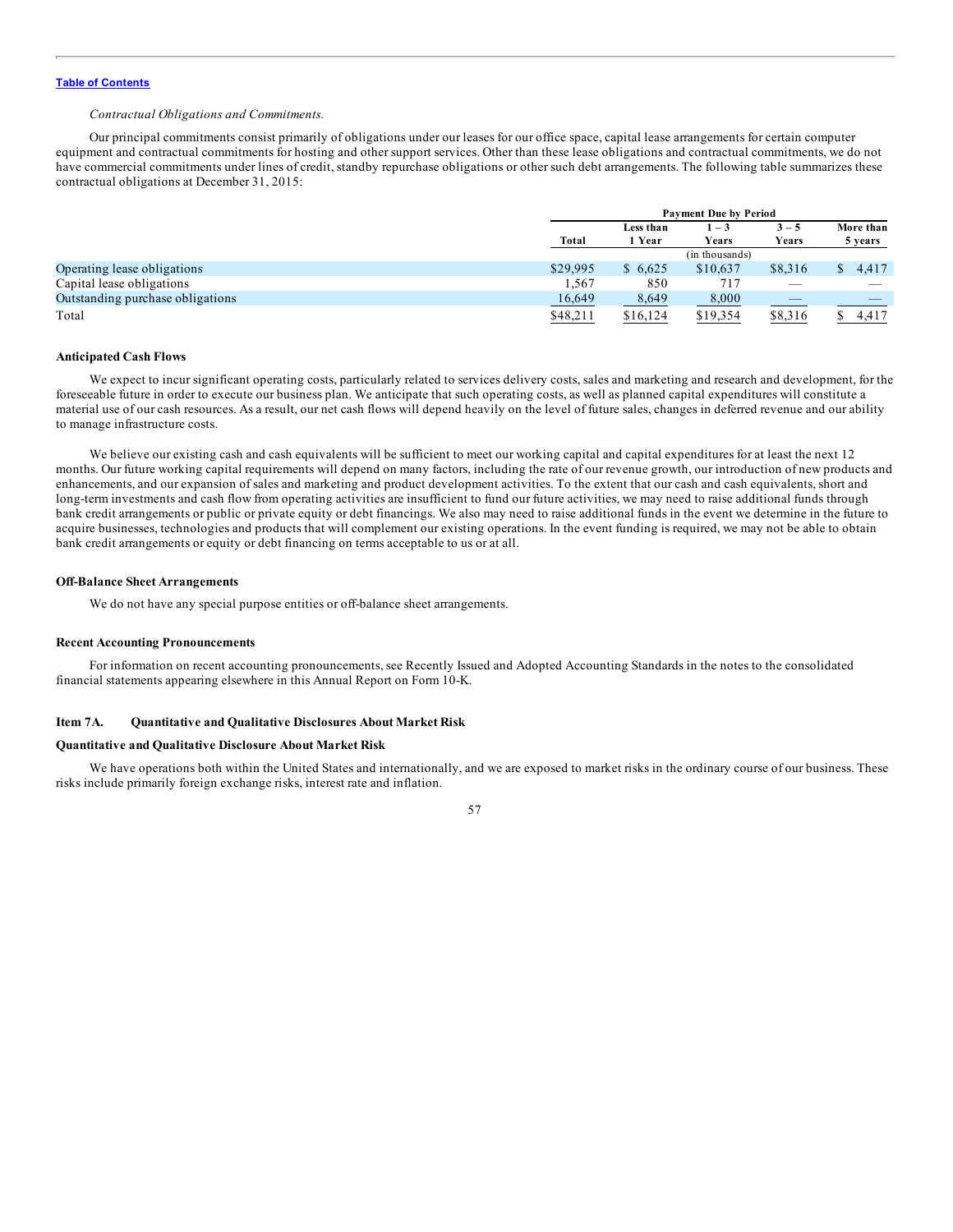## *Contractual Obligations and Commitments.*

Our principal commitments consist primarily of obligations under our leases for our office space, capital lease arrangements for certain computer equipment and contractual commitments for hosting and other support services. Other than these lease obligations and contractual commitments, we do not have commercial commitments under lines of credit, standby repurchase obligations or other such debt arrangements. The following table summarizes these contractual obligations at December 31, 2015:

|                                  |              | <b>Payment Due by Period</b> |                         |                          |                          |
|----------------------------------|--------------|------------------------------|-------------------------|--------------------------|--------------------------|
|                                  |              | Less than                    | $1 - 3$                 | $3 - 5$                  | More than                |
|                                  | <b>Total</b> | 1 Year                       | Years<br>(in thousands) | Years                    | 5 years                  |
| Operating lease obligations      | \$29,995     | \$6,625                      | \$10,637                | \$8,316                  | 4,417                    |
| Capital lease obligations        | 1,567        | 850                          | 717                     | $\overline{\phantom{a}}$ | $\overline{\phantom{a}}$ |
| Outstanding purchase obligations | 16,649       | 8,649                        | 8,000                   |                          |                          |
| Total                            | \$48,211     | \$16,124                     | \$19,354                | \$8,316                  | 4.417                    |

## **Anticipated Cash Flows**

We expect to incur significant operating costs, particularly related to services delivery costs, sales and marketing and research and development, for the foreseeable future in order to execute our business plan. We anticipate that such operating costs, as well as planned capital expenditures will constitute a material use of our cash resources. As a result, our net cash flows will depend heavily on the level of future sales, changes in deferred revenue and our ability to manage infrastructure costs.

We believe our existing cash and cash equivalents will be sufficient to meet our working capital and capital expenditures for at least the next 12 months. Our future working capital requirements will depend on many factors, including the rate of our revenue growth, our introduction of new products and enhancements, and our expansion of sales and marketing and product development activities. To the extent that our cash and cash equivalents, short and long-term investments and cash flow from operating activities are insufficient to fund our future activities, we may need to raise additional funds through bank credit arrangements or public or private equity or debt financings. We also may need to raise additional funds in the event we determine in the future to acquire businesses, technologies and products that will complement our existing operations. In the event funding is required, we may not be able to obtain bank credit arrangements or equity or debt financing on terms acceptable to us or at all.

#### **Off-Balance Sheet Arrangements**

We do not have any special purpose entities or off-balance sheet arrangements.

#### **Recent Accounting Pronouncements**

For information on recent accounting pronouncements, see Recently Issued and Adopted Accounting Standards in the notes to the consolidated financial statements appearing elsewhere in this Annual Report on Form 10-K.

#### **Item 7A. Quantitative and Qualitative Disclosures About Market Risk**

## **Quantitative and Qualitative Disclosure About Market Risk**

We have operations both within the United States and internationally, and we are exposed to market risks in the ordinary course of our business. These risks include primarily foreign exchange risks, interest rate and inflation.

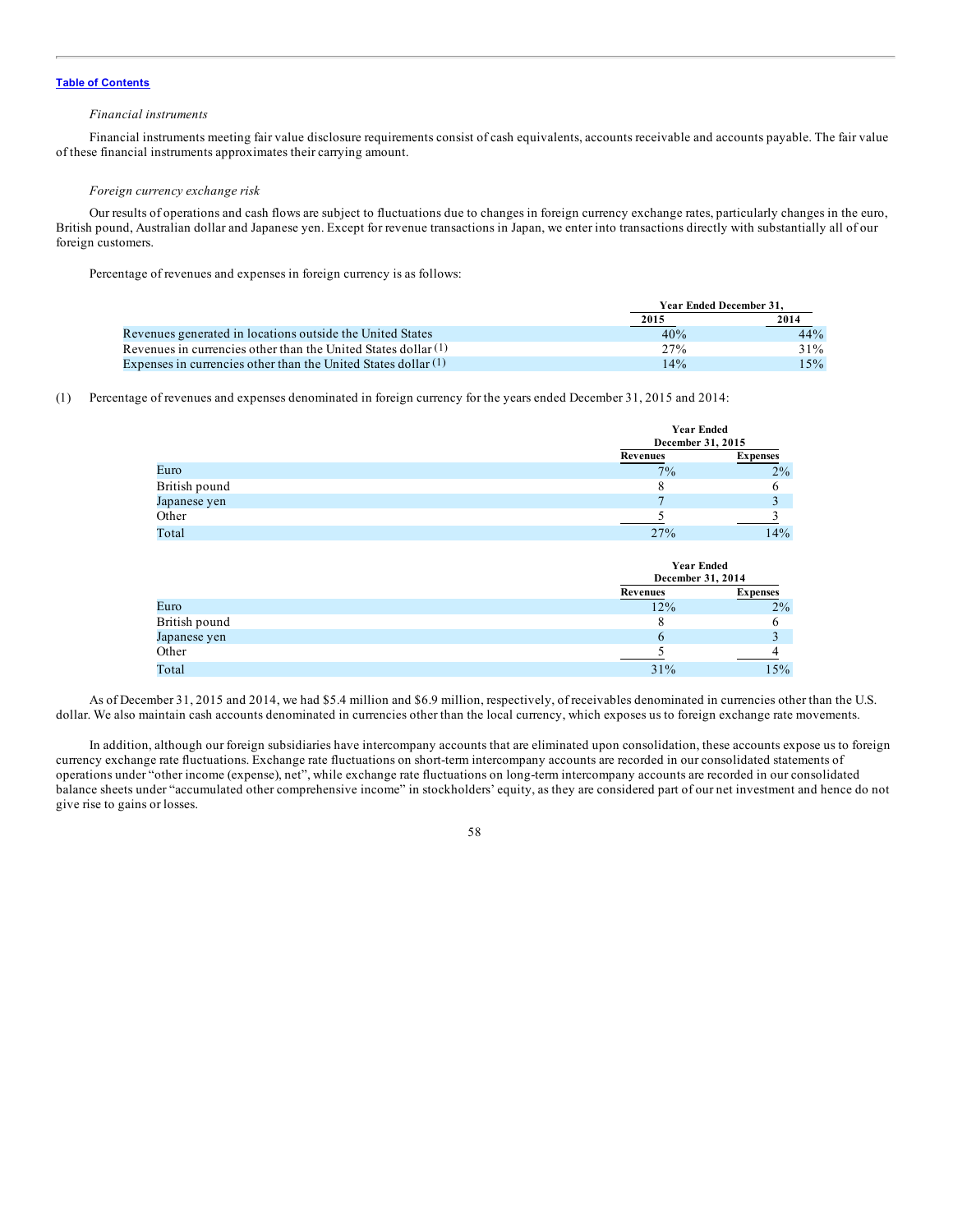## *Financial instruments*

Financial instruments meeting fair value disclosure requirements consist of cash equivalents, accounts receivable and accounts payable. The fair value of these financial instruments approximates their carrying amount.

## *Foreign currency exchange risk*

Our results of operations and cash flows are subject to fluctuations due to changes in foreign currency exchange rates, particularly changes in the euro, British pound, Australian dollar and Japanese yen. Except for revenue transactions in Japan, we enter into transactions directly with substantially all of our foreign customers.

Percentage of revenues and expenses in foreign currency is as follows:

|                                                                  |      | Year Ended December 31. |  |  |
|------------------------------------------------------------------|------|-------------------------|--|--|
|                                                                  | 2015 | 2014                    |  |  |
| Revenues generated in locations outside the United States        | 40%  | 44%                     |  |  |
| Revenues in currencies other than the United States dollar (1)   | 27%  | 31%                     |  |  |
| Expenses in currencies other than the United States dollar $(1)$ | 14%  | 15%                     |  |  |

(1) Percentage of revenues and expenses denominated in foreign currency for the years ended December 31, 2015 and 2014:

|               | Year Ended<br>December 31, 2015 |                 |
|---------------|---------------------------------|-----------------|
|               | Revenues                        | <b>Expenses</b> |
| Euro          | $7\%$                           | $2\%$           |
| British pound |                                 |                 |
| Japanese yen  |                                 |                 |
| Other         |                                 |                 |
| Total         | 27%                             | 14%             |

**Year Ended**

|               | <b>Year Ended</b><br>December 31, 2014 |                 |
|---------------|----------------------------------------|-----------------|
|               | Revenues                               | <b>Expenses</b> |
| Euro          | 12%                                    | 2%              |
| British pound |                                        |                 |
| Japanese yen  |                                        |                 |
| Other         |                                        |                 |
| Total         | 31%                                    | 15%             |

As of December 31, 2015 and 2014, we had \$5.4 million and \$6.9 million, respectively, of receivables denominated in currencies other than the U.S. dollar. We also maintain cash accounts denominated in currencies other than the local currency, which exposes us to foreign exchange rate movements.

In addition, although our foreign subsidiaries have intercompany accounts that are eliminated upon consolidation, these accounts expose us to foreign currency exchange rate fluctuations. Exchange rate fluctuations on short-term intercompany accounts are recorded in our consolidated statements of operations under "other income (expense), net", while exchange rate fluctuations on long-term intercompany accounts are recorded in our consolidated balance sheets under "accumulated other comprehensive income" in stockholders' equity, as they are considered part of our net investment and hence do not give rise to gains or losses.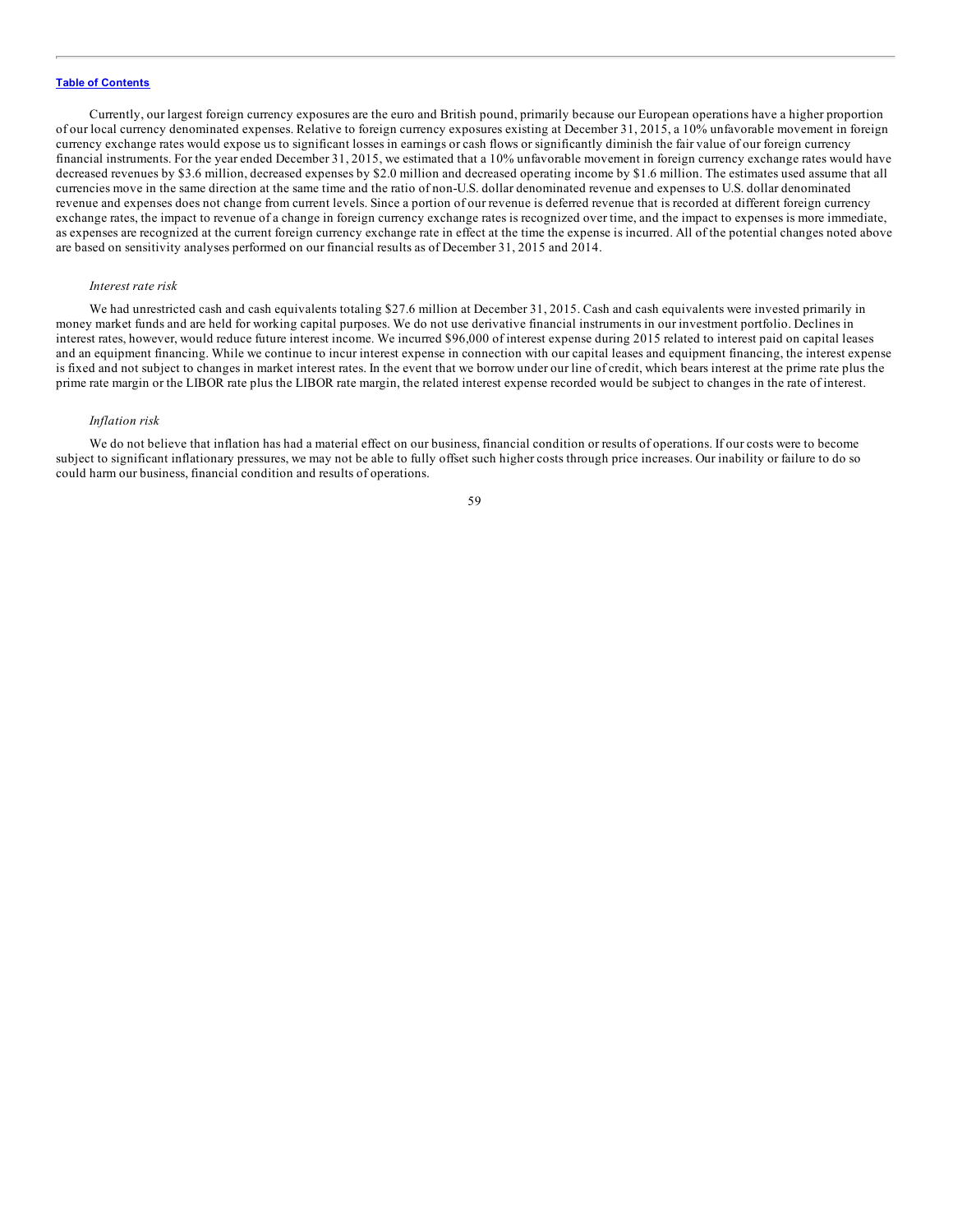Currently, our largest foreign currency exposures are the euro and British pound, primarily because our European operations have a higher proportion of our local currency denominated expenses. Relative to foreign currency exposures existing at December 31, 2015, a 10% unfavorable movement in foreign currency exchange rates would expose us to significant losses in earnings or cash flows or significantly diminish the fair value of our foreign currency financial instruments. For the year ended December 31, 2015, we estimated that a 10% unfavorable movement in foreign currency exchange rates would have decreased revenues by \$3.6 million, decreased expenses by \$2.0 million and decreased operating income by \$1.6 million. The estimates used assume that all currencies move in the same direction at the same time and the ratio of non-U.S. dollar denominated revenue and expenses to U.S. dollar denominated revenue and expenses does not change from current levels. Since a portion of our revenue is deferred revenue that is recorded at different foreign currency exchange rates, the impact to revenue of a change in foreign currency exchange rates is recognized over time, and the impact to expenses is more immediate, as expenses are recognized at the current foreign currency exchange rate in effect at the time the expense is incurred. All of the potential changes noted above are based on sensitivity analyses performed on our financial results as of December 31, 2015 and 2014.

#### *Interest rate risk*

We had unrestricted cash and cash equivalents totaling \$27.6 million at December 31, 2015. Cash and cash equivalents were invested primarily in money market funds and are held for working capital purposes. We do not use derivative financial instruments in our investment portfolio. Declines in interest rates, however, would reduce future interest income. We incurred \$96,000 of interest expense during 2015 related to interest paid on capital leases and an equipment financing. While we continue to incur interest expense in connection with our capital leases and equipment financing, the interest expense is fixed and not subject to changes in market interest rates. In the event that we borrow under our line of credit, which bears interest at the prime rate plus the prime rate margin or the LIBOR rate plus the LIBOR rate margin, the related interest expense recorded would be subject to changes in the rate of interest.

#### *Inflation risk*

We do not believe that inflation has had a material effect on our business, financial condition or results of operations. If our costs were to become subject to significant inflationary pressures, we may not be able to fully offset such higher costs through price increases. Our inability or failure to do so could harm our business, financial condition and results of operations.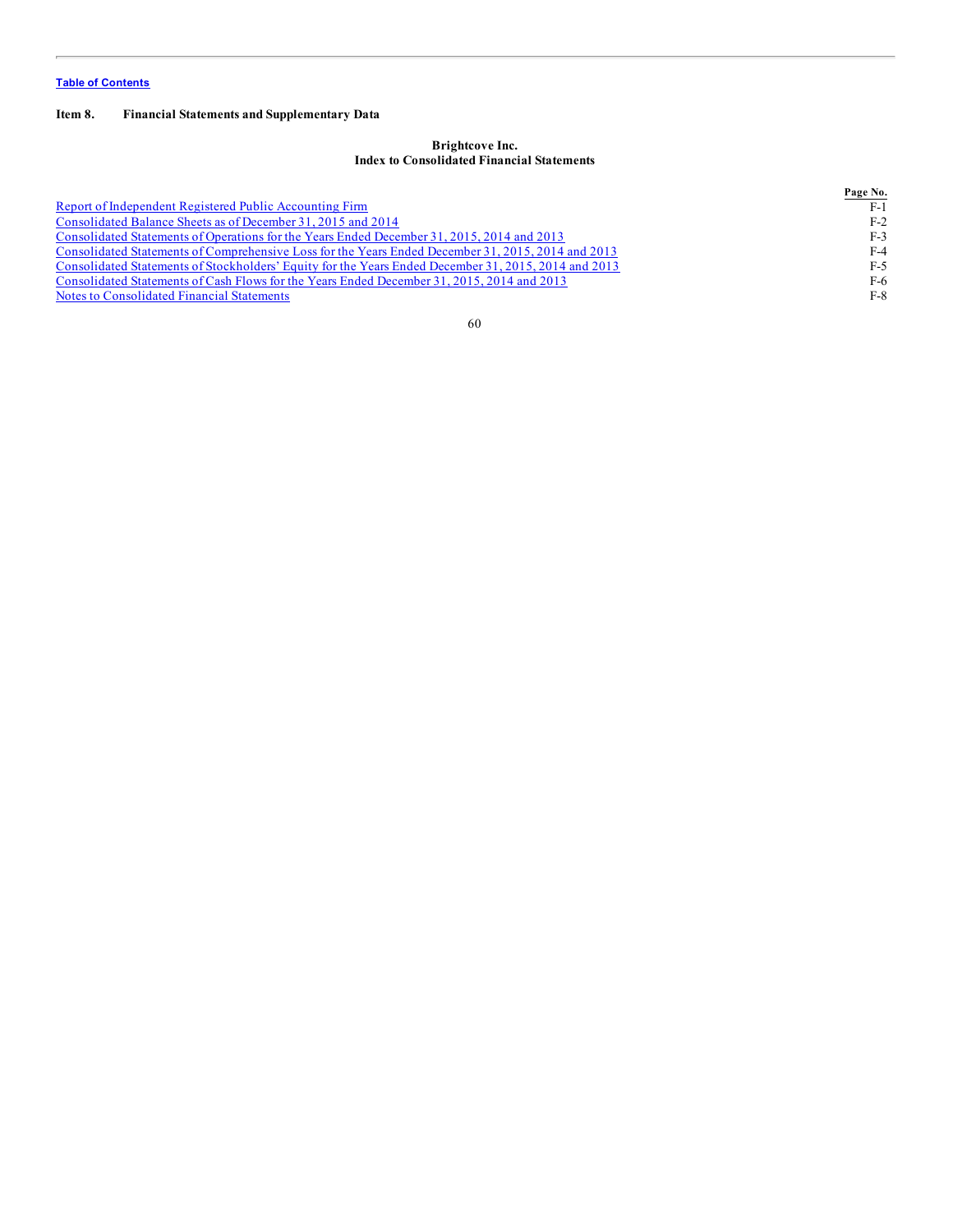# **Item 8. Financial Statements and Supplementary Data**

## **Brightcove Inc. Index to Consolidated Financial Statements**

|                                                                                                      | Page No. |
|------------------------------------------------------------------------------------------------------|----------|
| Report of Independent Registered Public Accounting Firm                                              | $F-1$    |
| Consolidated Balance Sheets as of December 31, 2015 and 2014                                         | $F-2$    |
| Consolidated Statements of Operations for the Years Ended December 31, 2015, 2014 and 2013           | $F-3$    |
| Consolidated Statements of Comprehensive Loss for the Years Ended December 31, 2015, 2014 and 2013   | $F-4$    |
| Consolidated Statements of Stockholders' Equity for the Years Ended December 31, 2015, 2014 and 2013 | $F-5$    |
| Consolidated Statements of Cash Flows for the Years Ended December 31, 2015, 2014 and 2013           | F-6      |
| Notes to Consolidated Financial Statements                                                           | F-8      |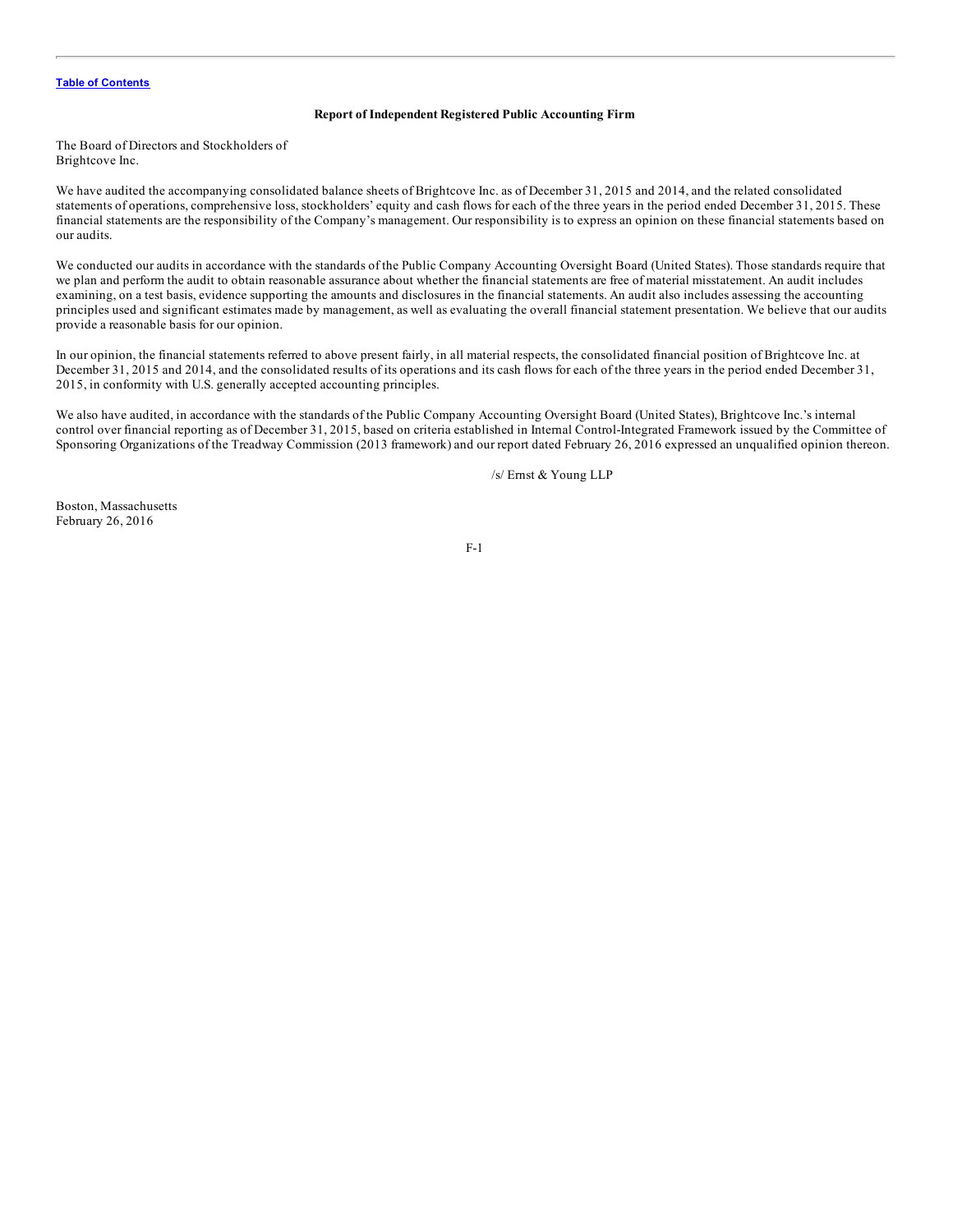## **Report of Independent Registered Public Accounting Firm**

<span id="page-60-0"></span>The Board of Directors and Stockholders of Brightcove Inc.

We have audited the accompanying consolidated balance sheets of Brightcove Inc. as of December 31, 2015 and 2014, and the related consolidated statements of operations, comprehensive loss, stockholders' equity and cash flows for each of the three years in the period ended December 31, 2015. These financial statements are the responsibility of the Company's management. Our responsibility is to express an opinion on these financial statements based on our audits.

We conducted our audits in accordance with the standards of the Public Company Accounting Oversight Board (United States). Those standards require that we plan and perform the audit to obtain reasonable assurance about whether the financial statements are free of material misstatement. An audit includes examining, on a test basis, evidence supporting the amounts and disclosures in the financial statements. An audit also includes assessing the accounting principles used and significant estimates made by management, as well as evaluating the overall financial statement presentation. We believe that our audits provide a reasonable basis for our opinion.

In our opinion, the financial statements referred to above present fairly, in all material respects, the consolidated financial position of Brightcove Inc. at December 31, 2015 and 2014, and the consolidated results of its operations and its cash flows for each of the three years in the period ended December 31, 2015, in conformity with U.S. generally accepted accounting principles.

We also have audited, in accordance with the standards of the Public Company Accounting Oversight Board (United States), Brightcove Inc.'s internal control over financial reporting as of December 31, 2015, based on criteria established in Internal Control-Integrated Framework issued by the Committee of Sponsoring Organizations of the Treadway Commission (2013 framework) and our report dated February 26, 2016 expressed an unqualified opinion thereon.

/s/ Ernst & Young LLP

Boston, Massachusetts February 26, 2016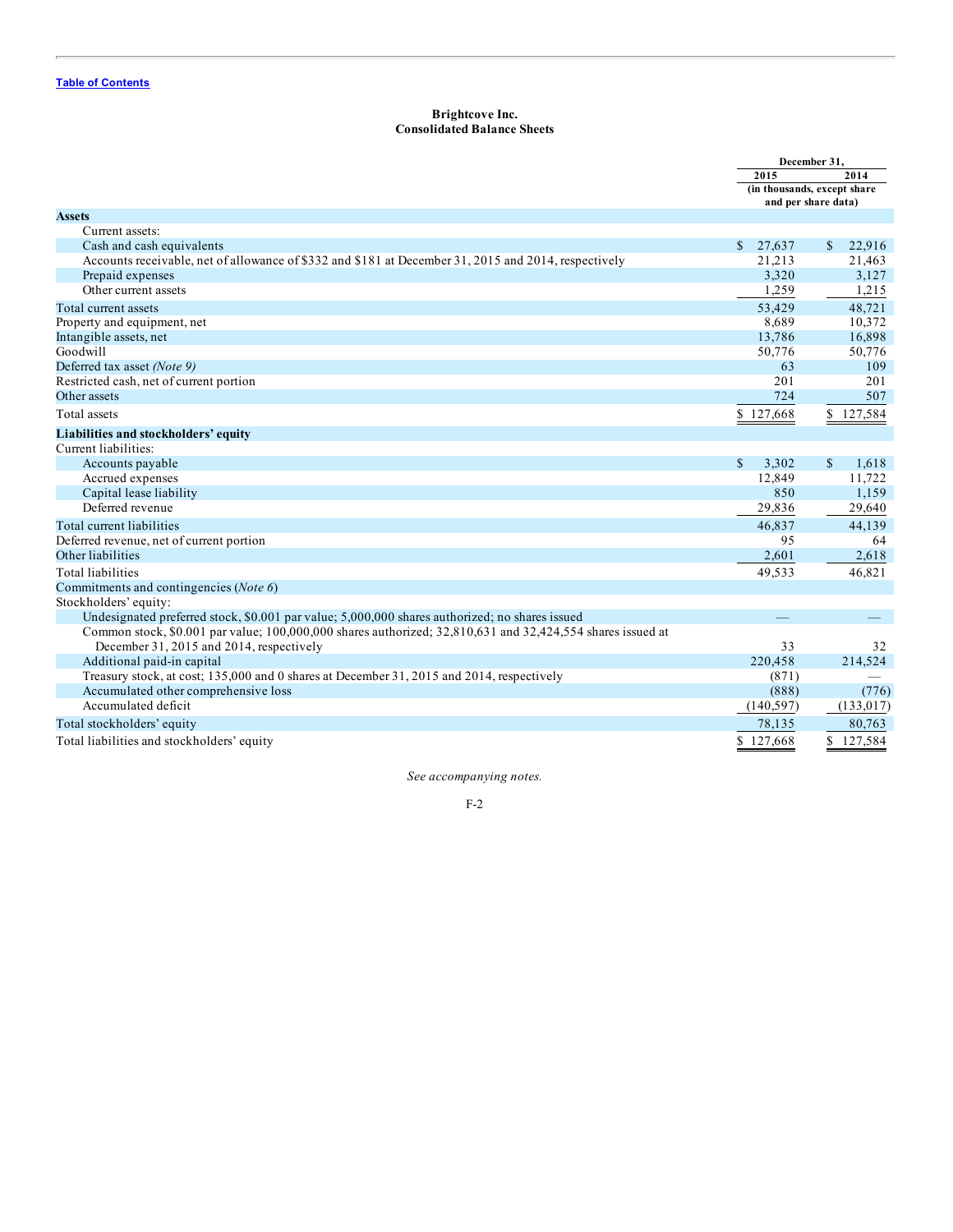# **Brightcove Inc. Consolidated Balance Sheets**

<span id="page-61-0"></span>

|                                                                                                            | December 31,          |                             |
|------------------------------------------------------------------------------------------------------------|-----------------------|-----------------------------|
|                                                                                                            | 2015                  | 2014                        |
|                                                                                                            |                       | (in thousands, except share |
| <b>Assets</b>                                                                                              |                       | and per share data)         |
| Current assets:                                                                                            |                       |                             |
| Cash and cash equivalents                                                                                  | S.<br>27,637          | 22,916<br>\$                |
| Accounts receivable, net of allowance of \$332 and \$181 at December 31, 2015 and 2014, respectively       | 21,213                | 21,463                      |
| Prepaid expenses                                                                                           | 3,320                 | 3,127                       |
| Other current assets                                                                                       | 1,259                 | 1,215                       |
| Total current assets                                                                                       | 53,429                | 48,721                      |
| Property and equipment, net                                                                                | 8,689                 | 10,372                      |
| Intangible assets, net                                                                                     | 13,786                | 16,898                      |
| Goodwill                                                                                                   | 50,776                | 50,776                      |
| Deferred tax asset (Note 9)                                                                                | 63                    | 109                         |
| Restricted cash, net of current portion                                                                    | 201                   | 201                         |
| Other assets                                                                                               | 724                   | 507                         |
| Total assets                                                                                               | \$127,668             | \$127,584                   |
| Liabilities and stockholders' equity                                                                       |                       |                             |
| Current liabilities:                                                                                       |                       |                             |
| Accounts payable                                                                                           | $\mathbb{S}$<br>3.302 | $\mathbb{S}$<br>1,618       |
| Accrued expenses                                                                                           | 12,849                | 11,722                      |
| Capital lease liability                                                                                    | 850                   | 1,159                       |
| Deferred revenue                                                                                           | 29,836                | 29,640                      |
| Total current liabilities                                                                                  | 46,837                | 44,139                      |
| Deferred revenue, net of current portion                                                                   | 95                    | 64                          |
| Other liabilities                                                                                          | 2,601                 | 2,618                       |
| <b>Total liabilities</b>                                                                                   | 49,533                | 46,821                      |
| Commitments and contingencies (Note 6)                                                                     |                       |                             |
| Stockholders' equity:                                                                                      |                       |                             |
| Undesignated preferred stock, \$0.001 par value; 5,000,000 shares authorized; no shares issued             |                       |                             |
| Common stock, \$0.001 par value; 100,000,000 shares authorized; 32,810,631 and 32,424,554 shares issued at |                       |                             |
| December 31, 2015 and 2014, respectively                                                                   | 33                    | 32                          |
| Additional paid-in capital                                                                                 | 220,458               | 214,524                     |
| Treasury stock, at cost; 135,000 and 0 shares at December 31, 2015 and 2014, respectively                  | (871)                 |                             |
| Accumulated other comprehensive loss                                                                       | (888)                 | (776)                       |
| Accumulated deficit                                                                                        | (140, 597)            | (133, 017)                  |
| Total stockholders' equity                                                                                 | 78,135                | 80,763                      |
| Total liabilities and stockholders' equity                                                                 | \$127,668             | \$127,584                   |

*See accompanying notes.*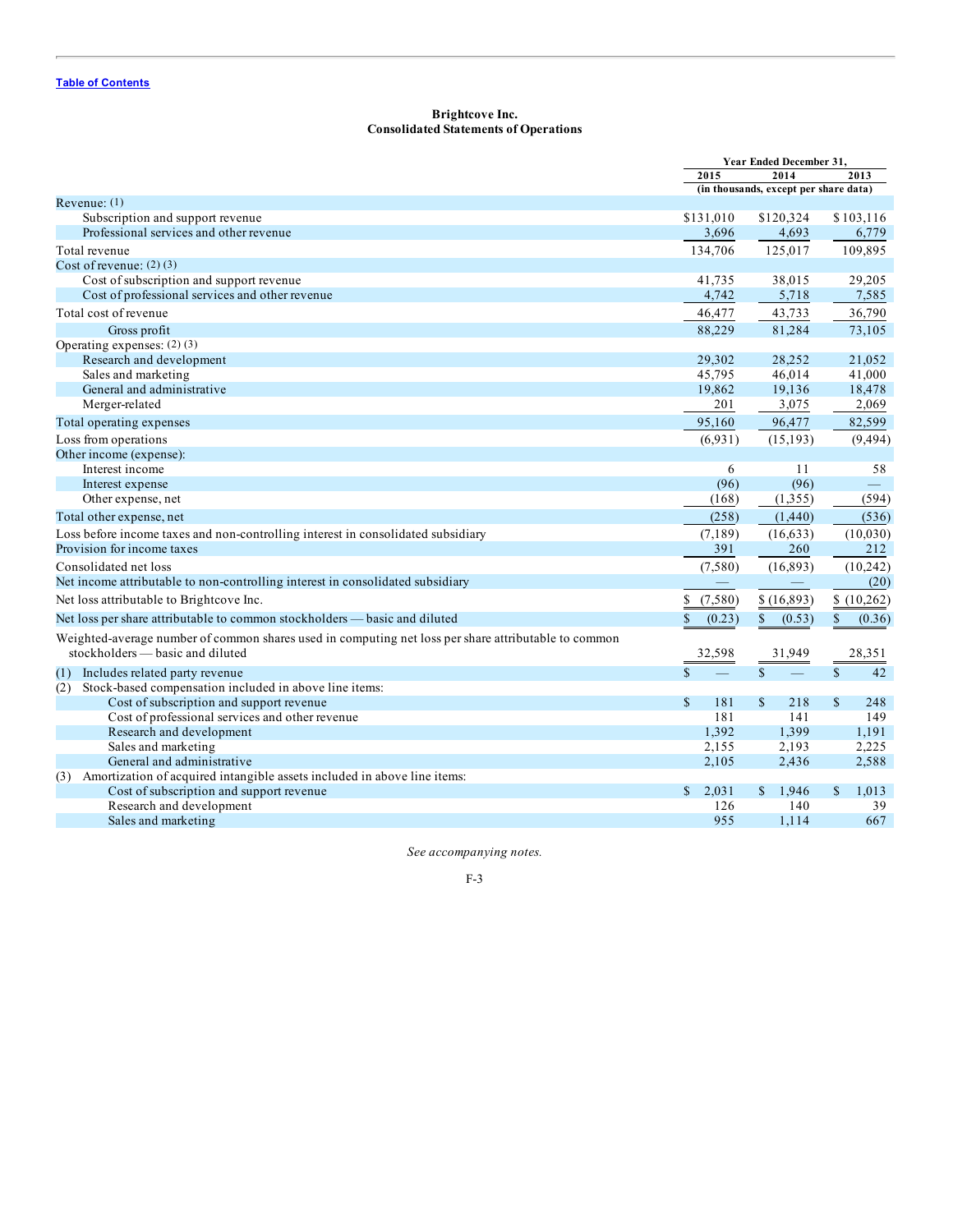# **Brightcove Inc. Consolidated Statements of Operations**

<span id="page-62-0"></span>

|                                                                                                      | Year Ended December 31, |                                       |                        |
|------------------------------------------------------------------------------------------------------|-------------------------|---------------------------------------|------------------------|
|                                                                                                      | 2015                    | 2014                                  | 2013                   |
|                                                                                                      |                         | (in thousands, except per share data) |                        |
| Revenue: $(1)$                                                                                       |                         |                                       |                        |
| Subscription and support revenue                                                                     | \$131,010               | \$120,324                             | \$103,116              |
| Professional services and other revenue                                                              | 3,696                   | 4,693                                 | 6,779                  |
| Total revenue                                                                                        | 134,706                 | 125,017                               | 109,895                |
| Cost of revenue: $(2)$ $(3)$                                                                         |                         |                                       |                        |
| Cost of subscription and support revenue                                                             | 41,735                  | 38,015                                | 29,205                 |
| Cost of professional services and other revenue                                                      | 4,742                   | 5,718                                 | 7,585                  |
| Total cost of revenue                                                                                | 46,477                  | 43,733                                | 36,790                 |
| Gross profit                                                                                         | 88,229                  | 81,284                                | 73,105                 |
| Operating expenses: $(2)(3)$                                                                         |                         |                                       |                        |
| Research and development                                                                             | 29,302                  | 28,252                                | 21,052                 |
| Sales and marketing                                                                                  | 45,795                  | 46,014                                | 41,000                 |
| General and administrative                                                                           | 19,862                  | 19,136                                | 18,478                 |
| Merger-related                                                                                       | 201                     | 3,075                                 | 2,069                  |
| Total operating expenses                                                                             | 95,160                  | 96,477                                | 82,599                 |
| Loss from operations                                                                                 | (6.931)                 | (15, 193)                             | (9, 494)               |
| Other income (expense):                                                                              |                         |                                       |                        |
| Interest income                                                                                      | 6                       | 11                                    | 58                     |
| Interest expense                                                                                     | (96)                    | (96)                                  |                        |
| Other expense, net                                                                                   | (168)                   | (1,355)                               | (594)                  |
| Total other expense, net                                                                             | (258)                   | (1,440)                               | (536)                  |
| Loss before income taxes and non-controlling interest in consolidated subsidiary                     | (7, 189)                | (16, 633)                             | (10,030)               |
| Provision for income taxes                                                                           | 391                     | 260                                   | 212                    |
| Consolidated net loss                                                                                | (7,580)                 | (16, 893)                             | (10, 242)              |
| Net income attributable to non-controlling interest in consolidated subsidiary                       |                         |                                       | (20)                   |
| Net loss attributable to Brightcove Inc.                                                             | (7,580)<br>\$           | \$(16,893)                            | \$(10, 262)            |
|                                                                                                      |                         |                                       |                        |
| Net loss per share attributable to common stockholders — basic and diluted                           | \$<br>(0.23)            | \$<br>(0.53)                          | $\mathbb{S}$<br>(0.36) |
| Weighted-average number of common shares used in computing net loss per share attributable to common |                         |                                       |                        |
| stockholders — basic and diluted                                                                     | 32,598                  | 31,949                                | 28,351                 |
| (1) Includes related party revenue                                                                   | $\mathcal{S}$           | $\mathbf{\hat{s}}$                    | $\mathbb{S}$<br>42     |
| Stock-based compensation included in above line items:<br>(2)                                        |                         |                                       |                        |
| Cost of subscription and support revenue                                                             | $\mathcal{S}$<br>181    | $\mathbb{S}$<br>218                   | $\mathbf S$<br>248     |
| Cost of professional services and other revenue                                                      | 181                     | 141                                   | 149                    |
| Research and development                                                                             | 1,392                   | 1,399                                 | 1,191                  |
| Sales and marketing                                                                                  | 2,155                   | 2,193                                 | 2,225                  |
| General and administrative                                                                           | 2,105                   | 2,436                                 | 2,588                  |
| (3) Amortization of acquired intangible assets included in above line items:                         |                         |                                       |                        |
| Cost of subscription and support revenue                                                             | \$<br>2,031             | 1,946<br>\$                           | $\mathbb{S}$<br>1,013  |
| Research and development                                                                             | 126                     | 140                                   | 39                     |
| Sales and marketing                                                                                  | 955                     | 1,114                                 | 667                    |

*See accompanying notes.*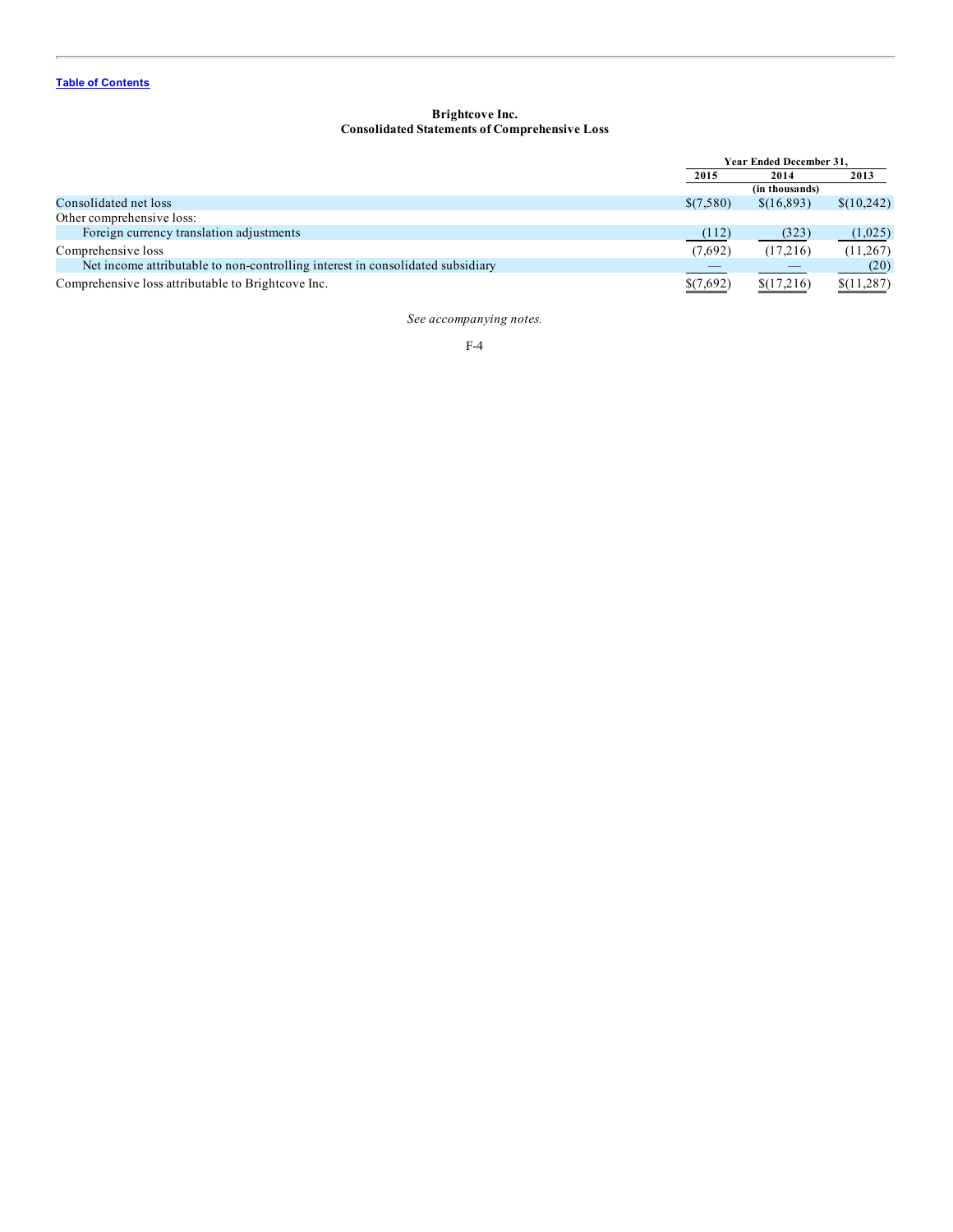## **Brightcove Inc. Consolidated Statements of Comprehensive Loss**

<span id="page-63-0"></span>

|                                                                                | <b>Year Ended December 31.</b> |                |            |
|--------------------------------------------------------------------------------|--------------------------------|----------------|------------|
|                                                                                | 2015                           | 2014           | 2013       |
|                                                                                |                                | (in thousands) |            |
| Consolidated net loss                                                          | \$(7,580)                      | \$(16,893)     | \$(10,242) |
| Other comprehensive loss:                                                      |                                |                |            |
| Foreign currency translation adjustments                                       | (112)                          | (323)          | (1,025)    |
| Comprehensive loss                                                             | (7,692)                        | (17,216)       | (11,267)   |
| Net income attributable to non-controlling interest in consolidated subsidiary |                                |                | (20)       |
| Comprehensive loss attributable to Brightcove Inc.                             | \$(7,692)                      | \$(17,216)     | \$(11,287) |

*See accompanying notes.*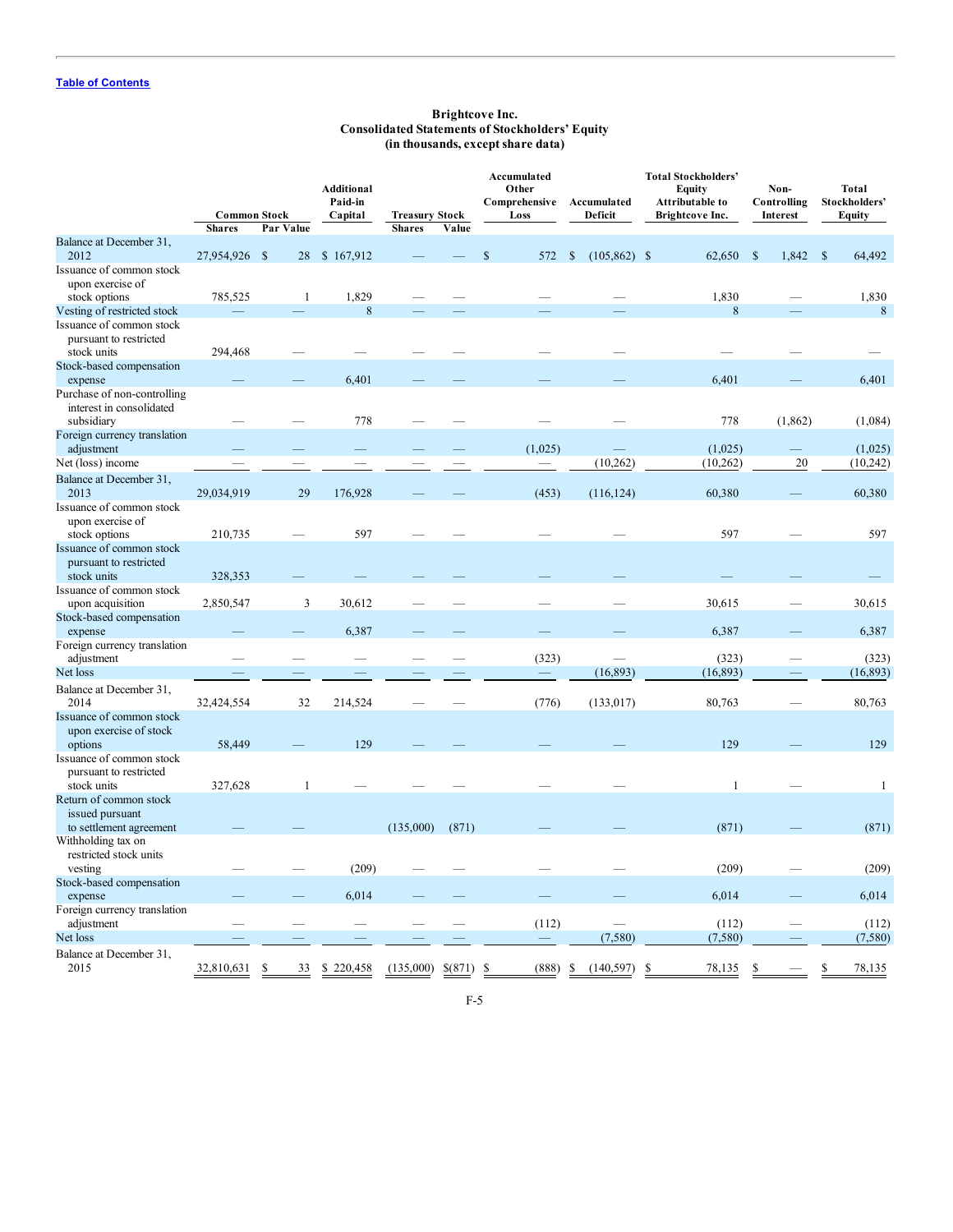## **Brightcove Inc. Consolidated Statements of Stockholders' Equity (in thousands, except share data)**

<span id="page-64-0"></span>

|                                                                                                  | <b>Common Stock</b><br><b>Shares</b> | Par Value    | <b>Additional</b><br>Paid-in<br>Capital | <b>Treasury Stock</b><br><b>Shares</b> | Value   | Accumulated<br>Other<br>Comprehensive<br>Loss | Accumulated<br>Deficit | <b>Total Stockholders'</b><br>Equity<br>Attributable to<br>Brightcove Inc. | Non-<br>Controlling<br>Interest | Total<br>Stockholders'<br>Equity |
|--------------------------------------------------------------------------------------------------|--------------------------------------|--------------|-----------------------------------------|----------------------------------------|---------|-----------------------------------------------|------------------------|----------------------------------------------------------------------------|---------------------------------|----------------------------------|
| Balance at December 31,<br>2012                                                                  | 27,954,926 \$                        | 28           | \$167,912                               |                                        |         | \$<br>572                                     | $(105, 862)$ \$<br>\$  | 62,650                                                                     | $\mathbf S$<br>1,842            | $\mathcal{S}$<br>64,492          |
| Issuance of common stock<br>upon exercise of                                                     |                                      |              |                                         |                                        |         |                                               |                        |                                                                            |                                 |                                  |
| stock options                                                                                    | 785,525                              | $\mathbf{1}$ | 1,829                                   |                                        |         |                                               |                        | 1,830                                                                      |                                 | 1,830                            |
| Vesting of restricted stock<br>Issuance of common stock<br>pursuant to restricted<br>stock units | 294,468                              |              | 8                                       |                                        |         |                                               |                        | 8                                                                          |                                 | 8                                |
| Stock-based compensation                                                                         |                                      |              |                                         |                                        |         |                                               |                        |                                                                            |                                 |                                  |
| expense<br>Purchase of non-controlling<br>interest in consolidated<br>subsidiary                 |                                      |              | 6,401<br>778                            |                                        |         |                                               |                        | 6,401<br>778                                                               | (1, 862)                        | 6,401<br>(1,084)                 |
| Foreign currency translation<br>adjustment                                                       |                                      |              |                                         |                                        |         | (1,025)                                       |                        | (1,025)                                                                    |                                 | (1,025)                          |
| Net (loss) income                                                                                |                                      |              |                                         |                                        |         | $\qquad \qquad -$                             | (10, 262)              | (10, 262)                                                                  | 20                              | (10, 242)                        |
| Balance at December 31,<br>2013                                                                  | 29,034,919                           | 29           | 176,928                                 |                                        |         | (453)                                         | (116, 124)             | 60,380                                                                     |                                 | 60,380                           |
| Issuance of common stock<br>upon exercise of<br>stock options                                    | 210,735                              |              | 597                                     |                                        |         |                                               |                        | 597                                                                        |                                 | 597                              |
| Issuance of common stock<br>pursuant to restricted<br>stock units                                | 328,353                              |              |                                         |                                        |         |                                               |                        |                                                                            |                                 |                                  |
| Issuance of common stock<br>upon acquisition                                                     | 2,850,547                            | 3            | 30,612                                  |                                        |         |                                               |                        | 30,615                                                                     |                                 | 30,615                           |
| Stock-based compensation<br>expense                                                              |                                      |              | 6,387                                   |                                        |         |                                               |                        | 6,387                                                                      |                                 | 6,387                            |
| Foreign currency translation<br>adjustment                                                       |                                      |              |                                         |                                        |         | (323)                                         |                        | (323)                                                                      |                                 | (323)                            |
| Net loss                                                                                         | $\equiv$                             |              |                                         |                                        |         |                                               | (16, 893)              | (16, 893)                                                                  |                                 | (16, 893)                        |
| Balance at December 31,<br>2014                                                                  | 32,424,554                           | 32           | 214,524                                 |                                        |         | (776)                                         | (133, 017)             | 80,763                                                                     |                                 | 80,763                           |
| Issuance of common stock<br>upon exercise of stock<br>options                                    | 58,449                               |              | 129                                     |                                        |         |                                               |                        | 129                                                                        |                                 | 129                              |
| Issuance of common stock<br>pursuant to restricted<br>stock units                                | 327,628                              | $\mathbf{1}$ |                                         |                                        |         |                                               |                        | $\mathbf{1}$                                                               |                                 | $\mathbf{1}$                     |
| Return of common stock<br>issued pursuant<br>to settlement agreement                             |                                      |              |                                         | (135,000)                              | (871)   |                                               |                        | (871)                                                                      |                                 | (871)                            |
| Withholding tax on<br>restricted stock units<br>vesting                                          |                                      |              | (209)                                   |                                        |         |                                               |                        | (209)                                                                      |                                 | (209)                            |
| Stock-based compensation<br>expense                                                              |                                      |              | 6,014                                   |                                        |         |                                               |                        | 6,014                                                                      |                                 | 6,014                            |
| Foreign currency translation<br>adjustment                                                       |                                      |              |                                         |                                        |         | (112)                                         |                        | (112)                                                                      |                                 | (112)                            |
| Net loss                                                                                         |                                      |              |                                         |                                        |         |                                               | (7, 580)               | (7, 580)                                                                   |                                 | (7,580)                          |
| Balance at December 31,<br>2015                                                                  | 32,810,631                           | \$<br>33     | 220,458<br><sup>\$</sup>                | (135,000)                              | \$(871) | \$<br>(888)                                   | (140, 597)<br>S        | <sup>\$</sup><br>78,135                                                    | S                               | ٩<br>78,135                      |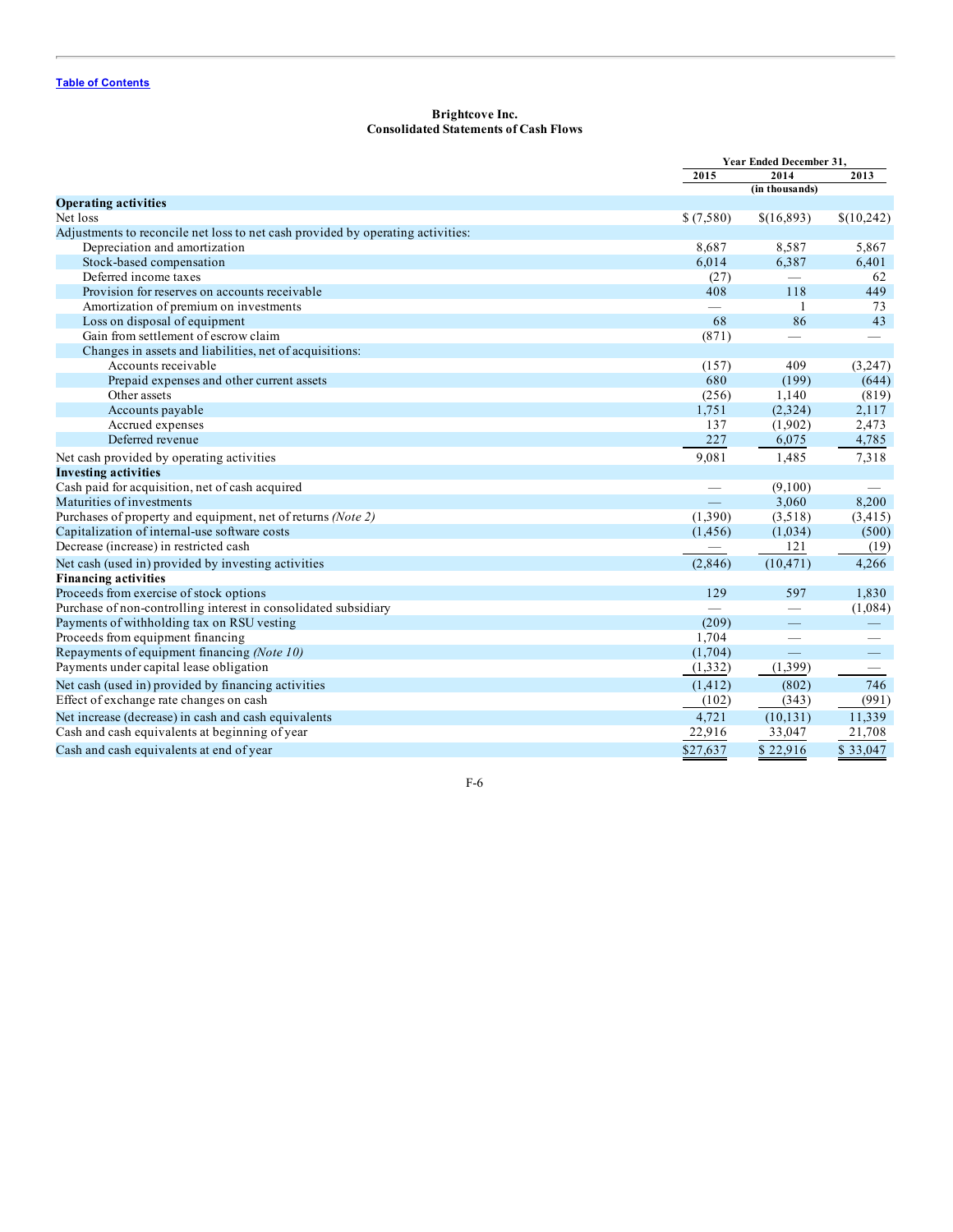# **Brightcove Inc. Consolidated Statements of Cash Flows**

<span id="page-65-0"></span>

|                                                                                 |           | Year Ended December 31, |                          |  |
|---------------------------------------------------------------------------------|-----------|-------------------------|--------------------------|--|
|                                                                                 | 2015      | 2014                    | 2013                     |  |
|                                                                                 |           | (in thousands)          |                          |  |
| <b>Operating activities</b>                                                     |           |                         |                          |  |
| Net loss                                                                        | \$(7,580) | \$(16,893)              | \$(10,242)               |  |
| Adjustments to reconcile net loss to net cash provided by operating activities: |           |                         |                          |  |
| Depreciation and amortization                                                   | 8.687     | 8,587                   | 5,867                    |  |
| Stock-based compensation                                                        | 6,014     | 6,387                   | 6,401                    |  |
| Deferred income taxes                                                           | (27)      |                         | 62                       |  |
| Provision for reserves on accounts receivable                                   | 408       | 118                     | 449                      |  |
| Amortization of premium on investments                                          |           | -1                      | 73                       |  |
| Loss on disposal of equipment                                                   | 68        | 86                      | 43                       |  |
| Gain from settlement of escrow claim                                            | (871)     | $\frac{1}{2}$           | $\overline{\phantom{0}}$ |  |
| Changes in assets and liabilities, net of acquisitions:                         |           |                         |                          |  |
| Accounts receivable                                                             | (157)     | 409                     | (3,247)                  |  |
| Prepaid expenses and other current assets                                       | 680       | (199)                   | (644)                    |  |
| Other assets                                                                    | (256)     | 1,140                   | (819)                    |  |
| Accounts payable                                                                | 1,751     | (2,324)                 | 2,117                    |  |
| Accrued expenses                                                                | 137       | (1,902)                 | 2,473                    |  |
| Deferred revenue                                                                | 227       | 6,075                   | 4,785                    |  |
| Net cash provided by operating activities                                       | 9,081     | 1,485                   | 7,318                    |  |
| <b>Investing activities</b>                                                     |           |                         |                          |  |
| Cash paid for acquisition, net of cash acquired                                 |           | (9,100)                 |                          |  |
| Maturities of investments                                                       |           | 3,060                   | 8,200                    |  |
| Purchases of property and equipment, net of returns (Note 2)                    | (1,390)   | (3,518)                 | (3, 415)                 |  |
| Capitalization of internal-use software costs                                   | (1, 456)  | (1,034)                 | (500)                    |  |
| Decrease (increase) in restricted cash                                          |           | 121                     | (19)                     |  |
| Net cash (used in) provided by investing activities                             | (2,846)   | (10, 471)               | 4,266                    |  |
| <b>Financing activities</b>                                                     |           |                         |                          |  |
| Proceeds from exercise of stock options                                         | 129       | 597                     | 1,830                    |  |
| Purchase of non-controlling interest in consolidated subsidiary                 |           |                         | (1,084)                  |  |
| Payments of withholding tax on RSU vesting                                      | (209)     |                         |                          |  |
| Proceeds from equipment financing                                               | 1,704     |                         |                          |  |
| Repayments of equipment financing (Note 10)                                     | (1,704)   | $\equiv$                | $\qquad \qquad -$        |  |
| Payments under capital lease obligation                                         | (1,332)   | (1,399)                 | $\overline{\phantom{0}}$ |  |
| Net cash (used in) provided by financing activities                             | (1, 412)  | (802)                   | 746                      |  |
| Effect of exchange rate changes on cash                                         | (102)     | (343)                   | (991)                    |  |
| Net increase (decrease) in cash and cash equivalents                            | 4,721     | (10, 131)               | 11,339                   |  |
| Cash and cash equivalents at beginning of year                                  | 22,916    | 33,047                  | 21,708                   |  |
| Cash and cash equivalents at end of year                                        | \$27,637  | \$22,916                | \$33,047                 |  |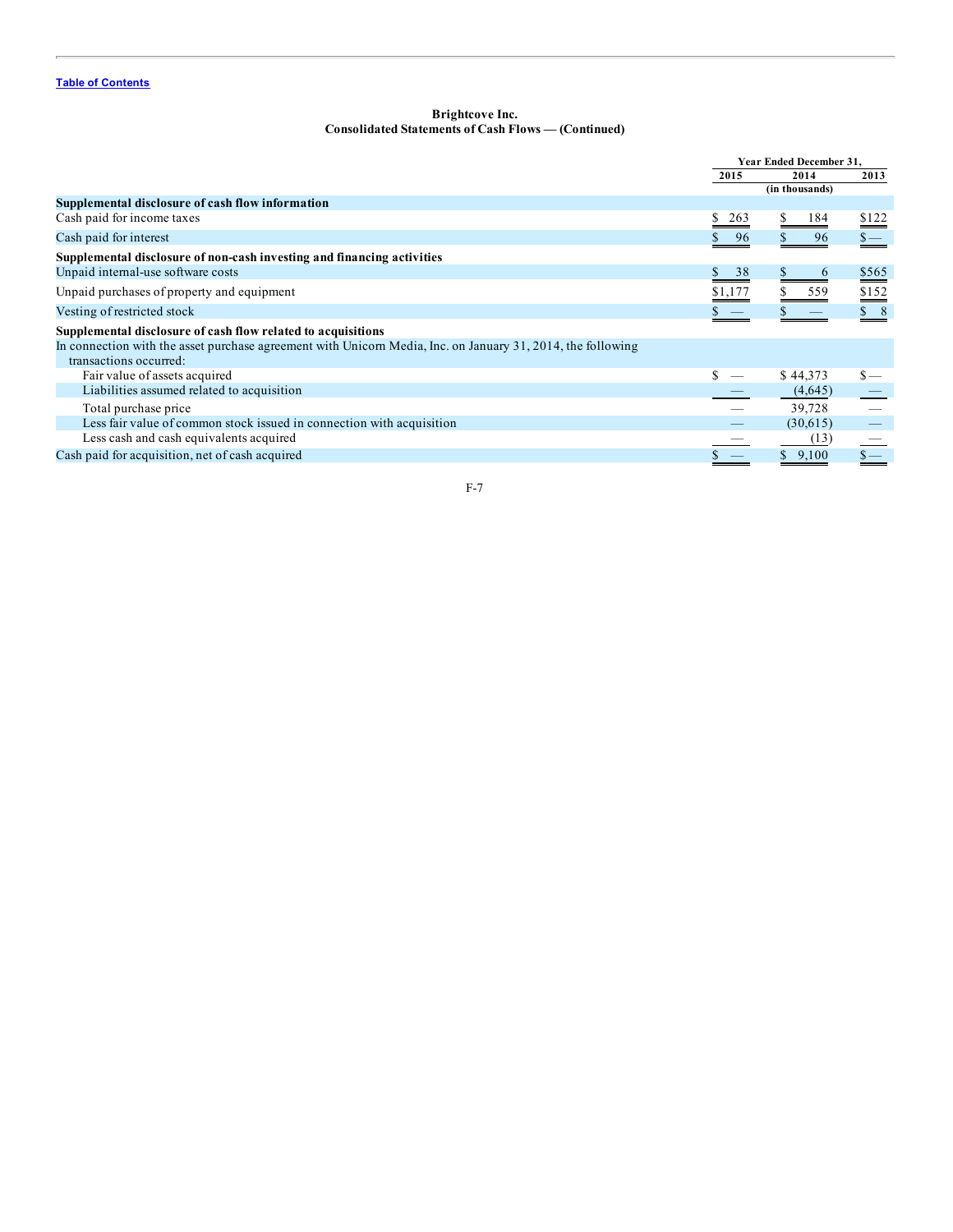# **Brightcove Inc. Consolidated Statements of Cash Flows — (Continued)**

|                                                                                                                                       | Year Ended December 31, |                |                 |
|---------------------------------------------------------------------------------------------------------------------------------------|-------------------------|----------------|-----------------|
|                                                                                                                                       | 2015                    | 2014           | 2013            |
|                                                                                                                                       |                         | (in thousands) |                 |
| Supplemental disclosure of cash flow information                                                                                      |                         |                |                 |
| Cash paid for income taxes                                                                                                            | 263                     | 184            | $rac{$122}{2}$  |
| Cash paid for interest                                                                                                                | 96                      | 96             | $\frac{\ }{s-}$ |
| Supplemental disclosure of non-cash investing and financing activities                                                                |                         |                |                 |
| Unpaid internal-use software costs                                                                                                    | 38<br>\$                | $\sigma$       | \$565           |
| Unpaid purchases of property and equipment                                                                                            | \$1,177                 | 559            | \$152           |
| Vesting of restricted stock                                                                                                           |                         |                | $\$\ 8$         |
| Supplemental disclosure of cash flow related to acquisitions                                                                          |                         |                |                 |
| In connection with the asset purchase agreement with Unicorn Media, Inc. on January 31, 2014, the following<br>transactions occurred: |                         |                |                 |
| Fair value of assets acquired                                                                                                         |                         | \$44,373       | $\mathbf{s}$ —  |
| Liabilities assumed related to acquisition                                                                                            |                         | (4,645)        |                 |
| Total purchase price                                                                                                                  |                         | 39,728         |                 |
| Less fair value of common stock issued in connection with acquisition                                                                 |                         | (30,615)       |                 |
| Less cash and cash equivalents acquired                                                                                               |                         | (13)           |                 |
| Cash paid for acquisition, net of cash acquired                                                                                       |                         | 9,100          | $\frac{\ }{s-}$ |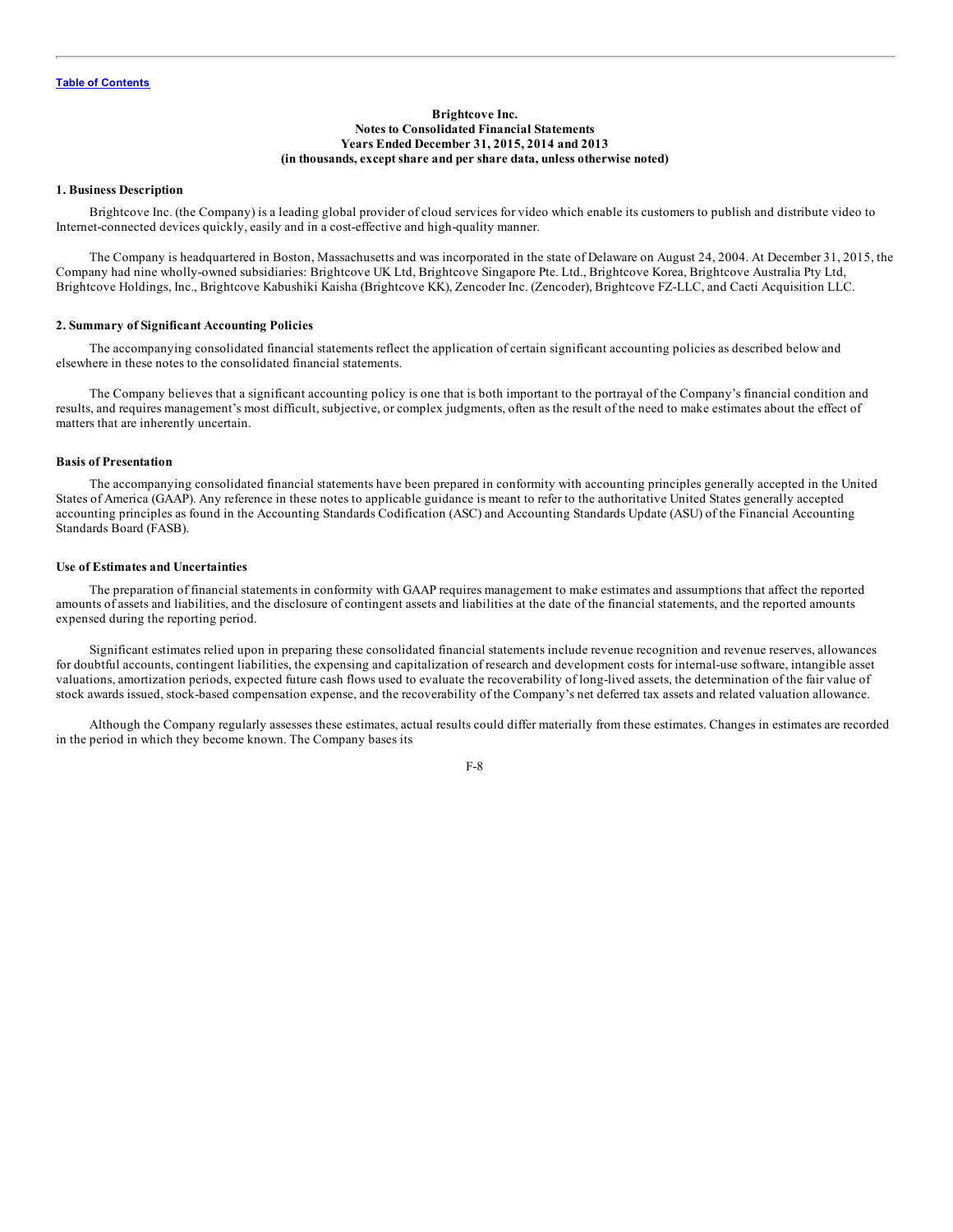## **Brightcove Inc. Notes to Consolidated Financial Statements Years Ended December 31, 2015, 2014 and 2013 (in thousands, except share and per share data, unless otherwise noted)**

## <span id="page-67-0"></span>**1. Business Description**

Brightcove Inc. (the Company) is a leading global provider of cloud services for video which enable its customers to publish and distribute video to Internet-connected devices quickly, easily and in a cost-effective and high-quality manner.

The Company is headquartered in Boston, Massachusetts and was incorporated in the state of Delaware on August 24, 2004. At December 31, 2015, the Company had nine wholly-owned subsidiaries: Brightcove UK Ltd, Brightcove Singapore Pte. Ltd., Brightcove Korea, Brightcove Australia Pty Ltd, Brightcove Holdings, Inc., Brightcove Kabushiki Kaisha (Brightcove KK), Zencoder Inc. (Zencoder), Brightcove FZ-LLC, and Cacti Acquisition LLC.

## **2. Summary of Significant Accounting Policies**

The accompanying consolidated financial statements reflect the application of certain significant accounting policies as described below and elsewhere in these notes to the consolidated financial statements.

The Company believes that a significant accounting policy is one that is both important to the portrayal of the Company's financial condition and results, and requires management's most difficult, subjective, or complex judgments, often as the result of the need to make estimates about the effect of matters that are inherently uncertain.

# **Basis of Presentation**

The accompanying consolidated financial statements have been prepared in conformity with accounting principles generally accepted in the United States of America (GAAP). Any reference in these notes to applicable guidance is meant to refer to the authoritative United States generally accepted accounting principles as found in the Accounting Standards Codification (ASC) and Accounting Standards Update (ASU) of the Financial Accounting Standards Board (FASB).

## **Use of Estimates and Uncertainties**

The preparation of financial statements in conformity with GAAP requires management to make estimates and assumptions that affect the reported amounts of assets and liabilities, and the disclosure of contingent assets and liabilities at the date of the financial statements, and the reported amounts expensed during the reporting period.

Significant estimates relied upon in preparing these consolidated financial statements include revenue recognition and revenue reserves, allowances for doubtful accounts, contingent liabilities, the expensing and capitalization of research and development costs for internal-use software, intangible asset valuations, amortization periods, expected future cash flows used to evaluate the recoverability of long-lived assets, the determination of the fair value of stock awards issued, stock-based compensation expense, and the recoverability of the Company's net deferred tax assets and related valuation allowance.

Although the Company regularly assesses these estimates, actual results could differ materially from these estimates. Changes in estimates are recorded in the period in which they become known. The Company bases its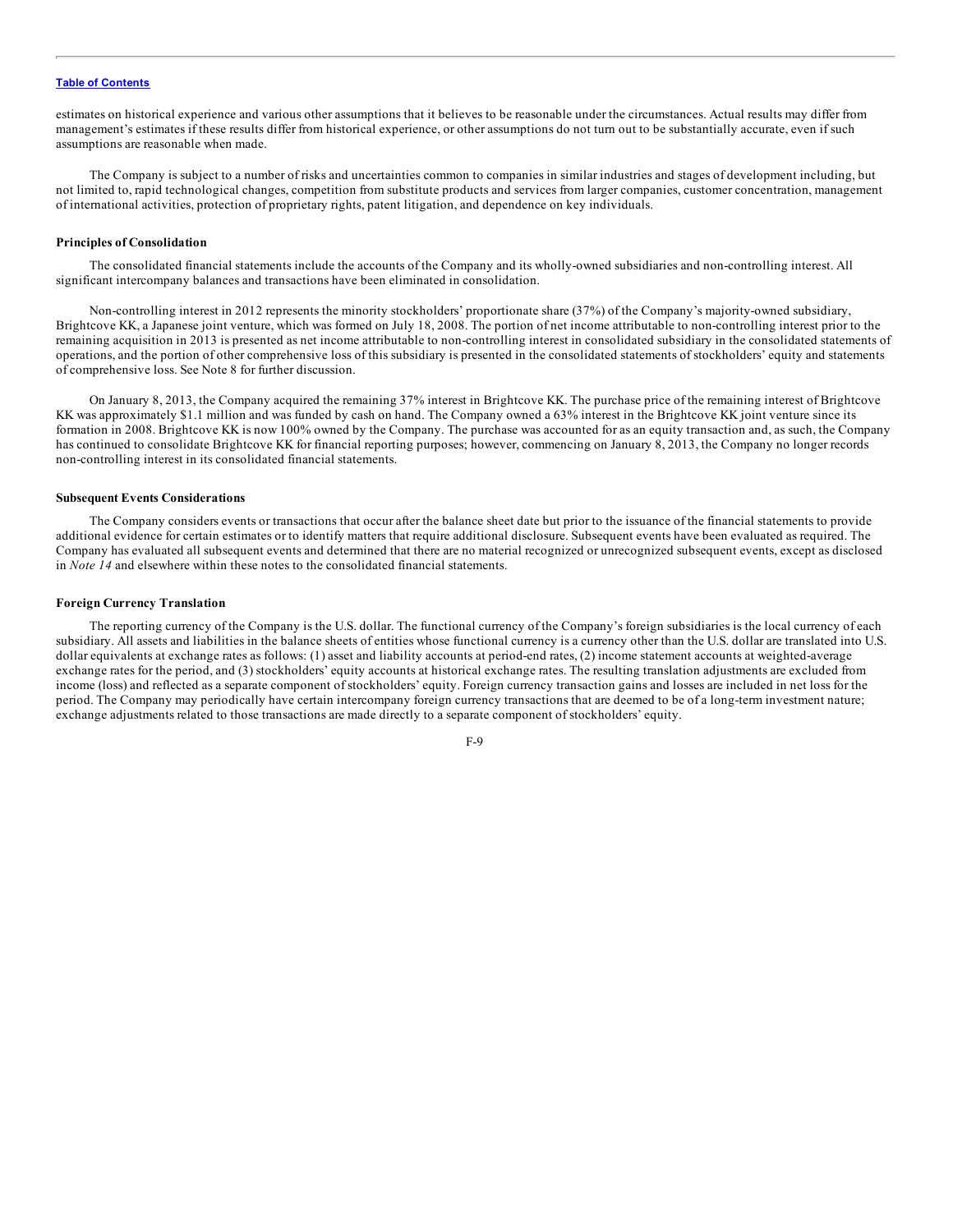estimates on historical experience and various other assumptions that it believes to be reasonable under the circumstances. Actual results may differ from management's estimates if these results differ from historical experience, or other assumptions do not turn out to be substantially accurate, even if such assumptions are reasonable when made.

The Company is subject to a number of risks and uncertainties common to companies in similar industries and stages of development including, but not limited to, rapid technological changes, competition from substitute products and services from larger companies, customer concentration, management of international activities, protection of proprietary rights, patent litigation, and dependence on key individuals.

### **Principles of Consolidation**

The consolidated financial statements include the accounts of the Company and its wholly-owned subsidiaries and non-controlling interest. All significant intercompany balances and transactions have been eliminated in consolidation.

Non-controlling interest in 2012 represents the minority stockholders' proportionate share (37%) of the Company's majority-owned subsidiary, Brightcove KK, a Japanese joint venture, which was formed on July 18, 2008. The portion of net income attributable to non-controlling interest prior to the remaining acquisition in 2013 is presented as net income attributable to non-controlling interest in consolidated subsidiary in the consolidated statements of operations, and the portion of other comprehensive loss of this subsidiary is presented in the consolidated statements of stockholders' equity and statements of comprehensive loss. See Note 8 for further discussion.

On January 8, 2013, the Company acquired the remaining 37% interest in Brightcove KK. The purchase price of the remaining interest of Brightcove KK was approximately \$1.1 million and was funded by cash on hand. The Company owned a 63% interest in the Brightcove KK joint venture since its formation in 2008. Brightcove KK is now 100% owned by the Company. The purchase was accounted for as an equity transaction and, as such, the Company has continued to consolidate Brightcove KK for financial reporting purposes; however, commencing on January 8, 2013, the Company no longer records non-controlling interest in its consolidated financial statements.

## **Subsequent Events Considerations**

The Company considers events or transactions that occur after the balance sheet date but prior to the issuance of the financial statements to provide additional evidence for certain estimates or to identify matters that require additional disclosure. Subsequent events have been evaluated as required. The Company has evaluated all subsequent events and determined that there are no material recognized or unrecognized subsequent events, except as disclosed in *Note 14* and elsewhere within these notes to the consolidated financial statements.

## **Foreign Currency Translation**

The reporting currency of the Company is the U.S. dollar. The functional currency of the Company's foreign subsidiaries is the local currency of each subsidiary. All assets and liabilities in the balance sheets of entities whose functional currency is a currency other than the U.S. dollar are translated into U.S. dollar equivalents at exchange rates as follows: (1) asset and liability accounts at period-end rates, (2) income statement accounts at weighted-average exchange rates for the period, and (3) stockholders' equity accounts at historical exchange rates. The resulting translation adjustments are excluded from income (loss) and reflected as a separate component of stockholders' equity. Foreign currency transaction gains and losses are included in net loss for the period. The Company may periodically have certain intercompany foreign currency transactions that are deemed to be of a long-term investment nature; exchange adjustments related to those transactions are made directly to a separate component of stockholders' equity.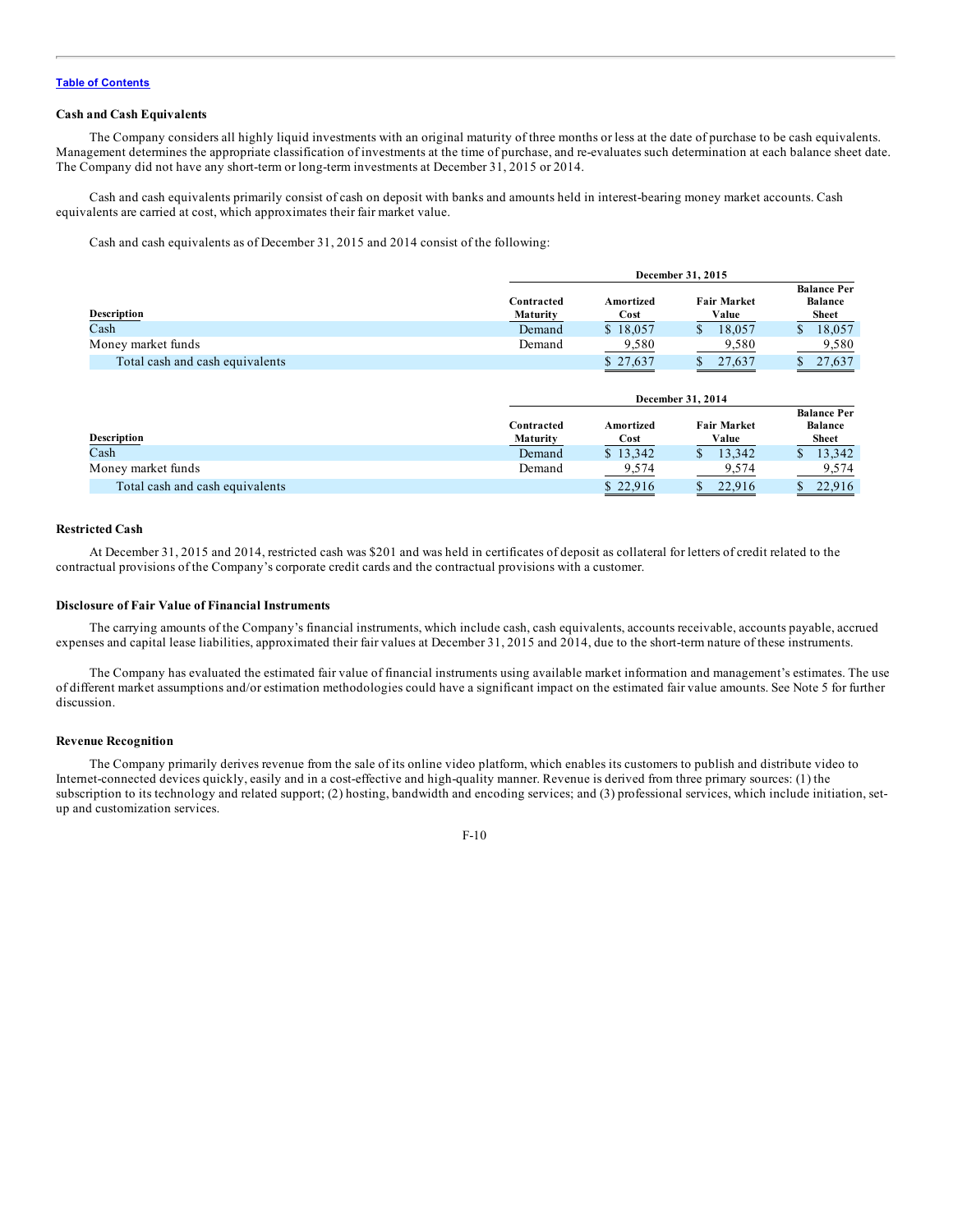## **Cash and Cash Equivalents**

The Company considers all highly liquid investments with an original maturity of three months or less at the date of purchase to be cash equivalents. Management determines the appropriate classification of investments at the time of purchase, and re-evaluates such determination at each balance sheet date. The Company did not have any short-term or long-term investments at December 31, 2015 or 2014.

Cash and cash equivalents primarily consist of cash on deposit with banks and amounts held in interest-bearing money market accounts. Cash equivalents are carried at cost, which approximates their fair market value.

Cash and cash equivalents as of December 31, 2015 and 2014 consist of the following:

|                                 |            | December 31, 2015 |                    |                                      |  |  |
|---------------------------------|------------|-------------------|--------------------|--------------------------------------|--|--|
|                                 | Contracted | Amortized         | <b>Fair Market</b> | <b>Balance Per</b><br><b>Balance</b> |  |  |
| <b>Description</b>              | Maturity   | Cost              | Value              | <b>Sheet</b>                         |  |  |
| Cash                            | Demand     | \$18,057          | 18,057             | 18.057                               |  |  |
| Money market funds              | Demand     | 9.580             | 9.580              | 9.580                                |  |  |
| Total cash and cash equivalents |            | \$27,637          | 27.637             | 27.637                               |  |  |

**December 31, 2015**

|                                 |                               | December 31, 2014 |                             |                                                      |  |  |
|---------------------------------|-------------------------------|-------------------|-----------------------------|------------------------------------------------------|--|--|
| <b>Description</b>              | Contracted<br><b>Maturity</b> | Amortized<br>Cost | <b>Fair Market</b><br>Value | <b>Balance Per</b><br><b>Balance</b><br><b>Sheet</b> |  |  |
| Cash                            | Demand                        | \$13.342          | 13.342                      | 13,342                                               |  |  |
| Money market funds              | Demand                        | 9,574             | 9.574                       | 9,574                                                |  |  |
| Total cash and cash equivalents |                               | \$22.916          | 22.916                      | 22.916                                               |  |  |

## **Restricted Cash**

At December 31, 2015 and 2014, restricted cash was \$201 and was held in certificates of deposit as collateral for letters of credit related to the contractual provisions of the Company's corporate credit cards and the contractual provisions with a customer.

# **Disclosure of Fair Value of Financial Instruments**

The carrying amounts of the Company's financial instruments, which include cash, cash equivalents, accounts receivable, accounts payable, accrued expenses and capital lease liabilities, approximated their fair values at December 31, 2015 and 2014, due to the short-term nature of these instruments.

The Company has evaluated the estimated fair value of financial instruments using available market information and management's estimates. The use of different market assumptions and/or estimation methodologies could have a significant impact on the estimated fair value amounts. See Note 5 for further discussion.

## **Revenue Recognition**

The Company primarily derives revenue from the sale of its online video platform, which enables its customers to publish and distribute video to Internet-connected devices quickly, easily and in a cost-effective and high-quality manner. Revenue is derived from three primary sources: (1) the subscription to its technology and related support; (2) hosting, bandwidth and encoding services; and (3) professional services, which include initiation, setup and customization services.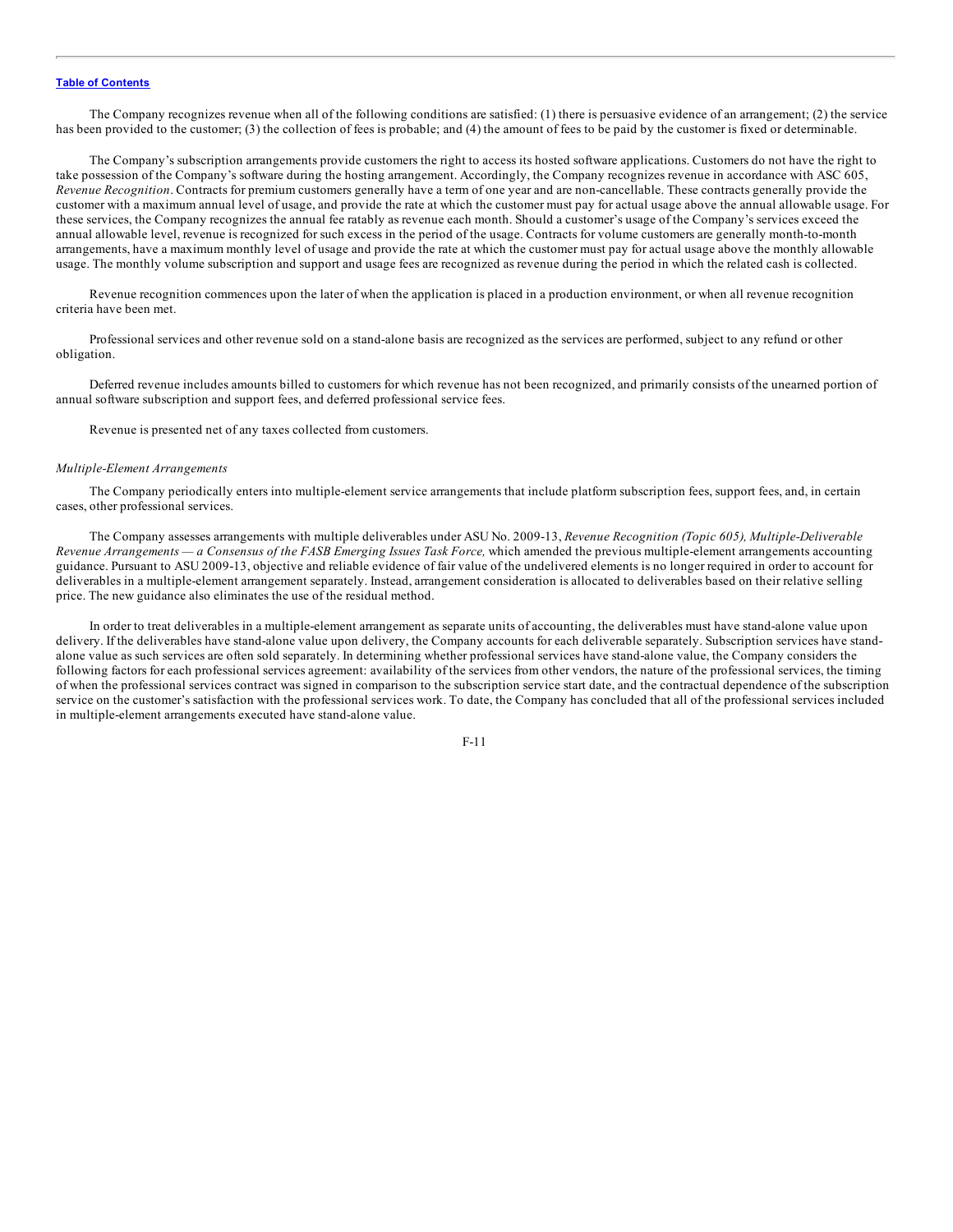The Company recognizes revenue when all of the following conditions are satisfied: (1) there is persuasive evidence of an arrangement; (2) the service has been provided to the customer; (3) the collection of fees is probable; and (4) the amount of fees to be paid by the customer is fixed or determinable.

The Company's subscription arrangements provide customers the right to access its hosted software applications. Customers do not have the right to take possession of the Company's software during the hosting arrangement. Accordingly, the Company recognizes revenue in accordance with ASC 605, *Revenue Recognition*. Contracts for premium customers generally have a term of one year and are non-cancellable. These contracts generally provide the customer with a maximum annual level of usage, and provide the rate at which the customer must pay for actual usage above the annual allowable usage. For these services, the Company recognizes the annual fee ratably as revenue each month. Should a customer's usage of the Company's services exceed the annual allowable level, revenue is recognized for such excess in the period of the usage. Contracts for volume customers are generally month-to-month arrangements, have a maximum monthly level of usage and provide the rate at which the customer must pay for actual usage above the monthly allowable usage. The monthly volume subscription and support and usage fees are recognized as revenue during the period in which the related cash is collected.

Revenue recognition commences upon the later of when the application is placed in a production environment, or when all revenue recognition criteria have been met.

Professional services and other revenue sold on a stand-alone basis are recognized as the services are performed, subject to any refund or other obligation.

Deferred revenue includes amounts billed to customers for which revenue has not been recognized, and primarily consists of the unearned portion of annual software subscription and support fees, and deferred professional service fees.

Revenue is presented net of any taxes collected from customers.

## *Multiple-Element Arrangements*

The Company periodically enters into multiple-element service arrangements that include platform subscription fees, support fees, and, in certain cases, other professional services.

The Company assesses arrangements with multiple deliverables under ASU No. 2009-13, *Revenue Recognition (Topic 605), Multiple-Deliverable* Revenue Arrangements — a Consensus of the FASB Emerging Issues Task Force, which amended the previous multiple-element arrangements accounting guidance. Pursuant to ASU 2009-13, objective and reliable evidence of fair value of the undelivered elements is no longer required in order to account for deliverables in a multiple-element arrangement separately. Instead, arrangement consideration is allocated to deliverables based on their relative selling price. The new guidance also eliminates the use of the residual method.

In order to treat deliverables in a multiple-element arrangement as separate units of accounting, the deliverables must have stand-alone value upon delivery. If the deliverables have stand-alone value upon delivery, the Company accounts for each deliverable separately. Subscription services have standalone value as such services are often sold separately. In determining whether professional services have stand-alone value, the Company considers the following factors for each professional services agreement: availability of the services from other vendors, the nature of the professional services, the timing of when the professional services contract was signed in comparison to the subscription service start date, and the contractual dependence of the subscription service on the customer's satisfaction with the professional services work. To date, the Company has concluded that all of the professional services included in multiple-element arrangements executed have stand-alone value.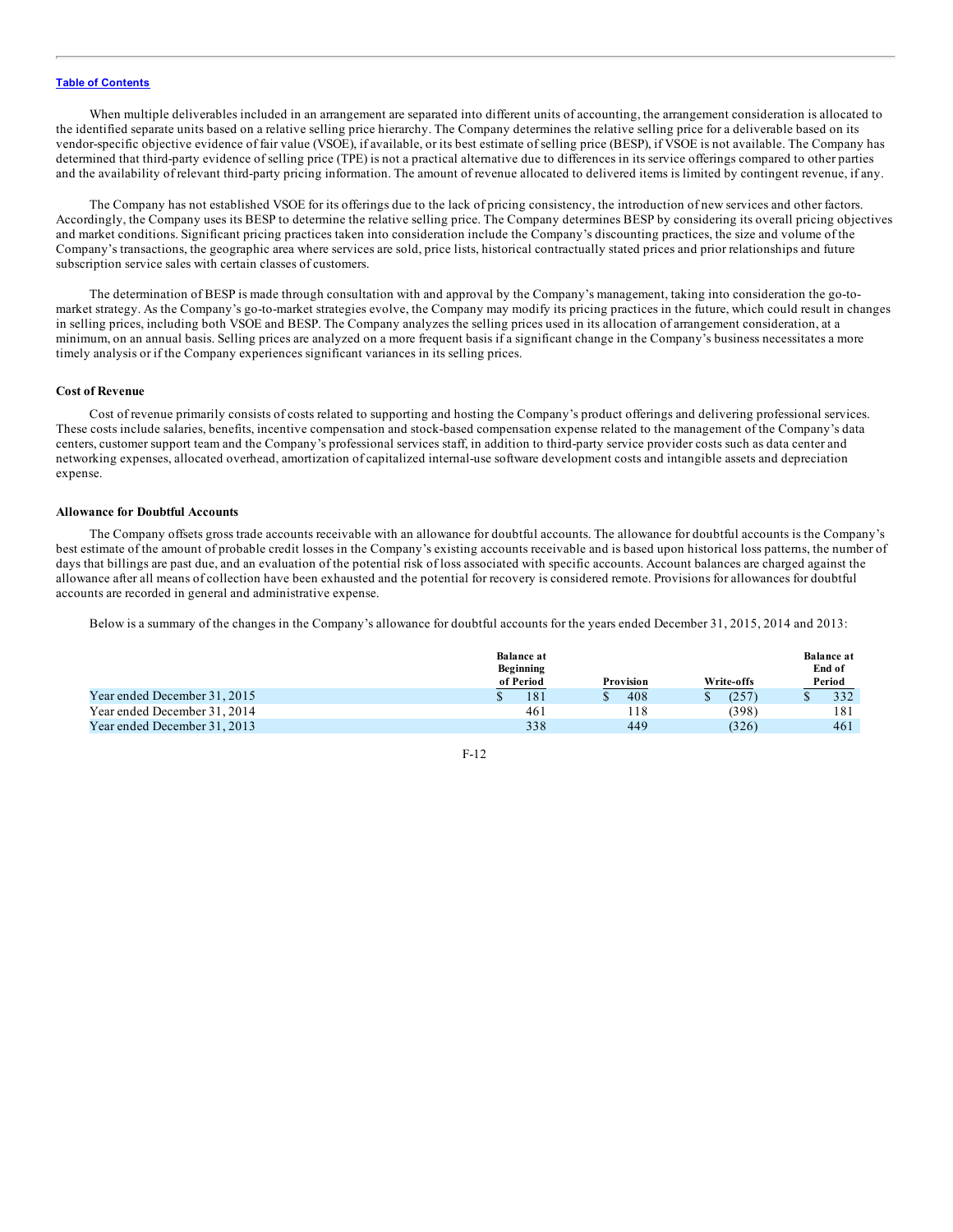When multiple deliverables included in an arrangement are separated into different units of accounting, the arrangement consideration is allocated to the identified separate units based on a relative selling price hierarchy. The Company determines the relative selling price for a deliverable based on its vendor-specific objective evidence of fair value (VSOE), if available, or its best estimate of selling price (BESP), if VSOE is not available. The Company has determined that third-party evidence of selling price (TPE) is not a practical alternative due to differences in its service offerings compared to other parties and the availability of relevant third-party pricing information. The amount of revenue allocated to delivered items is limited by contingent revenue, if any.

The Company has not established VSOE for its offerings due to the lack of pricing consistency, the introduction of new services and other factors. Accordingly, the Company uses its BESP to determine the relative selling price. The Company determines BESP by considering its overall pricing objectives and market conditions. Significant pricing practices taken into consideration include the Company's discounting practices, the size and volume of the Company's transactions, the geographic area where services are sold, price lists, historical contractually stated prices and prior relationships and future subscription service sales with certain classes of customers.

The determination of BESP is made through consultation with and approval by the Company's management, taking into consideration the go-tomarket strategy. As the Company's go-to-market strategies evolve, the Company may modify its pricing practices in the future, which could result in changes in selling prices, including both VSOE and BESP. The Company analyzes the selling prices used in its allocation of arrangement consideration, at a minimum, on an annual basis. Selling prices are analyzed on a more frequent basis if a significant change in the Company's business necessitates a more timely analysis or if the Company experiences significant variances in its selling prices.

## **Cost of Revenue**

Cost of revenue primarily consists of costs related to supporting and hosting the Company's product offerings and delivering professional services. These costs include salaries, benefits, incentive compensation and stock-based compensation expense related to the management of the Company's data centers, customer support team and the Company's professional services staff, in addition to third-party service provider costs such as data center and networking expenses, allocated overhead, amortization of capitalized internal-use software development costs and intangible assets and depreciation expense.

## **Allowance for Doubtful Accounts**

The Company offsets gross trade accounts receivable with an allowance for doubtful accounts. The allowance for doubtful accounts is the Company's best estimate of the amount of probable credit losses in the Company's existing accounts receivable and is based upon historical loss patterns, the number of days that billings are past due, and an evaluation of the potential risk of loss associated with specific accounts. Account balances are charged against the allowance after all means of collection have been exhausted and the potential for recovery is considered remote. Provisions for allowances for doubtful accounts are recorded in general and administrative expense.

Below is a summary of the changes in the Company's allowance for doubtful accounts for the years ended December 31, 2015, 2014 and 2013:

|                              | <b>Balance</b> at<br><b>Beginning</b><br>of Period | Provision | Write-offs | <b>Balance at</b><br>End of<br>Period |
|------------------------------|----------------------------------------------------|-----------|------------|---------------------------------------|
| Year ended December 31, 2015 | 181                                                | 408       | (257       | 332                                   |
| Year ended December 31, 2014 | 461                                                | -18       | (398)      | 181                                   |
| Year ended December 31, 2013 | 338                                                | 449       | (326)      | 461                                   |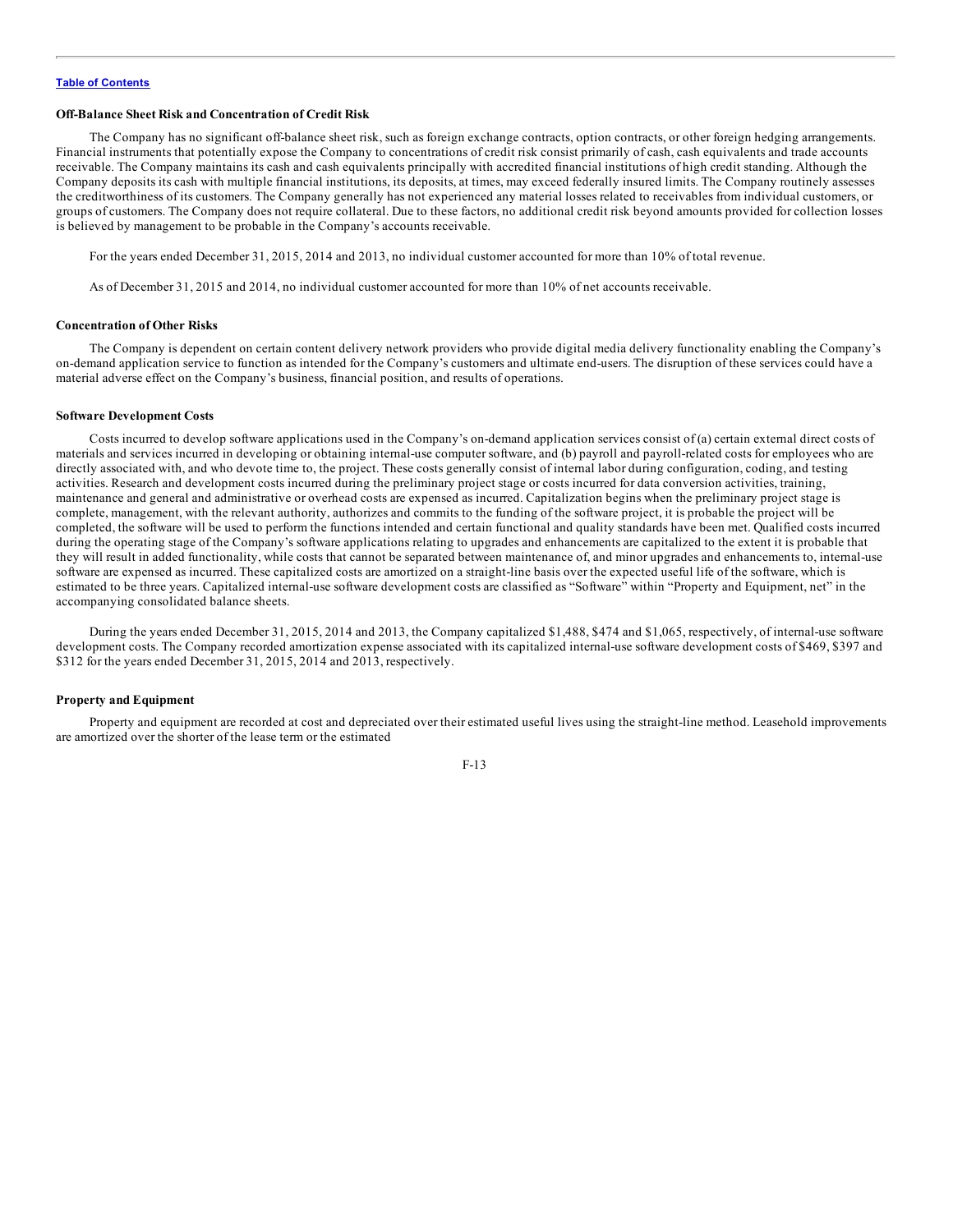#### **Off-Balance Sheet Risk and Concentration of Credit Risk**

The Company has no significant off-balance sheet risk, such as foreign exchange contracts, option contracts, or other foreign hedging arrangements. Financial instruments that potentially expose the Company to concentrations of credit risk consist primarily of cash, cash equivalents and trade accounts receivable. The Company maintains its cash and cash equivalents principally with accredited financial institutions of high credit standing. Although the Company deposits its cash with multiple financial institutions, its deposits, at times, may exceed federally insured limits. The Company routinely assesses the creditworthiness of its customers. The Company generally has not experienced any material losses related to receivables from individual customers, or groups of customers. The Company does not require collateral. Due to these factors, no additional credit risk beyond amounts provided for collection losses is believed by management to be probable in the Company's accounts receivable.

For the years ended December 31, 2015, 2014 and 2013, no individual customer accounted for more than 10% of total revenue.

As of December 31, 2015 and 2014, no individual customer accounted for more than 10% of net accounts receivable.

#### **Concentration of Other Risks**

The Company is dependent on certain content delivery network providers who provide digital media delivery functionality enabling the Company's on-demand application service to function as intended for the Company's customers and ultimate end-users. The disruption of these services could have a material adverse effect on the Company's business, financial position, and results of operations.

#### **Software Development Costs**

Costs incurred to develop software applications used in the Company's on-demand application services consist of (a) certain external direct costs of materials and services incurred in developing or obtaining internal-use computer software, and (b) payroll and payroll-related costs for employees who are directly associated with, and who devote time to, the project. These costs generally consist of internal labor during configuration, coding, and testing activities. Research and development costs incurred during the preliminary project stage or costs incurred for data conversion activities, training, maintenance and general and administrative or overhead costs are expensed as incurred. Capitalization begins when the preliminary project stage is complete, management, with the relevant authority, authorizes and commits to the funding of the software project, it is probable the project will be completed, the software will be used to perform the functions intended and certain functional and quality standards have been met. Qualified costs incurred during the operating stage of the Company's software applications relating to upgrades and enhancements are capitalized to the extent it is probable that they will result in added functionality, while costs that cannot be separated between maintenance of, and minor upgrades and enhancements to, internal-use software are expensed as incurred. These capitalized costs are amortized on a straight-line basis over the expected useful life of the software, which is estimated to be three years. Capitalized internal-use software development costs are classified as "Software" within "Property and Equipment, net" in the accompanying consolidated balance sheets.

During the years ended December 31, 2015, 2014 and 2013, the Company capitalized \$1,488, \$474 and \$1,065, respectively, of internal-use software development costs. The Company recorded amortization expense associated with its capitalized internal-use software development costs of \$469, \$397 and \$312 for the years ended December 31, 2015, 2014 and 2013, respectively.

### **Property and Equipment**

Property and equipment are recorded at cost and depreciated over their estimated useful lives using the straight-line method. Leasehold improvements are amortized over the shorter of the lease term or the estimated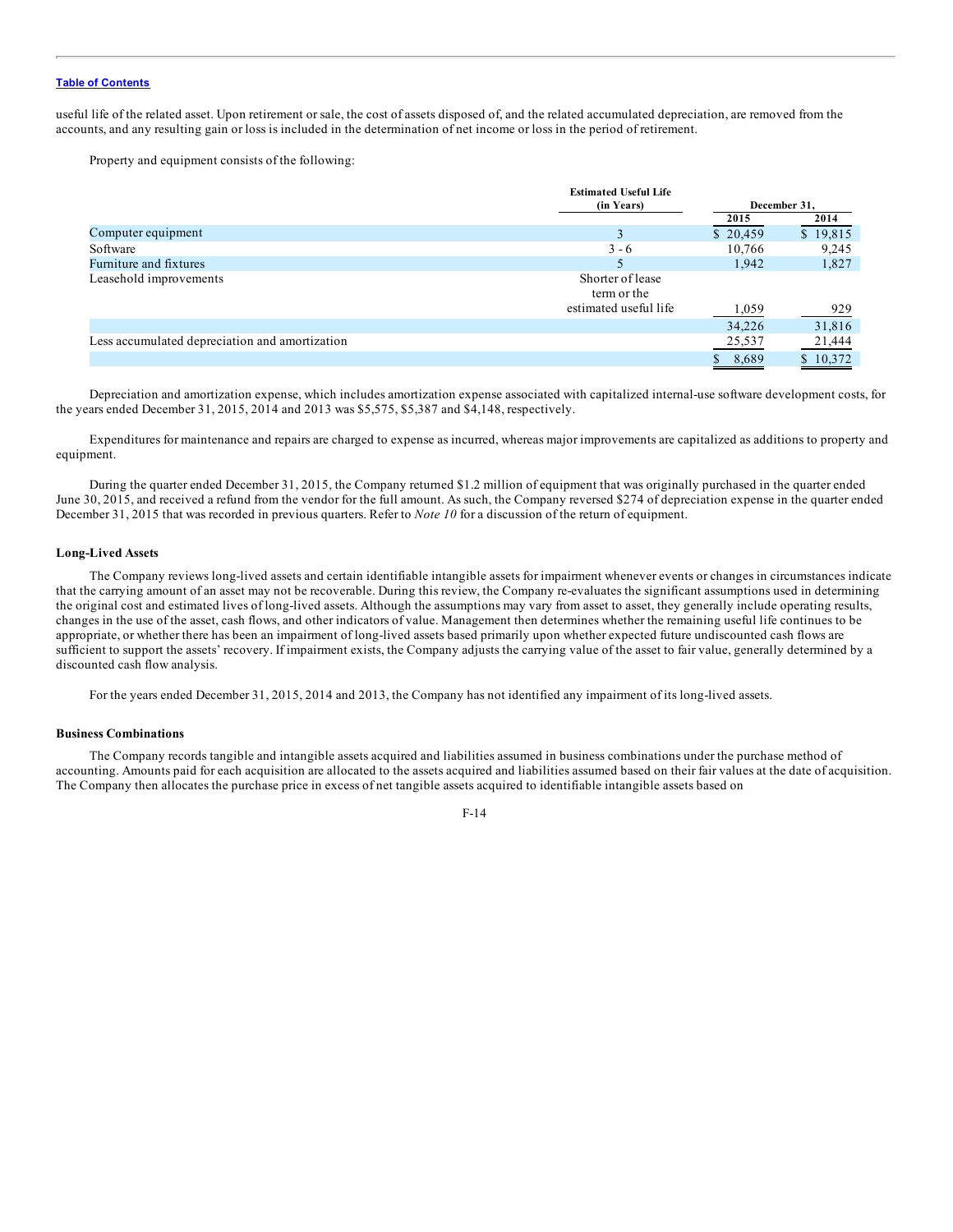useful life of the related asset. Upon retirement or sale, the cost of assets disposed of, and the related accumulated depreciation, are removed from the accounts, and any resulting gain or loss is included in the determination of net income or loss in the period of retirement.

Property and equipment consists of the following:

|                                                | <b>Estimated Useful Life</b><br>(in Years) |          | December 31. |
|------------------------------------------------|--------------------------------------------|----------|--------------|
|                                                |                                            | 2015     | 2014         |
| Computer equipment                             |                                            | \$20,459 | \$19,815     |
| Software                                       | $3 - 6$                                    | 10,766   | 9,245        |
| Furniture and fixtures                         |                                            | 1,942    | 1,827        |
| Leasehold improvements                         | Shorter of lease<br>term or the            |          |              |
|                                                | estimated useful life                      | 1,059    | 929          |
|                                                |                                            | 34,226   | 31,816       |
| Less accumulated depreciation and amortization |                                            | 25,537   | 21,444       |
|                                                |                                            | 8,689    | 10,372<br>S  |

Depreciation and amortization expense, which includes amortization expense associated with capitalized internal-use software development costs, for the years ended December 31, 2015, 2014 and 2013 was \$5,575, \$5,387 and \$4,148, respectively.

Expenditures for maintenance and repairs are charged to expense as incurred, whereas major improvements are capitalized as additions to property and equipment.

During the quarter ended December 31, 2015, the Company returned \$1.2 million of equipment that was originally purchased in the quarter ended June 30, 2015, and received a refund from the vendor for the full amount. As such, the Company reversed \$274 of depreciation expense in the quarter ended December 31, 2015 that was recorded in previous quarters. Refer to *Note 10* for a discussion of the return of equipment.

## **Long-Lived Assets**

The Company reviews long-lived assets and certain identifiable intangible assets for impairment whenever events or changes in circumstances indicate that the carrying amount of an asset may not be recoverable. During this review, the Company re-evaluates the significant assumptions used in determining the original cost and estimated lives of long-lived assets. Although the assumptions may vary from asset to asset, they generally include operating results, changes in the use of the asset, cash flows, and other indicators of value. Management then determines whether the remaining useful life continues to be appropriate, or whether there has been an impairment of long-lived assets based primarily upon whether expected future undiscounted cash flows are sufficient to support the assets' recovery. If impairment exists, the Company adjusts the carrying value of the asset to fair value, generally determined by a discounted cash flow analysis.

For the years ended December 31, 2015, 2014 and 2013, the Company has not identified any impairment of its long-lived assets.

### **Business Combinations**

The Company records tangible and intangible assets acquired and liabilities assumed in business combinations under the purchase method of accounting. Amounts paid for each acquisition are allocated to the assets acquired and liabilities assumed based on their fair values at the date of acquisition. The Company then allocates the purchase price in excess of net tangible assets acquired to identifiable intangible assets based on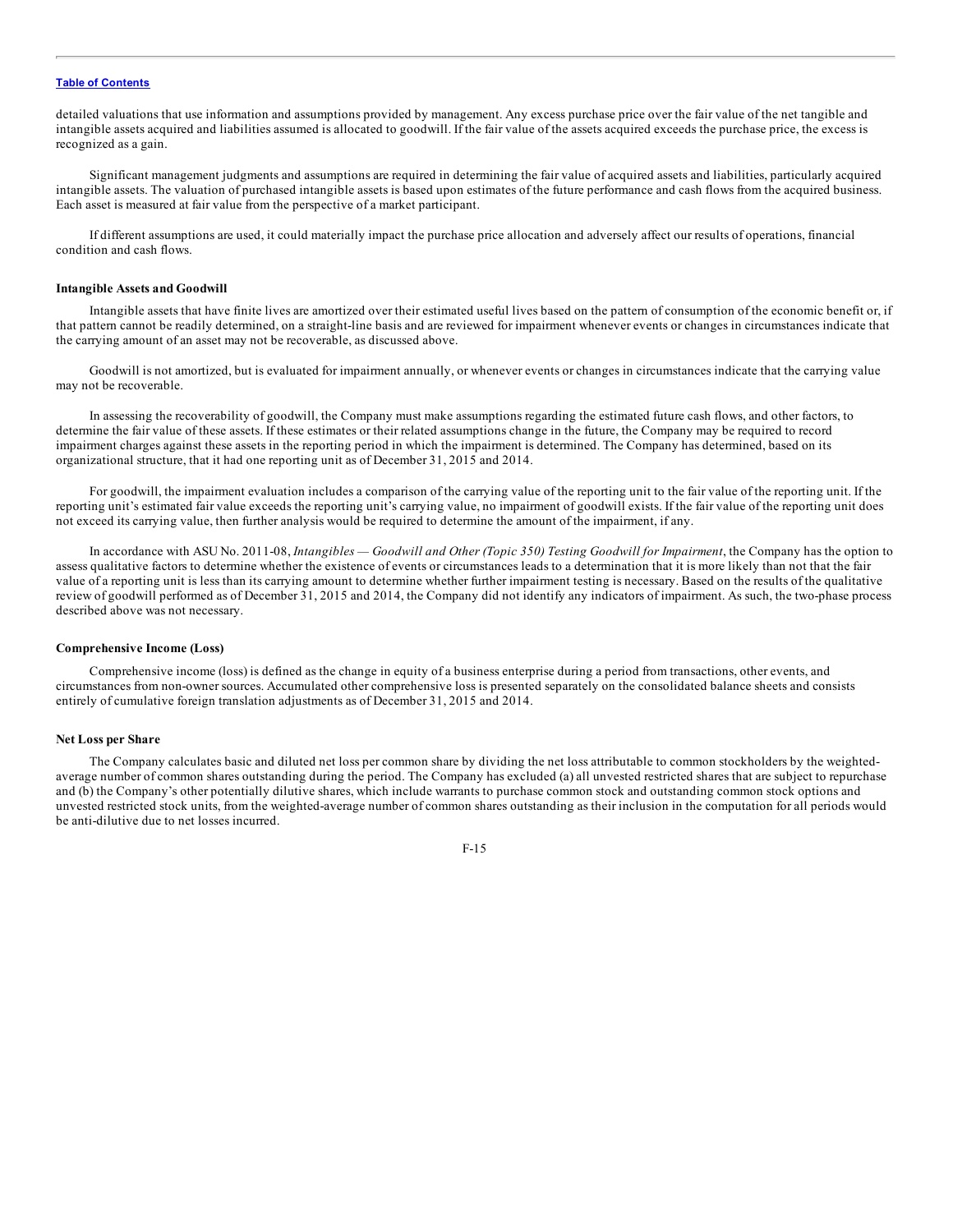detailed valuations that use information and assumptions provided by management. Any excess purchase price over the fair value of the net tangible and intangible assets acquired and liabilities assumed is allocated to goodwill. If the fair value of the assets acquired exceeds the purchase price, the excess is recognized as a gain.

Significant management judgments and assumptions are required in determining the fair value of acquired assets and liabilities, particularly acquired intangible assets. The valuation of purchased intangible assets is based upon estimates of the future performance and cash flows from the acquired business. Each asset is measured at fair value from the perspective of a market participant.

If different assumptions are used, it could materially impact the purchase price allocation and adversely affect our results of operations, financial condition and cash flows.

#### **Intangible Assets and Goodwill**

Intangible assets that have finite lives are amortized over their estimated useful lives based on the pattern of consumption of the economic benefit or, if that pattern cannot be readily determined, on a straight-line basis and are reviewed for impairment whenever events or changes in circumstances indicate that the carrying amount of an asset may not be recoverable, as discussed above.

Goodwill is not amortized, but is evaluated for impairment annually, or whenever events or changes in circumstances indicate that the carrying value may not be recoverable.

In assessing the recoverability of goodwill, the Company must make assumptions regarding the estimated future cash flows, and other factors, to determine the fair value of these assets. If these estimates or their related assumptions change in the future, the Company may be required to record impairment charges against these assets in the reporting period in which the impairment is determined. The Company has determined, based on its organizational structure, that it had one reporting unit as of December 31, 2015 and 2014.

For goodwill, the impairment evaluation includes a comparison of the carrying value of the reporting unit to the fair value of the reporting unit. If the reporting unit's estimated fair value exceeds the reporting unit's carrying value, no impairment of goodwill exists. If the fair value of the reporting unit does not exceed its carrying value, then further analysis would be required to determine the amount of the impairment, if any.

In accordance with ASU No. 2011-08, *Intangibles — Goodwill and Other (Topic 350) Testing Goodwill for Impairment*, the Company has the option to assess qualitative factors to determine whether the existence of events or circumstances leads to a determination that it is more likely than not that the fair value of a reporting unit is less than its carrying amount to determine whether further impairment testing is necessary. Based on the results of the qualitative review of goodwill performed as of December 31, 2015 and 2014, the Company did not identify any indicators of impairment. As such, the two-phase process described above was not necessary.

#### **Comprehensive Income (Loss)**

Comprehensive income (loss) is defined as the change in equity of a business enterprise during a period from transactions, other events, and circumstances from non-owner sources. Accumulated other comprehensive loss is presented separately on the consolidated balance sheets and consists entirely of cumulative foreign translation adjustments as of December 31, 2015 and 2014.

#### **Net Loss per Share**

The Company calculates basic and diluted net loss per common share by dividing the net loss attributable to common stockholders by the weightedaverage number of common shares outstanding during the period. The Company has excluded (a) all unvested restricted shares that are subject to repurchase and (b) the Company's other potentially dilutive shares, which include warrants to purchase common stock and outstanding common stock options and unvested restricted stock units, from the weighted-average number of common shares outstanding as their inclusion in the computation for all periods would be anti-dilutive due to net losses incurred.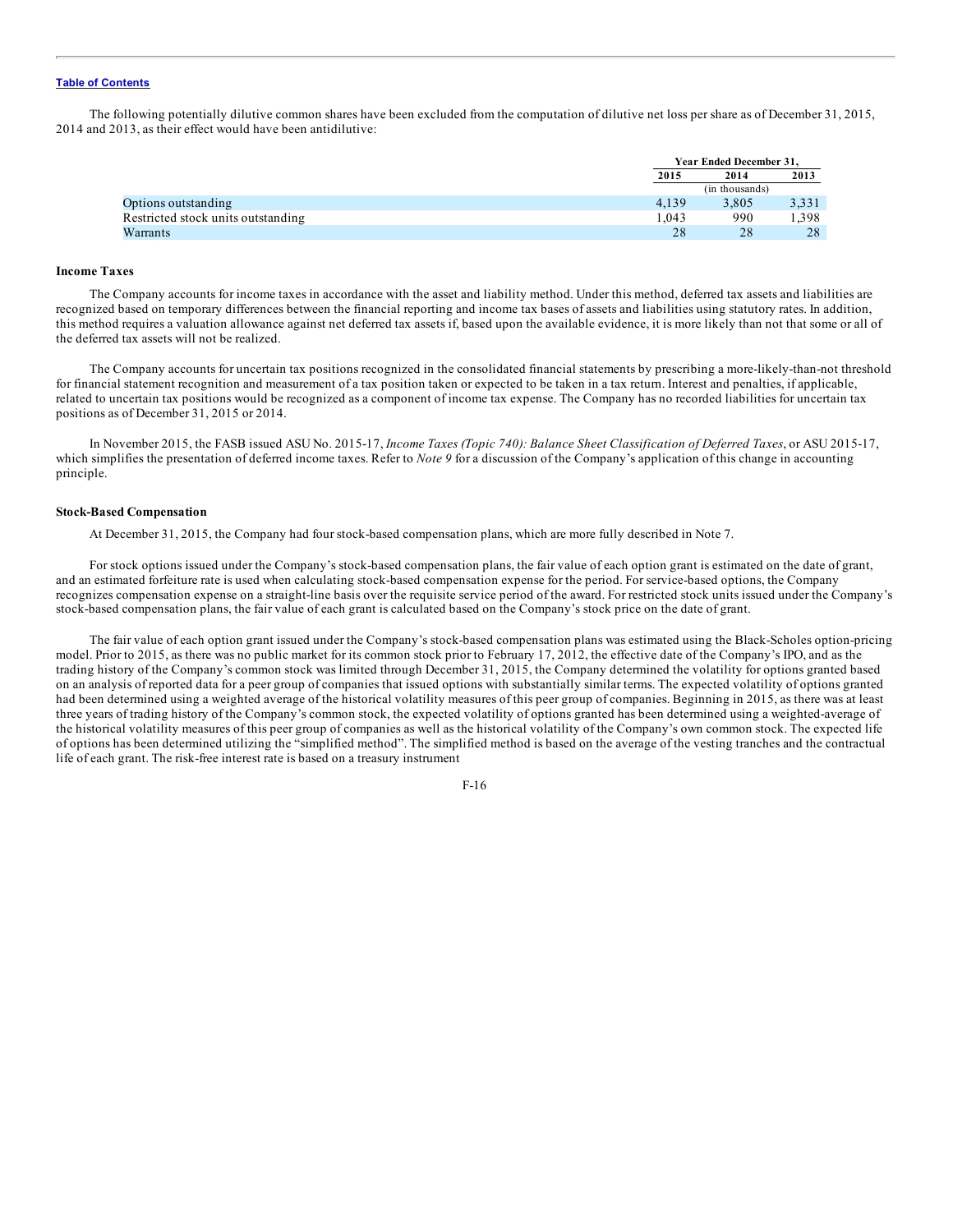The following potentially dilutive common shares have been excluded from the computation of dilutive net loss per share as of December 31, 2015, 2014 and 2013, as their effect would have been antidilutive:

|                                    |       | Year Ended December 31. |       |
|------------------------------------|-------|-------------------------|-------|
|                                    | 2015  | 2013<br>2014            |       |
|                                    |       | (in thousands)          |       |
| Options outstanding                | 4.139 | 3.805                   | 3,331 |
| Restricted stock units outstanding | 1.043 | 990                     | 1,398 |
| Warrants                           | 28    | 28                      | 28    |

## **Income Taxes**

The Company accounts for income taxes in accordance with the asset and liability method. Under this method, deferred tax assets and liabilities are recognized based on temporary differences between the financial reporting and income tax bases of assets and liabilities using statutory rates. In addition, this method requires a valuation allowance against net deferred tax assets if, based upon the available evidence, it is more likely than not that some or all of the deferred tax assets will not be realized.

The Company accounts for uncertain tax positions recognized in the consolidated financial statements by prescribing a more-likely-than-not threshold for financial statement recognition and measurement of a tax position taken or expected to be taken in a tax return. Interest and penalties, if applicable, related to uncertain tax positions would be recognized as a component of income tax expense. The Company has no recorded liabilities for uncertain tax positions as of December 31, 2015 or 2014.

In November 2015, the FASB issued ASU No. 2015-17, *Income Taxes (Topic 740): Balance Sheet Classification of Deferred Taxes*, or ASU 2015-17, which simplifies the presentation of deferred income taxes. Refer to *Note* 9 for a discussion of the Company's application of this change in accounting principle.

### **Stock-Based Compensation**

At December 31, 2015, the Company had four stock-based compensation plans, which are more fully described in Note 7.

For stock options issued under the Company's stock-based compensation plans, the fair value of each option grant is estimated on the date of grant, and an estimated forfeiture rate is used when calculating stock-based compensation expense for the period. For service-based options, the Company recognizes compensation expense on a straight-line basis over the requisite service period of the award. For restricted stock units issued under the Company's stock-based compensation plans, the fair value of each grant is calculated based on the Company's stock price on the date of grant.

The fair value of each option grant issued under the Company's stock-based compensation plans was estimated using the Black-Scholes option-pricing model. Prior to 2015, as there was no public market for its common stock prior to February 17, 2012, the effective date of the Company's IPO, and as the trading history of the Company's common stock was limited through December 31, 2015, the Company determined the volatility for options granted based on an analysis of reported data for a peer group of companies that issued options with substantially similar terms. The expected volatility of options granted had been determined using a weighted average of the historical volatility measures of this peer group of companies. Beginning in 2015, as there was at least three years of trading history of the Company's common stock, the expected volatility of options granted has been determined using a weighted-average of the historical volatility measures of this peer group of companies as well as the historical volatility of the Company's own common stock. The expected life of options has been determined utilizing the "simplified method". The simplified method is based on the average of the vesting tranches and the contractual life of each grant. The risk-free interest rate is based on a treasury instrument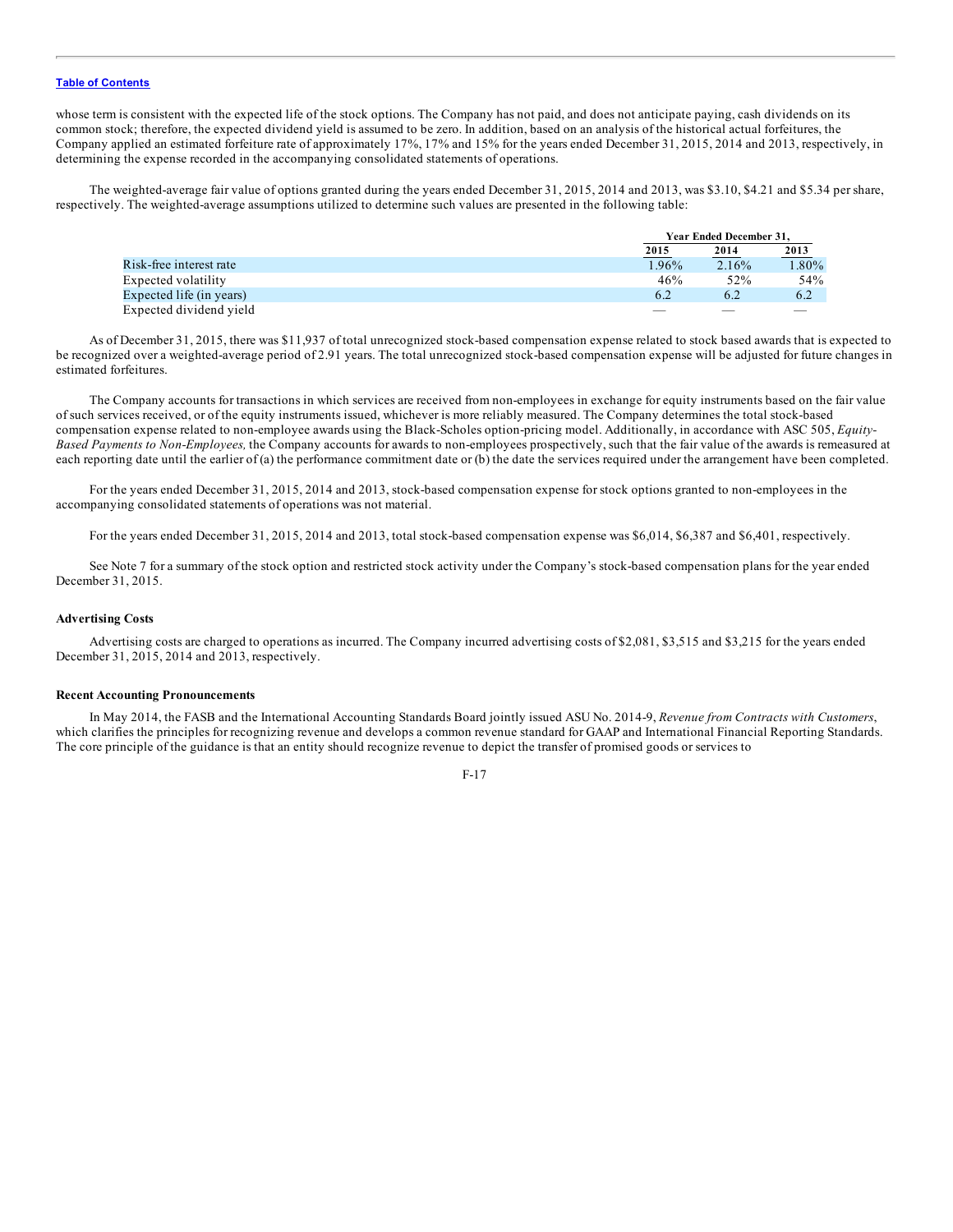whose term is consistent with the expected life of the stock options. The Company has not paid, and does not anticipate paying, cash dividends on its common stock; therefore, the expected dividend yield is assumed to be zero. In addition, based on an analysis of the historical actual forfeitures, the Company applied an estimated forfeiture rate of approximately 17%, 17% and 15% for the years ended December 31, 2015, 2014 and 2013, respectively, in determining the expense recorded in the accompanying consolidated statements of operations.

The weighted-average fair value of options granted during the years ended December 31, 2015, 2014 and 2013, was \$3.10, \$4.21 and \$5.34 per share, respectively. The weighted-average assumptions utilized to determine such values are presented in the following table:

|                          |       | Year Ended December 31. |       |  |
|--------------------------|-------|-------------------------|-------|--|
|                          | 2015  | 2014                    | 2013  |  |
| Risk-free interest rate  | 1.96% | 2.16%                   | 1.80% |  |
| Expected volatility      | 46%   | 52%                     | 54%   |  |
| Expected life (in years) | 6.2   | 6.2                     | 6.2   |  |
| Expected dividend yield  |       |                         |       |  |

As of December 31, 2015, there was \$11,937 of total unrecognized stock-based compensation expense related to stock based awards that is expected to be recognized over a weighted-average period of 2.91 years. The total unrecognized stock-based compensation expense will be adjusted for future changes in estimated forfeitures.

The Company accounts for transactions in which services are received from non-employees in exchange for equity instruments based on the fair value of such services received, or of the equity instruments issued, whichever is more reliably measured. The Company determines the total stock-based compensation expense related to non-employee awards using the Black-Scholes option-pricing model. Additionally, in accordance with ASC 505, *Equity-Based Payments to Non-Employees,* the Company accounts for awards to non-employees prospectively, such that the fair value of the awards is remeasured at each reporting date until the earlier of (a) the performance commitment date or (b) the date the services required under the arrangement have been completed.

For the years ended December 31, 2015, 2014 and 2013, stock-based compensation expense for stock options granted to non-employees in the accompanying consolidated statements of operations was not material.

For the years ended December 31, 2015, 2014 and 2013, total stock-based compensation expense was \$6,014, \$6,387 and \$6,401, respectively.

See Note 7 for a summary of the stock option and restricted stock activity under the Company's stock-based compensation plans for the year ended December 31, 2015.

#### **Advertising Costs**

Advertising costs are charged to operations as incurred. The Company incurred advertising costs of \$2,081, \$3,515 and \$3,215 for the years ended December 31, 2015, 2014 and 2013, respectively.

### **Recent Accounting Pronouncements**

In May 2014, the FASB and the International Accounting Standards Board jointly issued ASU No. 2014-9, *Revenue from Contracts with Customers*, which clarifies the principles for recognizing revenue and develops a common revenue standard for GAAP and International Financial Reporting Standards. The core principle of the guidance is that an entity should recognize revenue to depict the transfer of promised goods or services to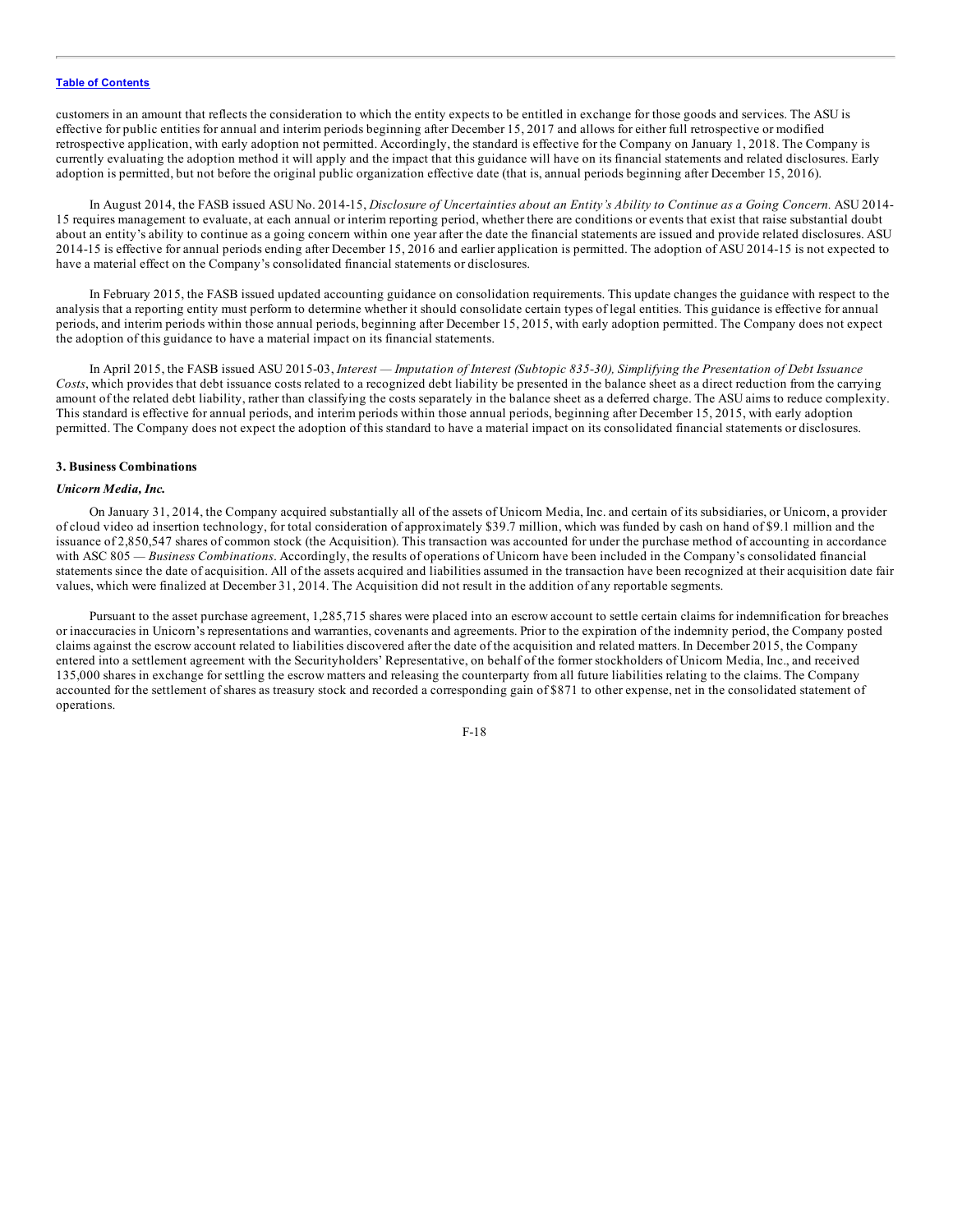customers in an amount that reflects the consideration to which the entity expects to be entitled in exchange for those goods and services. The ASU is effective for public entities for annual and interim periods beginning after December 15, 2017 and allows for either full retrospective or modified retrospective application, with early adoption not permitted. Accordingly, the standard is effective for the Company on January 1, 2018. The Company is currently evaluating the adoption method it will apply and the impact that this guidance will have on its financial statements and related disclosures. Early adoption is permitted, but not before the original public organization effective date (that is, annual periods beginning after December 15, 2016).

In August 2014, the FASB issued ASU No. 2014-15, Disclosure of Uncertainties about an Entity's Ability to Continue as a Going Concern. ASU 2014-15 requires management to evaluate, at each annual or interim reporting period, whether there are conditions or events that exist that raise substantial doubt about an entity's ability to continue as a going concern within one year after the date the financial statements are issued and provide related disclosures. ASU 2014-15 is effective for annual periods ending after December 15, 2016 and earlier application is permitted. The adoption of ASU 2014-15 is not expected to have a material effect on the Company's consolidated financial statements or disclosures.

In February 2015, the FASB issued updated accounting guidance on consolidation requirements. This update changes the guidance with respect to the analysis that a reporting entity must perform to determine whether it should consolidate certain types of legal entities. This guidance is effective for annual periods, and interim periods within those annual periods, beginning after December 15, 2015, with early adoption permitted. The Company does not expect the adoption of this guidance to have a material impact on its financial statements.

In April 2015, the FASB issued ASU 2015-03, Interest - Imputation of Interest (Subtopic 835-30), Simplifying the Presentation of Debt Issuance *Costs*, which provides that debt issuance costs related to a recognized debt liability be presented in the balance sheet as a direct reduction from the carrying amount of the related debt liability, rather than classifying the costs separately in the balance sheet as a deferred charge. The ASU aims to reduce complexity. This standard is effective for annual periods, and interim periods within those annual periods, beginning after December 15, 2015, with early adoption permitted. The Company does not expect the adoption of this standard to have a material impact on its consolidated financial statements or disclosures.

#### **3. Business Combinations**

### *Unicorn Media, Inc.*

On January 31, 2014, the Company acquired substantially all of the assets of Unicorn Media, Inc. and certain of its subsidiaries, or Unicorn, a provider of cloud video ad insertion technology, for total consideration of approximately \$39.7 million, which was funded by cash on hand of \$9.1 million and the issuance of 2,850,547 shares of common stock (the Acquisition). This transaction was accounted for under the purchase method of accounting in accordance with ASC 805 *— Business Combinations*. Accordingly, the results of operations of Unicorn have been included in the Company's consolidated financial statements since the date of acquisition. All of the assets acquired and liabilities assumed in the transaction have been recognized at their acquisition date fair values, which were finalized at December 31, 2014. The Acquisition did not result in the addition of any reportable segments.

Pursuant to the asset purchase agreement, 1,285,715 shares were placed into an escrow account to settle certain claims for indemnification for breaches or inaccuracies in Unicorn's representations and warranties, covenants and agreements. Prior to the expiration of the indemnity period, the Company posted claims against the escrow account related to liabilities discovered after the date of the acquisition and related matters. In December 2015, the Company entered into a settlement agreement with the Securityholders' Representative, on behalf of the former stockholders of Unicorn Media, Inc., and received 135,000 shares in exchange for settling the escrow matters and releasing the counterparty from all future liabilities relating to the claims. The Company accounted for the settlement of shares as treasury stock and recorded a corresponding gain of \$871 to other expense, net in the consolidated statement of operations.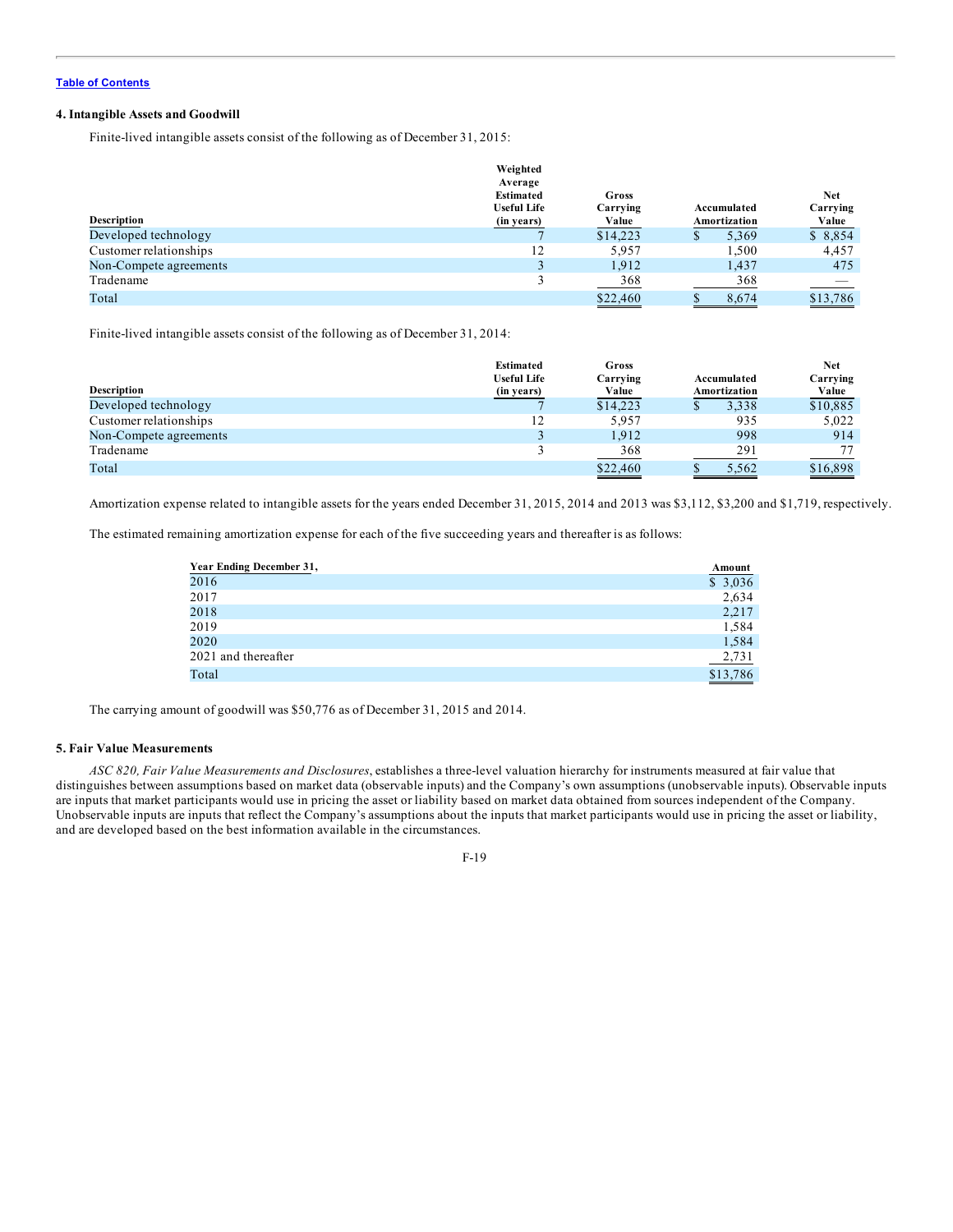### **4. Intangible Assets and Goodwill**

Finite-lived intangible assets consist of the following as of December 31, 2015:

|                        | Weighted           |          |              |          |
|------------------------|--------------------|----------|--------------|----------|
|                        | Average            |          |              |          |
|                        | <b>Estimated</b>   | Gross    |              | Net      |
|                        | <b>Useful Life</b> | Carrying | Accumulated  | Carrying |
| <b>Description</b>     | (in years)         | Value    | Amortization | Value    |
| Developed technology   |                    | \$14,223 | 5,369        | \$8,854  |
| Customer relationships | 12                 | 5.957    | 1.500        | 4,457    |
| Non-Compete agreements |                    | 1,912    | 1,437        | 475      |
| Tradename              |                    | 368      | 368          |          |
| Total                  |                    | \$22,460 | 8.674        | \$13,786 |

Finite-lived intangible assets consist of the following as of December 31, 2014:

|                        | <b>Estimated</b><br><b>Useful Life</b> | Gross<br>Carrying | Accumulated  | Net<br>Carrying |
|------------------------|----------------------------------------|-------------------|--------------|-----------------|
| <b>Description</b>     | (in years)                             | Value             | Amortization | <u>Value</u>    |
| Developed technology   |                                        | \$14.223          | 3,338        | \$10,885        |
| Customer relationships | 12                                     | 5,957             | 935          | 5,022           |
| Non-Compete agreements |                                        | 1.912             | 998          | 914             |
| Tradename              |                                        | 368               | 291          |                 |
| Total                  |                                        | \$22,460          | 5.562        | \$16,898        |

Amortization expense related to intangible assets for the years ended December 31, 2015, 2014 and 2013 was \$3,112, \$3,200 and \$1,719, respectively.

The estimated remaining amortization expense for each of the five succeeding years and thereafter is as follows:

| Year Ending December 31, | Amount   |
|--------------------------|----------|
| 2016                     | \$3,036  |
| 2017                     | 2,634    |
| 2018                     | 2,217    |
| 2019                     | 1,584    |
| 2020                     | 1,584    |
| 2021 and thereafter      | 2,731    |
| Total                    | \$13,786 |

The carrying amount of goodwill was \$50,776 as of December 31, 2015 and 2014.

### **5. Fair Value Measurements**

*ASC 820, Fair Value Measurements and Disclosures*, establishes a three-level valuation hierarchy for instruments measured at fair value that distinguishes between assumptions based on market data (observable inputs) and the Company's own assumptions (unobservable inputs). Observable inputs are inputs that market participants would use in pricing the asset or liability based on market data obtained from sources independent of the Company. Unobservable inputs are inputs that reflect the Company's assumptions about the inputs that market participants would use in pricing the asset or liability, and are developed based on the best information available in the circumstances.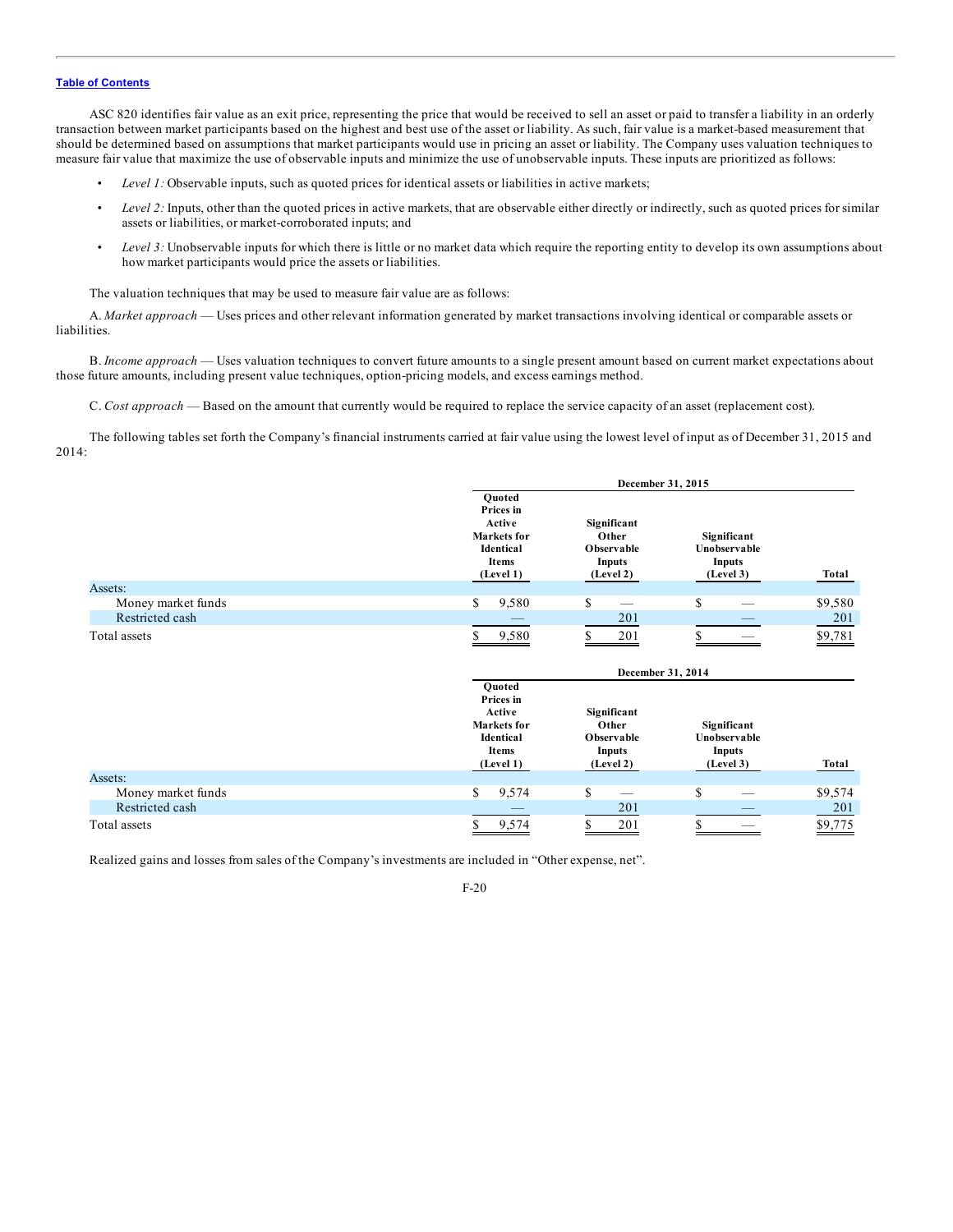ASC 820 identifies fair value as an exit price, representing the price that would be received to sell an asset or paid to transfer a liability in an orderly transaction between market participants based on the highest and best use of the asset or liability. As such, fair value is a market-based measurement that should be determined based on assumptions that market participants would use in pricing an asset or liability. The Company uses valuation techniques to measure fair value that maximize the use of observable inputs and minimize the use of unobservable inputs. These inputs are prioritized as follows:

- *Level 1:* Observable inputs, such as quoted prices for identical assets or liabilities in active markets;
- Level 2: Inputs, other than the quoted prices in active markets, that are observable either directly or indirectly, such as quoted prices for similar assets or liabilities, or market-corroborated inputs; and
- *Level 3:* Unobservable inputs for which there is little or no market data which require the reporting entity to develop its own assumptions about how market participants would price the assets or liabilities.

The valuation techniques that may be used to measure fair value are as follows:

A. *Market approach* — Uses prices and other relevant information generated by market transactions involving identical or comparable assets or liabilities.

B. *Income approach* — Uses valuation techniques to convert future amounts to a single present amount based on current market expectations about those future amounts, including present value techniques, option-pricing models, and excess earnings method.

C. *Cost approach* — Based on the amount that currently would be required to replace the service capacity of an asset (replacement cost).

The following tables set forth the Company's financial instruments carried at fair value using the lowest level of input as of December 31, 2015 and 2014:

|                    |                                                                                        | December 31, 2015                                         |                                                    |         |
|--------------------|----------------------------------------------------------------------------------------|-----------------------------------------------------------|----------------------------------------------------|---------|
|                    | Quoted<br>Prices in<br>Active<br><b>Markets</b> for<br>Identical<br>Items<br>(Level 1) | Significant<br>Other<br>Observable<br>Inputs<br>(Level 2) | Significant<br>Unobservable<br>Inputs<br>(Level 3) | Total   |
| Assets:            |                                                                                        |                                                           |                                                    |         |
| Money market funds | \$<br>9,580                                                                            | \$                                                        | \$                                                 | \$9,580 |
| Restricted cash    |                                                                                        | 201                                                       |                                                    | 201     |
| Total assets       | 9,580                                                                                  | 201<br>S                                                  |                                                    | \$9,781 |
|                    |                                                                                        | December 31, 2014                                         |                                                    |         |
|                    | Quoted<br>Prices in<br>Active<br>Markets for<br>Identical<br><b>Items</b><br>(Level 1) | Significant<br>Other<br>Observable<br>Inputs<br>(Level 2) | Significant<br>Unobservable<br>Inputs<br>(Level 3) | Total   |
| Assets:            |                                                                                        |                                                           |                                                    |         |
| Money market funds | \$<br>9,574                                                                            | \$                                                        | \$                                                 | \$9,574 |
| Restricted cash    |                                                                                        | 201                                                       |                                                    | 201     |
|                    |                                                                                        |                                                           |                                                    |         |

Realized gains and losses from sales of the Company's investments are included in "Other expense, net".

F-20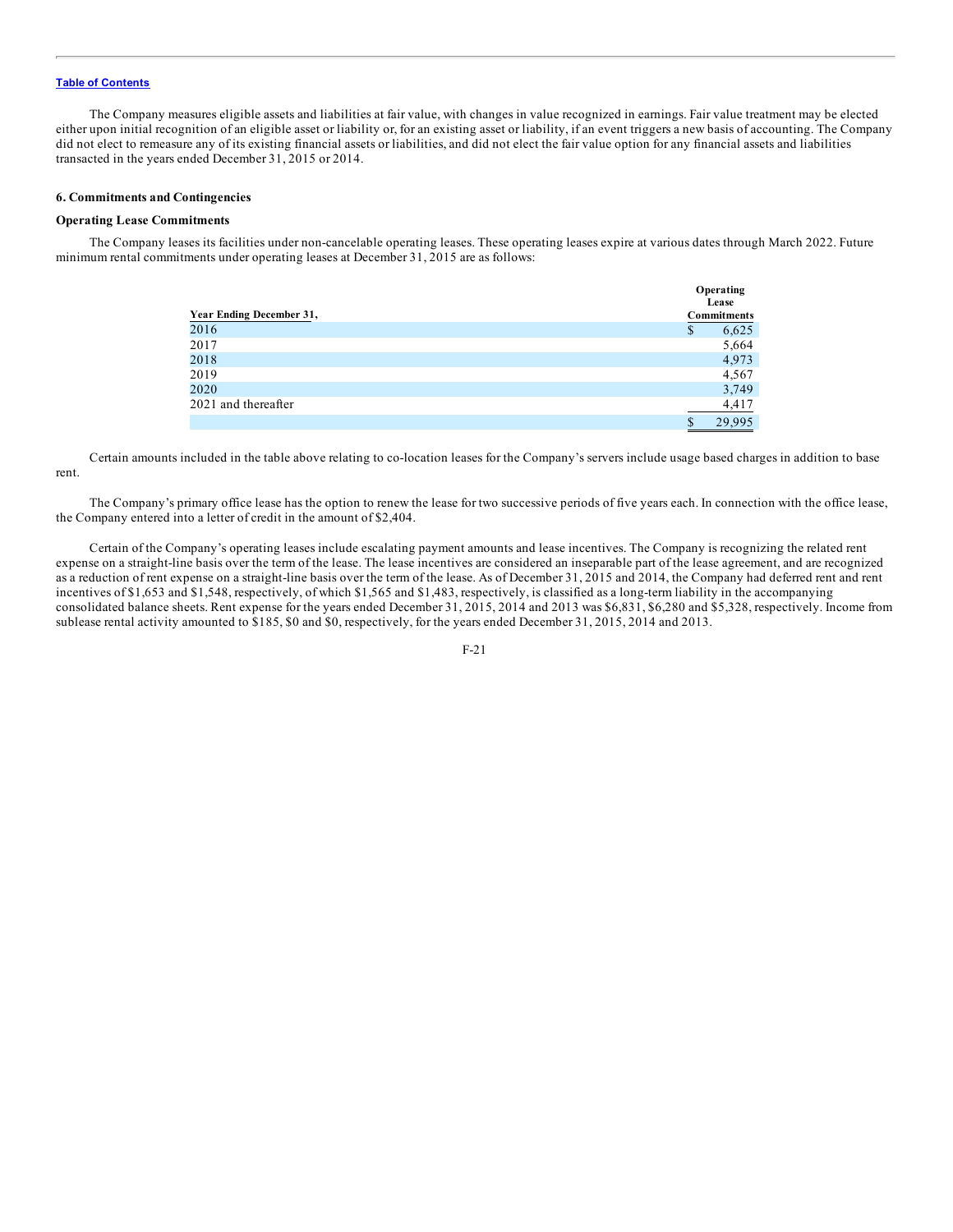The Company measures eligible assets and liabilities at fair value, with changes in value recognized in earnings. Fair value treatment may be elected either upon initial recognition of an eligible asset or liability or, for an existing asset or liability, if an event triggers a new basis of accounting. The Company did not elect to remeasure any of its existing financial assets or liabilities, and did not elect the fair value option for any financial assets and liabilities transacted in the years ended December 31, 2015 or 2014.

### **6. Commitments and Contingencies**

## **Operating Lease Commitments**

The Company leases its facilities under non-cancelable operating leases. These operating leases expire at various dates through March 2022. Future minimum rental commitments under operating leases at December 31, 2015 are as follows:

|                          | Operating<br>Lease |
|--------------------------|--------------------|
| Year Ending December 31, | <b>Commitments</b> |
| 2016                     | 6,625<br>\$        |
| 2017                     | 5,664              |
| 2018                     | 4,973              |
| 2019                     | 4,567              |
| 2020                     | 3,749              |
| 2021 and thereafter      | 4,417              |
|                          | 29.995<br>S        |

Certain amounts included in the table above relating to co-location leases for the Company's servers include usage based charges in addition to base rent.

The Company's primary office lease has the option to renew the lease for two successive periods of five years each. In connection with the office lease, the Company entered into a letter of credit in the amount of \$2,404.

Certain of the Company's operating leases include escalating payment amounts and lease incentives. The Company is recognizing the related rent expense on a straight-line basis over the term of the lease. The lease incentives are considered an inseparable part of the lease agreement, and are recognized as a reduction of rent expense on a straight-line basis over the term of the lease. As of December 31, 2015 and 2014, the Company had deferred rent and rent incentives of \$1,653 and \$1,548, respectively, of which \$1,565 and \$1,483, respectively, is classified as a long-term liability in the accompanying consolidated balance sheets. Rent expense for the years ended December 31, 2015, 2014 and 2013 was \$6,831, \$6,280 and \$5,328, respectively. Income from sublease rental activity amounted to \$185, \$0 and \$0, respectively, for the years ended December 31, 2015, 2014 and 2013.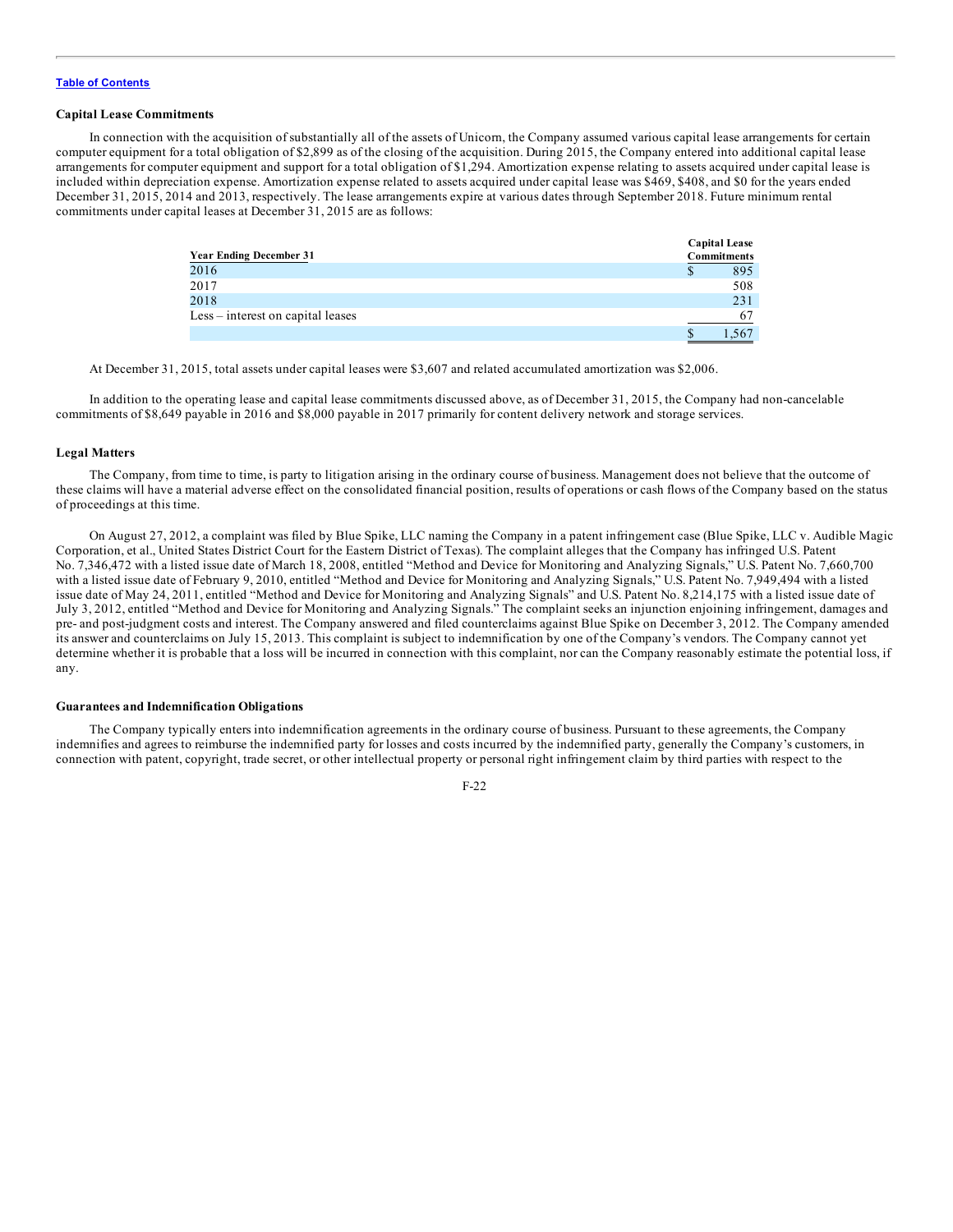### **Capital Lease Commitments**

In connection with the acquisition of substantially all of the assets of Unicorn, the Company assumed various capital lease arrangements for certain computer equipment for a total obligation of \$2,899 as of the closing of the acquisition. During 2015, the Company entered into additional capital lease arrangements for computer equipment and support for a total obligation of \$1,294. Amortization expense relating to assets acquired under capital lease is included within depreciation expense. Amortization expense related to assets acquired under capital lease was \$469, \$408, and \$0 for the years ended December 31, 2015, 2014 and 2013, respectively. The lease arrangements expire at various dates through September 2018. Future minimum rental commitments under capital leases at December 31, 2015 are as follows:

| <b>Year Ending December 31</b>    | <b>Capital Lease</b><br>Commitments |
|-----------------------------------|-------------------------------------|
| 2016                              | 895<br>S                            |
| 2017                              | 508                                 |
| 2018                              | 231                                 |
| Less – interest on capital leases |                                     |
|                                   | .567                                |

At December 31, 2015, total assets under capital leases were \$3,607 and related accumulated amortization was \$2,006.

In addition to the operating lease and capital lease commitments discussed above, as of December 31, 2015, the Company had non-cancelable commitments of \$8,649 payable in 2016 and \$8,000 payable in 2017 primarily for content delivery network and storage services.

#### **Legal Matters**

The Company, from time to time, is party to litigation arising in the ordinary course of business. Management does not believe that the outcome of these claims will have a material adverse effect on the consolidated financial position, results of operations or cash flows of the Company based on the status of proceedings at this time.

On August 27, 2012, a complaint was filed by Blue Spike, LLC naming the Company in a patent infringement case (Blue Spike, LLC v. Audible Magic Corporation, et al., United States District Court for the Eastern District of Texas). The complaint alleges that the Company has infringed U.S. Patent No. 7,346,472 with a listed issue date of March 18, 2008, entitled "Method and Device for Monitoring and Analyzing Signals," U.S. Patent No. 7,660,700 with a listed issue date of February 9, 2010, entitled "Method and Device for Monitoring and Analyzing Signals," U.S. Patent No. 7,949,494 with a listed issue date of May 24, 2011, entitled "Method and Device for Monitoring and Analyzing Signals" and U.S. Patent No. 8,214,175 with a listed issue date of July 3, 2012, entitled "Method and Device for Monitoring and Analyzing Signals." The complaint seeks an injunction enjoining infringement, damages and pre- and post-judgment costs and interest. The Company answered and filed counterclaims against Blue Spike on December 3, 2012. The Company amended its answer and counterclaims on July 15, 2013. This complaint is subject to indemnification by one of the Company's vendors. The Company cannot yet determine whether it is probable that a loss will be incurred in connection with this complaint, nor can the Company reasonably estimate the potential loss, if any.

#### **Guarantees and Indemnification Obligations**

The Company typically enters into indemnification agreements in the ordinary course of business. Pursuant to these agreements, the Company indemnifies and agrees to reimburse the indemnified party for losses and costs incurred by the indemnified party, generally the Company's customers, in connection with patent, copyright, trade secret, or other intellectual property or personal right infringement claim by third parties with respect to the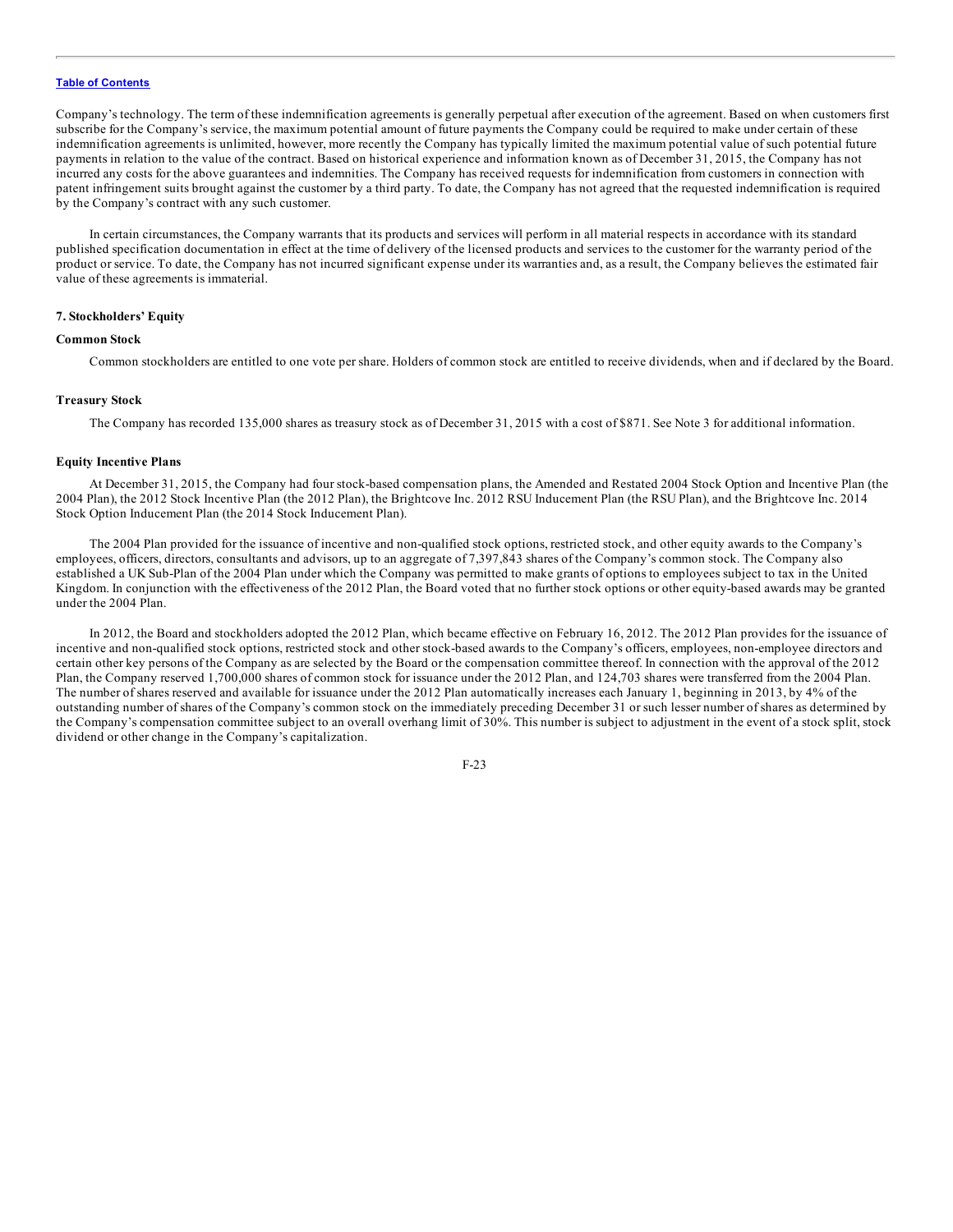Company's technology. The term of these indemnification agreements is generally perpetual after execution of the agreement. Based on when customers first subscribe for the Company's service, the maximum potential amount of future payments the Company could be required to make under certain of these indemnification agreements is unlimited, however, more recently the Company has typically limited the maximum potential value of such potential future payments in relation to the value of the contract. Based on historical experience and information known as of December 31, 2015, the Company has not incurred any costs for the above guarantees and indemnities. The Company has received requests for indemnification from customers in connection with patent infringement suits brought against the customer by a third party. To date, the Company has not agreed that the requested indemnification is required by the Company's contract with any such customer.

In certain circumstances, the Company warrants that its products and services will perform in all material respects in accordance with its standard published specification documentation in effect at the time of delivery of the licensed products and services to the customer for the warranty period of the product or service. To date, the Company has not incurred significant expense under its warranties and, as a result, the Company believes the estimated fair value of these agreements is immaterial.

### **7. Stockholders' Equity**

### **Common Stock**

Common stockholders are entitled to one vote per share. Holders of common stock are entitled to receive dividends, when and if declared by the Board.

#### **Treasury Stock**

The Company has recorded 135,000 shares as treasury stock as of December 31, 2015 with a cost of \$871. See Note 3 for additional information.

## **Equity Incentive Plans**

At December 31, 2015, the Company had four stock-based compensation plans, the Amended and Restated 2004 Stock Option and Incentive Plan (the 2004 Plan), the 2012 Stock Incentive Plan (the 2012 Plan), the Brightcove Inc. 2012 RSU Inducement Plan (the RSU Plan), and the Brightcove Inc. 2014 Stock Option Inducement Plan (the 2014 Stock Inducement Plan).

The 2004 Plan provided for the issuance of incentive and non-qualified stock options, restricted stock, and other equity awards to the Company's employees, officers, directors, consultants and advisors, up to an aggregate of 7,397,843 shares of the Company's common stock. The Company also established a UK Sub-Plan of the 2004 Plan under which the Company was permitted to make grants of options to employees subject to tax in the United Kingdom. In conjunction with the effectiveness of the 2012 Plan, the Board voted that no further stock options or other equity-based awards may be granted under the 2004 Plan.

In 2012, the Board and stockholders adopted the 2012 Plan, which became effective on February 16, 2012. The 2012 Plan provides for the issuance of incentive and non-qualified stock options, restricted stock and other stock-based awards to the Company's officers, employees, non-employee directors and certain other key persons of the Company as are selected by the Board or the compensation committee thereof. In connection with the approval of the 2012 Plan, the Company reserved 1,700,000 shares of common stock for issuance under the 2012 Plan, and 124,703 shares were transferred from the 2004 Plan. The number of shares reserved and available for issuance under the 2012 Plan automatically increases each January 1, beginning in 2013, by 4% of the outstanding number of shares of the Company's common stock on the immediately preceding December 31 or such lesser number of shares as determined by the Company's compensation committee subject to an overall overhang limit of 30%. This number is subject to adjustment in the event of a stock split, stock dividend or other change in the Company's capitalization.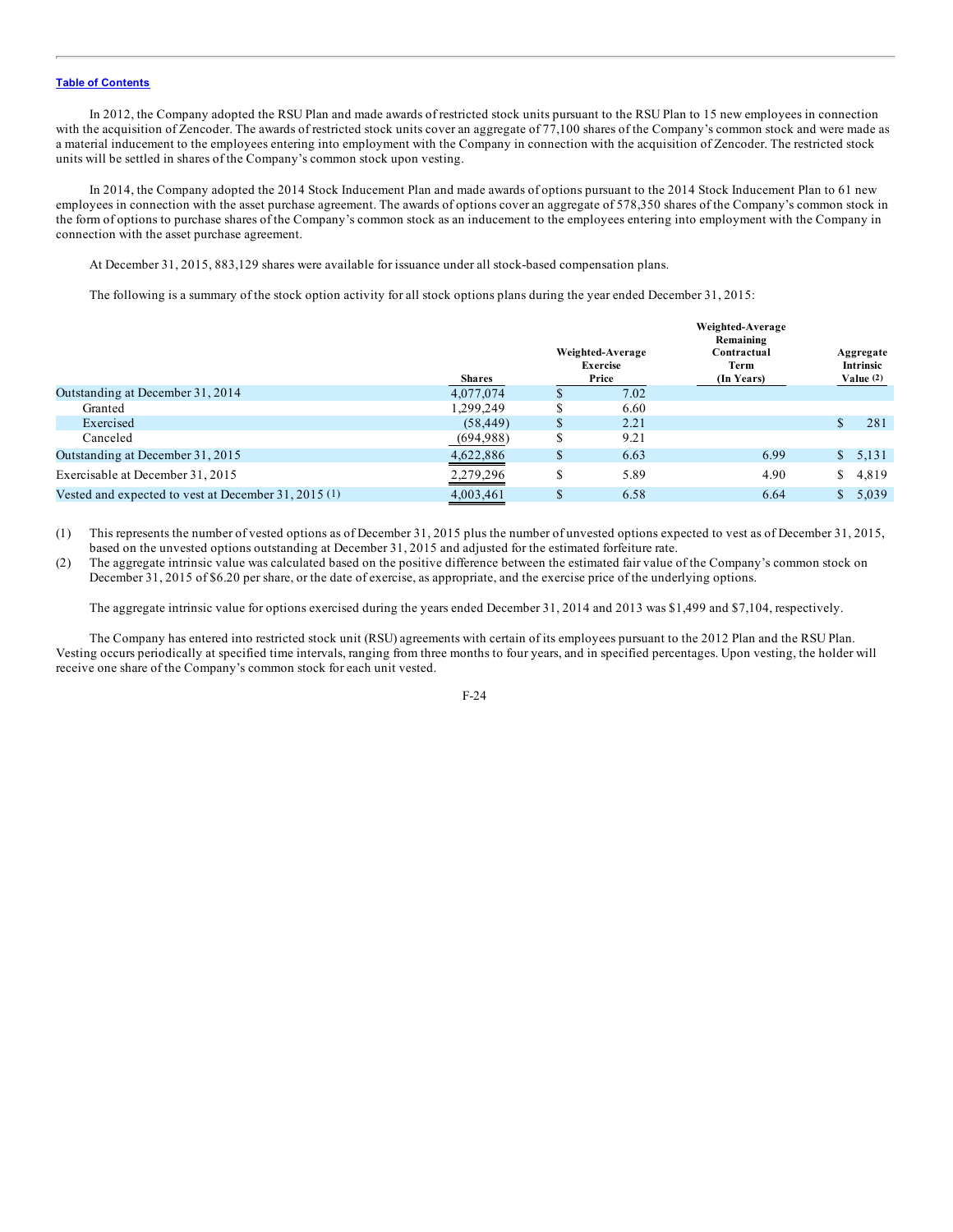In 2012, the Company adopted the RSU Plan and made awards of restricted stock units pursuant to the RSU Plan to 15 new employees in connection with the acquisition of Zencoder. The awards of restricted stock units cover an aggregate of 77,100 shares of the Company's common stock and were made as a material inducement to the employees entering into employment with the Company in connection with the acquisition of Zencoder. The restricted stock units will be settled in shares of the Company's common stock upon vesting.

In 2014, the Company adopted the 2014 Stock Inducement Plan and made awards of options pursuant to the 2014 Stock Inducement Plan to 61 new employees in connection with the asset purchase agreement. The awards of options cover an aggregate of 578,350 shares of the Company's common stock in the form of options to purchase shares of the Company's common stock as an inducement to the employees entering into employment with the Company in connection with the asset purchase agreement.

At December 31, 2015, 883,129 shares were available for issuance under all stock-based compensation plans.

The following is a summary of the stock option activity for all stock options plans during the year ended December 31, 2015:

|                                                      | <b>Shares</b> |    | Weighted-Average<br><b>Exercise</b><br>Price | Weighted-Average<br>Remaining<br>Contractual<br>Term<br>(In Years) |     | Aggregate<br>Intrinsic<br>Value $(2)$ |
|------------------------------------------------------|---------------|----|----------------------------------------------|--------------------------------------------------------------------|-----|---------------------------------------|
| Outstanding at December 31, 2014                     | 4,077,074     |    | 7.02                                         |                                                                    |     |                                       |
| Granted                                              | 1,299,249     |    | 6.60                                         |                                                                    |     |                                       |
| Exercised                                            | (58, 449)     | Ф  | 2.21                                         |                                                                    |     | 281                                   |
| Canceled                                             | (694,988)     | ۰  | 9.21                                         |                                                                    |     |                                       |
| Outstanding at December 31, 2015                     | 4,622,886     | \$ | 6.63                                         | 6.99                                                               |     | \$5,131                               |
| Exercisable at December 31, 2015                     | 2,279,296     | D  | 5.89                                         | 4.90                                                               | \$. | 4,819                                 |
| Vested and expected to vest at December 31, 2015 (1) | 4.003.461     | \$ | 6.58                                         | 6.64                                                               |     | 5,039                                 |

(1) This represents the number of vested options as of December 31, 2015 plus the number of unvested options expected to vest as of December 31, 2015, based on the unvested options outstanding at December 31, 2015 and adjusted for the estimated forfeiture rate.

(2) The aggregate intrinsic value was calculated based on the positive difference between the estimated fair value of the Company's common stock on December 31, 2015 of \$6.20 per share, or the date of exercise, as appropriate, and the exercise price of the underlying options.

The aggregate intrinsic value for options exercised during the years ended December 31, 2014 and 2013 was \$1,499 and \$7,104, respectively.

The Company has entered into restricted stock unit (RSU) agreements with certain of its employees pursuant to the 2012 Plan and the RSU Plan. Vesting occurs periodically at specified time intervals, ranging from three months to four years, and in specified percentages. Upon vesting, the holder will receive one share of the Company's common stock for each unit vested.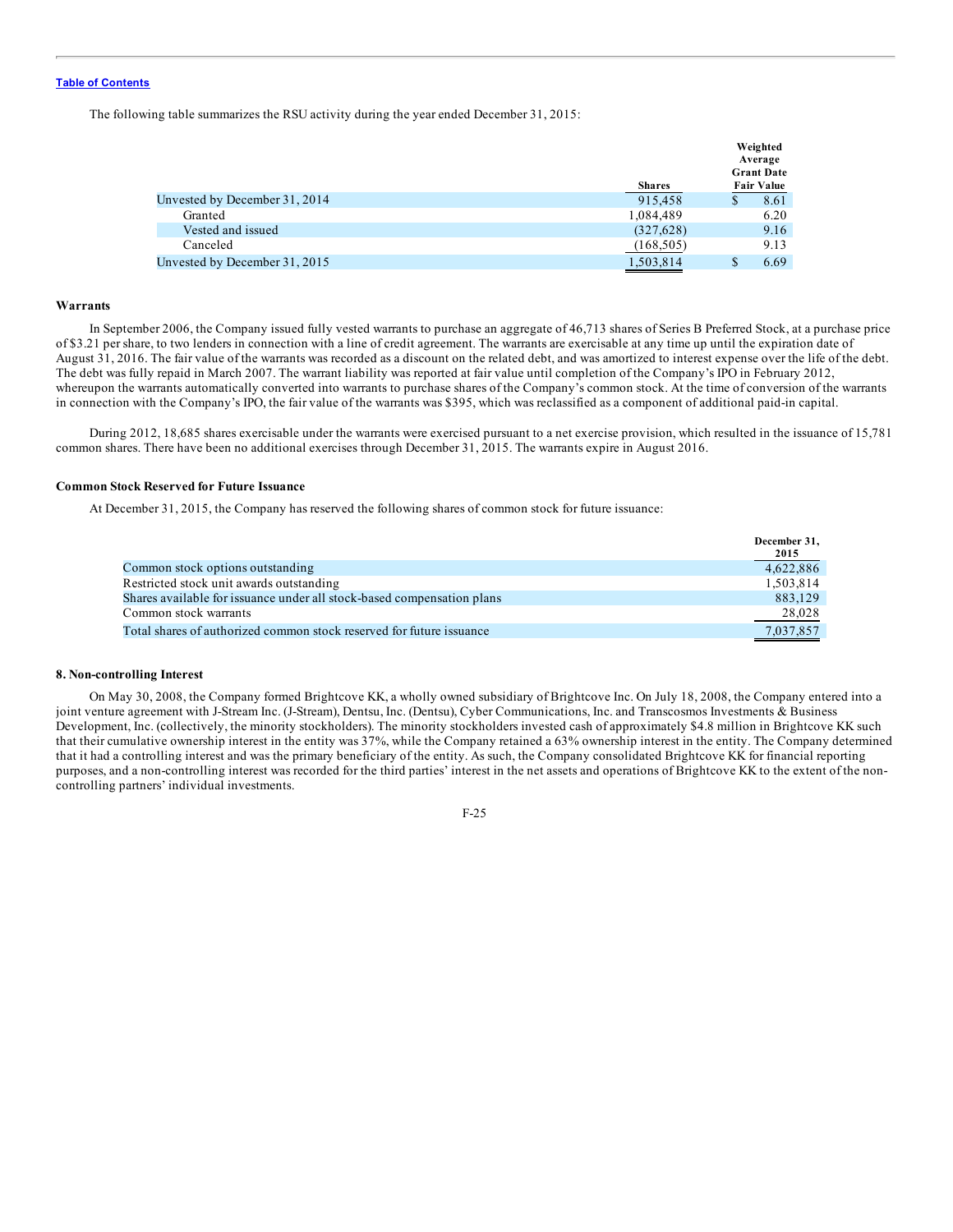The following table summarizes the RSU activity during the year ended December 31, 2015:

|                               |               |   | Weighted<br>Average<br><b>Grant Date</b> |
|-------------------------------|---------------|---|------------------------------------------|
|                               | <b>Shares</b> |   | <b>Fair Value</b>                        |
| Unvested by December 31, 2014 | 915.458       | S | 8.61                                     |
| Granted                       | 1,084,489     |   | 6.20                                     |
| Vested and issued             | (327,628)     |   | 9.16                                     |
| Canceled                      | (168, 505)    |   | 9.13                                     |
| Unvested by December 31, 2015 | 1,503,814     | S | 6.69                                     |

### **Warrants**

In September 2006, the Company issued fully vested warrants to purchase an aggregate of 46,713 shares of Series B Preferred Stock, at a purchase price of \$3.21 per share, to two lenders in connection with a line of credit agreement. The warrants are exercisable at any time up until the expiration date of August 31, 2016. The fair value of the warrants was recorded as a discount on the related debt, and was amortized to interest expense over the life of the debt. The debt was fully repaid in March 2007. The warrant liability was reported at fair value until completion of the Company's IPO in February 2012, whereupon the warrants automatically converted into warrants to purchase shares of the Company's common stock. At the time of conversion of the warrants in connection with the Company's IPO, the fair value of the warrants was \$395, which was reclassified as a component of additional paid-in capital.

During 2012, 18,685 shares exercisable under the warrants were exercised pursuant to a net exercise provision, which resulted in the issuance of 15,781 common shares. There have been no additional exercises through December 31, 2015. The warrants expire in August 2016.

### **Common Stock Reserved for Future Issuance**

At December 31, 2015, the Company has reserved the following shares of common stock for future issuance:

|                                                                        | December 31, |
|------------------------------------------------------------------------|--------------|
|                                                                        | 2015         |
| Common stock options outstanding                                       | 4,622,886    |
| Restricted stock unit awards outstanding                               | 1,503,814    |
| Shares available for issuance under all stock-based compensation plans | 883,129      |
| Common stock warrants                                                  | 28,028       |
| Total shares of authorized common stock reserved for future issuance   | 7.037.857    |

### **8. Non-controlling Interest**

On May 30, 2008, the Company formed Brightcove KK, a wholly owned subsidiary of Brightcove Inc. On July 18, 2008, the Company entered into a joint venture agreement with J-Stream Inc. (J-Stream), Dentsu, Inc. (Dentsu), Cyber Communications, Inc. and Transcosmos Investments & Business Development, Inc. (collectively, the minority stockholders). The minority stockholders invested cash of approximately \$4.8 million in Brightcove KK such that their cumulative ownership interest in the entity was 37%, while the Company retained a 63% ownership interest in the entity. The Company determined that it had a controlling interest and was the primary beneficiary of the entity. As such, the Company consolidated Brightcove KK for financial reporting purposes, and a non-controlling interest was recorded for the third parties' interest in the net assets and operations of Brightcove KK to the extent of the noncontrolling partners' individual investments.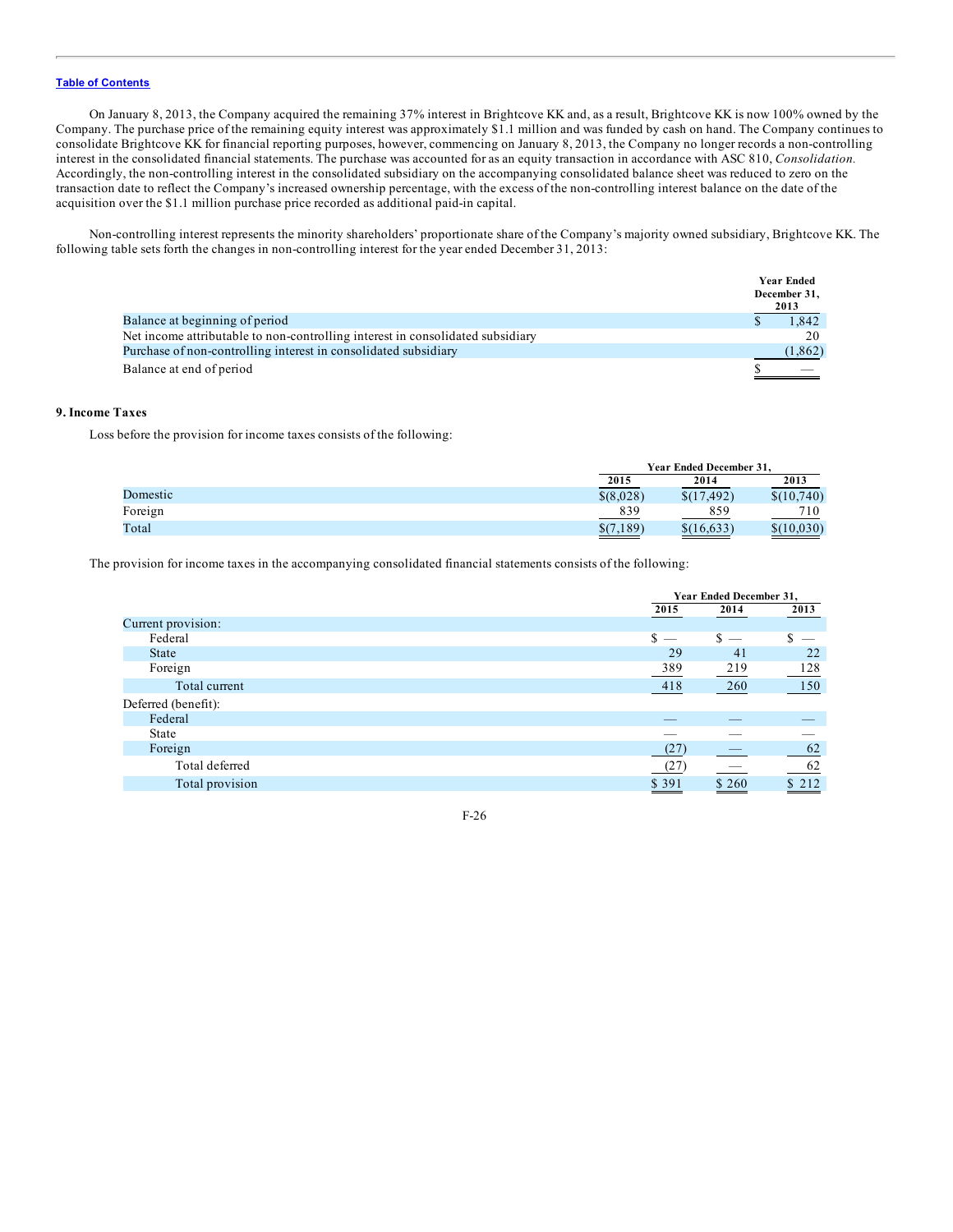On January 8, 2013, the Company acquired the remaining 37% interest in Brightcove KK and, as a result, Brightcove KK is now 100% owned by the Company. The purchase price of the remaining equity interest was approximately \$1.1 million and was funded by cash on hand. The Company continues to consolidate Brightcove KK for financial reporting purposes, however, commencing on January 8, 2013, the Company no longer records a non-controlling interest in the consolidated financial statements. The purchase was accounted for as an equity transaction in accordance with ASC 810, *Consolidation.* Accordingly, the non-controlling interest in the consolidated subsidiary on the accompanying consolidated balance sheet was reduced to zero on the transaction date to reflect the Company's increased ownership percentage, with the excess of the non-controlling interest balance on the date of the acquisition over the \$1.1 million purchase price recorded as additional paid-in capital.

Non-controlling interest represents the minority shareholders' proportionate share of the Company's majority owned subsidiary, Brightcove KK. The following table sets forth the changes in non-controlling interest for the year ended December 31, 2013:

|                                                                                | <b>Year Ended</b><br>December 31,<br>2013 |
|--------------------------------------------------------------------------------|-------------------------------------------|
| Balance at beginning of period                                                 | 1.842                                     |
| Net income attributable to non-controlling interest in consolidated subsidiary | 20                                        |
| Purchase of non-controlling interest in consolidated subsidiary                | (1, 862)                                  |
| Balance at end of period                                                       |                                           |

## **9. Income Taxes**

Loss before the provision for income taxes consists of the following:

|          |            | Year Ended December 31. |            |  |
|----------|------------|-------------------------|------------|--|
|          | 2015       | 2014                    | 2013       |  |
| Domestic | \$ (8,028) | \$(17, 492)             | \$(10,740) |  |
| Foreign  | 839        | 859                     | 710        |  |
| Total    | \$(7.189)  | \$(16,633)              | \$(10,030) |  |

The provision for income taxes in the accompanying consolidated financial statements consists of the following:

|                     |   | Year Ended December 31,  |                                 |                          |  |
|---------------------|---|--------------------------|---------------------------------|--------------------------|--|
|                     |   | 2015<br>2014             |                                 | 2013                     |  |
| Current provision:  |   |                          |                                 |                          |  |
| Federal             | S | $\overline{\phantom{a}}$ | \$.<br>$\overline{\phantom{m}}$ | $\overline{\phantom{a}}$ |  |
| State               |   | 29                       | 41                              | 22                       |  |
| Foreign             |   | 389                      | 219                             | 128                      |  |
| Total current       |   | 418                      | 260                             | 150                      |  |
| Deferred (benefit): |   |                          |                                 |                          |  |
| Federal             |   |                          |                                 |                          |  |
| State               |   |                          |                                 |                          |  |
| Foreign             |   | (27)                     |                                 | 62                       |  |
| Total deferred      |   | (27)                     |                                 | 62                       |  |
| Total provision     |   | \$391                    | \$260                           | \$212                    |  |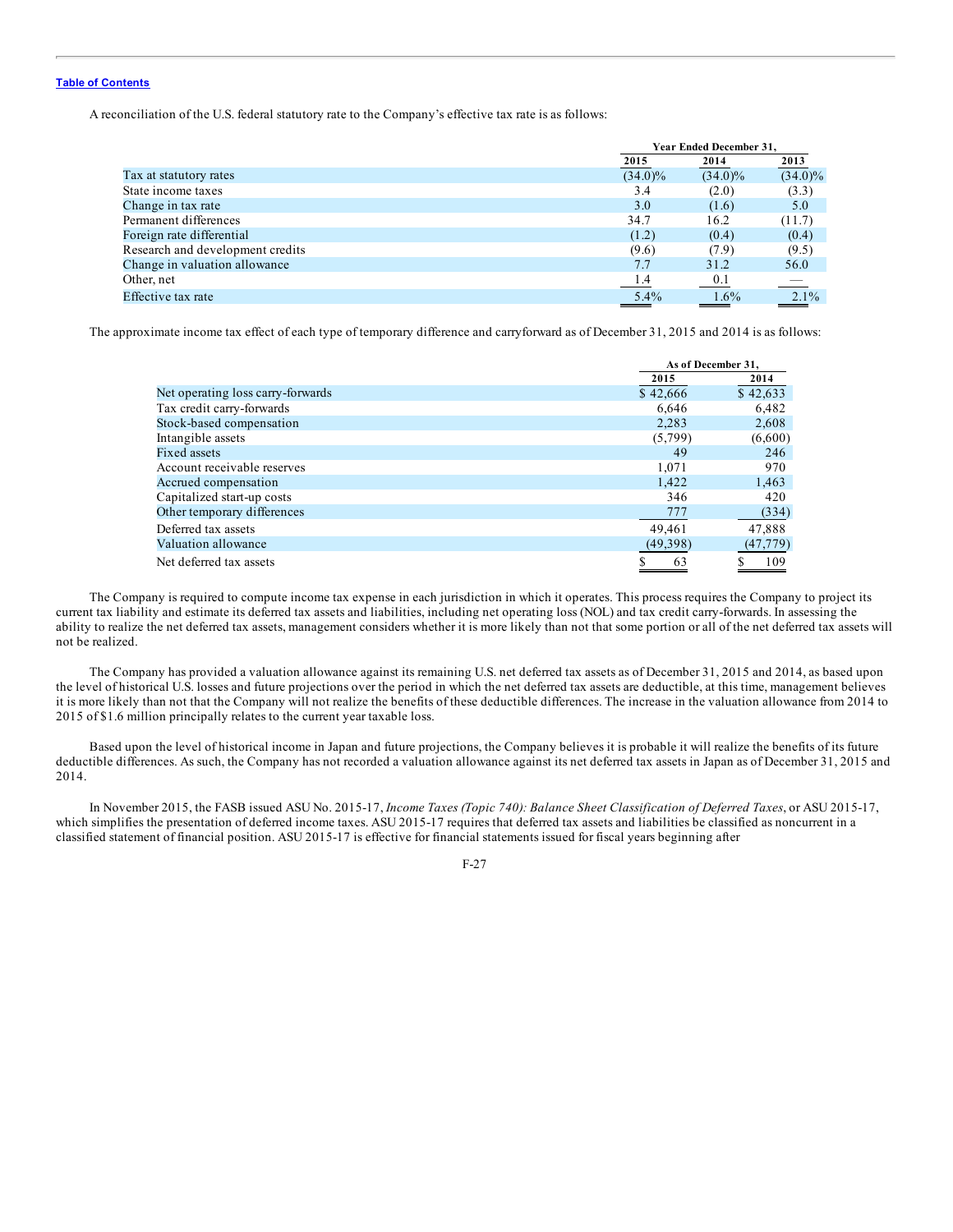A reconciliation of the U.S. federal statutory rate to the Company's effective tax rate is as follows:

|                                  |            | Year Ended December 31, |            |  |
|----------------------------------|------------|-------------------------|------------|--|
|                                  | 2015       | 2014                    | 2013       |  |
| Tax at statutory rates           | $(34.0)\%$ | $(34.0)\%$              | $(34.0)\%$ |  |
| State income taxes               | 3.4        | (2.0)                   | (3.3)      |  |
| Change in tax rate               | 3.0        | (1.6)                   | 5.0        |  |
| Permanent differences            | 34.7       | 16.2                    | (11.7)     |  |
| Foreign rate differential        | (1.2)      | (0.4)                   | (0.4)      |  |
| Research and development credits | (9.6)      | (7.9)                   | (9.5)      |  |
| Change in valuation allowance    | 7.7        | 31.2                    | 56.0       |  |
| Other, net                       | 1.4        | 0.1                     |            |  |
| Effective tax rate               | $5.4\%$    | $1.6\%$                 | $2.1\%$    |  |
|                                  |            |                         |            |  |

The approximate income tax effect of each type of temporary difference and carryforward as of December 31, 2015 and 2014 is as follows:

|                                   | As of December 31. |           |
|-----------------------------------|--------------------|-----------|
|                                   | 2015               | 2014      |
| Net operating loss carry-forwards | \$42,666           | \$42,633  |
| Tax credit carry-forwards         | 6.646              | 6,482     |
| Stock-based compensation          | 2.283              | 2,608     |
| Intangible assets                 | (5,799)            | (6,600)   |
| <b>Fixed assets</b>               | 49                 | 246       |
| Account receivable reserves       | 1,071              | 970       |
| Accrued compensation              | 1.422              | 1,463     |
| Capitalized start-up costs        | 346                | 420       |
| Other temporary differences       | 777                | (334)     |
| Deferred tax assets               | 49,461             | 47,888    |
| Valuation allowance               | (49,398)           | (47, 779) |
| Net deferred tax assets           | 63                 | 109       |

The Company is required to compute income tax expense in each jurisdiction in which it operates. This process requires the Company to project its current tax liability and estimate its deferred tax assets and liabilities, including net operating loss (NOL) and tax credit carry-forwards. In assessing the ability to realize the net deferred tax assets, management considers whether it is more likely than not that some portion or all of the net deferred tax assets will not be realized.

The Company has provided a valuation allowance against its remaining U.S. net deferred tax assets as of December 31, 2015 and 2014, as based upon the level of historical U.S. losses and future projections over the period in which the net deferred tax assets are deductible, at this time, management believes it is more likely than not that the Company will not realize the benefits of these deductible differences. The increase in the valuation allowance from 2014 to 2015 of \$1.6 million principally relates to the current year taxable loss.

Based upon the level of historical income in Japan and future projections, the Company believes it is probable it will realize the benefits of its future deductible differences. As such, the Company has not recorded a valuation allowance against its net deferred tax assets in Japan as of December 31, 2015 and 2014.

In November 2015, the FASB issued ASU No. 2015-17, *Income Taxes (Topic 740): Balance Sheet Classification of Deferred Taxes*, or ASU 2015-17, which simplifies the presentation of deferred income taxes. ASU 2015-17 requires that deferred tax assets and liabilities be classified as noncurrent in a classified statement of financial position. ASU 2015-17 is effective for financial statements issued for fiscal years beginning after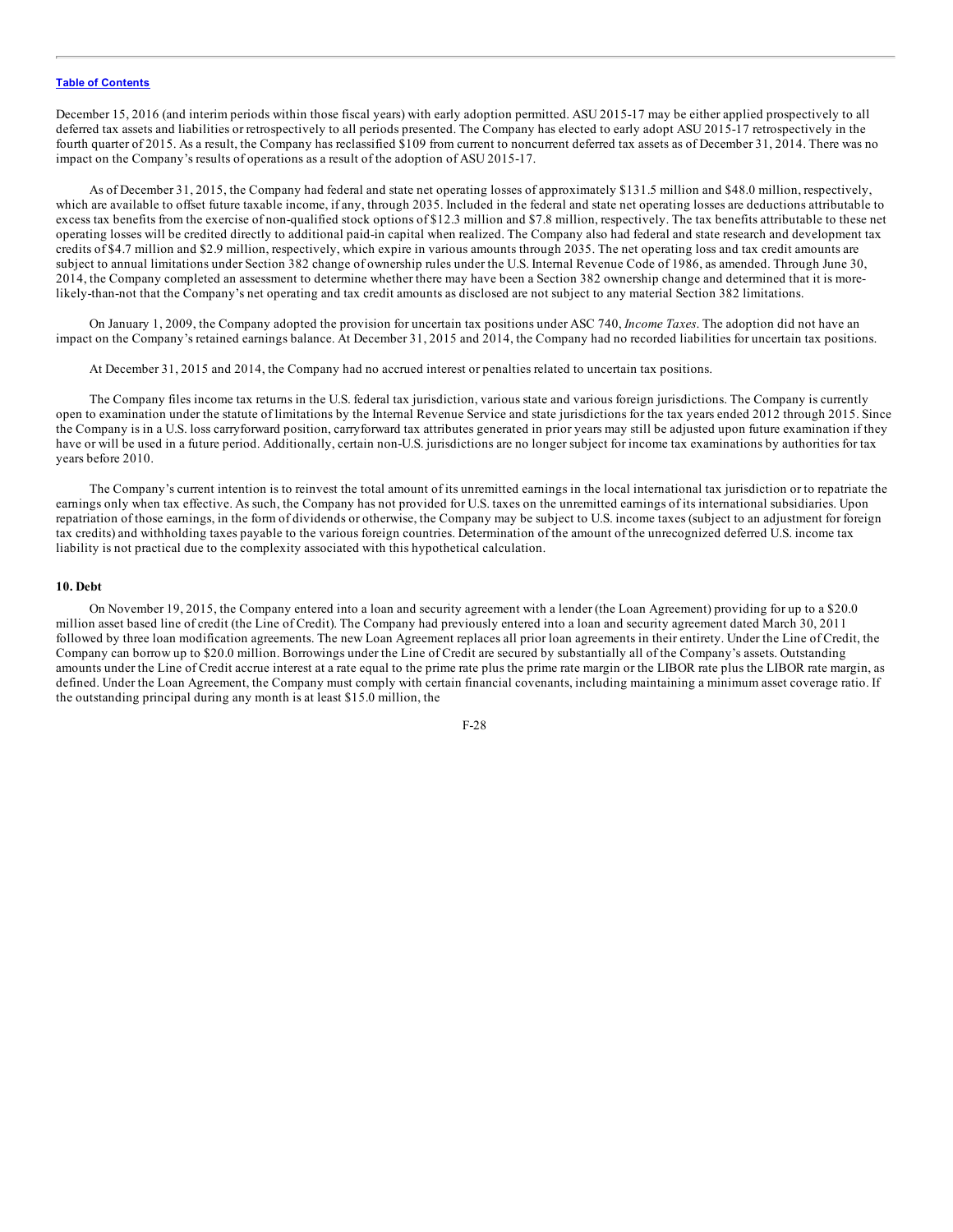December 15, 2016 (and interim periods within those fiscal years) with early adoption permitted. ASU 2015-17 may be either applied prospectively to all deferred tax assets and liabilities or retrospectively to all periods presented. The Company has elected to early adopt ASU 2015-17 retrospectively in the fourth quarter of 2015. As a result, the Company has reclassified \$109 from current to noncurrent deferred tax assets as of December 31, 2014. There was no impact on the Company's results of operations as a result of the adoption of ASU 2015-17.

As of December 31, 2015, the Company had federal and state net operating losses of approximately \$131.5 million and \$48.0 million, respectively, which are available to offset future taxable income, if any, through 2035. Included in the federal and state net operating losses are deductions attributable to excess tax benefits from the exercise of non-qualified stock options of \$12.3 million and \$7.8 million, respectively. The tax benefits attributable to these net operating losses will be credited directly to additional paid-in capital when realized. The Company also had federal and state research and development tax credits of \$4.7 million and \$2.9 million, respectively, which expire in various amounts through 2035. The net operating loss and tax credit amounts are subject to annual limitations under Section 382 change of ownership rules under the U.S. Internal Revenue Code of 1986, as amended. Through June 30, 2014, the Company completed an assessment to determine whether there may have been a Section 382 ownership change and determined that it is morelikely-than-not that the Company's net operating and tax credit amounts as disclosed are not subject to any material Section 382 limitations.

On January 1, 2009, the Company adopted the provision for uncertain tax positions under ASC 740, *Income Taxes*. The adoption did not have an impact on the Company's retained earnings balance. At December 31, 2015 and 2014, the Company had no recorded liabilities for uncertain tax positions.

At December 31, 2015 and 2014, the Company had no accrued interest or penalties related to uncertain tax positions.

The Company files income tax returns in the U.S. federal tax jurisdiction, various state and various foreign jurisdictions. The Company is currently open to examination under the statute of limitations by the Internal Revenue Service and state jurisdictions for the tax years ended 2012 through 2015. Since the Company is in a U.S. loss carryforward position, carryforward tax attributes generated in prior years may still be adjusted upon future examination if they have or will be used in a future period. Additionally, certain non-U.S. jurisdictions are no longer subject for income tax examinations by authorities for tax years before 2010.

The Company's current intention is to reinvest the total amount of its unremitted earnings in the local international tax jurisdiction or to repatriate the earnings only when tax effective. As such, the Company has not provided for U.S. taxes on the unremitted earnings of its international subsidiaries. Upon repatriation of those earnings, in the form of dividends or otherwise, the Company may be subject to U.S. income taxes (subject to an adjustment for foreign tax credits) and withholding taxes payable to the various foreign countries. Determination of the amount of the unrecognized deferred U.S. income tax liability is not practical due to the complexity associated with this hypothetical calculation.

#### **10. Debt**

On November 19, 2015, the Company entered into a loan and security agreement with a lender (the Loan Agreement) providing for up to a \$20.0 million asset based line of credit (the Line of Credit). The Company had previously entered into a loan and security agreement dated March 30, 2011 followed by three loan modification agreements. The new Loan Agreement replaces all prior loan agreements in their entirety. Under the Line of Credit, the Company can borrow up to \$20.0 million. Borrowings under the Line of Credit are secured by substantially all of the Company's assets. Outstanding amounts under the Line of Credit accrue interest at a rate equal to the prime rate plus the prime rate margin or the LIBOR rate plus the LIBOR rate margin, as defined. Under the Loan Agreement, the Company must comply with certain financial covenants, including maintaining a minimum asset coverage ratio. If the outstanding principal during any month is at least \$15.0 million, the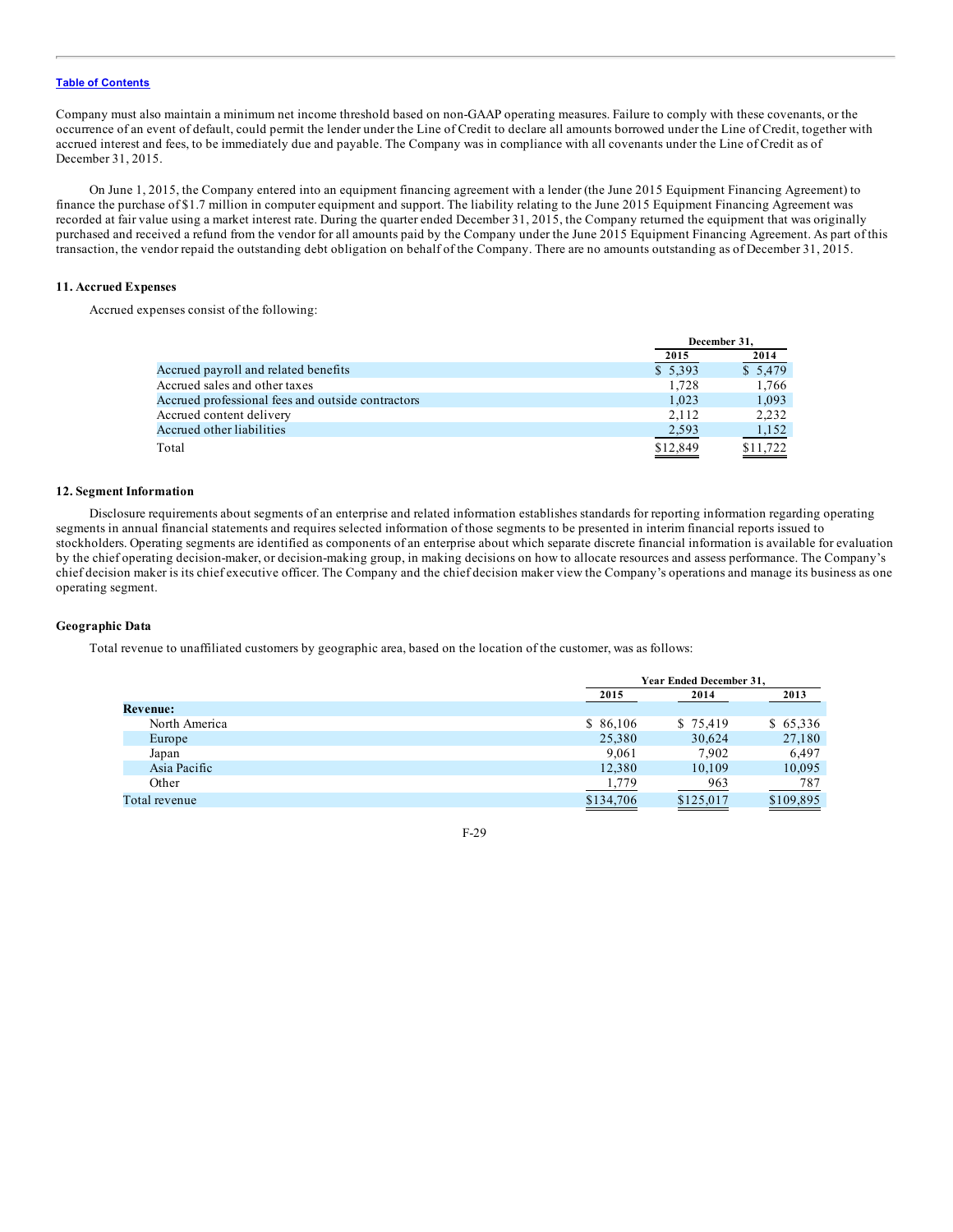Company must also maintain a minimum net income threshold based on non-GAAP operating measures. Failure to comply with these covenants, or the occurrence of an event of default, could permit the lender under the Line of Credit to declare all amounts borrowed under the Line of Credit, together with accrued interest and fees, to be immediately due and payable. The Company was in compliance with all covenants under the Line of Credit as of December 31, 2015.

On June 1, 2015, the Company entered into an equipment financing agreement with a lender (the June 2015 Equipment Financing Agreement) to finance the purchase of \$1.7 million in computer equipment and support. The liability relating to the June 2015 Equipment Financing Agreement was recorded at fair value using a market interest rate. During the quarter ended December 31, 2015, the Company returned the equipment that was originally purchased and received a refund from the vendor for all amounts paid by the Company under the June 2015 Equipment Financing Agreement. As part of this transaction, the vendor repaid the outstanding debt obligation on behalf of the Company. There are no amounts outstanding as of December 31, 2015.

### **11. Accrued Expenses**

Accrued expenses consist of the following:

|                                                   | December 31. |          |
|---------------------------------------------------|--------------|----------|
|                                                   | 2015         | 2014     |
| Accrued payroll and related benefits              | \$5,393      | \$5,479  |
| Accrued sales and other taxes                     | 1.728        | 1,766    |
| Accrued professional fees and outside contractors | 1.023        | 1.093    |
| Accrued content delivery                          | 2.112        | 2.232    |
| Accrued other liabilities                         | 2,593        | 1,152    |
| Total                                             | \$12,849     | \$11,722 |

#### **12. Segment Information**

Disclosure requirements about segments of an enterprise and related information establishes standards for reporting information regarding operating segments in annual financial statements and requires selected information of those segments to be presented in interim financial reports issued to stockholders. Operating segments are identified as components of an enterprise about which separate discrete financial information is available for evaluation by the chief operating decision-maker, or decision-making group, in making decisions on how to allocate resources and assess performance. The Company's chief decision maker is its chief executive officer. The Company and the chief decision maker view the Company's operations and manage its business as one operating segment.

### **Geographic Data**

Total revenue to unaffiliated customers by geographic area, based on the location of the customer, was as follows:

|                 |           | Year Ended December 31. |           |  |
|-----------------|-----------|-------------------------|-----------|--|
|                 | 2015      | 2014                    | 2013      |  |
| <b>Revenue:</b> |           |                         |           |  |
| North America   | \$86,106  | \$75,419                | \$65,336  |  |
| Europe          | 25,380    | 30,624                  | 27,180    |  |
| Japan           | 9,061     | 7,902                   | 6,497     |  |
| Asia Pacific    | 12,380    | 10,109                  | 10,095    |  |
| Other           | 1,779     | 963                     | 787       |  |
| Total revenue   | \$134,706 | \$125,017               | \$109,895 |  |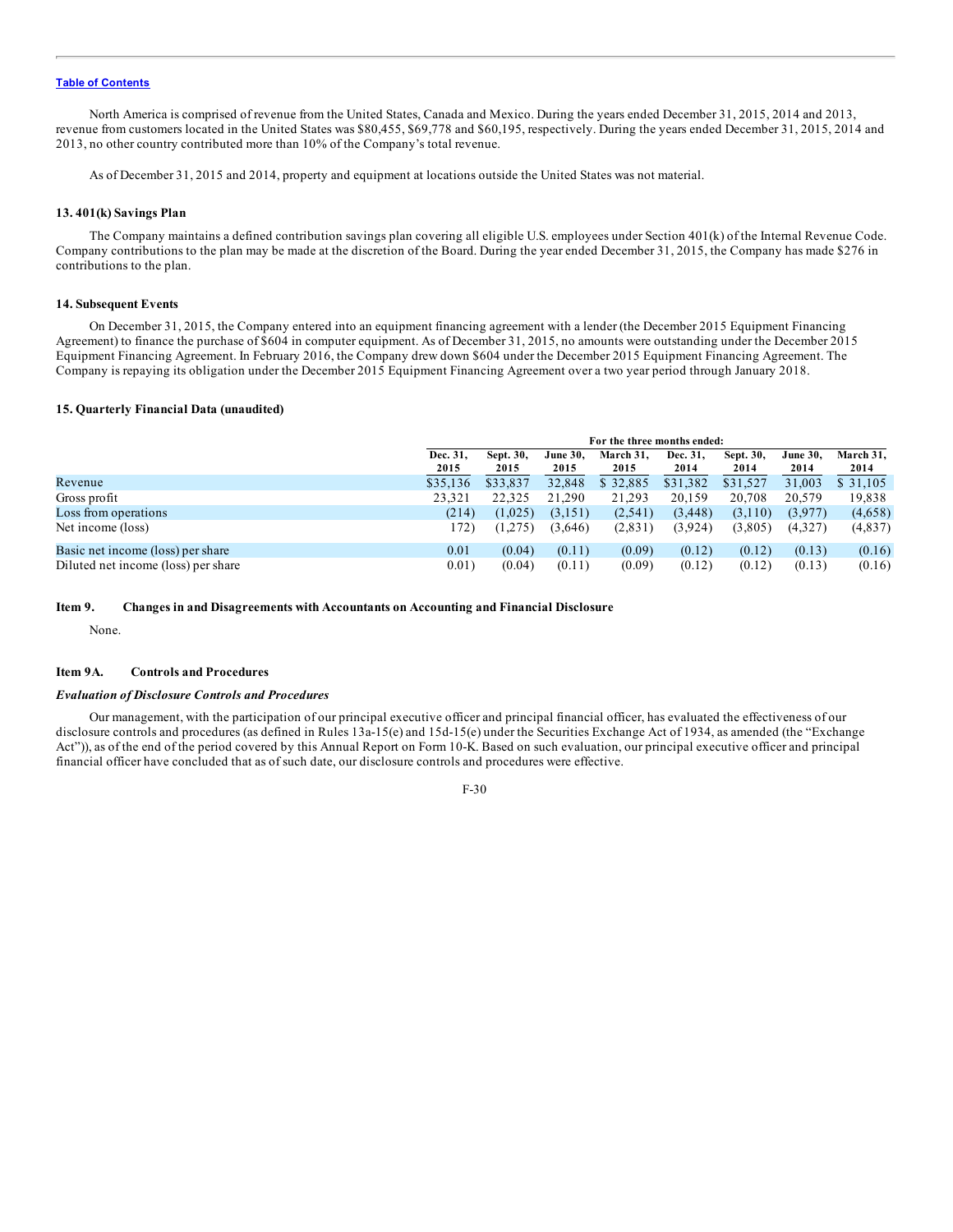<span id="page-89-0"></span>North America is comprised of revenue from the United States, Canada and Mexico. During the years ended December 31, 2015, 2014 and 2013, revenue from customers located in the United States was \$80,455, \$69,778 and \$60,195, respectively. During the years ended December 31, 2015, 2014 and 2013, no other country contributed more than 10% of the Company's total revenue.

As of December 31, 2015 and 2014, property and equipment at locations outside the United States was not material.

#### **13. 401(k) Savings Plan**

The Company maintains a defined contribution savings plan covering all eligible U.S. employees under Section 401(k) of the Internal Revenue Code. Company contributions to the plan may be made at the discretion of the Board. During the year ended December 31, 2015, the Company has made \$276 in contributions to the plan.

### **14. Subsequent Events**

On December 31, 2015, the Company entered into an equipment financing agreement with a lender (the December 2015 Equipment Financing Agreement) to finance the purchase of \$604 in computer equipment. As of December 31, 2015, no amounts were outstanding under the December 2015 Equipment Financing Agreement. In February 2016, the Company drew down \$604 under the December 2015 Equipment Financing Agreement. The Company is repaying its obligation under the December 2015 Equipment Financing Agreement over a two year period through January 2018.

## **15. Quarterly Financial Data (unaudited)**

|                                     |                  | For the three months ended: |                         |                   |                  |                   |                         |                   |
|-------------------------------------|------------------|-----------------------------|-------------------------|-------------------|------------------|-------------------|-------------------------|-------------------|
|                                     | Dec. 31,<br>2015 | Sept. 30,<br>2015           | <b>June 30.</b><br>2015 | March 31,<br>2015 | Dec. 31,<br>2014 | Sept. 30,<br>2014 | <b>June 30,</b><br>2014 | March 31,<br>2014 |
| Revenue                             | \$35,136         | \$33,837                    | 32,848                  | \$32,885          | \$31,382         | \$31,527          | 31,003                  | \$ 31,105         |
| Gross profit                        | 23,321           | 22,325                      | 21.290                  | 21,293            | 20.159           | 20.708            | 20.579                  | 19,838            |
| Loss from operations                | (214)            | (1,025)                     | (3,151)                 | (2,541)           | (3, 448)         | (3,110)           | (3,977)                 | (4,658)           |
| Net income (loss)                   | 172)             | (1,275)                     | (3,646)                 | (2,831)           | (3,924)          | (3,805)           | (4,327)                 | (4,837)           |
| Basic net income (loss) per share   | 0.01             | (0.04)                      | (0.11)                  | (0.09)            | (0.12)           | (0.12)            | (0.13)                  | (0.16)            |
| Diluted net income (loss) per share | 0.01)            | (0.04)                      | (0.11)                  | (0.09)            | (0.12)           | (0.12)            | (0.13)                  | (0.16)            |

#### **Item 9. Changes in and Disagreements with Accountants on Accounting and Financial Disclosure**

None.

#### **Item 9A. Controls and Procedures**

### *Evaluation of Disclosure Controls and Procedures*

Our management, with the participation of our principal executive officer and principal financial officer, has evaluated the effectiveness of our disclosure controls and procedures (as defined in Rules 13a-15(e) and 15d-15(e) under the Securities Exchange Act of 1934, as amended (the "Exchange Act")), as of the end of the period covered by this Annual Report on Form 10-K. Based on such evaluation, our principal executive officer and principal financial officer have concluded that as of such date, our disclosure controls and procedures were effective.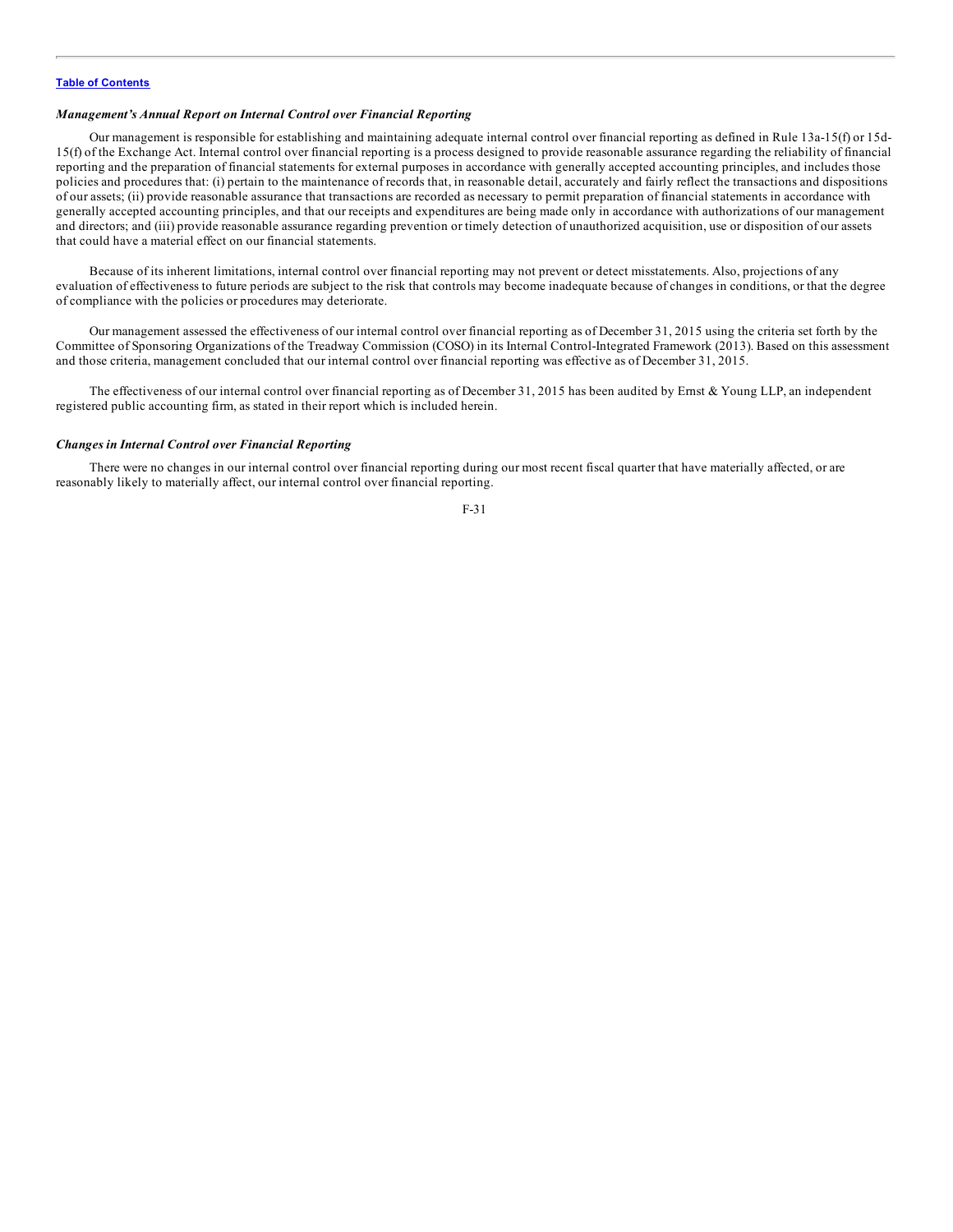### *Management's Annual Report on Internal Control over Financial Reporting*

Our management is responsible for establishing and maintaining adequate internal control over financial reporting as defined in Rule 13a-15(f) or 15d-15(f) of the Exchange Act. Internal control over financial reporting is a process designed to provide reasonable assurance regarding the reliability of financial reporting and the preparation of financial statements for external purposes in accordance with generally accepted accounting principles, and includes those policies and procedures that: (i) pertain to the maintenance of records that, in reasonable detail, accurately and fairly reflect the transactions and dispositions of our assets; (ii) provide reasonable assurance that transactions are recorded as necessary to permit preparation of financial statements in accordance with generally accepted accounting principles, and that our receipts and expenditures are being made only in accordance with authorizations of our management and directors; and (iii) provide reasonable assurance regarding prevention or timely detection of unauthorized acquisition, use or disposition of our assets that could have a material effect on our financial statements.

Because of its inherent limitations, internal control over financial reporting may not prevent or detect misstatements. Also, projections of any evaluation of effectiveness to future periods are subject to the risk that controls may become inadequate because of changes in conditions, or that the degree of compliance with the policies or procedures may deteriorate.

Our management assessed the effectiveness of our internal control over financial reporting as of December 31, 2015 using the criteria set forth by the Committee of Sponsoring Organizations of the Treadway Commission (COSO) in its Internal Control-Integrated Framework (2013). Based on this assessment and those criteria, management concluded that our internal control over financial reporting was effective as of December 31, 2015.

The effectiveness of our internal control over financial reporting as of December 31, 2015 has been audited by Ernst & Young LLP, an independent registered public accounting firm, as stated in their report which is included herein.

### *Changes in Internal Control over Financial Reporting*

There were no changes in our internal control over financial reporting during our most recent fiscal quarter that have materially affected, or are reasonably likely to materially affect, our internal control over financial reporting.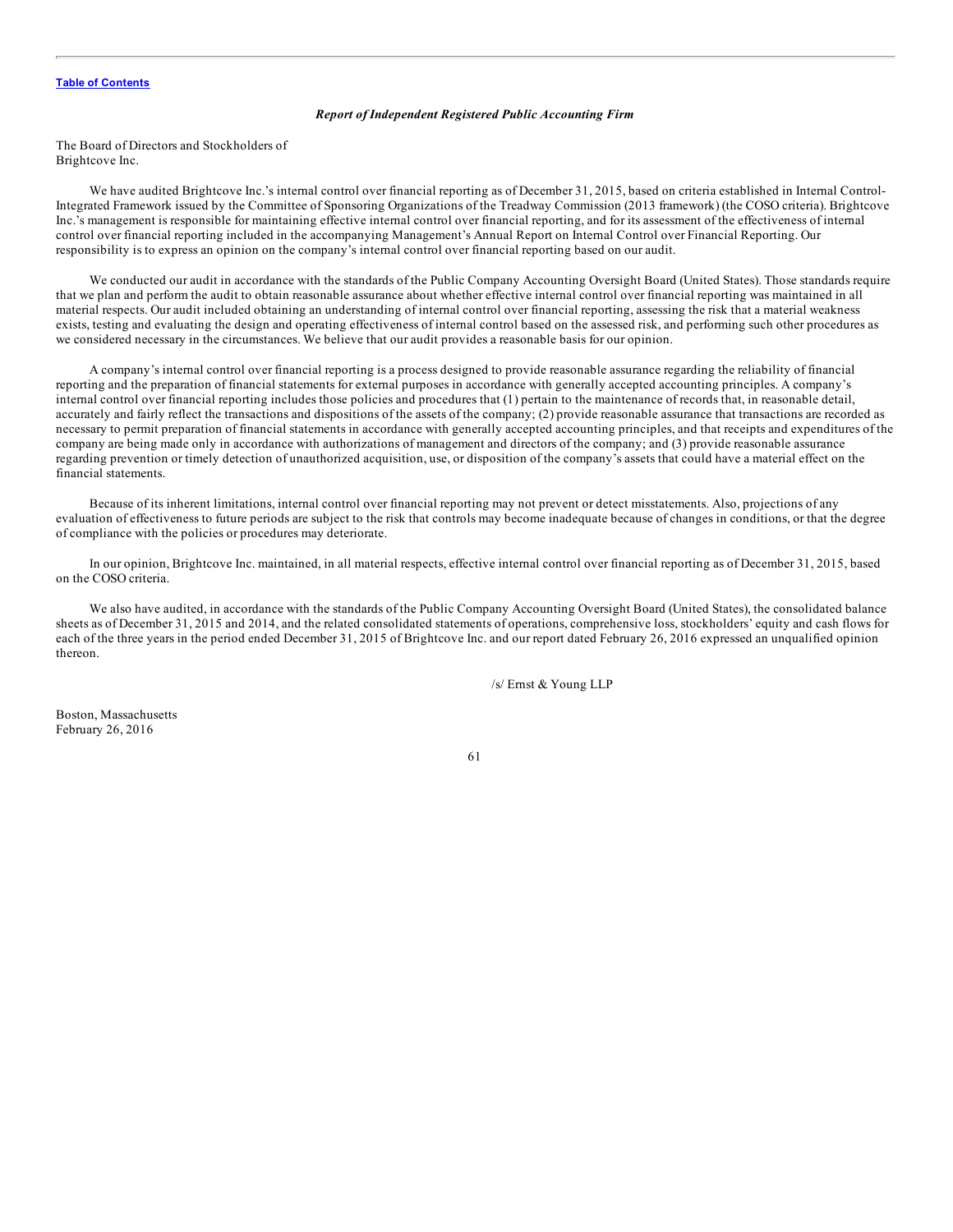#### *Report of Independent Registered Public Accounting Firm*

The Board of Directors and Stockholders of Brightcove Inc.

We have audited Brightcove Inc.'s internal control over financial reporting as of December 31, 2015, based on criteria established in Internal Control-Integrated Framework issued by the Committee of Sponsoring Organizations of the Treadway Commission (2013 framework) (the COSO criteria). Brightcove Inc.'s management is responsible for maintaining effective internal control over financial reporting, and for its assessment of the effectiveness of internal control over financial reporting included in the accompanying Management's Annual Report on Internal Control over Financial Reporting. Our responsibility is to express an opinion on the company's internal control over financial reporting based on our audit.

We conducted our audit in accordance with the standards of the Public Company Accounting Oversight Board (United States). Those standards require that we plan and perform the audit to obtain reasonable assurance about whether effective internal control over financial reporting was maintained in all material respects. Our audit included obtaining an understanding of internal control over financial reporting, assessing the risk that a material weakness exists, testing and evaluating the design and operating effectiveness of internal control based on the assessed risk, and performing such other procedures as we considered necessary in the circumstances. We believe that our audit provides a reasonable basis for our opinion.

A company's internal control over financial reporting is a process designed to provide reasonable assurance regarding the reliability of financial reporting and the preparation of financial statements for external purposes in accordance with generally accepted accounting principles. A company's internal control over financial reporting includes those policies and procedures that (1) pertain to the maintenance of records that, in reasonable detail, accurately and fairly reflect the transactions and dispositions of the assets of the company; (2) provide reasonable assurance that transactions are recorded as necessary to permit preparation of financial statements in accordance with generally accepted accounting principles, and that receipts and expenditures of the company are being made only in accordance with authorizations of management and directors of the company; and (3) provide reasonable assurance regarding prevention or timely detection of unauthorized acquisition, use, or disposition of the company's assets that could have a material effect on the financial statements.

Because of its inherent limitations, internal control over financial reporting may not prevent or detect misstatements. Also, projections of any evaluation of effectiveness to future periods are subject to the risk that controls may become inadequate because of changes in conditions, or that the degree of compliance with the policies or procedures may deteriorate.

In our opinion, Brightcove Inc. maintained, in all material respects, effective internal control over financial reporting as of December 31, 2015, based on the COSO criteria.

We also have audited, in accordance with the standards of the Public Company Accounting Oversight Board (United States), the consolidated balance sheets as of December 31, 2015 and 2014, and the related consolidated statements of operations, comprehensive loss, stockholders' equity and cash flows for each of the three years in the period ended December 31, 2015 of Brightcove Inc. and our report dated February 26, 2016 expressed an unqualified opinion thereon.

/s/ Ernst & Young LLP

Boston, Massachusetts February 26, 2016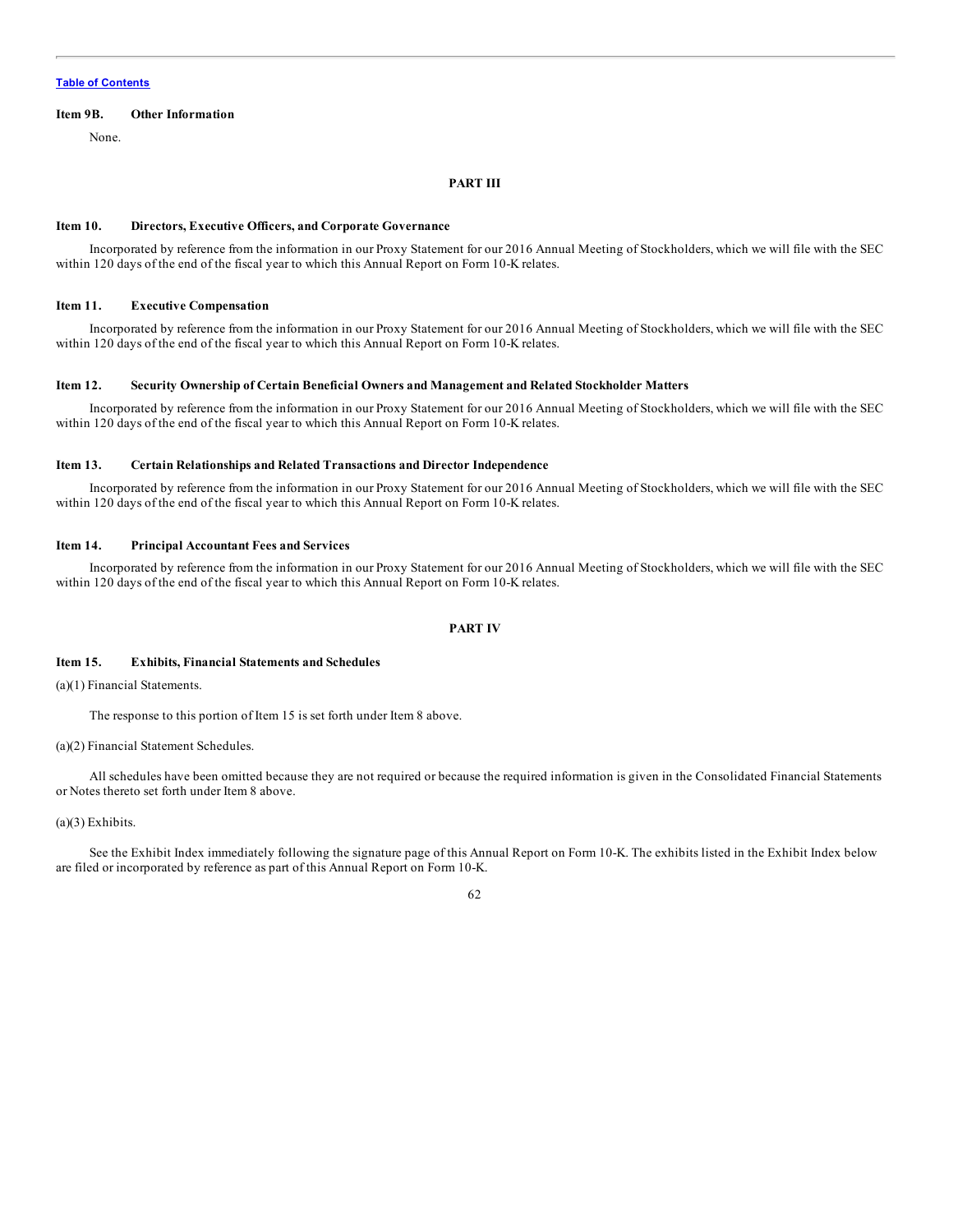#### <span id="page-92-0"></span>**Item 9B. Other Information**

None.

### **PART III**

#### **Item 10. Directors, Executive Officers, and Corporate Governance**

Incorporated by reference from the information in our Proxy Statement for our 2016 Annual Meeting of Stockholders, which we will file with the SEC within 120 days of the end of the fiscal year to which this Annual Report on Form 10-K relates.

### **Item 11. Executive Compensation**

Incorporated by reference from the information in our Proxy Statement for our 2016 Annual Meeting of Stockholders, which we will file with the SEC within 120 days of the end of the fiscal year to which this Annual Report on Form 10-K relates.

### **Item 12. Security Ownership of Certain Beneficial Owners and Management and Related Stockholder Matters**

Incorporated by reference from the information in our Proxy Statement for our 2016 Annual Meeting of Stockholders, which we will file with the SEC within 120 days of the end of the fiscal year to which this Annual Report on Form 10-K relates.

#### **Item 13. Certain Relationships and Related Transactions and Director Independence**

Incorporated by reference from the information in our Proxy Statement for our 2016 Annual Meeting of Stockholders, which we will file with the SEC within 120 days of the end of the fiscal year to which this Annual Report on Form 10-K relates.

### **Item 14. Principal Accountant Fees and Services**

Incorporated by reference from the information in our Proxy Statement for our 2016 Annual Meeting of Stockholders, which we will file with the SEC within 120 days of the end of the fiscal year to which this Annual Report on Form 10-K relates.

## **PART IV**

## **Item 15. Exhibits, Financial Statements and Schedules**

(a)(1) Financial Statements.

The response to this portion of Item 15 is set forth under Item 8 above.

#### (a)(2) Financial Statement Schedules.

All schedules have been omitted because they are not required or because the required information is given in the Consolidated Financial Statements or Notes thereto set forth under Item 8 above.

## (a)(3) Exhibits.

See the Exhibit Index immediately following the signature page of this Annual Report on Form 10-K. The exhibits listed in the Exhibit Index below are filed or incorporated by reference as part of this Annual Report on Form 10-K.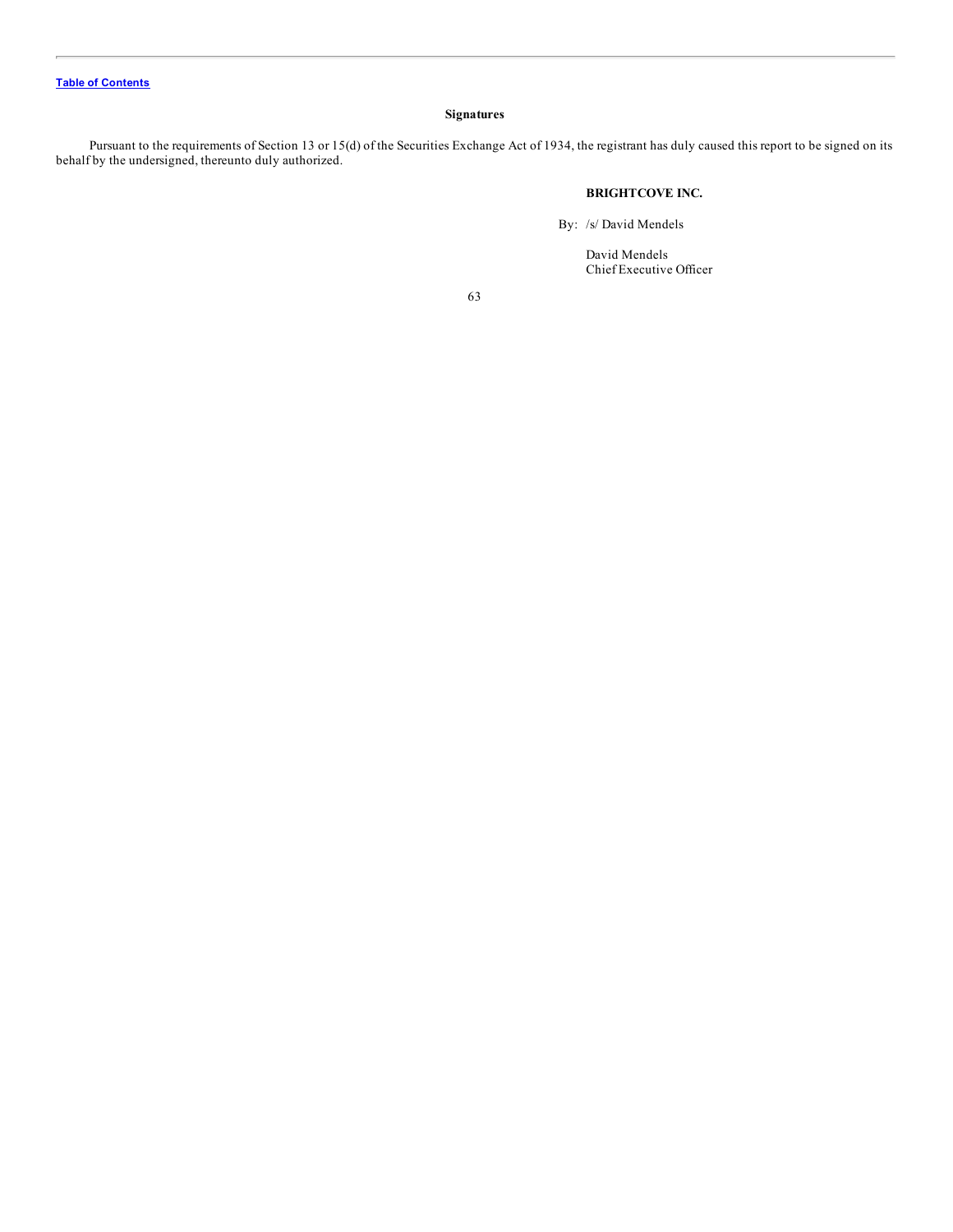## **Signatures**

<span id="page-93-0"></span>Pursuant to the requirements of Section 13 or 15(d) of the Securities Exchange Act of 1934, the registrant has duly caused this report to be signed on its behalf by the undersigned, thereunto duly authorized.

## **BRIGHTCOVE INC.**

By: /s/ David Mendels

David Mendels Chief Executive Officer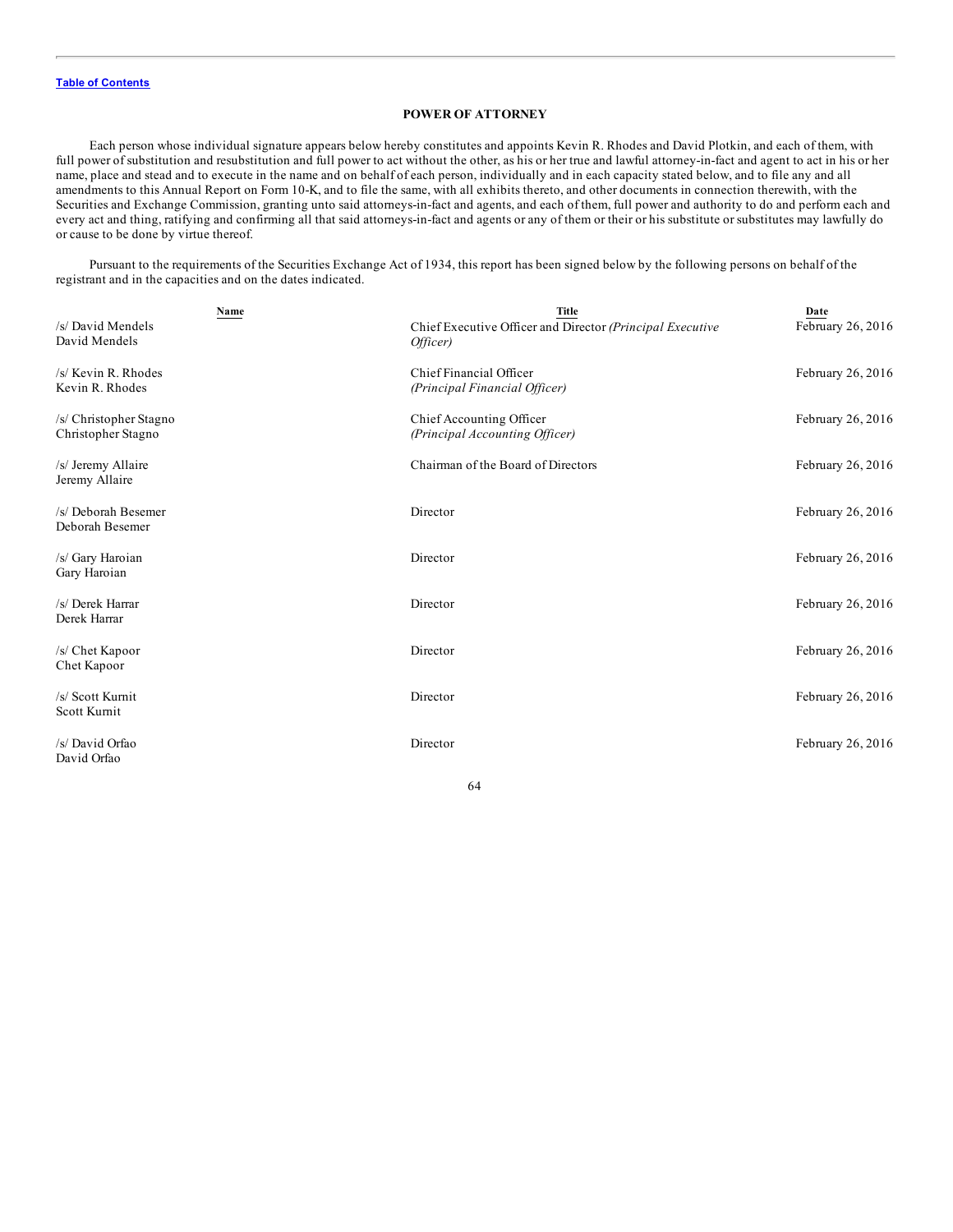## **POWER OF ATTORNEY**

Each person whose individual signature appears below hereby constitutes and appoints Kevin R. Rhodes and David Plotkin, and each of them, with full power of substitution and resubstitution and full power to act without the other, as his or her true and lawful attorney-in-fact and agent to act in his or her name, place and stead and to execute in the name and on behalf of each person, individually and in each capacity stated below, and to file any and all amendments to this Annual Report on Form 10-K, and to file the same, with all exhibits thereto, and other documents in connection therewith, with the Securities and Exchange Commission, granting unto said attorneys-in-fact and agents, and each of them, full power and authority to do and perform each and every act and thing, ratifying and confirming all that said attorneys-in-fact and agents or any of them or their or his substitute or substitutes may lawfully do or cause to be done by virtue thereof.

Pursuant to the requirements of the Securities Exchange Act of 1934, this report has been signed below by the following persons on behalf of the registrant and in the capacities and on the dates indicated.

| Name                                         | <b>Title</b>                                                          | Date              |
|----------------------------------------------|-----------------------------------------------------------------------|-------------------|
| /s/ David Mendels<br>David Mendels           | Chief Executive Officer and Director (Principal Executive<br>Officer) | February 26, 2016 |
| /s/ Kevin R. Rhodes<br>Kevin R. Rhodes       | Chief Financial Officer<br>(Principal Financial Officer)              | February 26, 2016 |
| /s/ Christopher Stagno<br>Christopher Stagno | Chief Accounting Officer<br>(Principal Accounting Officer)            | February 26, 2016 |
| /s/ Jeremy Allaire<br>Jeremy Allaire         | Chairman of the Board of Directors                                    | February 26, 2016 |
| /s/ Deborah Besemer<br>Deborah Besemer       | Director                                                              | February 26, 2016 |
| /s/ Gary Haroian<br>Gary Haroian             | Director                                                              | February 26, 2016 |
| /s/ Derek Harrar<br>Derek Harrar             | Director                                                              | February 26, 2016 |
| /s/ Chet Kapoor<br>Chet Kapoor               | Director                                                              | February 26, 2016 |
| /s/ Scott Kurnit<br>Scott Kurnit             | Director                                                              | February 26, 2016 |
| /s/ David Orfao<br>David Orfao               | Director                                                              | February 26, 2016 |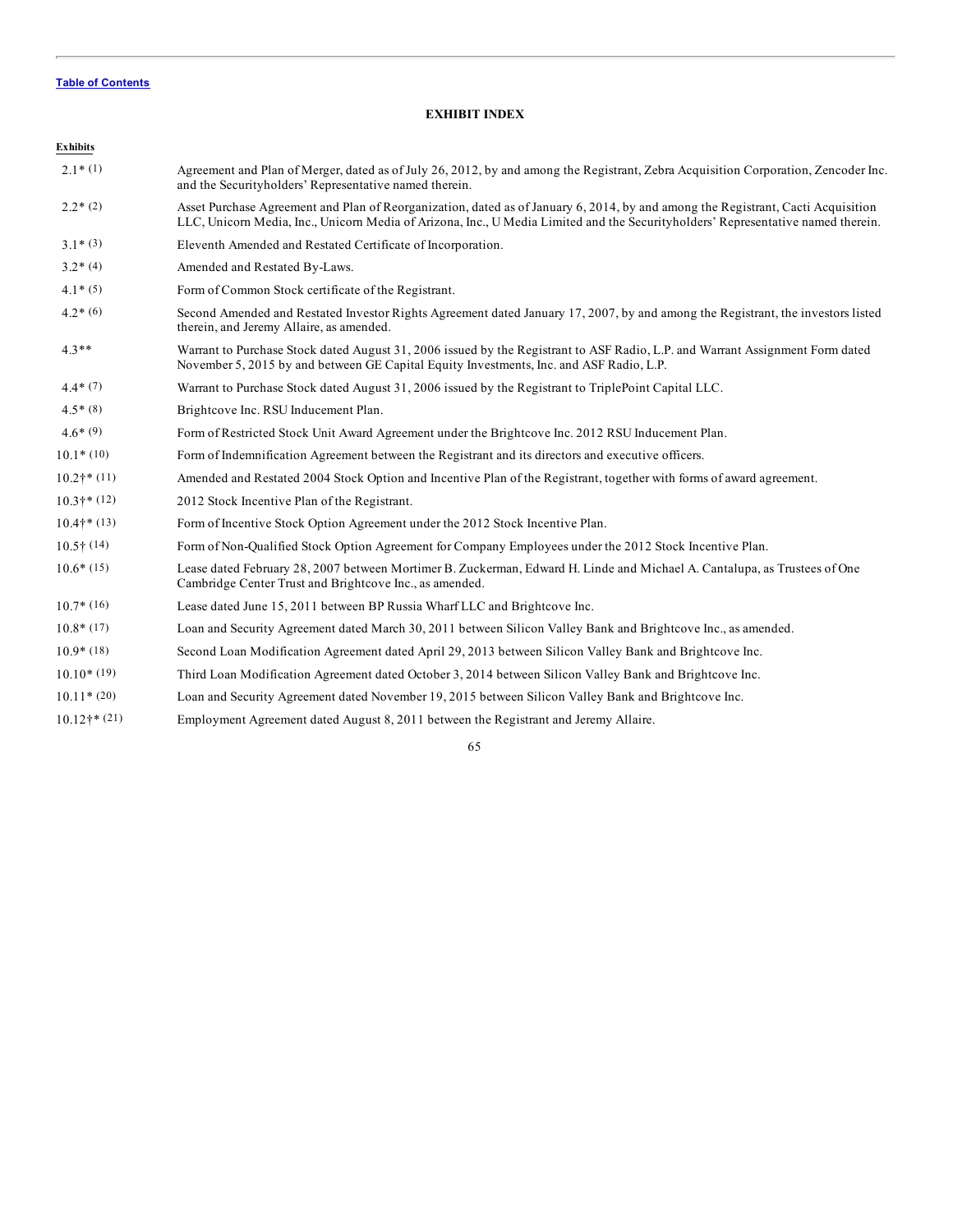# **EXHIBIT INDEX**

| <b>Exhibits</b>     |                                                                                                                                                                                                                                                                      |
|---------------------|----------------------------------------------------------------------------------------------------------------------------------------------------------------------------------------------------------------------------------------------------------------------|
| $2.1*(1)$           | Agreement and Plan of Merger, dated as of July 26, 2012, by and among the Registrant, Zebra Acquisition Corporation, Zencoder Inc.<br>and the Securityholders' Representative named therein.                                                                         |
| $2.2*(2)$           | Asset Purchase Agreement and Plan of Reorganization, dated as of January 6, 2014, by and among the Registrant, Cacti Acquisition<br>LLC, Unicorn Media, Inc., Unicorn Media of Arizona, Inc., U Media Limited and the Securityholders' Representative named therein. |
| $3.1*(3)$           | Eleventh Amended and Restated Certificate of Incorporation.                                                                                                                                                                                                          |
| $3.2*(4)$           | Amended and Restated By-Laws.                                                                                                                                                                                                                                        |
| $4.1*(5)$           | Form of Common Stock certificate of the Registrant.                                                                                                                                                                                                                  |
| $4.2*(6)$           | Second Amended and Restated Investor Rights Agreement dated January 17, 2007, by and among the Registrant, the investors listed<br>therein, and Jeremy Allaire, as amended.                                                                                          |
| $4.3**$             | Warrant to Purchase Stock dated August 31, 2006 issued by the Registrant to ASF Radio, L.P. and Warrant Assignment Form dated<br>November 5, 2015 by and between GE Capital Equity Investments, Inc. and ASF Radio, L.P.                                             |
| $4.4*(7)$           | Warrant to Purchase Stock dated August 31, 2006 issued by the Registrant to TriplePoint Capital LLC.                                                                                                                                                                 |
| $4.5*(8)$           | Brightcove Inc. RSU Inducement Plan.                                                                                                                                                                                                                                 |
| $4.6*(9)$           | Form of Restricted Stock Unit Award Agreement under the Brightcove Inc. 2012 RSU Inducement Plan.                                                                                                                                                                    |
| $10.1*(10)$         | Form of Indemnification Agreement between the Registrant and its directors and executive officers.                                                                                                                                                                   |
| $10.2$ †* (11)      | Amended and Restated 2004 Stock Option and Incentive Plan of the Registrant, together with forms of award agreement.                                                                                                                                                 |
| $10.3$ † * $(12)$   | 2012 Stock Incentive Plan of the Registrant.                                                                                                                                                                                                                         |
| $10.4$ † * $(13)$   | Form of Incentive Stock Option Agreement under the 2012 Stock Incentive Plan.                                                                                                                                                                                        |
| $10.5\uparrow$ (14) | Form of Non-Qualified Stock Option Agreement for Company Employees under the 2012 Stock Incentive Plan.                                                                                                                                                              |
| $10.6*(15)$         | Lease dated February 28, 2007 between Mortimer B. Zuckerman, Edward H. Linde and Michael A. Cantalupa, as Trustees of One<br>Cambridge Center Trust and Brightcove Inc., as amended.                                                                                 |
| $10.7*(16)$         | Lease dated June 15, 2011 between BP Russia Wharf LLC and Brightcove Inc.                                                                                                                                                                                            |
| $10.8*(17)$         | Loan and Security Agreement dated March 30, 2011 between Silicon Valley Bank and Brightcove Inc., as amended.                                                                                                                                                        |
| $10.9*(18)$         | Second Loan Modification Agreement dated April 29, 2013 between Silicon Valley Bank and Brightcove Inc.                                                                                                                                                              |
| $10.10*(19)$        | Third Loan Modification Agreement dated October 3, 2014 between Silicon Valley Bank and Brightcove Inc.                                                                                                                                                              |
| $10.11*(20)$        | Loan and Security Agreement dated November 19, 2015 between Silicon Valley Bank and Brightcove Inc.                                                                                                                                                                  |
| $10.12$ † * $(21)$  | Employment Agreement dated August 8, 2011 between the Registrant and Jeremy Allaire.                                                                                                                                                                                 |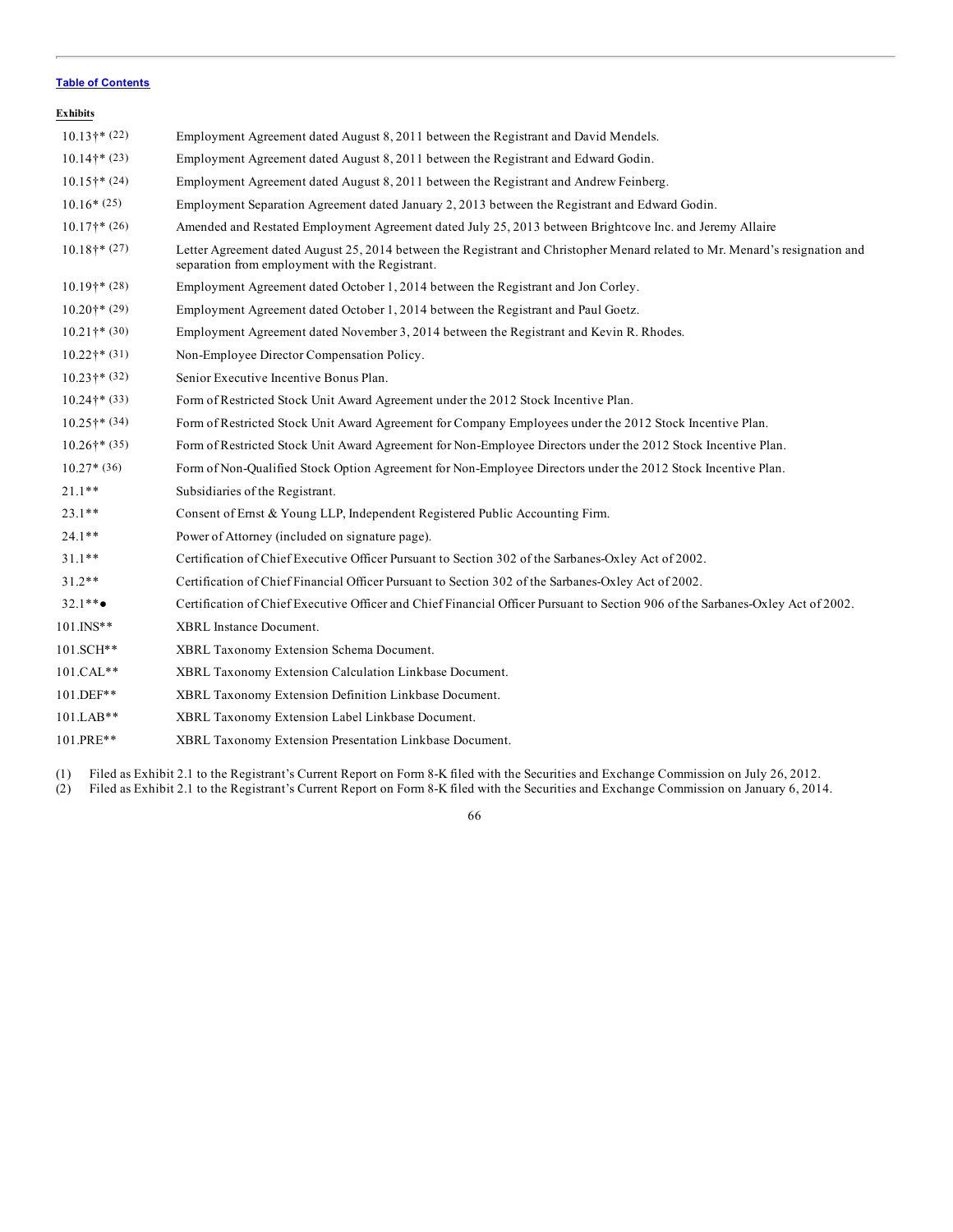| <b>Exhibits</b>           |                                                                                                                                                                                 |
|---------------------------|---------------------------------------------------------------------------------------------------------------------------------------------------------------------------------|
| $10.13$ †* (22)           | Employment Agreement dated August 8, 2011 between the Registrant and David Mendels.                                                                                             |
| $10.14$ †* (23)           | Employment Agreement dated August 8, 2011 between the Registrant and Edward Godin.                                                                                              |
| $10.15$ <sup>*</sup> (24) | Employment Agreement dated August 8, 2011 between the Registrant and Andrew Feinberg.                                                                                           |
| $10.16*(25)$              | Employment Separation Agreement dated January 2, 2013 between the Registrant and Edward Godin.                                                                                  |
| $10.17$ <sup>*</sup> (26) | Amended and Restated Employment Agreement dated July 25, 2013 between Brightcove Inc. and Jeremy Allaire                                                                        |
| $10.18$ <sup>*</sup> (27) | Letter Agreement dated August 25, 2014 between the Registrant and Christopher Menard related to Mr. Menard's resignation and<br>separation from employment with the Registrant. |
| $10.19$ †* (28)           | Employment Agreement dated October 1, 2014 between the Registrant and Jon Corley.                                                                                               |
| $10.20$ †* (29)           | Employment Agreement dated October 1, 2014 between the Registrant and Paul Goetz.                                                                                               |
| $10.21$ †* $(30)$         | Employment Agreement dated November 3, 2014 between the Registrant and Kevin R. Rhodes.                                                                                         |
| $10.22$ †* (31)           | Non-Employee Director Compensation Policy.                                                                                                                                      |
| $10.23$ †* $(32)$         | Senior Executive Incentive Bonus Plan.                                                                                                                                          |
| $10.24$ <sup>*</sup> (33) | Form of Restricted Stock Unit Award Agreement under the 2012 Stock Incentive Plan.                                                                                              |
| $10.25$ <sup>*</sup> (34) | Form of Restricted Stock Unit Award Agreement for Company Employees under the 2012 Stock Incentive Plan.                                                                        |
| $10.26$ †* (35)           | Form of Restricted Stock Unit Award Agreement for Non-Employee Directors under the 2012 Stock Incentive Plan.                                                                   |
| $10.27*(36)$              | Form of Non-Qualified Stock Option Agreement for Non-Employee Directors under the 2012 Stock Incentive Plan.                                                                    |
| $21.1**$                  | Subsidiaries of the Registrant.                                                                                                                                                 |
| $23.1**$                  | Consent of Ernst & Young LLP, Independent Registered Public Accounting Firm.                                                                                                    |
| $24.1**$                  | Power of Attorney (included on signature page).                                                                                                                                 |
| $31.1**$                  | Certification of Chief Executive Officer Pursuant to Section 302 of the Sarbanes-Oxley Act of 2002.                                                                             |
| $31.2**$                  | Certification of Chief Financial Officer Pursuant to Section 302 of the Sarbanes-Oxley Act of 2002.                                                                             |
| $32.1**$                  | Certification of Chief Executive Officer and Chief Financial Officer Pursuant to Section 906 of the Sarbanes-Oxley Act of 2002.                                                 |
| $101.$ INS**              | XBRL Instance Document.                                                                                                                                                         |
| 101.SCH**                 | XBRL Taxonomy Extension Schema Document.                                                                                                                                        |
| 101.CAL**                 | XBRL Taxonomy Extension Calculation Linkbase Document.                                                                                                                          |
| 101.DEF**                 | XBRL Taxonomy Extension Definition Linkbase Document.                                                                                                                           |
| $101.LAB**$               | XBRL Taxonomy Extension Label Linkbase Document.                                                                                                                                |
| 101.PRE**                 | XBRL Taxonomy Extension Presentation Linkbase Document.                                                                                                                         |

(1) Filed as Exhibit 2.1 to the Registrant's Current Report on Form 8-K filed with the Securities and Exchange Commission on July 26, 2012.

(2) Filed as Exhibit 2.1 to the Registrant's Current Report on Form 8-K filed with the Securities and Exchange Commission on January 6, 2014.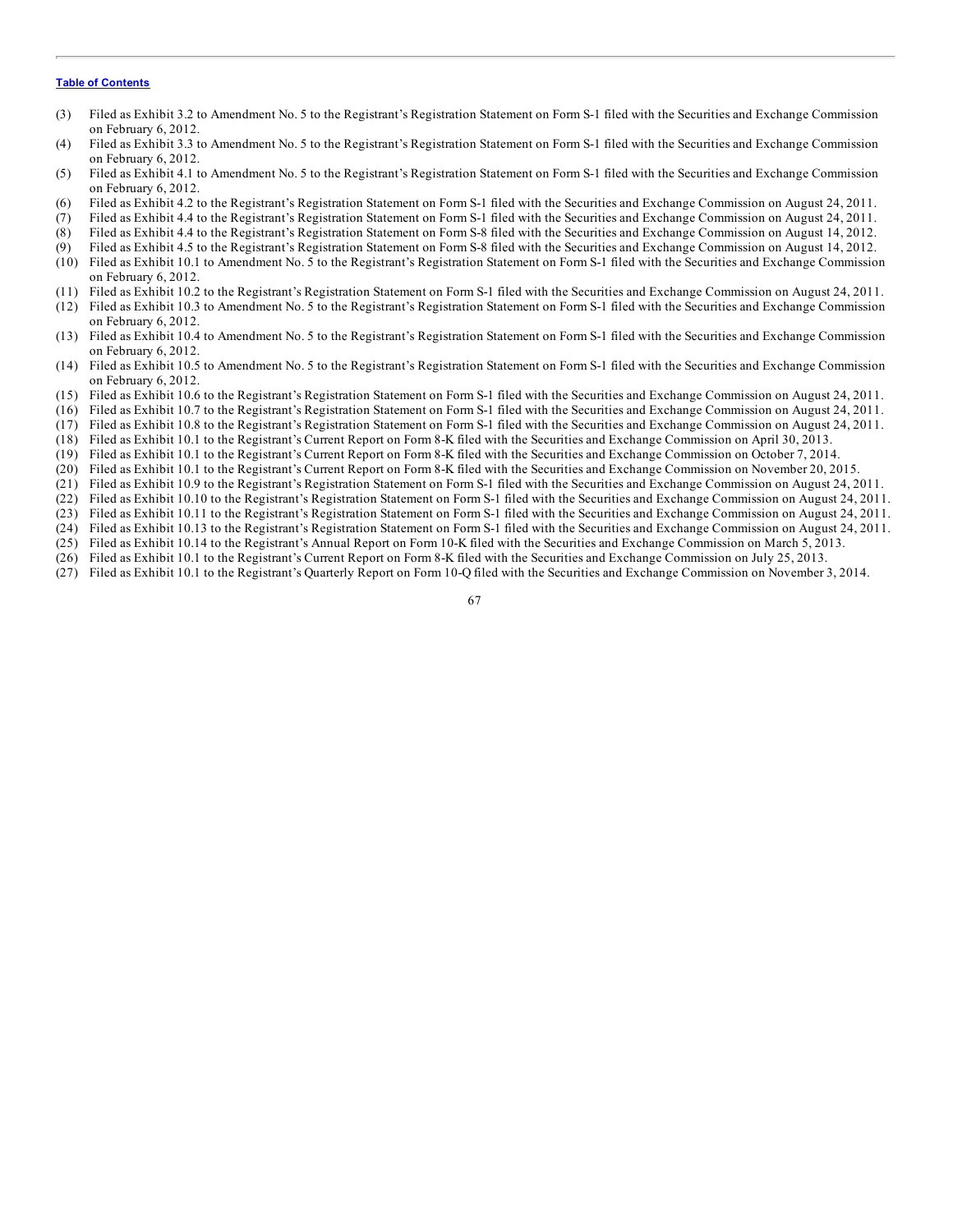- (3) Filed as Exhibit 3.2 to Amendment No. 5 to the Registrant's Registration Statement on Form S-1 filed with the Securities and Exchange Commission on February 6, 2012.
- (4) Filed as Exhibit 3.3 to Amendment No. 5 to the Registrant's Registration Statement on Form S-1 filed with the Securities and Exchange Commission on February 6, 2012.
- (5) Filed as Exhibit 4.1 to Amendment No. 5 to the Registrant's Registration Statement on Form S-1 filed with the Securities and Exchange Commission on February 6, 2012.
- (6) Filed as Exhibit 4.2 to the Registrant's Registration Statement on Form S-1 filed with the Securities and Exchange Commission on August 24, 2011.
- (7) Filed as Exhibit 4.4 to the Registrant's Registration Statement on Form S-1 filed with the Securities and Exchange Commission on August 24, 2011.
- (8) Filed as Exhibit 4.4 to the Registrant's Registration Statement on Form S-8 filed with the Securities and Exchange Commission on August 14, 2012.
- (9) Filed as Exhibit 4.5 to the Registrant's Registration Statement on Form S-8 filed with the Securities and Exchange Commission on August 14, 2012.
- (10) Filed as Exhibit 10.1 to Amendment No. 5 to the Registrant's Registration Statement on Form S-1 filed with the Securities and Exchange Commission on February 6, 2012.
- (11) Filed as Exhibit 10.2 to the Registrant's Registration Statement on Form S-1 filed with the Securities and Exchange Commission on August 24, 2011.
- (12) Filed as Exhibit 10.3 to Amendment No. 5 to the Registrant's Registration Statement on Form S-1 filed with the Securities and Exchange Commission on February 6, 2012.
- (13) Filed as Exhibit 10.4 to Amendment No. 5 to the Registrant's Registration Statement on Form S-1 filed with the Securities and Exchange Commission on February 6, 2012.
- (14) Filed as Exhibit 10.5 to Amendment No. 5 to the Registrant's Registration Statement on Form S-1 filed with the Securities and Exchange Commission on February 6, 2012.
- (15) Filed as Exhibit 10.6 to the Registrant's Registration Statement on Form S-1 filed with the Securities and Exchange Commission on August 24, 2011.
- (16) Filed as Exhibit 10.7 to the Registrant's Registration Statement on Form S-1 filed with the Securities and Exchange Commission on August 24, 2011.
- (17) Filed as Exhibit 10.8 to the Registrant's Registration Statement on Form S-1 filed with the Securities and Exchange Commission on August 24, 2011.
- (18) Filed as Exhibit 10.1 to the Registrant's Current Report on Form 8-K filed with the Securities and Exchange Commission on April 30, 2013.
- (19) Filed as Exhibit 10.1 to the Registrant's Current Report on Form 8-K filed with the Securities and Exchange Commission on October 7, 2014.
- (20) Filed as Exhibit 10.1 to the Registrant's Current Report on Form 8-K filed with the Securities and Exchange Commission on November 20, 2015.
- (21) Filed as Exhibit 10.9 to the Registrant's Registration Statement on Form S-1 filed with the Securities and Exchange Commission on August 24, 2011.
- (22) Filed as Exhibit 10.10 to the Registrant's Registration Statement on Form S-1 filed with the Securities and Exchange Commission on August 24, 2011.
- (23) Filed as Exhibit 10.11 to the Registrant's Registration Statement on Form S-1 filed with the Securities and Exchange Commission on August 24, 2011.
- (24) Filed as Exhibit 10.13 to the Registrant's Registration Statement on Form S-1 filed with the Securities and Exchange Commission on August 24, 2011.
- (25) Filed as Exhibit 10.14 to the Registrant's Annual Report on Form 10-K filed with the Securities and Exchange Commission on March 5, 2013. (26) Filed as Exhibit 10.1 to the Registrant's Current Report on Form 8-K filed with the Securities and Exchange Commission on July 25, 2013.
- (27) Filed as Exhibit 10.1 to the Registrant's Quarterly Report on Form 10-Q filed with the Securities and Exchange Commission on November 3, 2014.
	- 67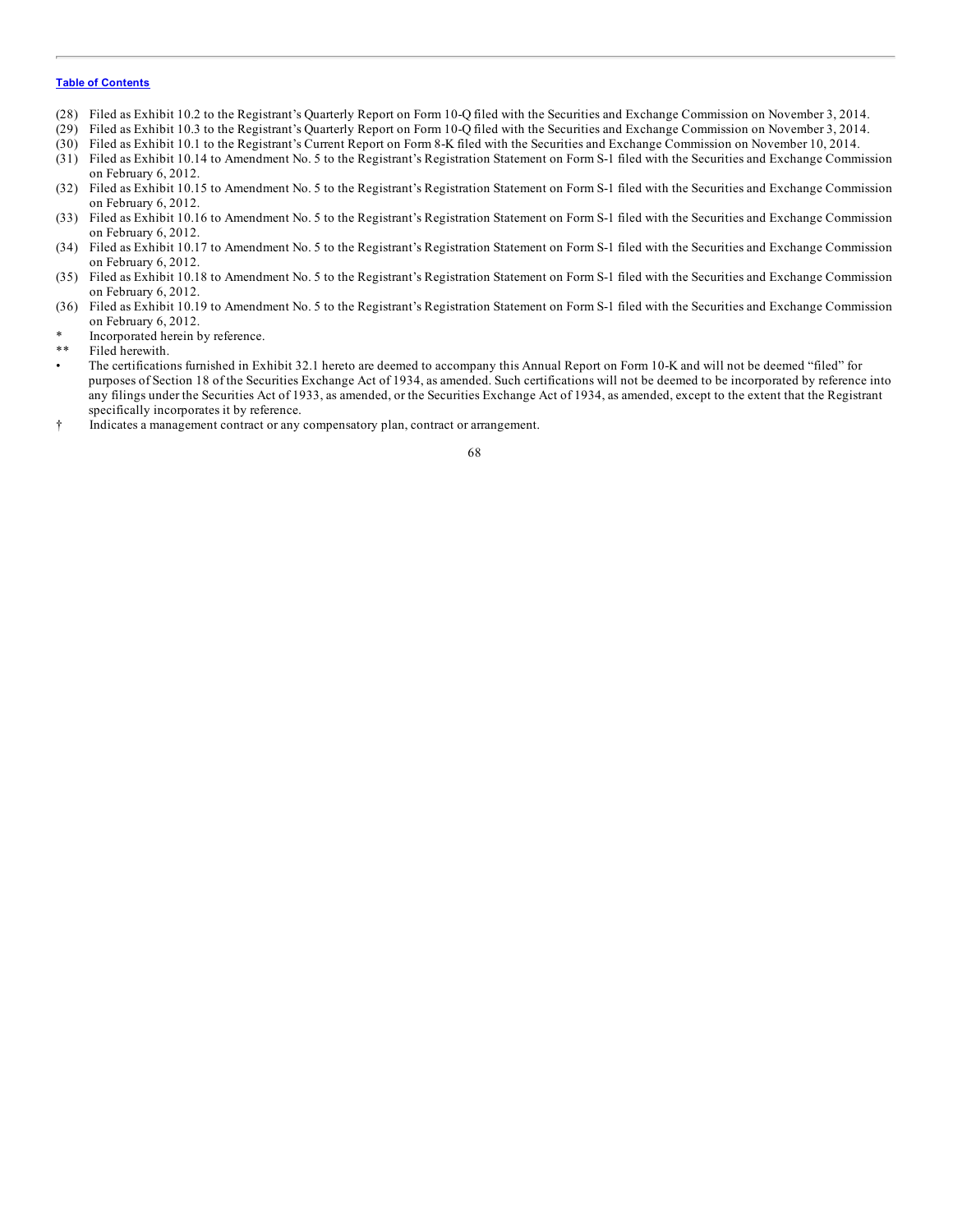- (28) Filed as Exhibit 10.2 to the Registrant's Quarterly Report on Form 10-Q filed with the Securities and Exchange Commission on November 3, 2014.
- (29) Filed as Exhibit 10.3 to the Registrant's Quarterly Report on Form 10-Q filed with the Securities and Exchange Commission on November 3, 2014.
- (30) Filed as Exhibit 10.1 to the Registrant's Current Report on Form 8-K filed with the Securities and Exchange Commission on November 10, 2014.
- (31) Filed as Exhibit 10.14 to Amendment No. 5 to the Registrant's Registration Statement on Form S-1 filed with the Securities and Exchange Commission on February 6, 2012.
- (32) Filed as Exhibit 10.15 to Amendment No. 5 to the Registrant's Registration Statement on Form S-1 filed with the Securities and Exchange Commission on February 6, 2012.
- (33) Filed as Exhibit 10.16 to Amendment No. 5 to the Registrant's Registration Statement on Form S-1 filed with the Securities and Exchange Commission on February 6, 2012.
- (34) Filed as Exhibit 10.17 to Amendment No. 5 to the Registrant's Registration Statement on Form S-1 filed with the Securities and Exchange Commission on February 6, 2012.
- (35) Filed as Exhibit 10.18 to Amendment No. 5 to the Registrant's Registration Statement on Form S-1 filed with the Securities and Exchange Commission on February 6, 2012.
- (36) Filed as Exhibit 10.19 to Amendment No. 5 to the Registrant's Registration Statement on Form S-1 filed with the Securities and Exchange Commission on February 6, 2012.
- Incorporated herein by reference.
- Filed herewith.
- The certifications furnished in Exhibit 32.1 hereto are deemed to accompany this Annual Report on Form 10-K and will not be deemed "filed" for purposes of Section 18 of the Securities Exchange Act of 1934, as amended. Such certifications will not be deemed to be incorporated by reference into any filings under the Securities Act of 1933, as amended, or the Securities Exchange Act of 1934, as amended, except to the extent that the Registrant specifically incorporates it by reference.
- † Indicates a management contract or any compensatory plan, contract or arrangement.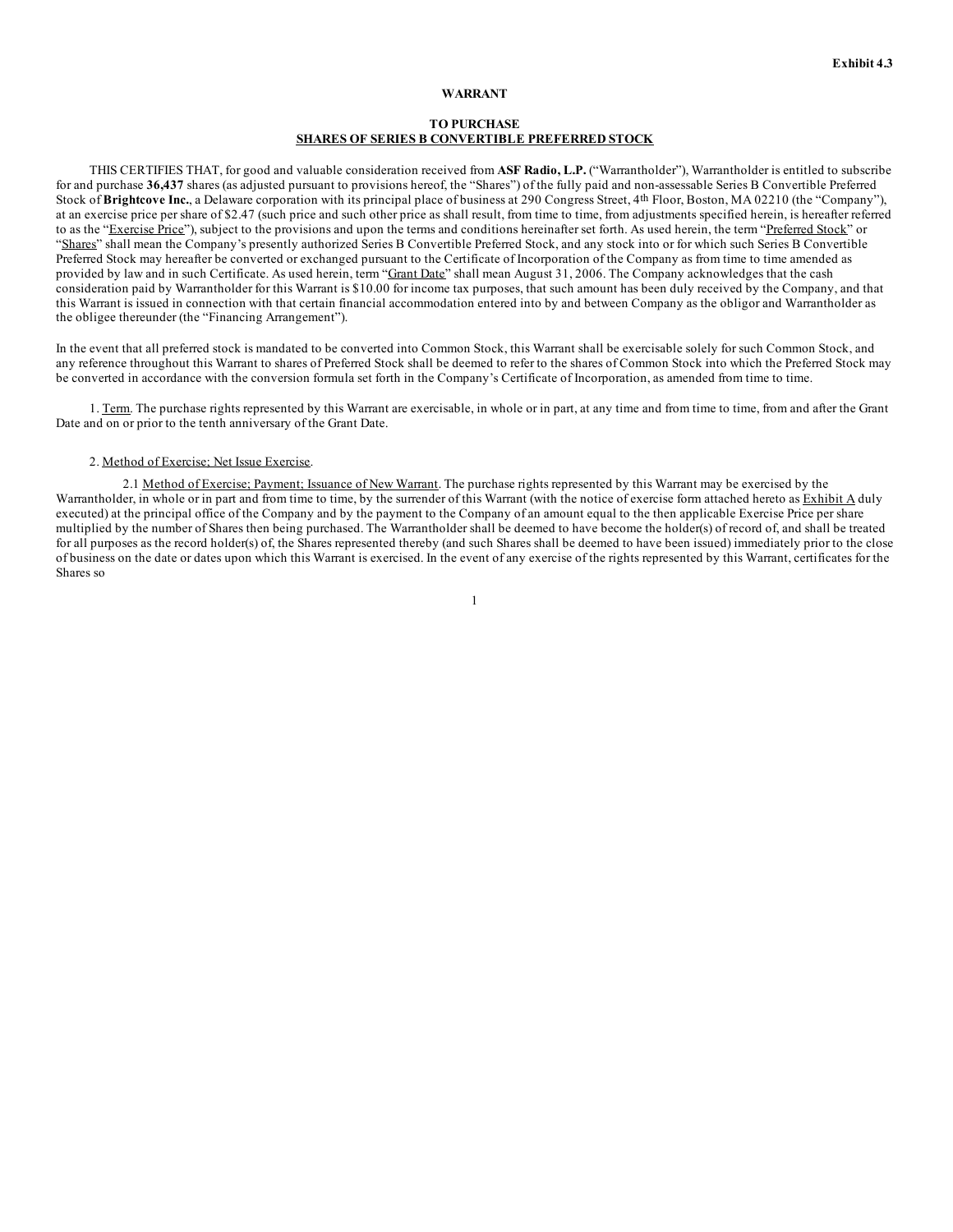#### **WARRANT**

## **TO PURCHASE SHARES OF SERIES B CONVERTIBLE PREFERRED STOCK**

THIS CERTIFIES THAT, for good and valuable consideration received from **ASF Radio, L.P.** ("Warrantholder"), Warrantholder is entitled to subscribe for and purchase **36,437** shares (as adjusted pursuant to provisions hereof, the "Shares") of the fully paid and non-assessable Series B Convertible Preferred Stock of **Brightcove Inc.**, a Delaware corporation with its principal place of business at 290 Congress Street, 4th Floor, Boston, MA 02210 (the "Company"), at an exercise price per share of \$2.47 (such price and such other price as shall result, from time to time, from adjustments specified herein, is hereafter referred to as the "Exercise Price"), subject to the provisions and upon the terms and conditions hereinafter set forth. As used herein, the term "Preferred Stock" or "Shares" shall mean the Company's presently authorized Series B Convertible Preferred Stock, and any stock into or for which such Series B Convertible Preferred Stock may hereafter be converted or exchanged pursuant to the Certificate of Incorporation of the Company as from time to time amended as provided by law and in such Certificate. As used herein, term "Grant Date" shall mean August 31, 2006. The Company acknowledges that the cash consideration paid by Warrantholder for this Warrant is \$10.00 for income tax purposes, that such amount has been duly received by the Company, and that this Warrant is issued in connection with that certain financial accommodation entered into by and between Company as the obligor and Warrantholder as the obligee thereunder (the "Financing Arrangement").

In the event that all preferred stock is mandated to be converted into Common Stock, this Warrant shall be exercisable solely for such Common Stock, and any reference throughout this Warrant to shares of Preferred Stock shall be deemed to refer to the shares of Common Stock into which the Preferred Stock may be converted in accordance with the conversion formula set forth in the Company's Certificate of Incorporation, as amended from time to time.

1. Term. The purchase rights represented by this Warrant are exercisable, in whole or in part, at any time and from time to time, from and after the Grant Date and on or prior to the tenth anniversary of the Grant Date.

### 2. Method of Exercise; Net Issue Exercise.

2.1 Method of Exercise; Payment; Issuance of New Warrant. The purchase rights represented by this Warrant may be exercised by the Warrantholder, in whole or in part and from time to time, by the surrender of this Warrant (with the notice of exercise form attached hereto as Exhibit A duly executed) at the principal office of the Company and by the payment to the Company of an amount equal to the then applicable Exercise Price per share multiplied by the number of Shares then being purchased. The Warrantholder shall be deemed to have become the holder(s) of record of, and shall be treated for all purposes as the record holder(s) of, the Shares represented thereby (and such Shares shall be deemed to have been issued) immediately prior to the close of business on the date or dates upon which this Warrant is exercised. In the event of any exercise of the rights represented by this Warrant, certificates for the Shares so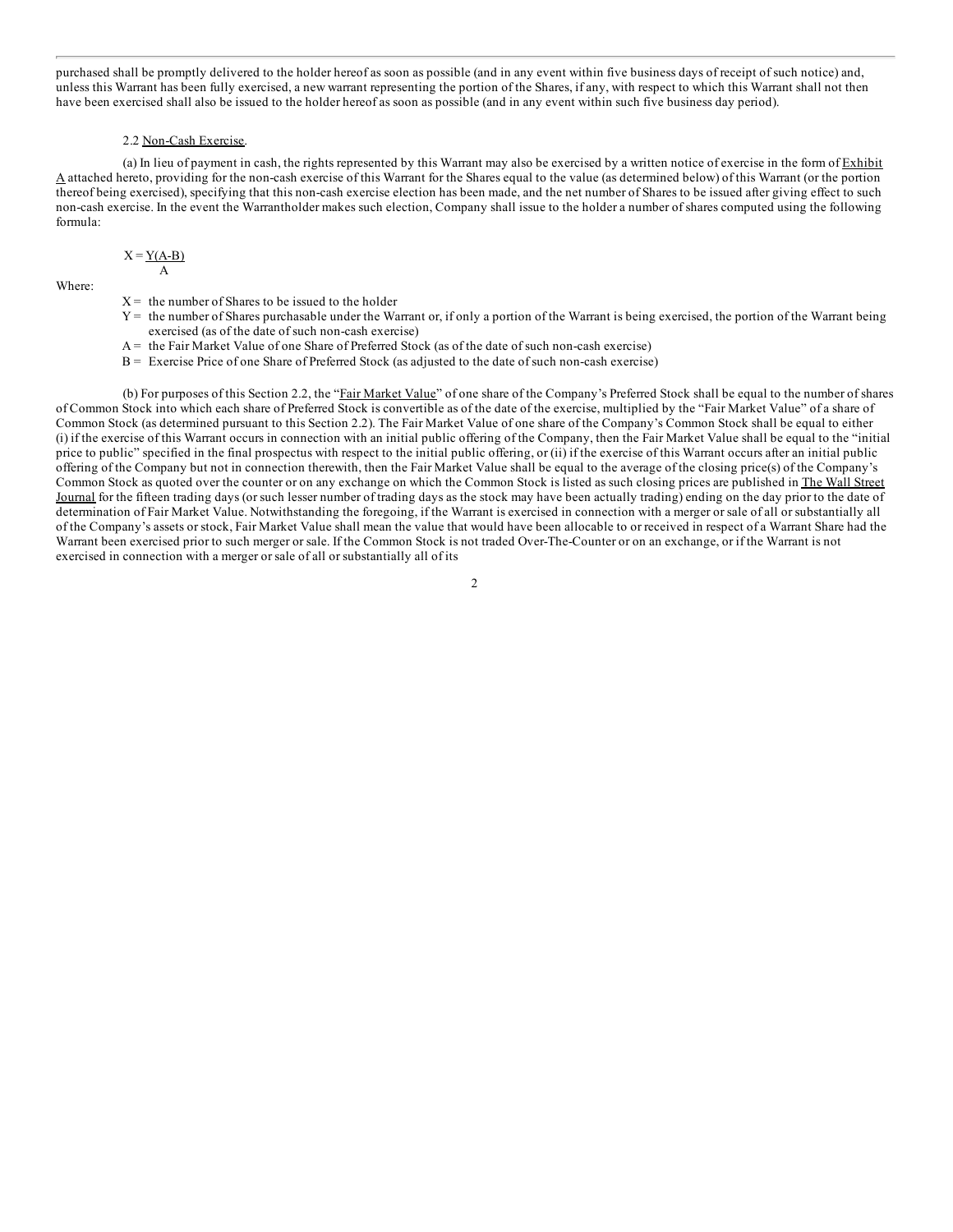[purchased](#page-1-0) shall be promptly delivered to the holder hereof as soon as possible (and in any event within five business days of receipt of such notice) and, unless this Warrant has been fully exercised, a new warrant representing the portion of the Shares, if any, with respect to which this Warrant shall not then have been exercised shall also be issued to the holder hereof as soon as possible (and in any event within such five business day period).

### 2.2 Non-Cash Exercise.

(a) In lieu of payment in cash, the rights represented by this Warrant may also be exercised by a written notice of exercise in the form of  $Exhibit$ A attached hereto, pro[viding](#page-3-0) for the non-cash exercise of this Warrant for the Shares equal to the value (as determined below) of this Warrant (or the portion thereof being exercised), [specifying](#page-12-0) that this non-cash exercise election has been made, and the net number of Shares to be issued after giving effect to such non-cash exercise. In the [event](#page-28-0) the [Warrantholder](#page-27-0) makes such election, Company shall issue to the holder a number of shares computed using the following formula:

$$
X = \frac{Y(A-B)}{A}
$$

Where:

- $X =$  the [number](#page-32-0) of Shares to be issued to the holder
- $Y =$  the number of Shares [purchasable](#page-34-0) under the Warrant or, if only a portion of the Warrant is being exercised, the portion of the Warrant being exercised (as of the date of such [non-cash](#page-56-0) exercise)
- A = the Fair Market Value of one Share of [Preferred](#page-59-0) Stock (as of the date of such non-cash exercise)
- B = Exercise Price of one [Share](#page-89-0) of Preferred Stock (as adjusted to the date of such [non-cash](#page-89-0) exercise)

(b) For p[urposes](#page-92-0) of this Section 2.2, the "Fair Market Value" of one share of the Company's Preferred Stock shall be equal to the number of shares of Common Stock into which each share of Preferred Stock is convertible as of the date of the exercise, multiplied by the "Fair Market Value" of a share of Common Stock (as determined [pursuant](#page-92-0) to this Section 2.2). The Fair Market Value of one share of the Company's Common Stock shall be equal to either (i) if the exercise of this [Warrant](#page-92-0) occurs in connection with an initial public offering of the Company, then the Fair Market Value shall be equal to the "initial price to public" specified in the final [prospectus](#page-92-0) with respect to the initial public offering, or (ii) if the exercise of this Warrant occurs after an initial public offering of the Company but not in [connection](#page-92-0) therewith, then the Fair Market Value shall be equal to the average of the closing price(s) of the Company's Common Stock as quoted over the counter or on any [exchang](#page-92-0)e on which the Common Stock is listed as such closing prices are published in The Wall Street Journal for the fifteen trading days (or such lesser number of trading days as the stock may have been actually trading) ending on the day prior to the date of determination of Fair Market Value. Notwithstanding the foregoing, if the Warrant is exercised in connection with a merger or sale of all or substantially all of the Company's assets or stock, Fair [Market](#page-92-0) Value shall mean the value that would have been allocable to or received in respect of a Warrant Share had the [Warrant](#page-93-0) been exercised prior to such merger or sale. If the Common Stock is not traded Over-The-Counter or on an exchange, or if the Warrant is not exercised in connection with a merger or sale of all or substantially all of its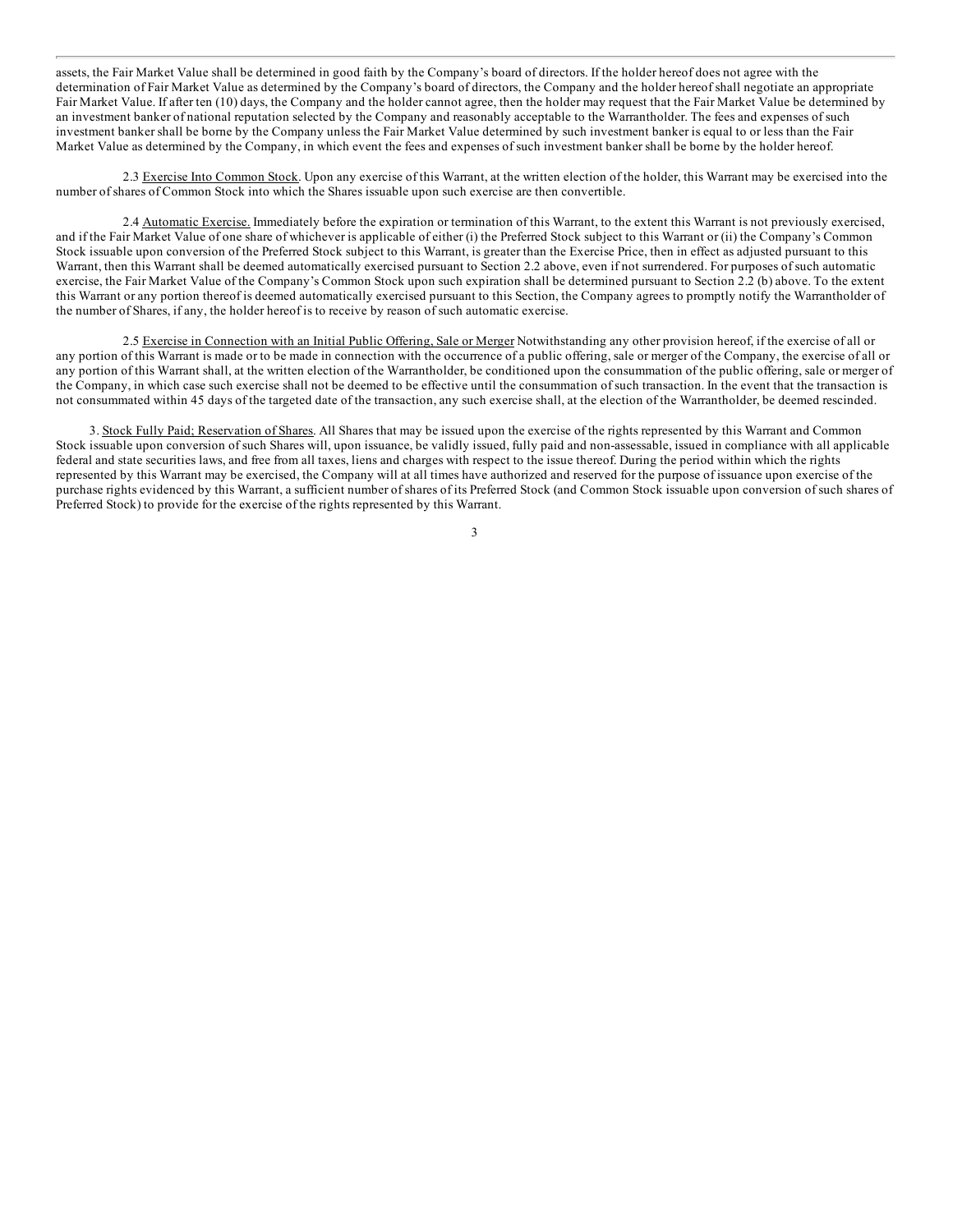assets, the Fair Market Value shall be determined in good faith by the Company's board of directors. If the holder hereof does not agree with the [determination](#page-1-0) of Fair Market Value as determined by the Company's board of directors, the Company and the holder hereof shall negotiate an appropriate Fair Market Value. If after ten (10) days, the Company and the holder cannot agree, then the holder may request that the Fair Market Value be determined by an investment banker of national reputation selected by the Company and reasonably acceptable to the Warrantholder. The fees and expenses of such investment banker shall be borne by the Company unless the Fair Market Value determined by such investment banker is equal to or less than the Fair Market Value as determined by the Company, in which event the fees and expenses of such investment banker shall be borne by the holder hereof.

2.3 Exercise Into Common Stock. Upon any exercise of this Warrant, at the written election of the holder, this Warrant may be exercised into the number of shares of Common Stock into which the Shares issuable upon such exercise are then convertible.

2.4 Automatic Exercise. Immediately before the expiration or termination of this Warrant, to the extent this Warrant is not previously exercised, and if the Fair Market Value of one share of whichever is applicable of either (i) the Preferred Stock subject to this Warrant or (ii) the Company's Common Stock issuable upon conversion of the Preferred Stock subject to this Warrant, is greater than the Exercise Price, then in effect as adjusted pursuant to this Warrant, then this Warrant shall be deemed automatically exercised pursuant to Section 2.2 above, even if not surrendered. For purposes of such automatic exercise, the Fair Market Value of the Company's Common Stock upon such expiration shall be determined pursuant to Section 2.2 (b) above. To the extent this Warrant or any portion thereof is deemed automatically exercised pursuant to this Section, the Company agrees to promptly notify the Warrantholder of the number of Shares, if any, the holder hereof is to receive by reason of such automatic exercise.

2.5 Exercise in Connection with an Initial Public Offering, Sale or Merger Notwithstanding any other provision hereof, if the exercise of all or any portion of this Warrant is made or to be made in connection with the occurrence of a public offering, sale or merger of the Company, the exercise of all or any portion of this Warrant shall, at the written election of the Warrantholder, be conditioned upon the consummation of the public offering, sale or merger of the Company, in which case such exercise shall not be deemed to be effective until the consummation of such transaction. In the event that the transaction is not consummated within 45 days of the targeted date of the transaction, any such exercise shall, at the election of the Warrantholder, be deemed rescinded.

3. Stock Fully Paid; Reservation of Shares. All Shares that may be issued upon the exercise of the rights represented by this Warrant and Common Stock issuable upon conversion of such Shares will, upon issuance, be validly issued, fully paid and non-assessable, issued in compliance with all applicable federal and state securities laws, and free from all taxes, liens and charges with respect to the issue thereof. During the period within which the rights represented by this Warrant may be exercised, the Company will at all times have authorized and reserved for the purpose of issuance upon exercise of the purchase rights evidenced by this Warrant, a sufficient number of shares of its Preferred Stock (and Common Stock issuable upon conversion of such shares of Preferred Stock) to provide for the exercise of the rights represented by this Warrant.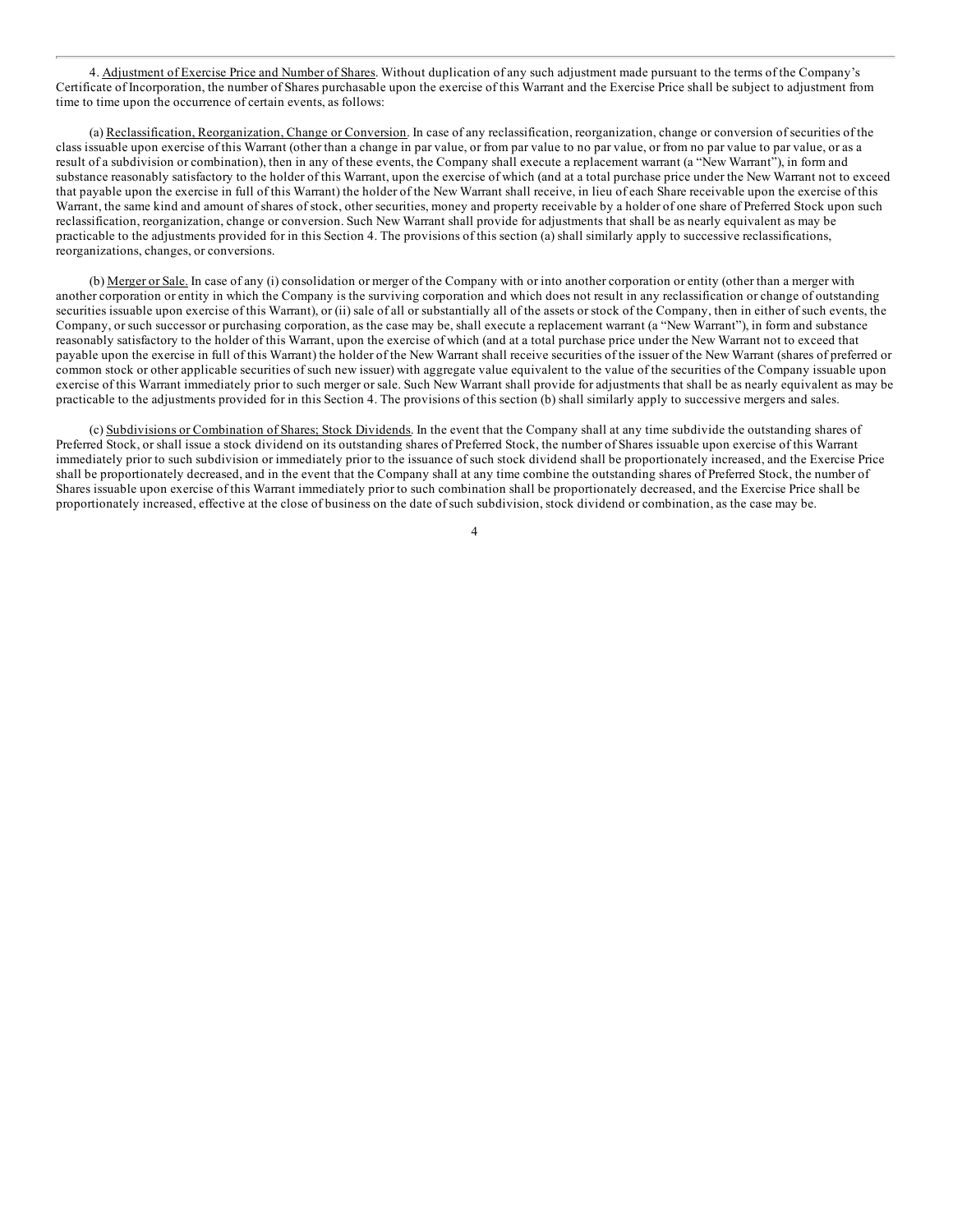4. Adjustment of Exercise Price and Number of Shares. Without duplication of any such adjustment made pursuant to the terms of the Company's [Certificate](#page-1-0) of Incorporation, the number of Shares purchasable upon the exercise of this Warrant and the Exercise Price shall be subject to adjustment from time to time upon the occurrence of certain events, as follows:

(a) Reclassification, Reorganization, Change or Conversion. In case of any reclassification, reorganization, change or conversion of securities of the class issuable upon exercise of this Warrant (other than a change in par value, or from par value to no par value, or from no par value to par value, or as a result of a subdivision or combination), then in any of these events, the Company shall execute a replacement warrant (a "New Warrant"), in form and substance reasonably satisfactory to the holder of this Warrant, upon the exercise of which (and at a total purchase price under the New Warrant not to exceed that payable upon the exercise in full of this Warrant) the holder of the New Warrant shall receive, in lieu of each Share receivable upon the exercise of this Warrant, the same kind and amount of shares of stock, other securities, money and property receivable by a holder of one share of Preferred Stock upon such reclassification, reorganization, change or conversion. Such New Warrant shall provide for adjustments that shall be as nearly equivalent as may be practicable to the adjustments provided for in this Section 4. The provisions of this section (a) shall similarly apply to successive reclassifications, reorganizations, changes, or conversions.

(b) Merger or Sale. In case of any (i) consolidation or merger of the Company with or into another corporation or entity (other than a merger with another corporation or entity in which the Company is the surviving corporation and which does not result in any reclassification or change of outstanding securities issuable upon exercise of this Warrant), or (ii) sale of all or substantially all of the assets or stock of the Company, then in either of such events, the Company, or such successor or purchasing corporation, as the case may be, shall execute a replacement warrant (a "New Warrant"), in form and substance reasonably satisfactory to the holder of this Warrant, upon the exercise of which (and at a total purchase price under the New Warrant not to exceed that payable upon the exercise in full of this Warrant) the holder of the New Warrant shall receive securities of the issuer of the New Warrant (shares of preferred or common stock or other applicable securities of such new issuer) with aggregate value equivalent to the value of the securities of the Company issuable upon exercise of this Warrant immediately prior to such merger or sale. Such New Warrant shall provide for adjustments that shall be as nearly equivalent as may be practicable to the adjustments provided for in this Section 4. The provisions of this section (b) shall similarly apply to successive mergers and sales.

(c) Subdivisions or Combination of Shares; Stock Dividends. In the event that the Company shall at any time subdivide the outstanding shares of Preferred Stock, or shall issue a stock dividend on its outstanding shares of Preferred Stock, the number of Shares issuable upon exercise of this Warrant immediately prior to such subdivision or immediately prior to the issuance of such stock dividend shall be proportionately increased, and the Exercise Price shall be proportionately decreased, and in the event that the Company shall at any time combine the outstanding shares of Preferred Stock, the number of Shares issuable upon exercise of this Warrant immediately prior to such combination shall be proportionately decreased, and the Exercise Price shall be proportionately increased, effective at the close of business on the date of such subdivision, stock dividend or combination, as the case may be.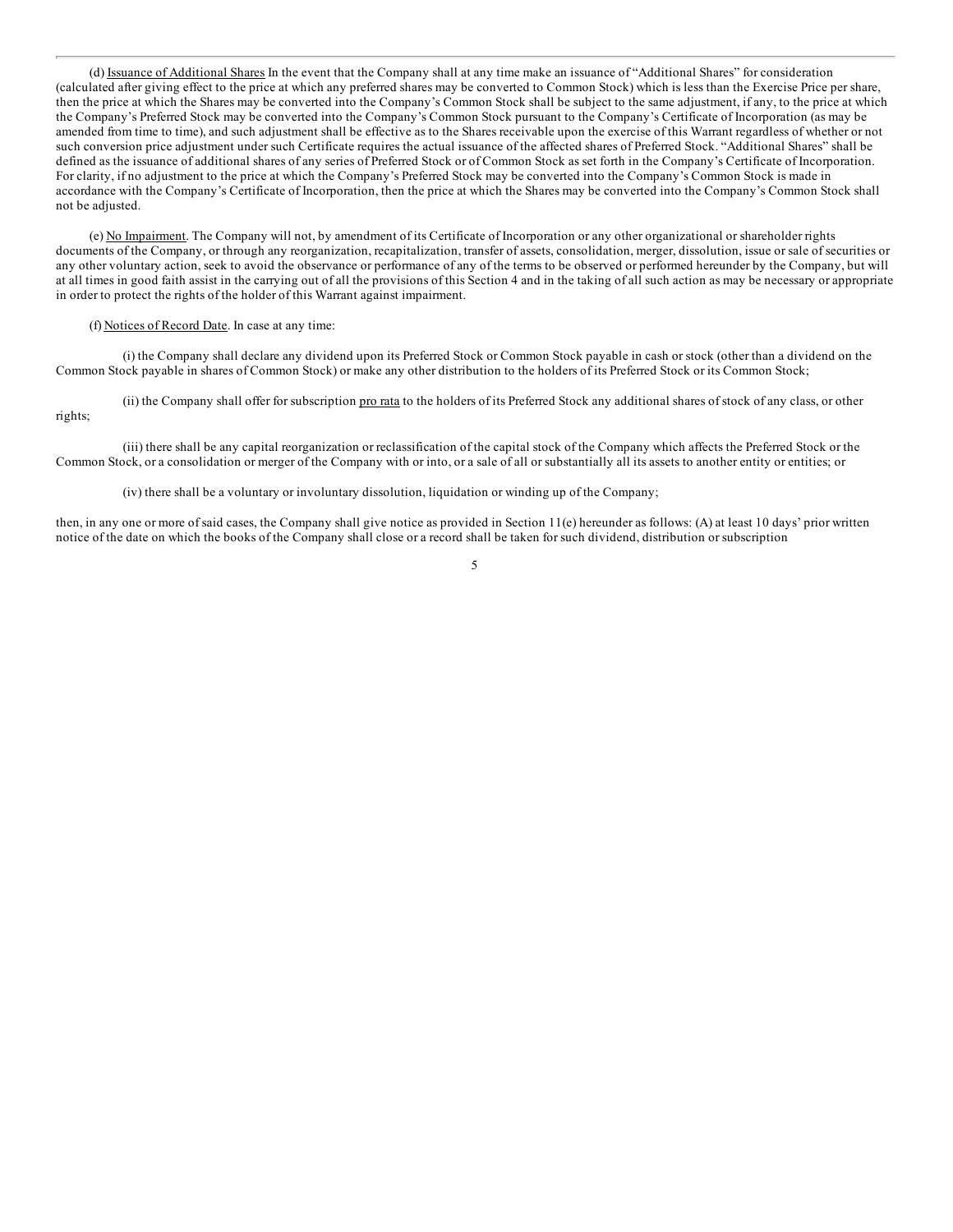(d) Issuance of Additional Shares In the event that the Company shall at any time make an issuance of "Additional Shares" for consideration [\(calculated](#page-1-0) after giving effect to the price at which any preferred shares may be converted to Common Stock) which is less than the Exercise Price per share, then the price at which the Shares may be converted into the Company's Common Stock shall be subject to the same adjustment, if any, to the price at which the Company's Preferred Stock may be converted into the Company's Common Stock pursuant to the Company's Certificate of Incorporation (as may be amended from time to time), and such adjustment shall be effective as to the Shares receivable upon the exercise of this Warrant regardless of whether or not such conversion price adjustment under such Certificate requires the actual issuance of the affected shares of Preferred Stock. "Additional Shares" shall be defined as the issuance of additional shares of any series of Preferred Stock or of Common Stock as set forth in the Company's Certificate of Incorporation. For clarity, if no adjustment to the price at which the Company's Preferred Stock may be converted into the Company's Common Stock is made in accordance with the Company's Certificate of Incorporation, then the price at which the Shares may be converted into the Company's Common Stock shall not be adjusted.

(e) No Impairment. The Company will not, by amendment of its Certificate of Incorporation or any other organizational or shareholder rights documents of the Company, or through any reorganization, recapitalization, transfer of assets, consolidation, merger, dissolution, issue or sale of securities or any other voluntary action, seek to avoid the observance or performance of any of the terms to be observed or performed hereunder by the Company, but will at all times in good faith assist in the carrying out of all the provisions of this Section 4 and in the taking of all such action as may be necessary or appropriate in order to protect the rights of the holder of this Warrant against impairment.

#### (f) Notices of Record Date. In case at any time:

(i) the Company shall declare any dividend upon its Preferred Stock or Common Stock payable in cash or stock (other than a dividend on the Common Stock payable in shares of Common Stock) or make any other distribution to the holders of its Preferred Stock or its Common Stock;

(ii) the Company shall offer for subscription pro rata to the holders of its Preferred Stock any additional shares of stock of any class, or other rights;

(iii) there shall be any capital reorganization or reclassification of the capital stock of the Company which affects the Preferred Stock or the Common Stock, or a consolidation or merger of the Company with or into, or a sale of all or substantially all its assets to another entity or entities; or

(iv) there shall be a voluntary or involuntary dissolution, liquidation or winding up of the Company;

then, in any one or more of said cases, the Company shall give notice as provided in Section 11(e) hereunder as follows: (A) at least 10 days' prior written notice of the date on which the books of the Company shall close or a record shall be taken for such dividend, distribution or subscription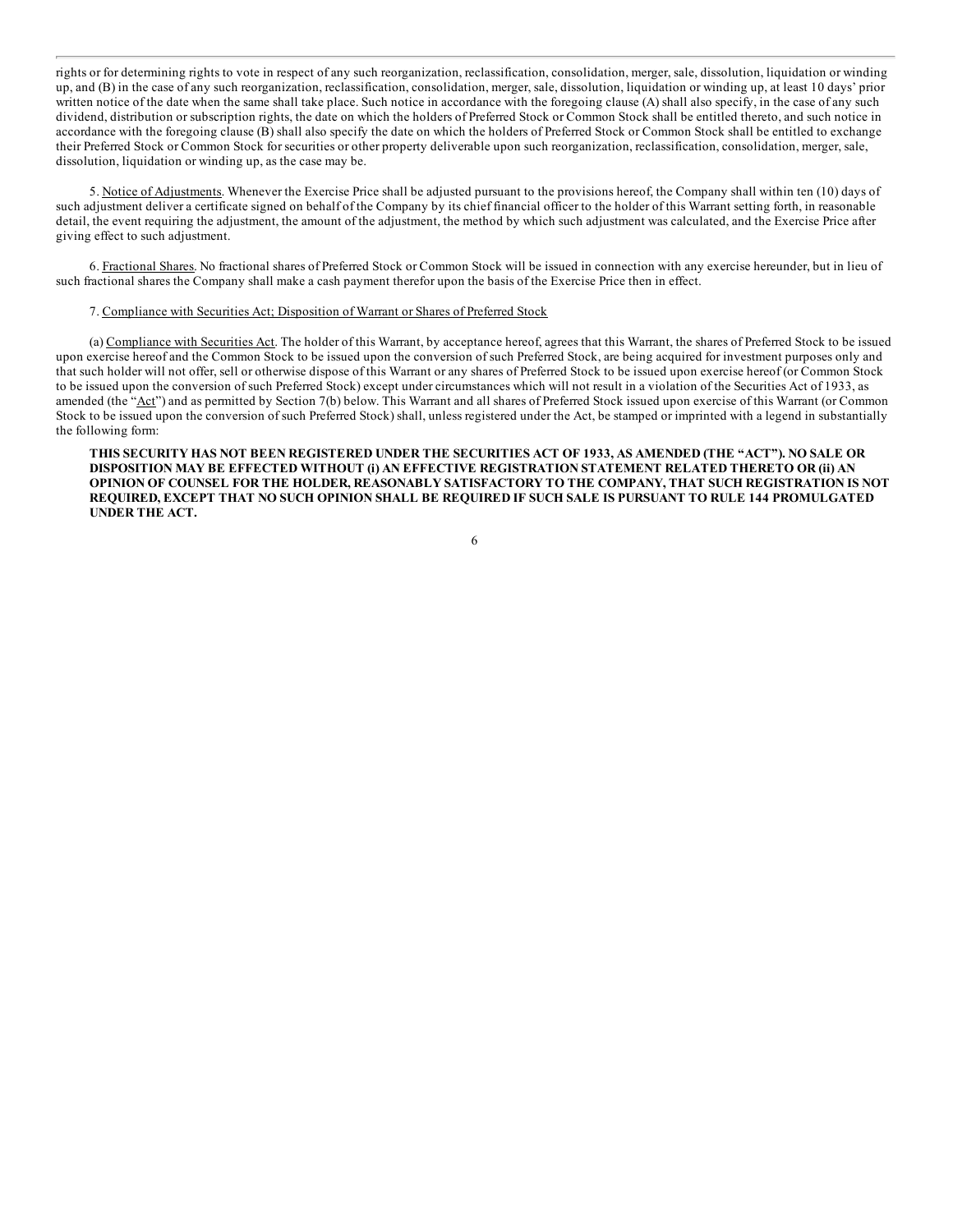[rights](#page-1-0) or for determining rights to vote in respect of any such reorganization, reclassification, consolidation, merger, sale, dissolution, liquidation or winding up, and (B) in the case of any such reorganization, reclassification, consolidation, merger, sale, dissolution, liquidation or winding up, at least 10 days' prior written notice of the date when the same shall take place. Such notice in accordance with the foregoing clause (A) shall also specify, in the case of any such dividend, distribution or subscription rights, the date on which the holders of Preferred Stock or Common Stock shall be entitled thereto, and such notice in accordance with the foregoing clause (B) shall also specify the date on which the holders of Preferred Stock or Common Stock shall be entitled to exchange their Preferred Stock or Common Stock for securities or other property deliverable upon such reorganization, reclassification, consolidation, merger, sale, dissolution, liquidation or winding up, as the case may be.

5. Notice of Adjustments. Whenever the Exercise Price shall be adjusted pursuant to the provisions hereof, the Company shall within ten (10) days of such adjustment deliver a certificate signed on behalf of the Company by its chief financial officer to the holder of this Warrant setting forth, in reasonable detail, the event requiring the adjustment, the amount of the adjustment, the method by which such adjustment was calculated, and the Exercise Price after giving effect to such adjustment.

6. Fractional Shares. No fractional shares of Preferred Stock or Common Stock will be issued in connection with any exercise hereunder, but in lieu of such fractional shares the Company shall make a cash payment therefor upon the basis of the Exercise Price then in effect.

### 7. Compliance with Securities Act; Disposition of Warrant or Shares of Preferred Stock

(a) Compliance with Securities Act. The holder of this Warrant, by acceptance hereof, agrees that this Warrant, the shares of Preferred Stock to be issued upon exercise hereof and the Common Stock to be issued upon the conversion of such Preferred Stock, are being acquired for investment purposes only and that such holder will not offer, sell or otherwise dispose of this Warrant or any shares of Preferred Stock to be issued upon exercise hereof (or Common Stock to be issued upon the conversion of such Preferred Stock) except under circumstances which will not result in a violation of the Securities Act of 1933, as amended (the "Act") and as permitted by Section 7(b) below. This Warrant and all shares of Preferred Stock issued upon exercise of this Warrant (or Common Stock to be issued upon the conversion of such Preferred Stock) shall, unless registered under the Act, be stamped or imprinted with a legend in substantially the following form:

THIS SECURITY HAS NOT BEEN REGISTERED UNDER THE SECURITIES ACT OF 1933, AS AMENDED (THE "ACT"). NO SALE OR **DISPOSITION MAY BE EFFECTED WITHOUT (i) AN EFFECTIVE REGISTRATION STATEMENT RELATED THERETO OR (ii) AN OPINION OF COUNSEL FOR THE HOLDER, REASONABLY SATISFACTORY TO THE COMPANY, THAT SUCH REGISTRATION IS NOT** REQUIRED, EXCEPT THAT NO SUCH OPINION SHALL BE REQUIRED IF SUCH SALE IS PURSUANT TO RULE 144 PROMULGATED **UNDER THE ACT.**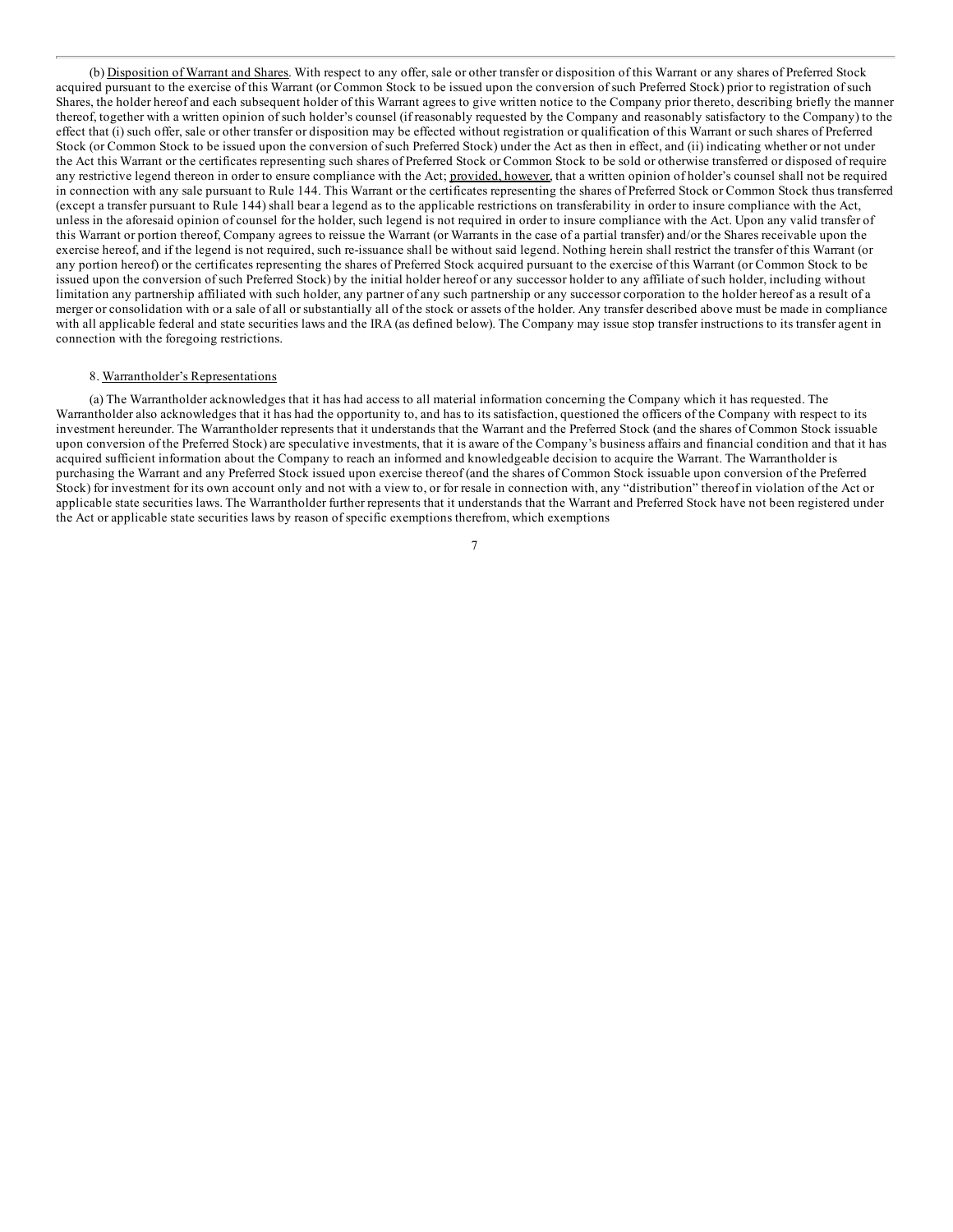(b) Disposition of Warrant and Shares. With respect to any offer, sale or other transfer or disposition of this Warrant or any shares of Preferred Stock [acquired](#page-1-0) pursuant to the exercise of this Warrant (or Common Stock to be issued upon the conversion of such Preferred Stock) prior to registration of such Shares, the holder hereof and each subsequent holder of this Warrant agrees to give written notice to the Company prior thereto, describing briefly the manner thereof, together with a written opinion of such holder's counsel (if reasonably requested by the Company and reasonably satisfactory to the Company) to the effect that (i) such offer, sale or other transfer or disposition may be effected without registration or qualification of this Warrant or such shares of Preferred Stock (or Common Stock to be issued upon the conversion of such Preferred Stock) under the Act as then in effect, and (ii) indicating whether or not under the Act this Warrant or the certificates representing such shares of Preferred Stock or Common Stock to be sold or otherwise transferred or disposed of require any restrictive legend thereon in order to ensure compliance with the Act; provided, however, that a written opinion of holder's counsel shall not be required in connection with any sale pursuant to Rule 144. This Warrant or the certificates representing the shares of Preferred Stock or Common Stock thus transferred (except a transfer pursuant to Rule 144) shall bear a legend as to the applicable restrictions on transferability in order to insure compliance with the Act, unless in the aforesaid opinion of counsel for the holder, such legend is not required in order to insure compliance with the Act. Upon any valid transfer of this Warrant or portion thereof, Company agrees to reissue the Warrant (or Warrants in the case of a partial transfer) and/or the Shares receivable upon the exercise hereof, and if the legend is not required, such re-issuance shall be without said legend. Nothing herein shall restrict the transfer of this Warrant (or any portion hereof) or the certificates representing the shares of Preferred Stock acquired pursuant to the exercise of this Warrant (or Common Stock to be issued upon the conversion of such Preferred Stock) by the initial holder hereof or any successor holder to any affiliate of such holder, including without limitation any partnership affiliated with such holder, any partner of any such partnership or any successor corporation to the holder hereof as a result of a merger or consolidation with or a sale of all or substantially all of the stock or assets of the holder. Any transfer described above must be made in compliance with all applicable federal and state securities laws and the IRA (as defined below). The Company may issue stop transfer instructions to its transfer agent in connection with the foregoing restrictions.

### 8. Warrantholder's Representations

(a) The Warrantholder acknowledges that it has had access to all material information concerning the Company which it has requested. The Warrantholder also acknowledges that it has had the opportunity to, and has to its satisfaction, questioned the officers of the Company with respect to its investment hereunder. The Warrantholder represents that it understands that the Warrant and the Preferred Stock (and the shares of Common Stock issuable upon conversion of the Preferred Stock) are speculative investments, that it is aware of the Company's business affairs and financial condition and that it has acquired sufficient information about the Company to reach an informed and knowledgeable decision to acquire the Warrant. The Warrantholder is purchasing the Warrant and any Preferred Stock issued upon exercise thereof (and the shares of Common Stock issuable upon conversion of the Preferred Stock) for investment for its own account only and not with a view to, or for resale in connection with, any "distribution" thereof in violation of the Act or applicable state securities laws. The Warrantholder further represents that it understands that the Warrant and Preferred Stock have not been registered under the Act or applicable state securities laws by reason of specific exemptions therefrom, which exemptions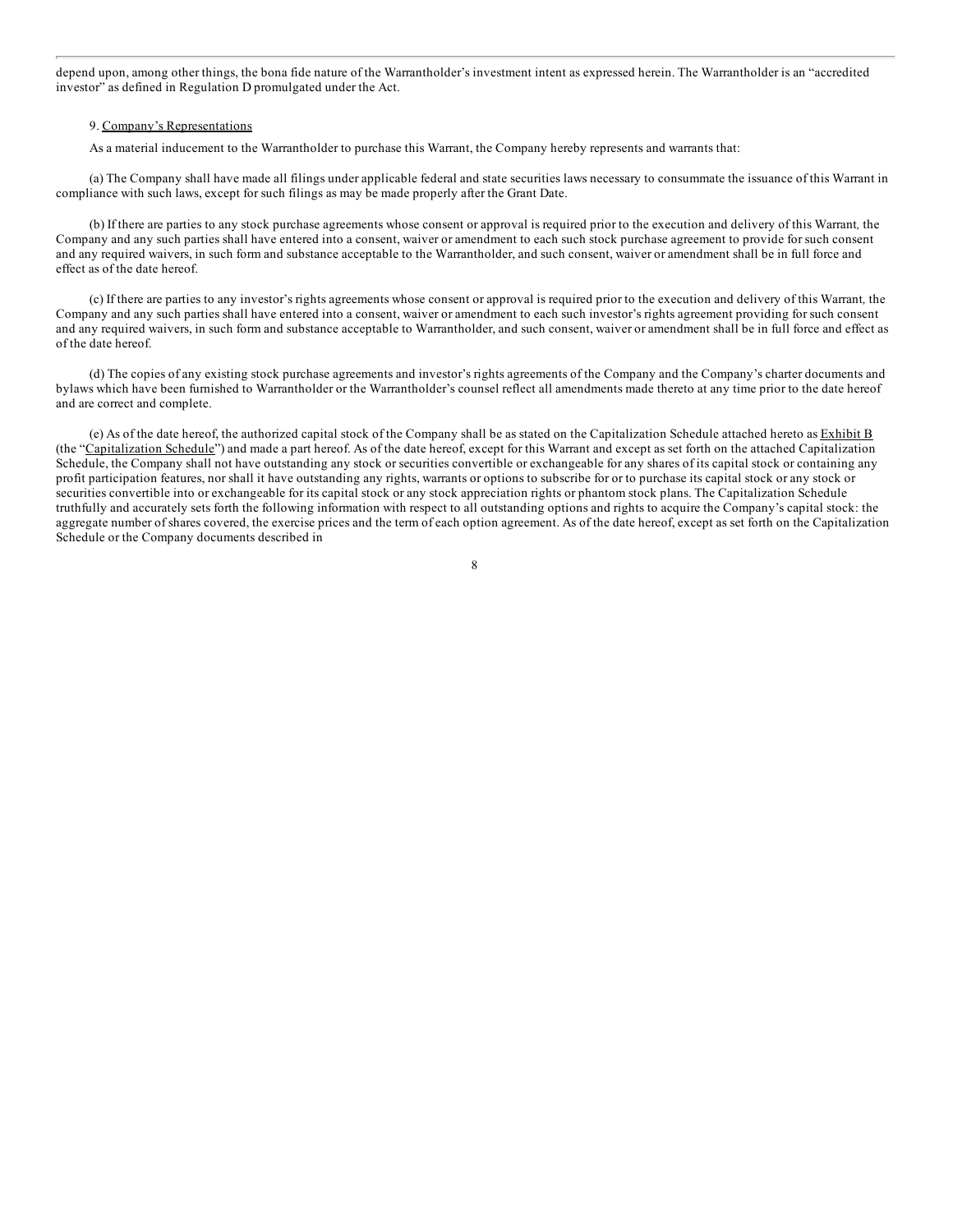depend upon, among other things, the bona fide nature of the Warrantholder's investment intent as expressed herein. The Warrantholder is an "accredited [investor"](#page-1-0) as defined in Regulation D promulgated under the Act.

#### 9. Company's Representations

As a material inducement to the Warrantholder to purchase this Warrant, the Company hereby represents and warrants that:

(a) The Company shall have made all filings under applicable federal and state securities laws necessary to consummate the issuance of this Warrant in compliance with such laws, except for such filings as may be made properly after the Grant Date.

(b) If there are parties to any stock purchase agreements whose consent or approval is required prior to the execution and delivery of this Warrant*,* the Company and any such parties shall have entered into a consent, waiver or amendment to each such stock purchase agreement to provide for such consent and any required waivers, in such form and substance acceptable to the Warrantholder, and such consent, waiver or amendment shall be in full force and effect as of the date hereof.

(c) If there are parties to any investor's rights agreements whose consent or approval is required prior to the execution and delivery of this Warrant*,* the Company and any such parties shall have entered into a consent, waiver or amendment to each such investor's rights agreement providing for such consent and any required waivers, in such form and substance acceptable to Warrantholder, and such consent, waiver or amendment shall be in full force and effect as of the date hereof.

(d) The copies of any existing stock purchase agreements and investor's rights agreements of the Company and the Company's charter documents and bylaws which have been furnished to Warrantholder or the Warrantholder's counsel reflect all amendments made thereto at any time prior to the date hereof and are correct and complete.

(e) As of the date hereof, the authorized capital stock of the Company shall be as stated on the Capitalization Schedule attached hereto as Exhibit B (the "Capitalization Schedule") and made a part hereof. As of the date hereof, except for this Warrant and except as set forth on the attached Capitalization Schedule, the Company shall not have outstanding any stock or securities convertible or exchangeable for any shares of its capital stock or containing any profit participation features, nor shall it have outstanding any rights, warrants or options to subscribe for or to purchase its capital stock or any stock or securities convertible into or exchangeable for its capital stock or any stock appreciation rights or phantom stock plans. The Capitalization Schedule truthfully and accurately sets forth the following information with respect to all outstanding options and rights to acquire the Company's capital stock: the aggregate number of shares covered, the exercise prices and the term of each option agreement. As of the date hereof, except as set forth on the Capitalization Schedule or the Company documents described in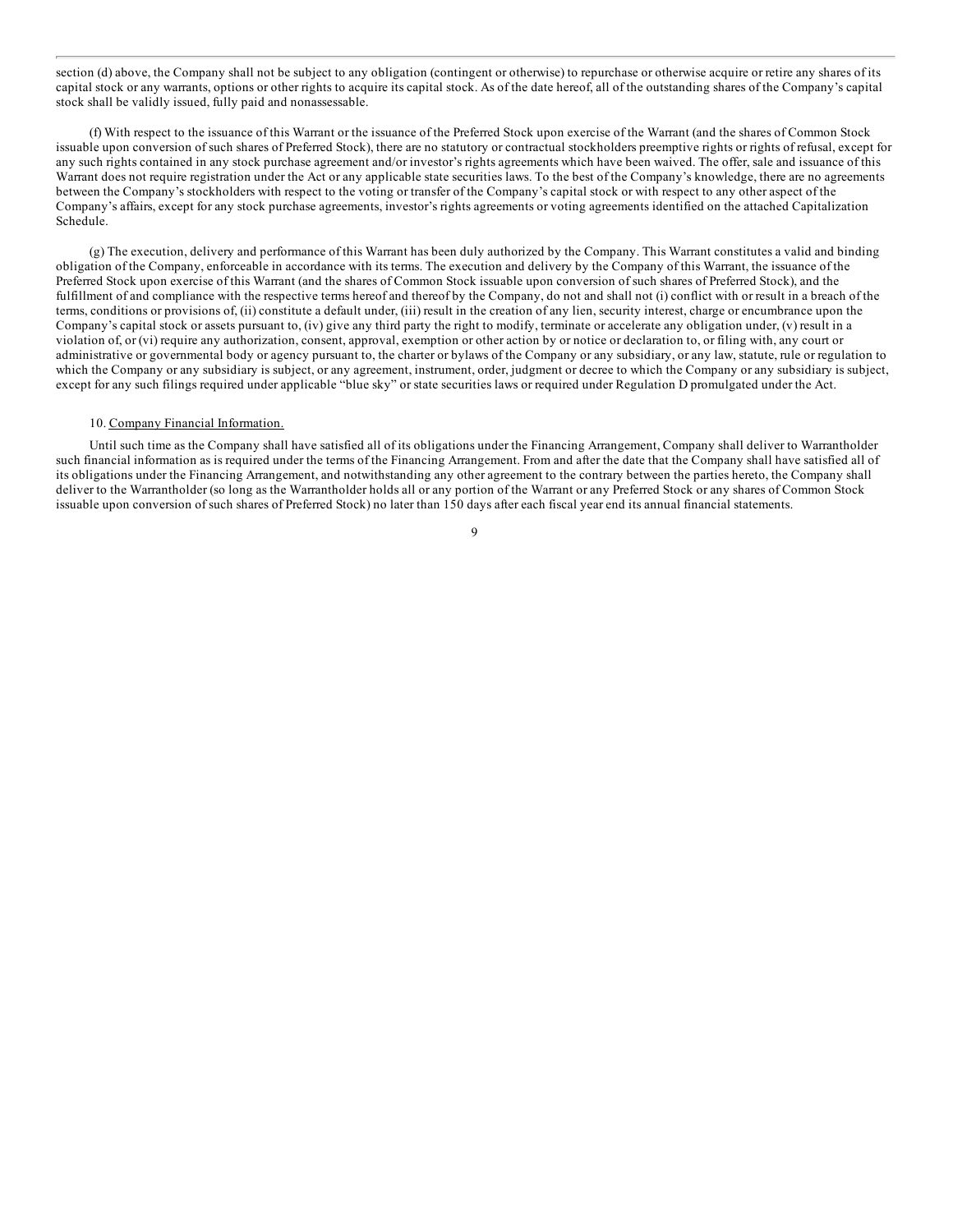section (d) above, the Company shall not be subject to any obligation (contingent or otherwise) to repurchase or otherwise acquire or retire any shares of its [capital](#page-1-0) stock or any warrants, options or other rights to acquire its capital stock. As of the date hereof, all of the outstanding shares of the Company's capital stock shall be validly issued, fully paid and nonassessable.

(f) With respect to the issuance of this Warrant or the issuance of the Preferred Stock upon exercise of the Warrant (and the shares of Common Stock issuable upon conversion of such shares of Preferred Stock), there are no statutory or contractual stockholders preemptive rights or rights of refusal, except for any such rights contained in any stock purchase agreement and/or investor's rights agreements which have been waived. The offer, sale and issuance of this Warrant does not require registration under the Act or any applicable state securities laws. To the best of the Company's knowledge, there are no agreements between the Company's stockholders with respect to the voting or transfer of the Company's capital stock or with respect to any other aspect of the Company's affairs, except for any stock purchase agreements, investor's rights agreements or voting agreements identified on the attached Capitalization Schedule.

(g) The execution, delivery and performance of this Warrant has been duly authorized by the Company. This Warrant constitutes a valid and binding obligation of the Company, enforceable in accordance with its terms. The execution and delivery by the Company of this Warrant, the issuance of the Preferred Stock upon exercise of this Warrant (and the shares of Common Stock issuable upon conversion of such shares of Preferred Stock), and the fulfillment of and compliance with the respective terms hereof and thereof by the Company, do not and shall not (i) conflict with or result in a breach of the terms, conditions or provisions of, (ii) constitute a default under, (iii) result in the creation of any lien, security interest, charge or encumbrance upon the Company's capital stock or assets pursuant to, (iv) give any third party the right to modify, terminate or accelerate any obligation under, (v) result in a violation of, or (vi) require any authorization, consent, approval, exemption or other action by or notice or declaration to, or filing with, any court or administrative or governmental body or agency pursuant to, the charter or bylaws of the Company or any subsidiary, or any law, statute, rule or regulation to which the Company or any subsidiary is subject, or any agreement, instrument, order, judgment or decree to which the Company or any subsidiary is subject, except for any such filings required under applicable "blue sky" or state securities laws or required under Regulation D promulgated under the Act.

### 10. Company Financial Information.

Until such time as the Company shall have satisfied all of its obligations under the Financing Arrangement, Company shall deliver to Warrantholder such financial information as is required under the terms of the Financing Arrangement. From and after the date that the Company shall have satisfied all of its obligations under the Financing Arrangement, and notwithstanding any other agreement to the contrary between the parties hereto, the Company shall deliver to the Warrantholder (so long as the Warrantholder holds all or any portion of the Warrant or any Preferred Stock or any shares of Common Stock issuable upon conversion of such shares of Preferred Stock) no later than 150 days after each fiscal year end its annual financial statements.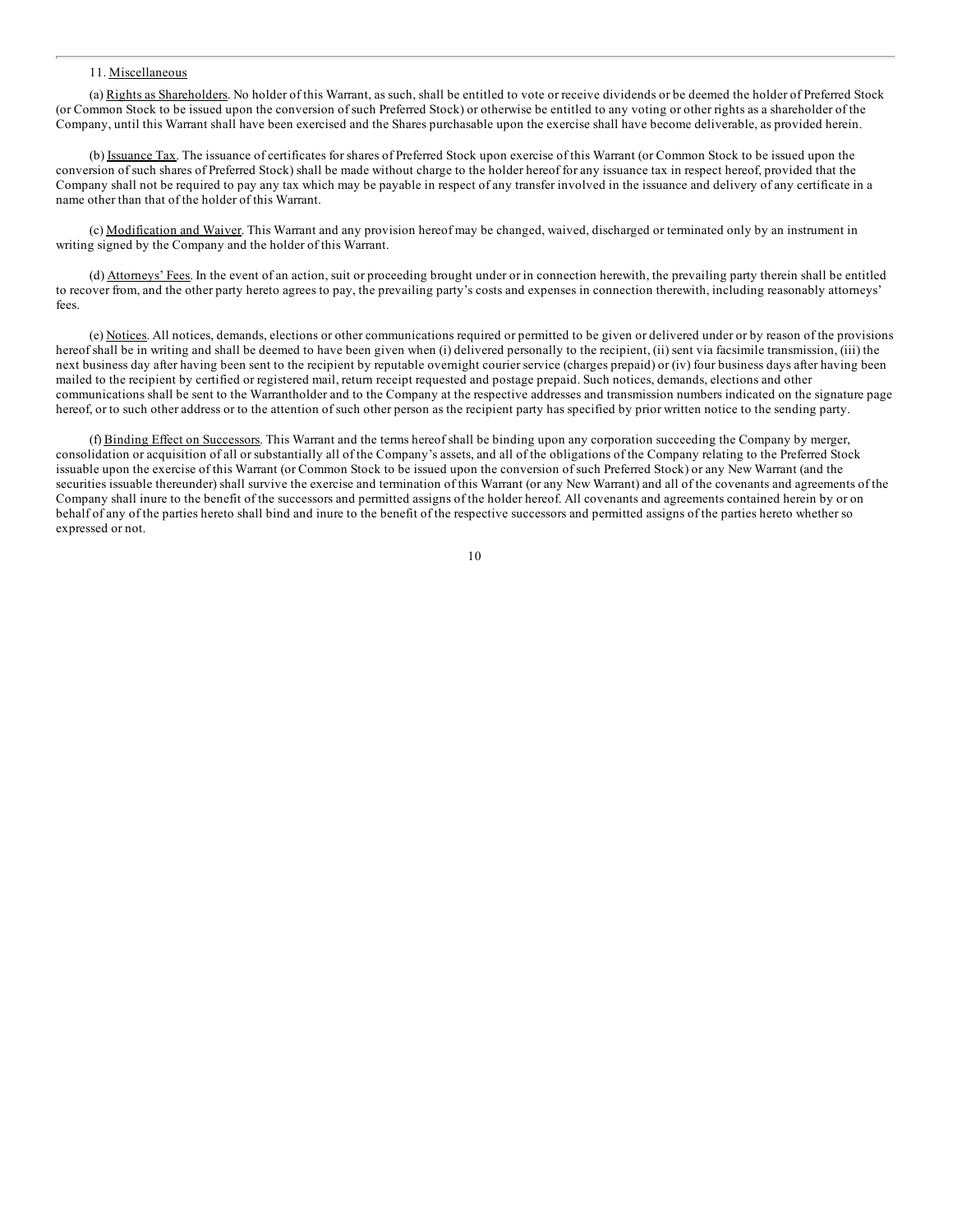#### 11. [Miscell](#page-1-0)aneous

(a) Rights as Shareholders. No holder of this Warrant, as such, shall be entitled to vote or receive dividends or be deemed the holder of Preferred Stock (or Common Stock to be issued upon the conversion of such Preferred Stock) or otherwise be entitled to any voting or other rights as a shareholder of the Company, until this Warrant shall have been exercised and the Shares purchasable upon the exercise shall have become deliverable, as provided herein.

(b) Issuance Tax. The issuance of certificates for shares of Preferred Stock upon exercise of this Warrant (or Common Stock to be issued upon the conversion of such shares of Preferred Stock) shall be made without charge to the holder hereof for any issuance tax in respect hereof, provided that the Company shall not be required to pay any tax which may be payable in respect of any transfer involved in the issuance and delivery of any certificate in a name other than that of the holder of this Warrant.

(c) Modification and Waiver. This Warrant and any provision hereof may be changed, waived, discharged or terminated only by an instrument in writing signed by the Company and the holder of this Warrant.

(d) Attorneys' Fees. In the event of an action, suit or proceeding brought under or in connection herewith, the prevailing party therein shall be entitled to recover from, and the other party hereto agrees to pay, the prevailing party's costs and expenses in connection therewith, including reasonably attorneys' fees.

(e) Notices. All notices, demands, elections or other communications required or permitted to be given or delivered under or by reason of the provisions hereof shall be in writing and shall be deemed to have been given when (i) delivered personally to the recipient, (ii) sent via facsimile transmission, (iii) the next business day after having been sent to the recipient by reputable overnight courier service (charges prepaid) or (iv) four business days after having been mailed to the recipient by certified or registered mail, return receipt requested and postage prepaid. Such notices, demands, elections and other communications shall be sent to the Warrantholder and to the Company at the respective addresses and transmission numbers indicated on the signature page hereof, or to such other address or to the attention of such other person as the recipient party has specified by prior written notice to the sending party.

(f) Binding Effect on Successors. This Warrant and the terms hereof shall be binding upon any corporation succeeding the Company by merger, consolidation or acquisition of all or substantially all of the Company's assets, and all of the obligations of the Company relating to the Preferred Stock issuable upon the exercise of this Warrant (or Common Stock to be issued upon the conversion of such Preferred Stock) or any New Warrant (and the securities issuable thereunder) shall survive the exercise and termination of this Warrant (or any New Warrant) and all of the covenants and agreements of the Company shall inure to the benefit of the successors and permitted assigns of the holder hereof. All covenants and agreements contained herein by or on behalf of any of the parties hereto shall bind and inure to the benefit of the respective successors and permitted assigns of the parties hereto whether so expressed or not.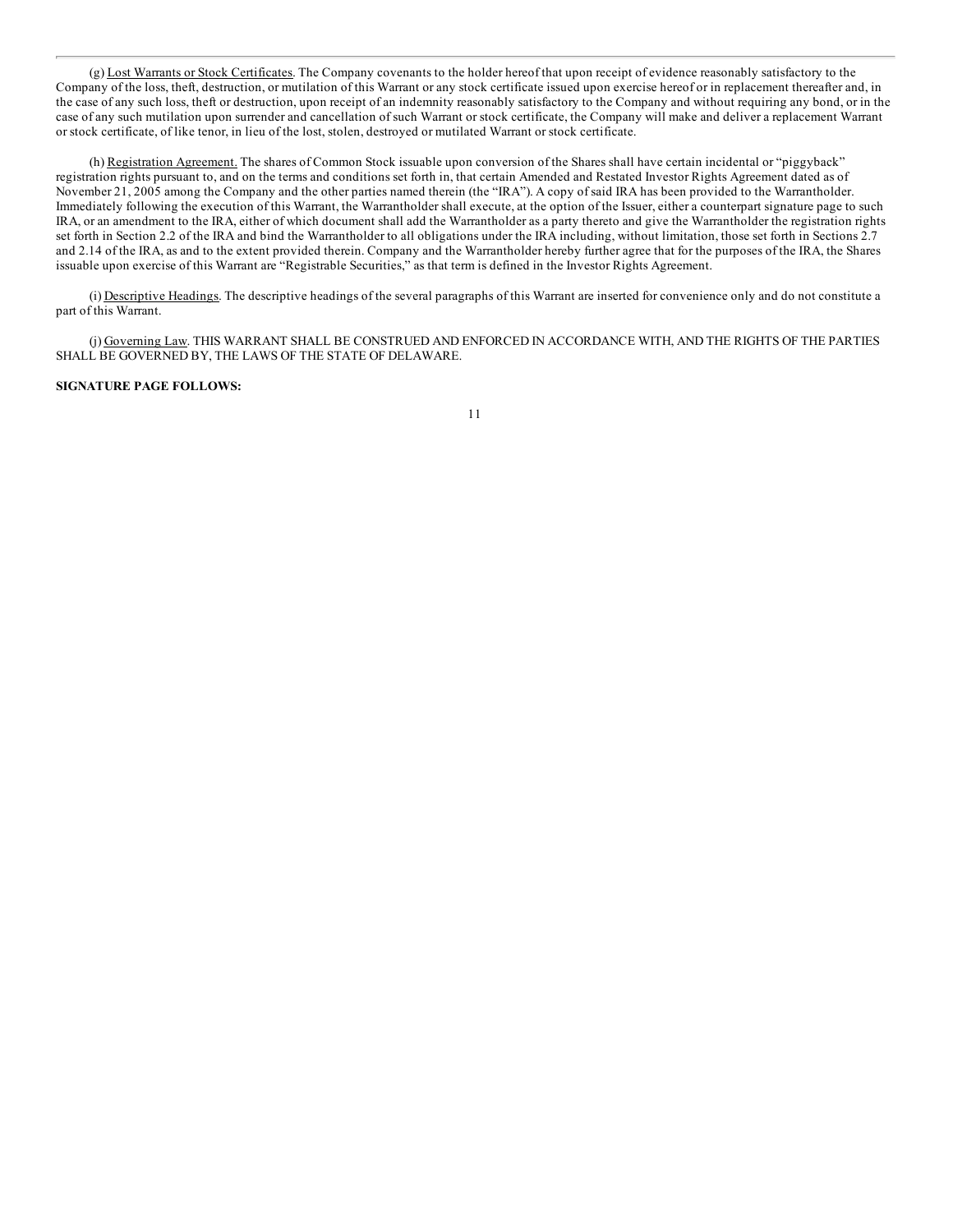(g) Lost Warrants or Stock Certificates. The Company covenants to the holder hereof that upon receipt of evidence reasonably satisfactory to the [Company](#page-1-0) of the loss, theft, destruction, or mutilation of this Warrant or any stock certificate issued upon exercise hereof or in replacement thereafter and, in the case of any such loss, theft or destruction, upon receipt of an indemnity reasonably satisfactory to the Company and without requiring any bond, or in the case of any such mutilation upon surrender and cancellation of such Warrant or stock certificate, the Company will make and deliver a replacement Warrant or stock certificate, of like tenor, in lieu of the lost, stolen, destroyed or mutilated Warrant or stock certificate.

(h) Registration Agreement. The shares of Common Stock issuable upon conversion of the Shares shall have certain incidental or "piggyback" registration rights pursuant to, and on the terms and conditions set forth in, that certain Amended and Restated Investor Rights Agreement dated as of November 21, 2005 among the Company and the other parties named therein (the "IRA"). A copy of said IRA has been provided to the Warrantholder. Immediately following the execution of this Warrant, the Warrantholder shall execute, at the option of the Issuer, either a counterpart signature page to such IRA, or an amendment to the IRA, either of which document shall add the Warrantholder as a party thereto and give the Warrantholder the registration rights set forth in Section 2.2 of the IRA and bind the Warrantholder to all obligations under the IRA including, without limitation, those set forth in Sections 2.7 and 2.14 of the IRA, as and to the extent provided therein. Company and the Warrantholder hereby further agree that for the purposes of the IRA, the Shares issuable upon exercise of this Warrant are "Registrable Securities," as that term is defined in the Investor Rights Agreement.

(i) Descriptive Headings. The descriptive headings of the several paragraphs of this Warrant are inserted for convenience only and do not constitute a part of this Warrant.

(j) Governing Law. THIS WARRANT SHALL BE CONSTRUED AND ENFORCED IN ACCORDANCE WITH, AND THE RIGHTS OF THE PARTIES SHALL BE GOVERNED BY, THE LAWS OF THE STATE OF DELAWARE.

# **SIGNATURE PAGE FOLLOWS:**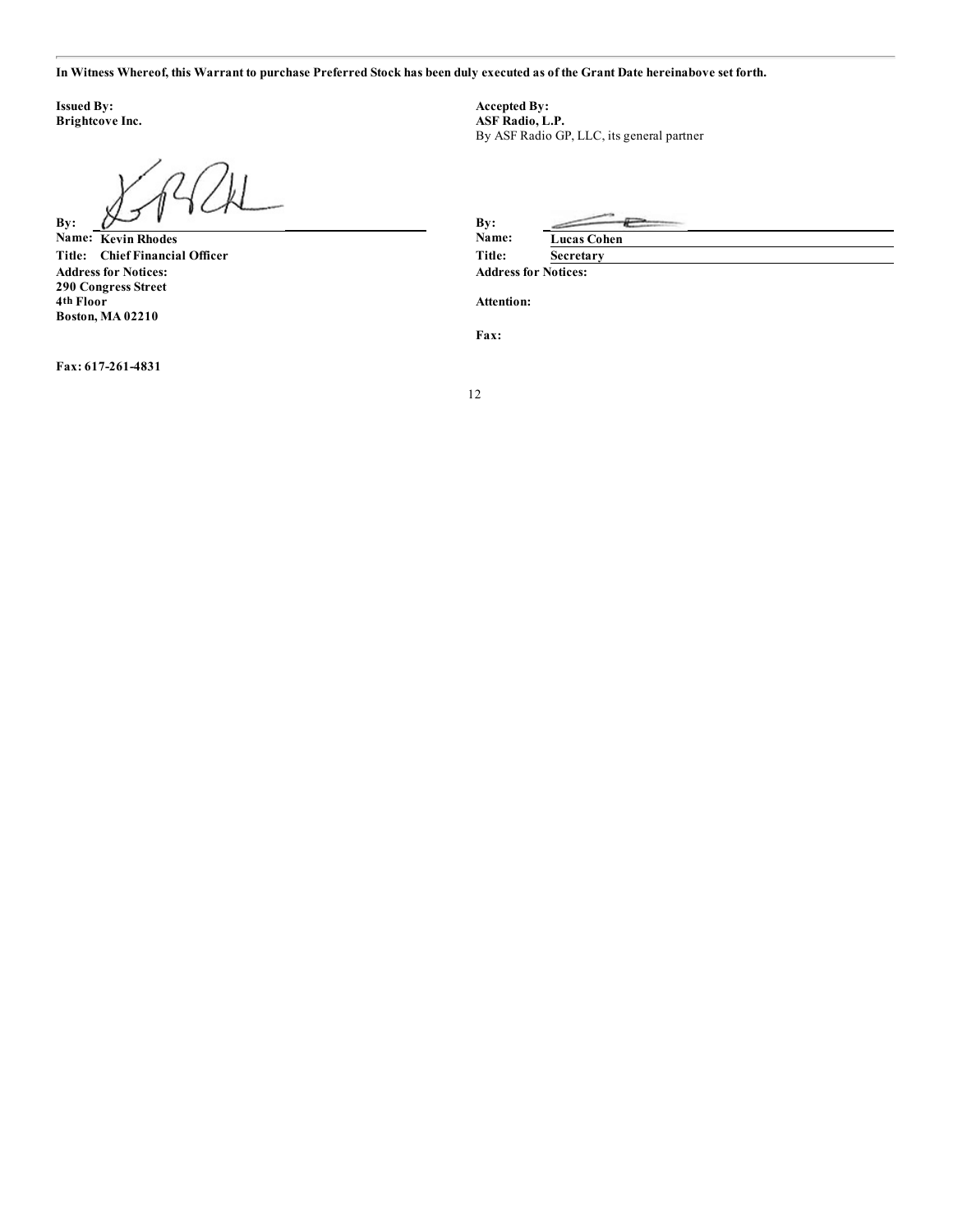In [Witness](#page-1-0) Whereof, this Warrant to purchase Preferred Stock has been duly executed as of the Grant Date hereinabove set forth.

**Issued By: Accepted By: Accepted By: Accepted By: ASF Radio, L.** 

By:  $\mathcal{L}$  **By:** 

 $Name: **Kevin Rhodes**$  $Title:$  **Chief Financial Officer Address for Notices: Address for Notices: 290 Congress Street 4th Floor Boston, MA 02210**

**Fax: 617-261-4831**

**Brightcove Inc. ASF Radio, L.P.** By ASF Radio GP, LLC, its general partner

| By:    |                    |
|--------|--------------------|
| Name:  | <b>Lucas Cohen</b> |
| Title: | Secretary          |
|        | $\blacksquare$     |

**Attention:**

**Fax:**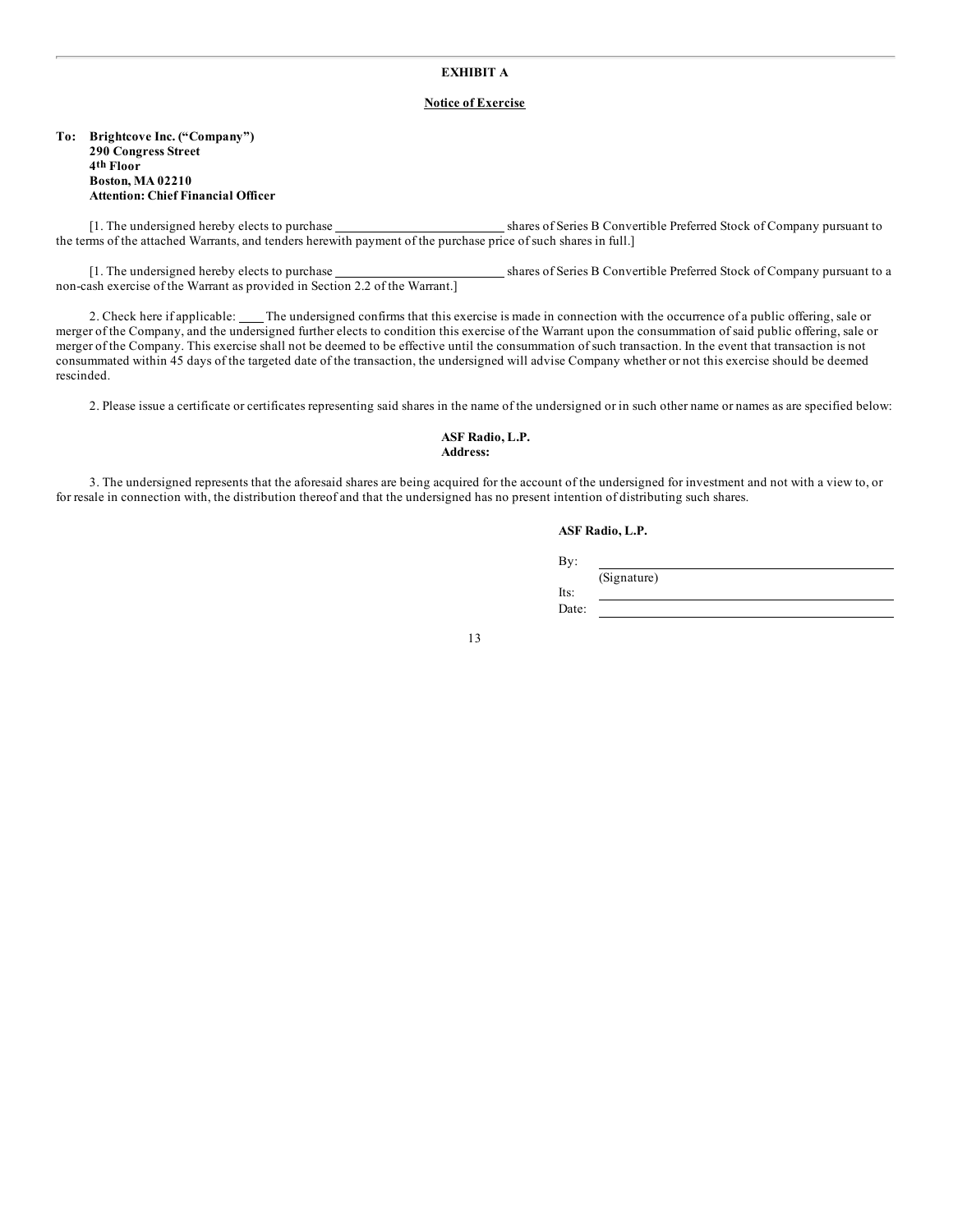# **EXHIBIT A**

# **Notice of Exercise**

**To: Brightcove Inc. ("Company") 290 Congress Street 4th Floor Boston, MA 02210 Attention: Chief Financial Officer**

[1. The undersigned hereby elects to purchase shares of Series B Convertible Preferred Stock of Company pursuant to the terms of the attached Warrants, and tenders herewith payment of the purchase price of such shares in full.]

[1. The undersigned hereby elects to purchase shares of Series B Convertible Preferred Stock of Company pursuant to a non-cash exercise of the Warrant as provided in Section 2.2 of the Warrant.]

2. Check here if applicable: \_\_\_\_ The undersigned confirms that this exercise is made in connection with the occurrence of a public offering, sale or merger of the Company, and the undersigned further elects to condition this exercise of the Warrant upon the consummation of said public offering, sale or merger of the Company. This exercise shall not be deemed to be effective until the consummation of such transaction. In the event that transaction is not consummated within 45 days of the targeted date of the transaction, the undersigned will advise Company whether or not this exercise should be deemed rescinded.

2. Please issue a certificate or certificates representing said shares in the name of the undersigned or in such other name or names as are specified below:

**ASF Radio, L.P. Address:**

3. The undersigned represents that the aforesaid shares are being acquired for the account of the undersigned for investment and not with a view to, or for resale in connection with, the distribution thereof and that the undersigned has no present intention of distributing such shares.

### **ASF Radio, L.P.**

By:

(Signature)

Its:

Date: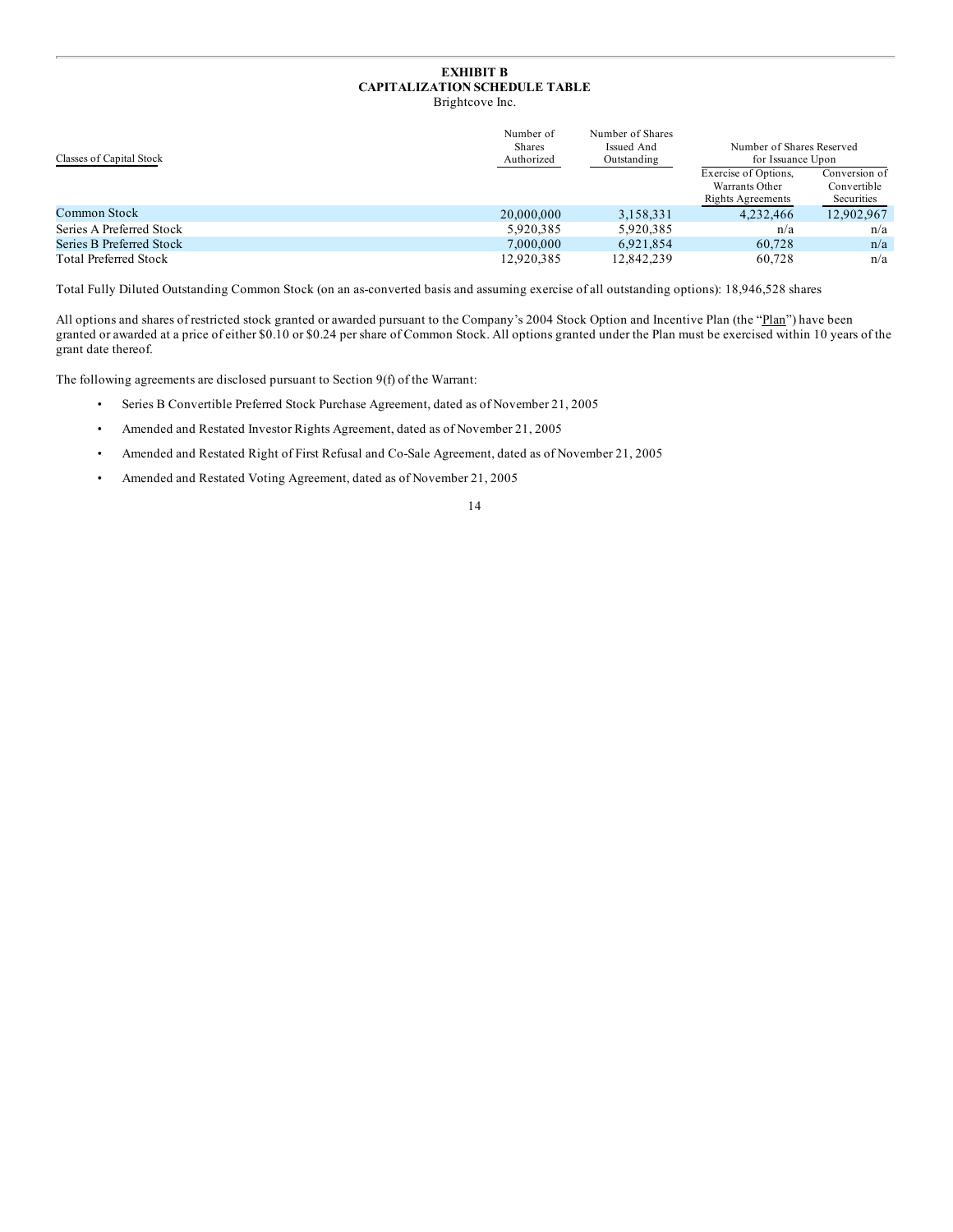# **EXHIBIT B CAPITALIZATION SCHEDULE TABLE**

Brightcove Inc.

| Classes of Capital Stock     | Number of<br>Issued And<br><b>Shares</b><br>Authorized<br>Outstanding | Number of Shares | Number of Shares Reserved<br>for Issuance Upon                     |                                            |
|------------------------------|-----------------------------------------------------------------------|------------------|--------------------------------------------------------------------|--------------------------------------------|
|                              |                                                                       |                  | Exercise of Options,<br>Warrants Other<br><b>Rights Agreements</b> | Conversion of<br>Convertible<br>Securities |
| Common Stock                 | 20,000,000                                                            | 3,158,331        | 4.232.466                                                          | 12.902.967                                 |
| Series A Preferred Stock     | 5.920.385                                                             | 5.920.385        | n/a                                                                | n/a                                        |
| Series B Preferred Stock     | 7,000,000                                                             | 6.921.854        | 60.728                                                             | n/a                                        |
| <b>Total Preferred Stock</b> | 12.920.385                                                            | 12.842.239       | 60.728                                                             | n/a                                        |

Total Fully Diluted Outstanding Common Stock (on an as-converted basis and assuming exercise of all outstanding options): 18,946,528 shares

All options and shares of restricted stock granted or awarded pursuant to the Company's 2004 Stock Option and Incentive Plan (the "Plan") have been granted or awarded at a price of either \$0.10 or \$0.24 per share of Common Stock. All options granted under the Plan must be exercised within 10 years of the grant date thereof.

The following agreements are disclosed pursuant to Section 9(f) of the Warrant:

- Series B Convertible Preferred Stock Purchase Agreement, dated as of November 21, 2005
- Amended and Restated Investor Rights Agreement, dated as of November 21, 2005
- Amended and Restated Right of First Refusal and Co-Sale Agreement, dated as of November 21, 2005
- Amended and Restated Voting Agreement, dated as of November 21, 2005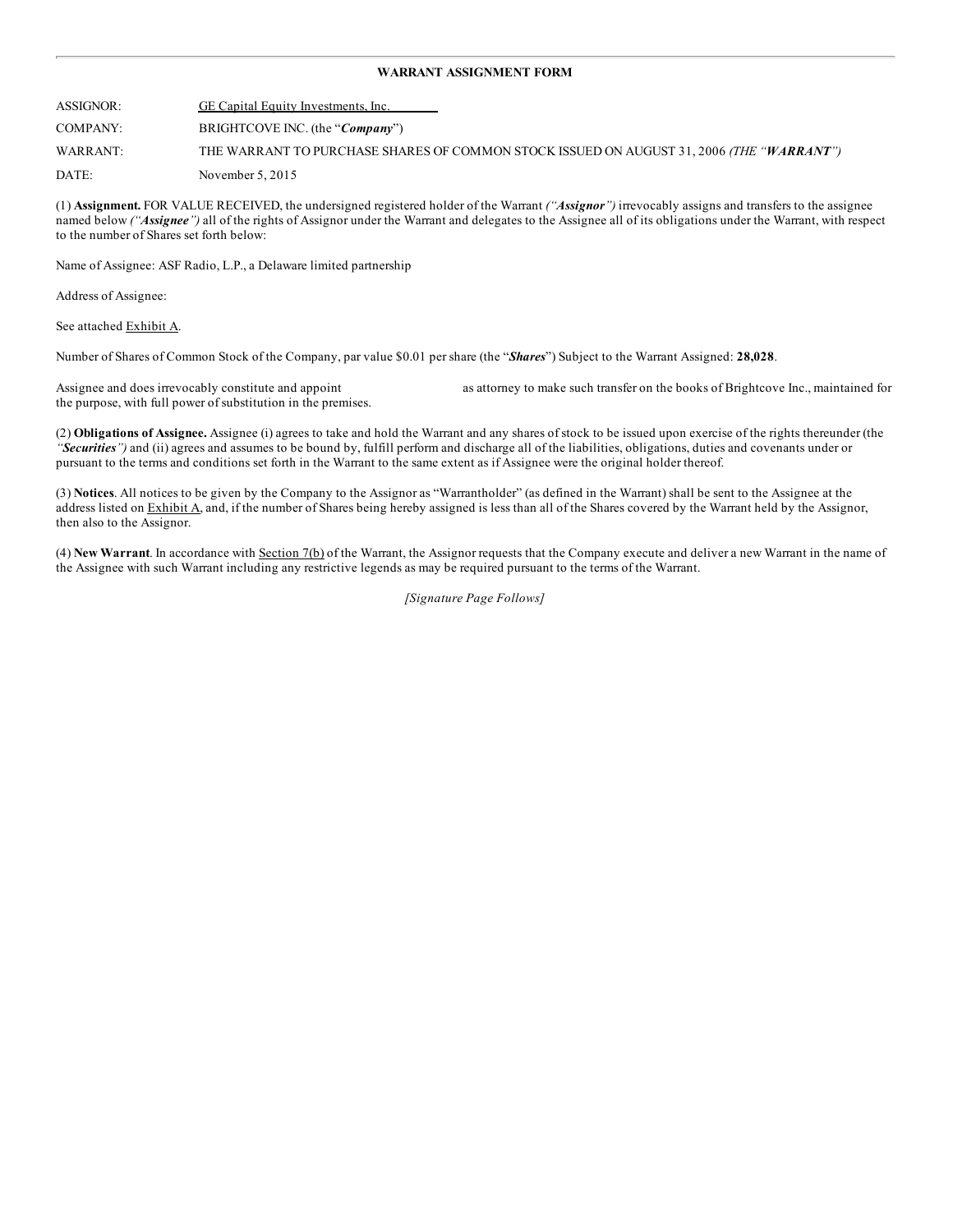### **WARRANT ASSIGNMENT FORM**

ASSIGNOR: GE Capital Equity Investments, Inc. COMPANY: BRIGHTCOVE INC. (the "*Company*") WARRANT: THE WARRANT TO PURCHASE SHARES OF COMMON STOCK ISSUED ON AUGUST 31, 2006 *(THE "WARRANT")* DATE: November 5, 2015

(1) **Assignment.** FOR VALUE RECEIVED, the undersigned registered holder of the Warrant *("Assignor")* irrevocably assigns and transfers to the assignee named below *("Assignee")* all of the rights of Assignor under the Warrant and delegates to the Assignee all of its obligations under the Warrant, with respect to the number of Shares set forth below:

Name of Assignee: ASF Radio, L.P., a Delaware limited partnership

Address of Assignee:

See attached Exhibit A.

Number of Shares of Common Stock of the Company, par value \$0.01 per share (the "*Shares*") Subject to the Warrant Assigned: **28,028**.

Assignee and does irrevocably constitute and appoint as attorney to make such transfer on the books of Brightcove Inc., maintained for the purpose, with full power of substitution in the premises.

(2) **Obligations of Assignee.** Assignee (i) agrees to take and hold the Warrant and any shares of stock to be issued upon exercise of the rights thereunder (the *"Securities")* and (ii) agrees and assumes to be bound by, fulfill perform and discharge all of the liabilities, obligations, duties and covenants under or pursuant to the terms and conditions set forth in the Warrant to the same extent as if Assignee were the original holder thereof.

(3) **Notices**. All notices to be given by the Company to the Assignor as "Warrantholder" (as defined in the Warrant) shall be sent to the Assignee at the address listed on Exhibit A, and, if the number of Shares being hereby assigned is less than all of the Shares covered by the Warrant held by the Assignor, then also to the Assignor.

(4) **New Warrant**. In accordance with Section 7(b) of the Warrant, the Assignor requests that the Company execute and deliver a new Warrant in the name of the Assignee with such Warrant including any restrictive legends as may be required pursuant to the terms of the Warrant.

*[Signature Page Follows]*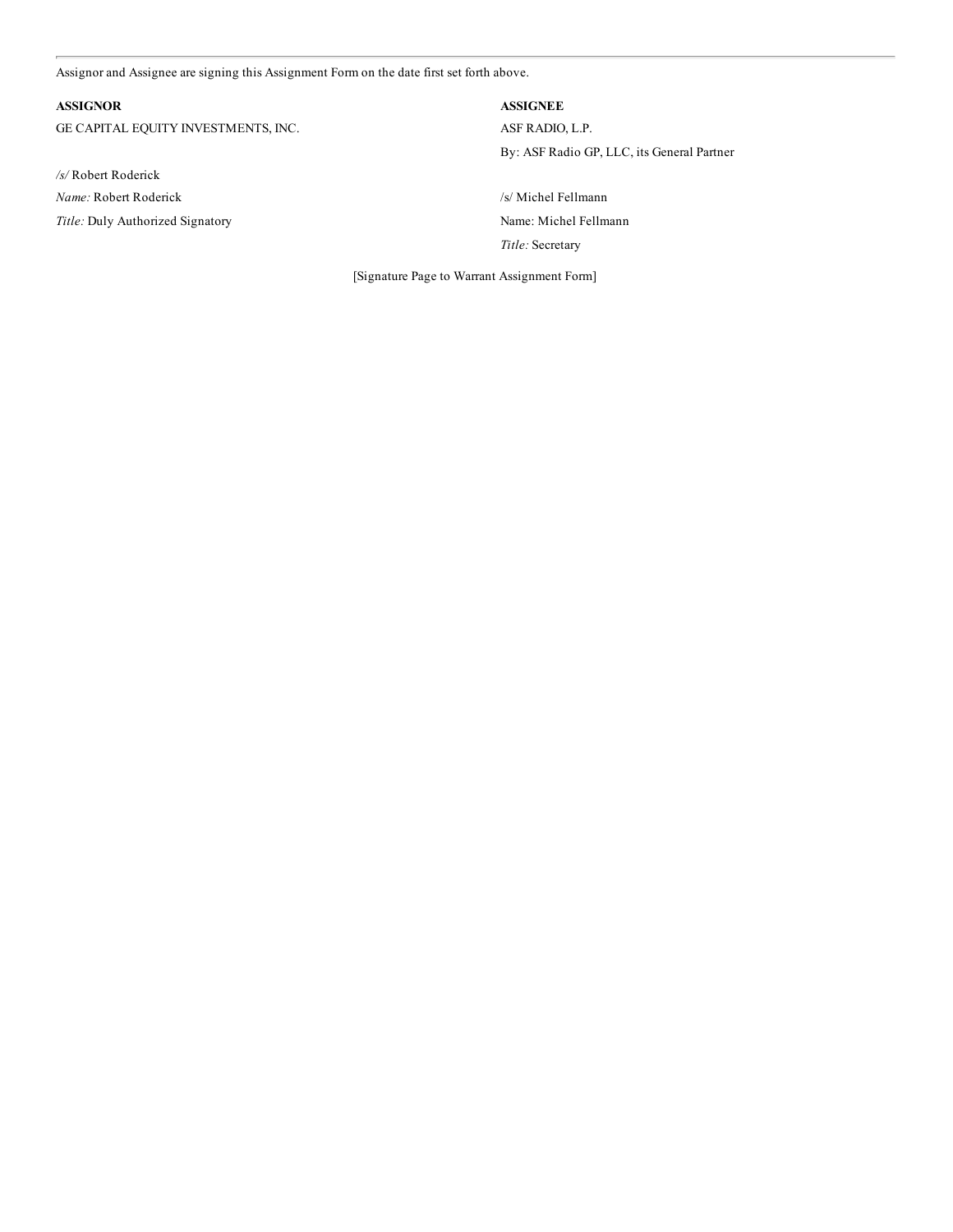[Assignor](#page-1-0) and Assignee are signing this Assignment Form on the date first set forth above.

# **ASSIGNOR ASSIGNEE**

GE CAPITAL EQUITY INVESTMENTS, INC. ASF RADIO, L.P.

*/s/* Robert Roderick *Name:* Robert Roderick /s/ Michel Fellmann Title: Duly Authorized Signatory **Name: Michel Fellmann** 

By: ASF Radio GP, LLC, its General Partner

*Title:* Secretary

[Signature Page to Warrant Assignment Form]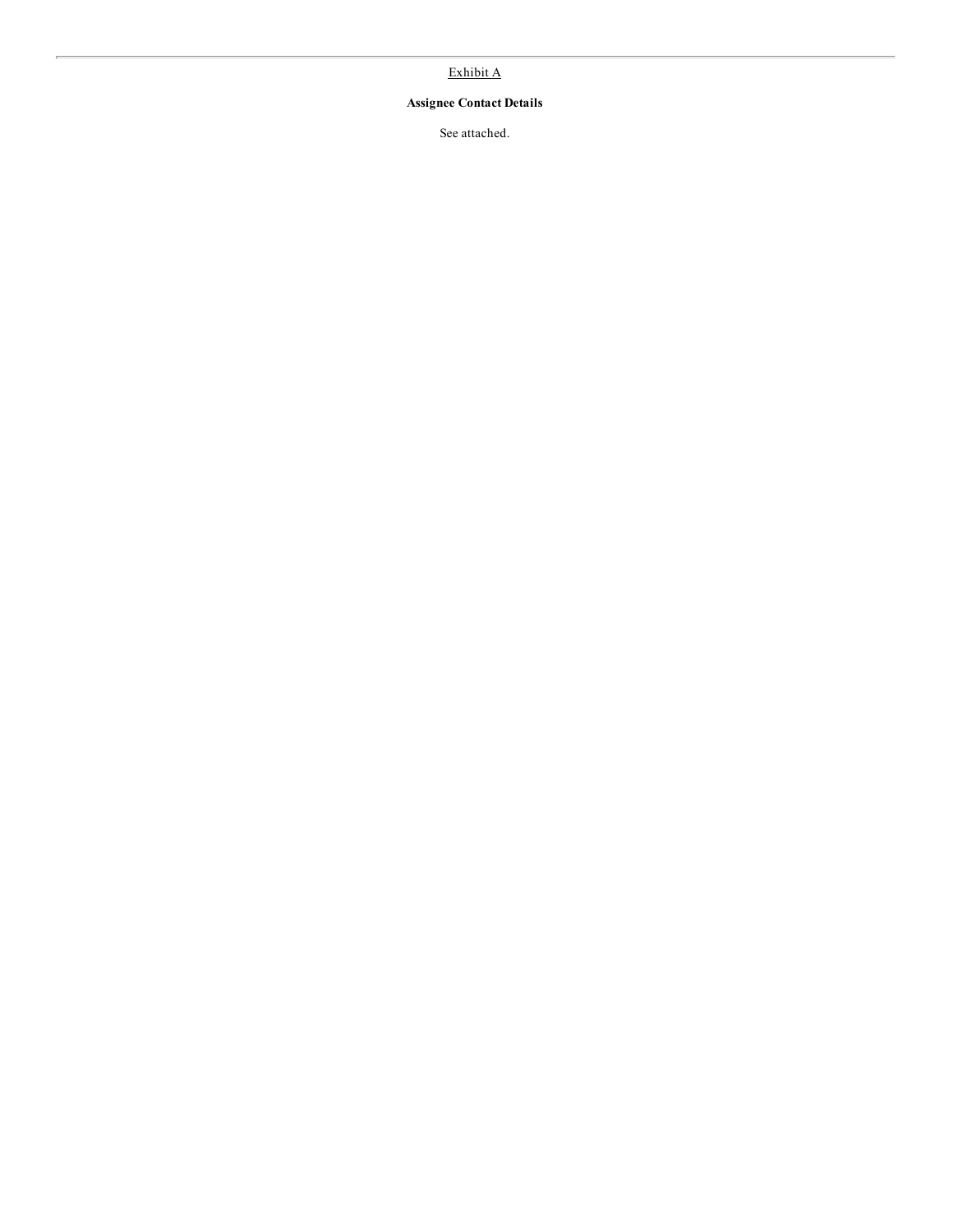# Exhibit A

# **Assignee Contact Details**

See attached.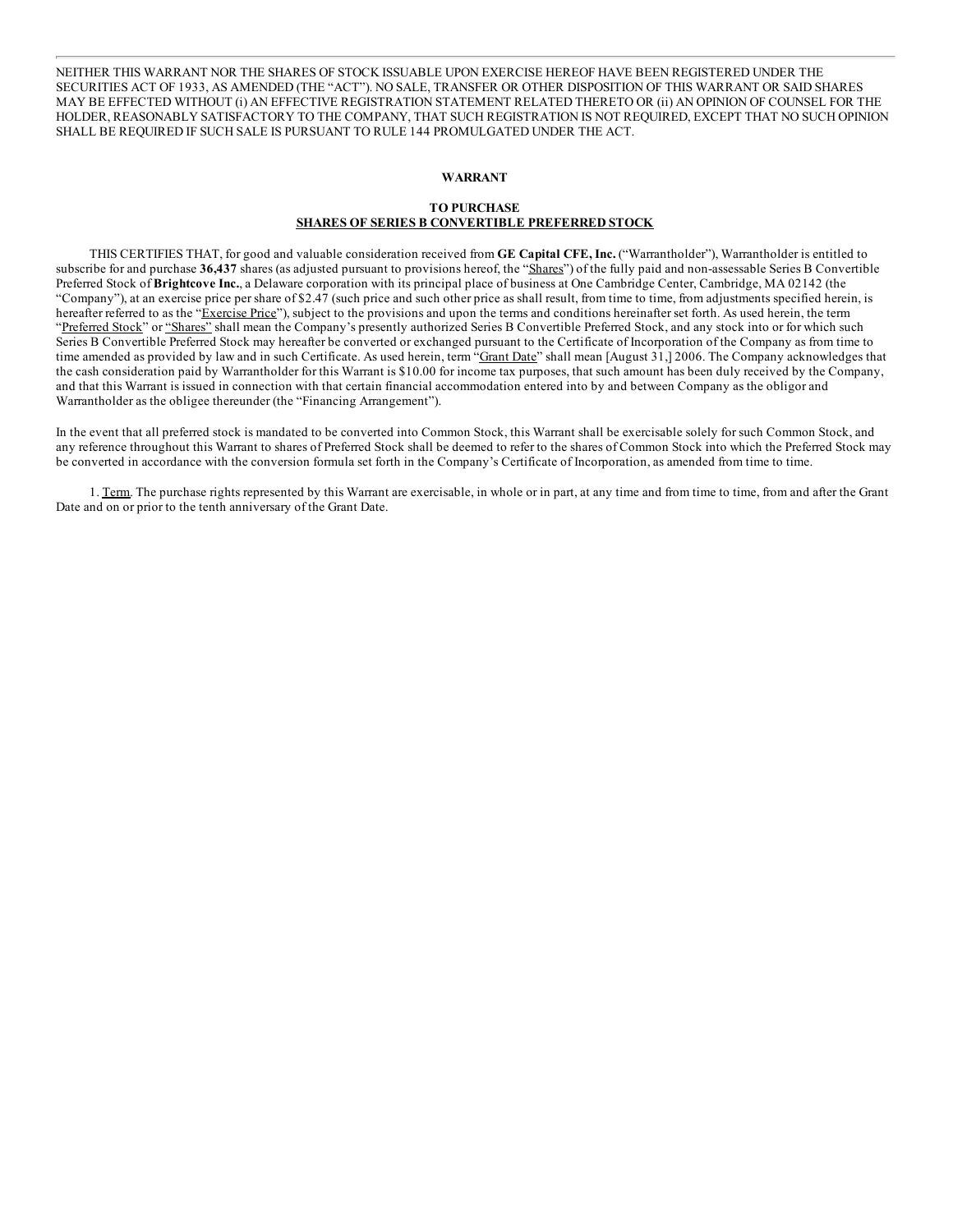NEITHER THIS WARRANT NOR THE SHARES OF STOCK ISSUABLE UPON EXERCISE HEREOF HAVE BEEN REGISTERED UNDER THE [SECURITIES](#page-1-0) ACT OF 1933, AS AMENDED (THE "ACT"). NO SALE, TRANSFER OR OTHER DISPOSITION OF THIS WARRANT OR SAID SHARES MAY BE EFFECTED WITHOUT (i) AN EFFECTIVE REGISTRATION STATEMENT RELATED THERETO OR (ii) AN OPINION OF COUNSEL FOR THE HOLDER, REASONABLY SATISFACTORY TO THE COMPANY, THAT SUCH REGISTRATION IS NOT REQUIRED, EXCEPT THAT NO SUCH OPINION SHALL BE REQUIRED IF SUCH SALE IS PURSUANT TO RULE 144 PROMULGATED UNDER THE ACT.

# **WARRANT**

# **TO PURCHASE**

# **SHARES OF SERIES B CONVERTIBLE PREFERRED STOCK**

THIS CERTIFIES THAT, for good and valuable consideration received from **GE Capital CFE, Inc.** ("Warrantholder"), Warrantholder is entitled to subscribe for and purchase **36,437** shares (as adjusted pursuant to provisions hereof, the "Shares") of the fully paid and non-assessable Series B Convertible Preferred Stock of **Brightcove Inc.**, a Delaware corporation with its principal place of business at One Cambridge Center, Cambridge, MA 02142 (the "Company"), at an exercise price per share of \$2.47 (such price and such other price as shall result, from time to time, from adjustments specified herein, is hereafter referred to as the "Exercise Price"), subject to the provisions and upon the terms and conditions hereinafter set forth. As used herein, the term "Preferred Stock" or "Shares" shall mean the Company's presently authorized Series B Convertible Preferred Stock, and any stock into or for which such Series B Convertible Preferred Stock may hereafter be converted or exchanged pursuant to the Certificate of Incorporation of the Company as from time to time amended as provided by law and in such Certificate. As used herein, term "Grant Date" shall mean [August 31,] 2006. The Company acknowledges that the cash consideration paid by Warrantholder for this Warrant is \$10.00 for income tax purposes, that such amount has been duly received by the Company, and that this Warrant is issued in connection with that certain financial accommodation entered into by and between Company as the obligor and Warrantholder as the obligee thereunder (the "Financing Arrangement").

In the event that all preferred stock is mandated to be converted into Common Stock, this Warrant shall be exercisable solely for such Common Stock, and any reference throughout this Warrant to shares of Preferred Stock shall be deemed to refer to the shares of Common Stock into which the Preferred Stock may be converted in accordance with the conversion formula set forth in the Company's Certificate of Incorporation, as amended from time to time.

1. Term. The purchase rights represented by this Warrant are exercisable, in whole or in part, at any time and from time to time, from and after the Grant Date and on or prior to the tenth anniversary of the Grant Date.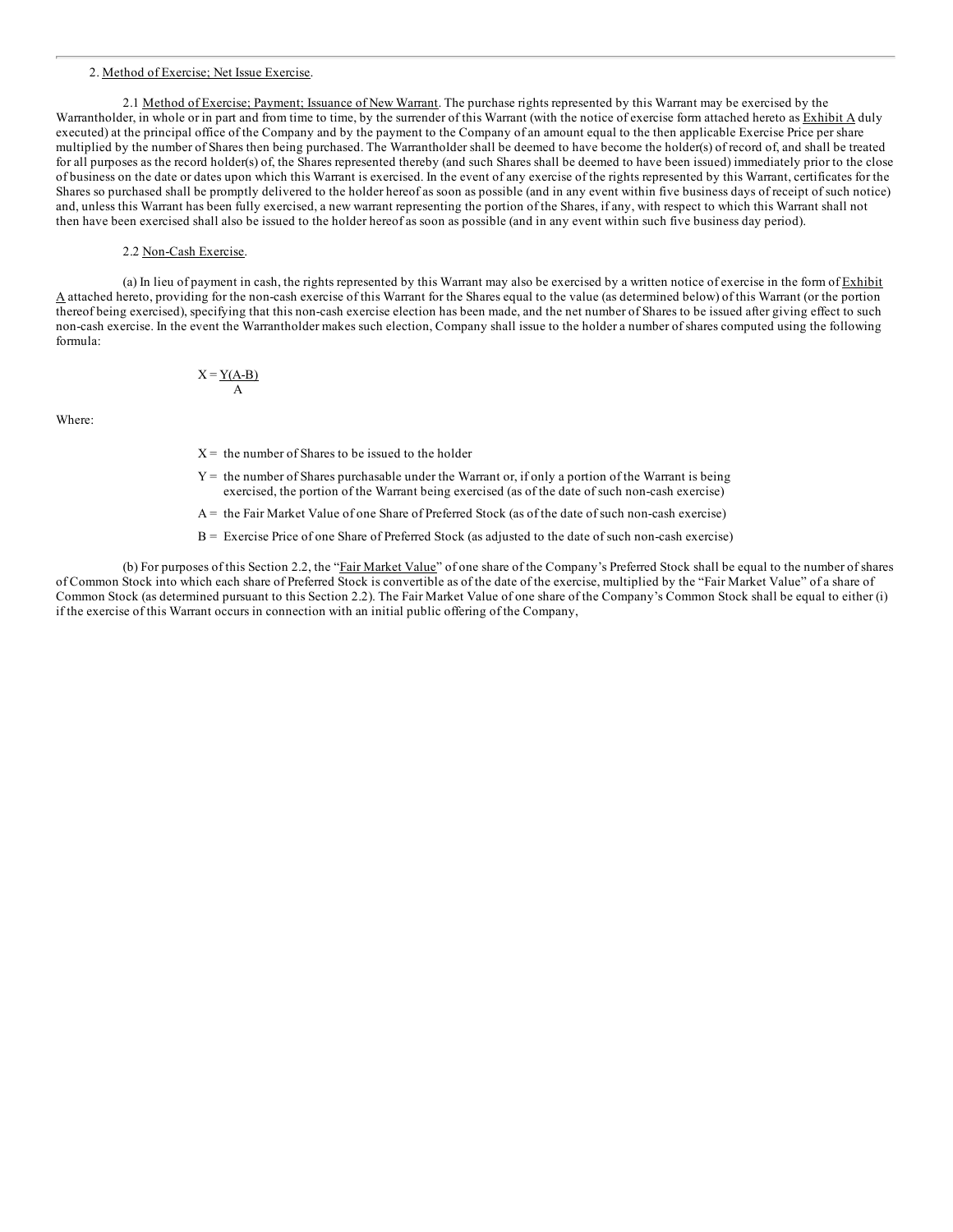#### 2. [Method](#page-1-0) of Exercise; Net Issue Exercise.

2.1 Method of Exercise; Payment; Issuance of New Warrant. The purchase rights represented by this Warrant may be exercised by the Warrantholder, in whole or in part and from time to time, by the surrender of this Warrant (with the notice of exercise form attached hereto as **Exhibit A** duly executed) at the principal office of the Company and by the payment to the Company of an amount equal to the then applicable Exercise Price per share multiplied by the number of Shares then being purchased. The Warrantholder shall be deemed to have become the holder(s) of record of, and shall be treated for all purposes as the record holder(s) of, the Shares represented thereby (and such Shares shall be deemed to have been issued) immediately prior to the close of business on the date or dates upon which this Warrant is exercised. In the event of any exercise of the rights represented by this Warrant, certificates for the Shares so purchased shall be promptly delivered to the holder hereof as soon as possible (and in any event within five business days of receipt of such notice) and, unless this Warrant has been fully exercised, a new warrant representing the portion of the Shares, if any, with respect to which this Warrant shall not then have been exercised shall also be issued to the holder hereof as soon as possible (and in any event within such five business day period).

# 2.2 Non-Cash Exercise.

(a) In lieu of payment in cash, the rights represented by this Warrant may also be exercised by a written notice of exercise in the form of Exhibit A attached hereto, providing for the non-cash exercise of this Warrant for the Shares equal to the value (as determined below) of this Warrant (or the portion thereof being exercised), specifying that this non-cash exercise election has been made, and the net number of Shares to be issued after giving effect to such non-cash exercise. In the event the Warrantholder makes such election, Company shall issue to the holder a number of shares computed using the following formula:

> $X = Y(A-B)$ A

Where:

- $X =$  the number of Shares to be issued to the holder
- $Y =$  the number of Shares purchasable under the Warrant or, if only a portion of the Warrant is being exercised, the portion of the Warrant being exercised (as of the date of such non-cash exercise)
- A = the Fair Market Value of one Share of Preferred Stock (as of the date of such non-cash exercise)
- B = Exercise Price of one Share of Preferred Stock (as adjusted to the date of such non-cash exercise)

(b) For purposes of this Section 2.2, the "Fair Market Value" of one share of the Company's Preferred Stock shall be equal to the number of shares of Common Stock into which each share of Preferred Stock is convertible as of the date of the exercise, multiplied by the "Fair Market Value" of a share of Common Stock (as determined pursuant to this Section 2.2). The Fair Market Value of one share of the Company's Common Stock shall be equal to either (i) if the exercise of this Warrant occurs in connection with an initial public offering of the Company,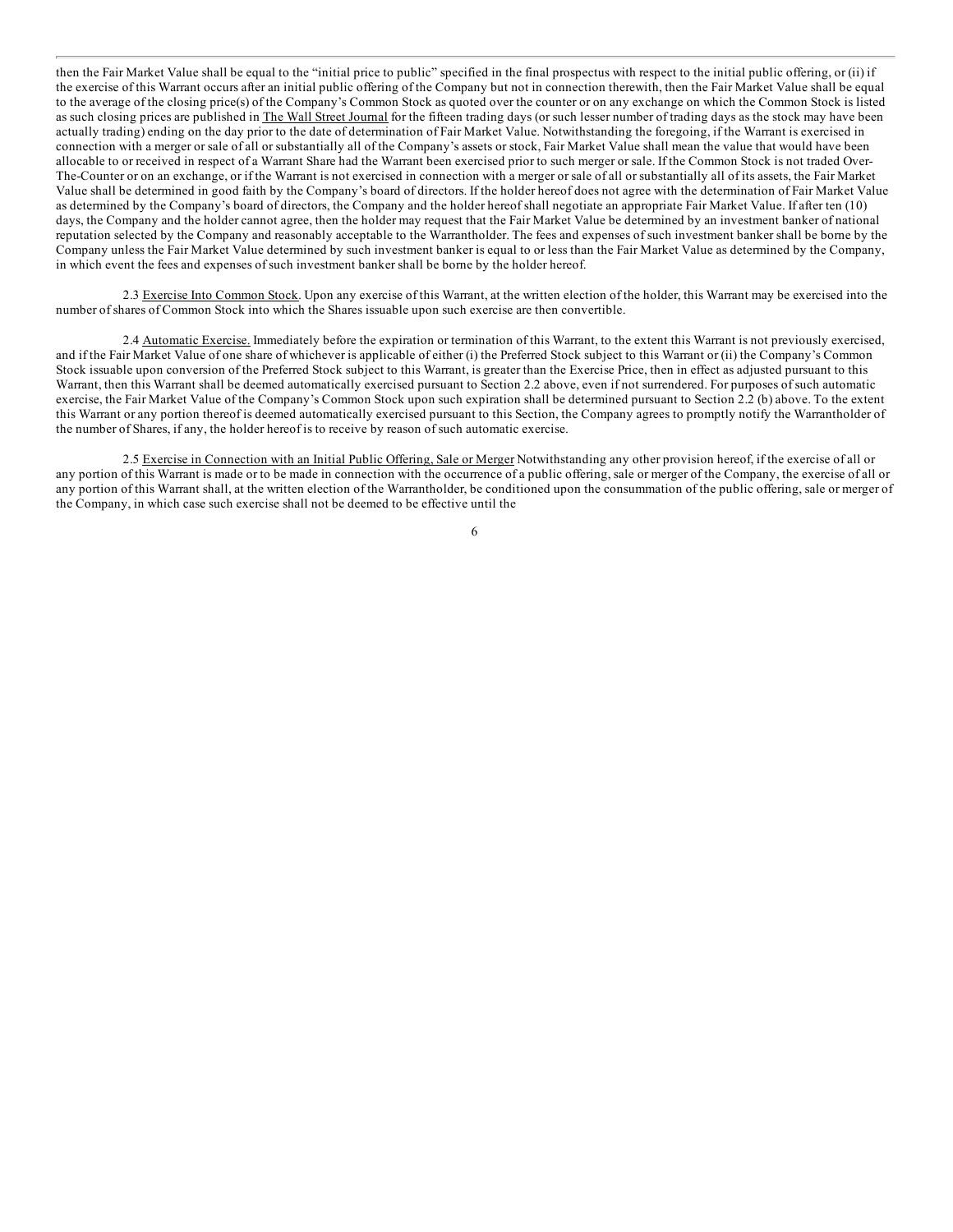then the Fair Market Value shall be equal to the "initial price to public" specified in the final prospectus with respect to the initial public offering, or (ii) if the [exercise](#page-1-0) of this Warrant occurs after an initial public offering of the Company but not in connection therewith, then the Fair Market Value shall be equal to the average of the closing price(s) of the Company's Common Stock as quoted over the counter or on any exchange on which the Common Stock is listed as such closing prices are published in The Wall Street Journal for the fifteen trading days (or such lesser number of trading days as the stock may have been actually trading) ending on the day prior to the date of determination of Fair Market Value. Notwithstanding the foregoing, if the Warrant is exercised in connection with a merger or sale of all or substantially all of the Company's assets or stock, Fair Market Value shall mean the value that would have been allocable to or received in respect of a Warrant Share had the Warrant been exercised prior to such merger or sale. If the Common Stock is not traded Over-The-Counter or on an exchange, or if the Warrant is not exercised in connection with a merger or sale of all or substantially all of its assets, the Fair Market Value shall be determined in good faith by the Company's board of directors. If the holder hereof does not agree with the determination of Fair Market Value as determined by the Company's board of directors, the Company and the holder hereof shall negotiate an appropriate Fair Market Value. If after ten (10) days, the Company and the holder cannot agree, then the holder may request that the Fair Market Value be determined by an investment banker of national reputation selected by the Company and reasonably acceptable to the Warrantholder. The fees and expenses of such investment banker shall be borne by the Company unless the Fair Market Value determined by such investment banker is equal to or less than the Fair Market Value as determined by the Company, in which event the fees and expenses of such investment banker shall be borne by the holder hereof.

2.3 Exercise Into Common Stock. Upon any exercise of this Warrant, at the written election of the holder, this Warrant may be exercised into the number of shares of Common Stock into which the Shares issuable upon such exercise are then convertible.

2.4 Automatic Exercise. Immediately before the expiration or termination of this Warrant, to the extent this Warrant is not previously exercised, and if the Fair Market Value of one share of whichever is applicable of either (i) the Preferred Stock subject to this Warrant or (ii) the Company's Common Stock issuable upon conversion of the Preferred Stock subject to this Warrant, is greater than the Exercise Price, then in effect as adjusted pursuant to this Warrant, then this Warrant shall be deemed automatically exercised pursuant to Section 2.2 above, even if not surrendered. For purposes of such automatic exercise, the Fair Market Value of the Company's Common Stock upon such expiration shall be determined pursuant to Section 2.2 (b) above. To the extent this Warrant or any portion thereof is deemed automatically exercised pursuant to this Section, the Company agrees to promptly notify the Warrantholder of the number of Shares, if any, the holder hereof is to receive by reason of such automatic exercise.

2.5 Exercise in Connection with an Initial Public Offering, Sale or Merger Notwithstanding any other provision hereof, if the exercise of all or any portion of this Warrant is made or to be made in connection with the occurrence of a public offering, sale or merger of the Company, the exercise of all or any portion of this Warrant shall, at the written election of the Warrantholder, be conditioned upon the consummation of the public offering, sale or merger of the Company, in which case such exercise shall not be deemed to be effective until the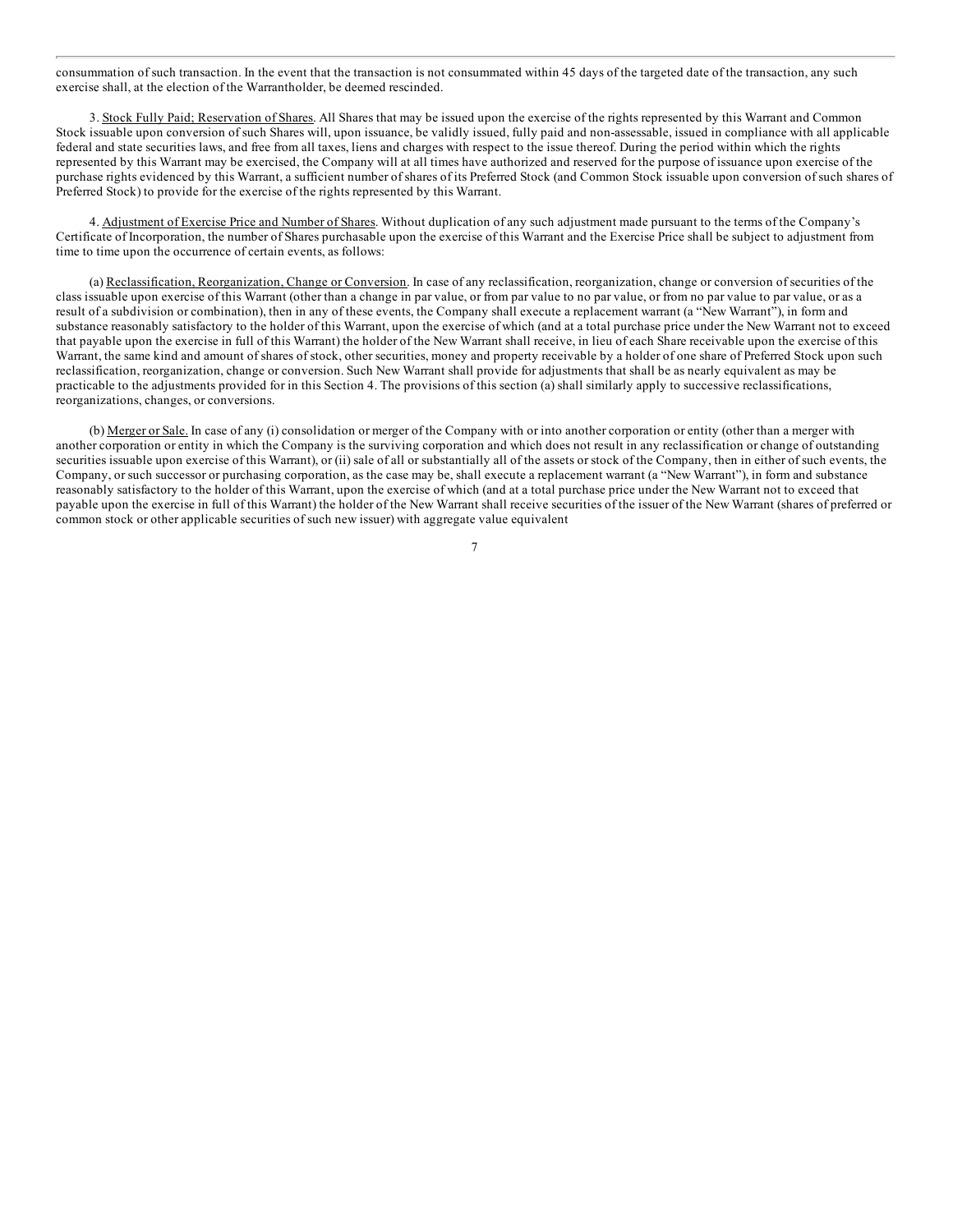[consummation](#page-1-0) of such transaction. In the event that the transaction is not consummated within 45 days of the targeted date of the transaction, any such exercise shall, at the election of the Warrantholder, be deemed rescinded.

3. Stock Fully Paid; Reservation of Shares. All Shares that may be issued upon the exercise of the rights represented by this Warrant and Common Stock issuable upon conversion of such Shares will, upon issuance, be validly issued, fully paid and non-assessable, issued in compliance with all applicable federal and state securities laws, and free from all taxes, liens and charges with respect to the issue thereof. During the period within which the rights represented by this Warrant may be exercised, the Company will at all times have authorized and reserved for the purpose of issuance upon exercise of the purchase rights evidenced by this Warrant, a sufficient number of shares of its Preferred Stock (and Common Stock issuable upon conversion of such shares of Preferred Stock) to provide for the exercise of the rights represented by this Warrant.

4. Adjustment of Exercise Price and Number of Shares. Without duplication of any such adjustment made pursuant to the terms of the Company's Certificate of Incorporation, the number of Shares purchasable upon the exercise of this Warrant and the Exercise Price shall be subject to adjustment from time to time upon the occurrence of certain events, as follows:

(a) Reclassification, Reorganization, Change or Conversion. In case of any reclassification, reorganization, change or conversion of securities of the class issuable upon exercise of this Warrant (other than a change in par value, or from par value to no par value, or from no par value to par value, or as a result of a subdivision or combination), then in any of these events, the Company shall execute a replacement warrant (a "New Warrant"), in form and substance reasonably satisfactory to the holder of this Warrant, upon the exercise of which (and at a total purchase price under the New Warrant not to exceed that payable upon the exercise in full of this Warrant) the holder of the New Warrant shall receive, in lieu of each Share receivable upon the exercise of this Warrant, the same kind and amount of shares of stock, other securities, money and property receivable by a holder of one share of Preferred Stock upon such reclassification, reorganization, change or conversion. Such New Warrant shall provide for adjustments that shall be as nearly equivalent as may be practicable to the adjustments provided for in this Section 4. The provisions of this section (a) shall similarly apply to successive reclassifications, reorganizations, changes, or conversions.

(b) Merger or Sale. In case of any (i) consolidation or merger of the Company with or into another corporation or entity (other than a merger with another corporation or entity in which the Company is the surviving corporation and which does not result in any reclassification or change of outstanding securities issuable upon exercise of this Warrant), or (ii) sale of all or substantially all of the assets or stock of the Company, then in either of such events, the Company, or such successor or purchasing corporation, as the case may be, shall execute a replacement warrant (a "New Warrant"), in form and substance reasonably satisfactory to the holder of this Warrant, upon the exercise of which (and at a total purchase price under the New Warrant not to exceed that payable upon the exercise in full of this Warrant) the holder of the New Warrant shall receive securities of the issuer of the New Warrant (shares of preferred or common stock or other applicable securities of such new issuer) with aggregate value equivalent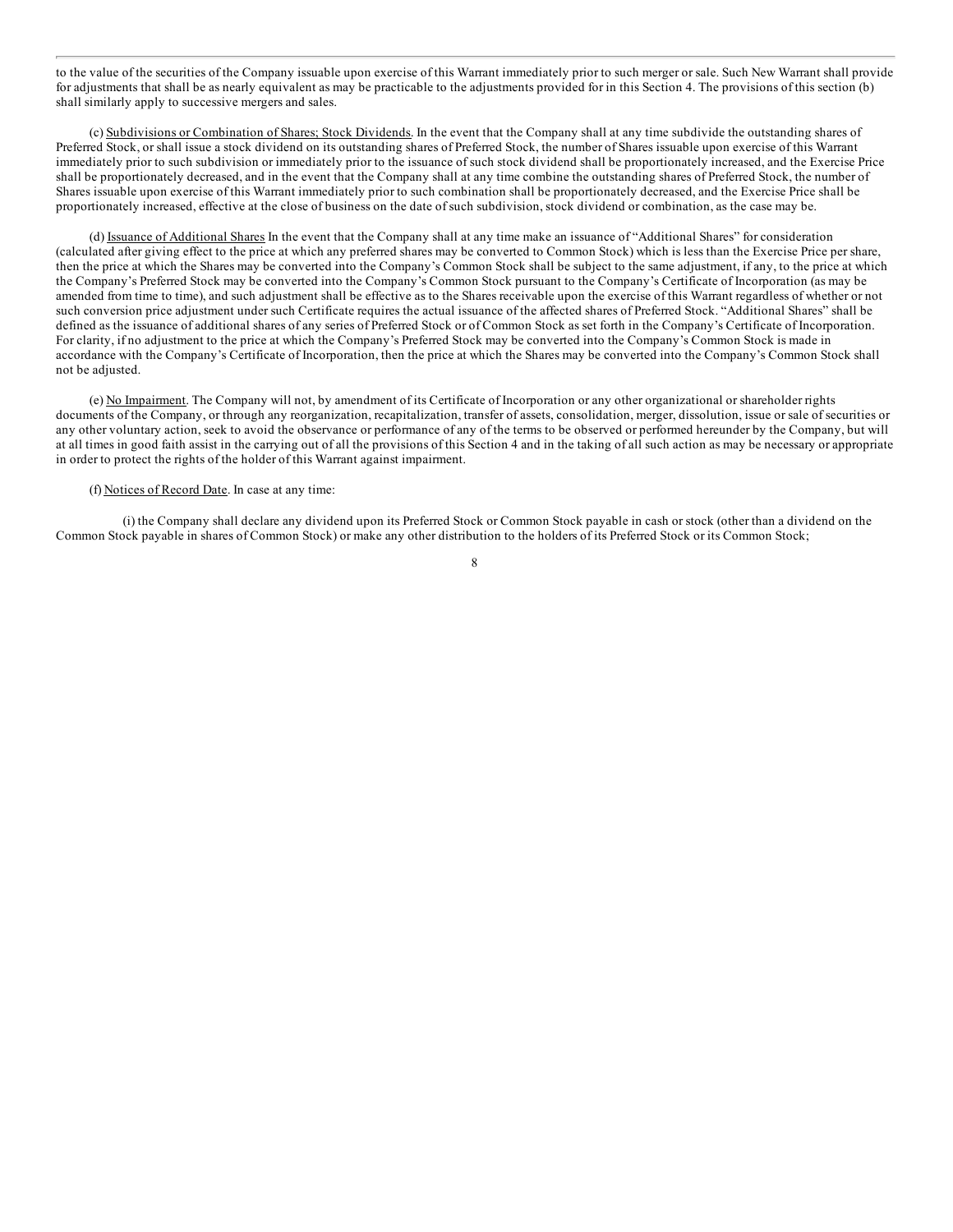to the value of the securities of the Company issuable upon exercise of this Warrant immediately prior to such merger or sale. Such New Warrant shall provide for [adjustments](#page-1-0) that shall be as nearly equivalent as may be practicable to the adjustments provided for in this Section 4. The provisions of this section (b) shall similarly apply to successive mergers and sales.

(c) Subdivisions or Combination of Shares; Stock Dividends. In the event that the Company shall at any time subdivide the outstanding shares of Preferred Stock, or shall issue a stock dividend on its outstanding shares of Preferred Stock, the number of Shares issuable upon exercise of this Warrant immediately prior to such subdivision or immediately prior to the issuance of such stock dividend shall be proportionately increased, and the Exercise Price shall be proportionately decreased, and in the event that the Company shall at any time combine the outstanding shares of Preferred Stock, the number of Shares issuable upon exercise of this Warrant immediately prior to such combination shall be proportionately decreased, and the Exercise Price shall be proportionately increased, effective at the close of business on the date of such subdivision, stock dividend or combination, as the case may be.

(d) Issuance of Additional Shares In the event that the Company shall at any time make an issuance of "Additional Shares" for consideration (calculated after giving effect to the price at which any preferred shares may be converted to Common Stock) which is less than the Exercise Price per share, then the price at which the Shares may be converted into the Company's Common Stock shall be subject to the same adjustment, if any, to the price at which the Company's Preferred Stock may be converted into the Company's Common Stock pursuant to the Company's Certificate of Incorporation (as may be amended from time to time), and such adjustment shall be effective as to the Shares receivable upon the exercise of this Warrant regardless of whether or not such conversion price adjustment under such Certificate requires the actual issuance of the affected shares of Preferred Stock. "Additional Shares" shall be defined as the issuance of additional shares of any series of Preferred Stock or of Common Stock as set forth in the Company's Certificate of Incorporation. For clarity, if no adjustment to the price at which the Company's Preferred Stock may be converted into the Company's Common Stock is made in accordance with the Company's Certificate of Incorporation, then the price at which the Shares may be converted into the Company's Common Stock shall not be adjusted.

(e) No Impairment. The Company will not, by amendment of its Certificate of Incorporation or any other organizational or shareholder rights documents of the Company, or through any reorganization, recapitalization, transfer of assets, consolidation, merger, dissolution, issue or sale of securities or any other voluntary action, seek to avoid the observance or performance of any of the terms to be observed or performed hereunder by the Company, but will at all times in good faith assist in the carrying out of all the provisions of this Section 4 and in the taking of all such action as may be necessary or appropriate in order to protect the rights of the holder of this Warrant against impairment.

### (f) Notices of Record Date. In case at any time:

(i) the Company shall declare any dividend upon its Preferred Stock or Common Stock payable in cash or stock (other than a dividend on the Common Stock payable in shares of Common Stock) or make any other distribution to the holders of its Preferred Stock or its Common Stock;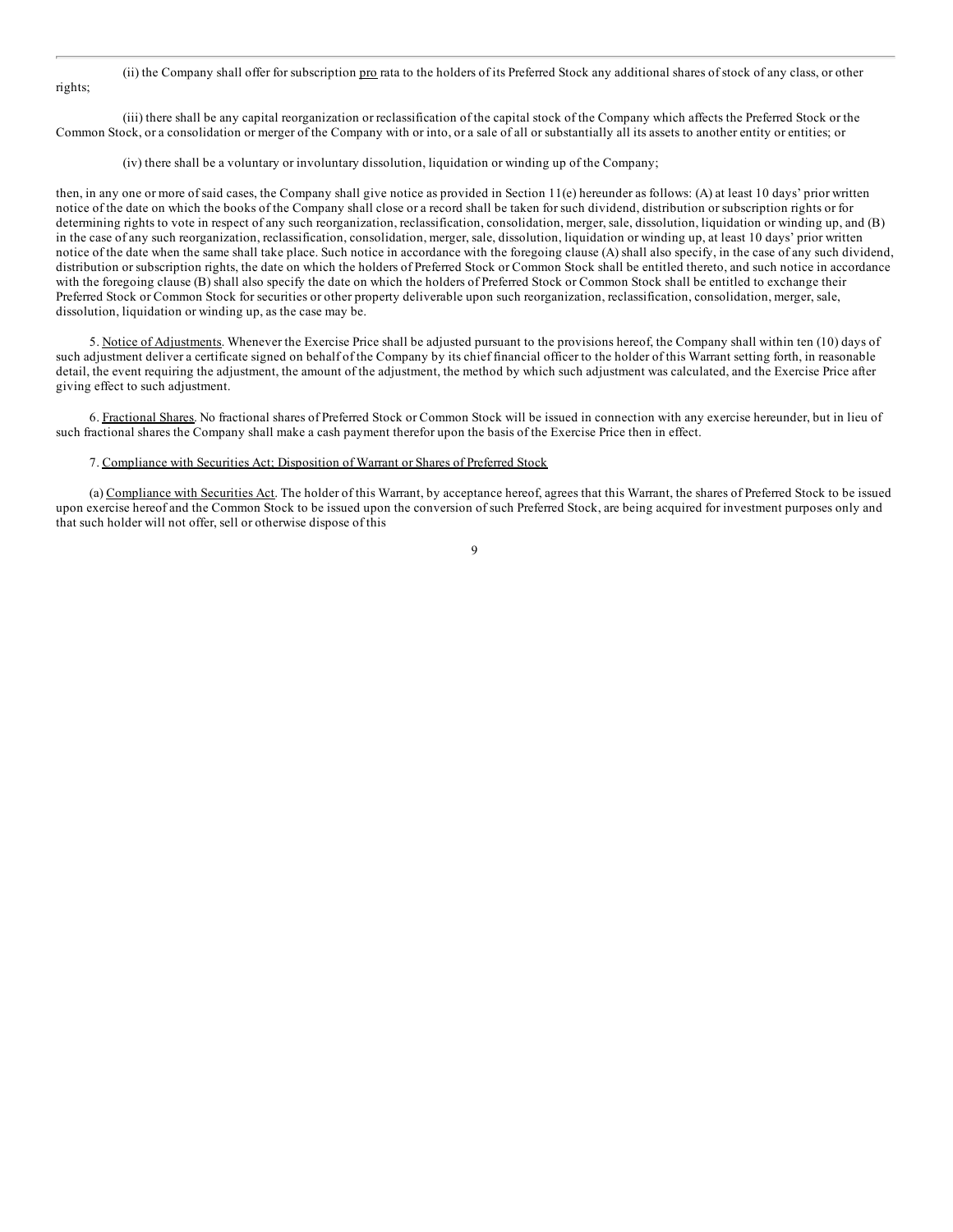(ii) the Company shall offer for subscription pro rata to the holders of its Preferred Stock any additional shares of stock of any class, or other [rights;](#page-1-0)

(iii) there shall be any capital reorganization or reclassification of the capital stock of the Company which affects the Preferred Stock or the Common Stock, or a consolidation or merger of the Company with or into, or a sale of all or substantially all its assets to another entity or entities; or

(iv) there shall be a voluntary or involuntary dissolution, liquidation or winding up of the Company;

then, in any one or more of said cases, the Company shall give notice as provided in Section 11(e) hereunder as follows: (A) at least 10 days' prior written notice of the date on which the books of the Company shall close or a record shall be taken for such dividend, distribution or subscription rights or for determining rights to vote in respect of any such reorganization, reclassification, consolidation, merger, sale, dissolution, liquidation or winding up, and (B) in the case of any such reorganization, reclassification, consolidation, merger, sale, dissolution, liquidation or winding up, at least 10 days' prior written notice of the date when the same shall take place. Such notice in accordance with the foregoing clause (A) shall also specify, in the case of any such dividend, distribution or subscription rights, the date on which the holders of Preferred Stock or Common Stock shall be entitled thereto, and such notice in accordance with the foregoing clause (B) shall also specify the date on which the holders of Preferred Stock or Common Stock shall be entitled to exchange their Preferred Stock or Common Stock for securities or other property deliverable upon such reorganization, reclassification, consolidation, merger, sale, dissolution, liquidation or winding up, as the case may be.

5. Notice of Adjustments. Whenever the Exercise Price shall be adjusted pursuant to the provisions hereof, the Company shall within ten (10) days of such adjustment deliver a certificate signed on behalf of the Company by its chief financial officer to the holder of this Warrant setting forth, in reasonable detail, the event requiring the adjustment, the amount of the adjustment, the method by which such adjustment was calculated, and the Exercise Price after giving effect to such adjustment.

6. Fractional Shares. No fractional shares of Preferred Stock or Common Stock will be issued in connection with any exercise hereunder, but in lieu of such fractional shares the Company shall make a cash payment therefor upon the basis of the Exercise Price then in effect.

#### 7. Compliance with Securities Act; Disposition of Warrant or Shares of Preferred Stock

(a) Compliance with Securities Act. The holder of this Warrant, by acceptance hereof, agrees that this Warrant, the shares of Preferred Stock to be issued upon exercise hereof and the Common Stock to be issued upon the conversion of such Preferred Stock, are being acquired for investment purposes only and that such holder will not offer, sell or otherwise dispose of this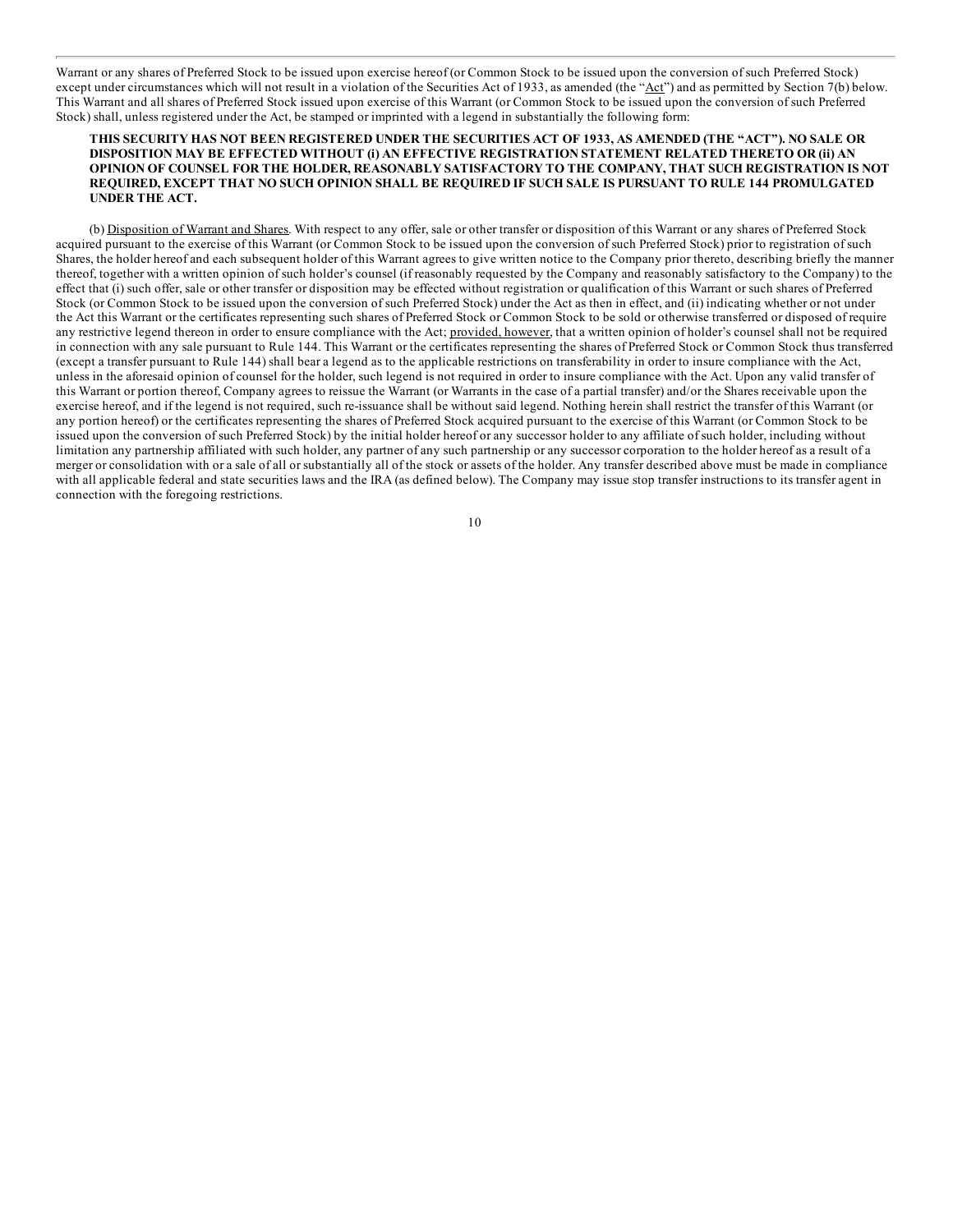Warrant or any shares of Preferred Stock to be issued upon exercise hereof (or Common Stock to be issued upon the conversion of such Preferred Stock) [except](#page-1-0) under circumstances which will not result in a violation of the Securities Act of 1933, as amended (the " $\Delta ct$ ") and as permitted by Section 7(b) below. This Warrant and all shares of Preferred Stock issued upon exercise of this Warrant (or Common Stock to be issued upon the conversion of such Preferred Stock) shall, unless registered under the Act, be stamped or imprinted with a legend in substantially the following form:

### THIS SECURITY HAS NOT BEEN REGISTERED UNDER THE SECURITIES ACT OF 1933, AS AMENDED (THE "ACT"). NO SALE OR **DISPOSITION MAY BE EFFECTED WITHOUT (i) AN EFFECTIVE REGISTRATION STATEMENT RELATED THERETO OR (ii) AN OPINION OF COUNSEL FOR THE HOLDER, REASONABLY SATISFACTORY TO THE COMPANY, THAT SUCH REGISTRATION IS NOT** REQUIRED, EXCEPT THAT NO SUCH OPINION SHALL BE REQUIRED IF SUCH SALE IS PURSUANT TO RULE 144 PROMULGATED **UNDER THE ACT.**

(b) Disposition of Warrant and Shares. With respect to any offer, sale or other transfer or disposition of this Warrant or any shares of Preferred Stock acquired pursuant to the exercise of this Warrant (or Common Stock to be issued upon the conversion of such Preferred Stock) prior to registration of such Shares, the holder hereof and each subsequent holder of this Warrant agrees to give written notice to the Company prior thereto, describing briefly the manner thereof, together with a written opinion of such holder's counsel (if reasonably requested by the Company and reasonably satisfactory to the Company) to the effect that (i) such offer, sale or other transfer or disposition may be effected without registration or qualification of this Warrant or such shares of Preferred Stock (or Common Stock to be issued upon the conversion of such Preferred Stock) under the Act as then in effect, and (ii) indicating whether or not under the Act this Warrant or the certificates representing such shares of Preferred Stock or Common Stock to be sold or otherwise transferred or disposed of require any restrictive legend thereon in order to ensure compliance with the Act; provided, however, that a written opinion of holder's counsel shall not be required in connection with any sale pursuant to Rule 144. This Warrant or the certificates representing the shares of Preferred Stock or Common Stock thus transferred (except a transfer pursuant to Rule 144) shall bear a legend as to the applicable restrictions on transferability in order to insure compliance with the Act, unless in the aforesaid opinion of counsel for the holder, such legend is not required in order to insure compliance with the Act. Upon any valid transfer of this Warrant or portion thereof, Company agrees to reissue the Warrant (or Warrants in the case of a partial transfer) and/or the Shares receivable upon the exercise hereof, and if the legend is not required, such re-issuance shall be without said legend. Nothing herein shall restrict the transfer of this Warrant (or any portion hereof) or the certificates representing the shares of Preferred Stock acquired pursuant to the exercise of this Warrant (or Common Stock to be issued upon the conversion of such Preferred Stock) by the initial holder hereof or any successor holder to any affiliate of such holder, including without limitation any partnership affiliated with such holder, any partner of any such partnership or any successor corporation to the holder hereof as a result of a merger or consolidation with or a sale of all or substantially all of the stock or assets of the holder. Any transfer described above must be made in compliance with all applicable federal and state securities laws and the IRA (as defined below). The Company may issue stop transfer instructions to its transfer agent in connection with the foregoing restrictions.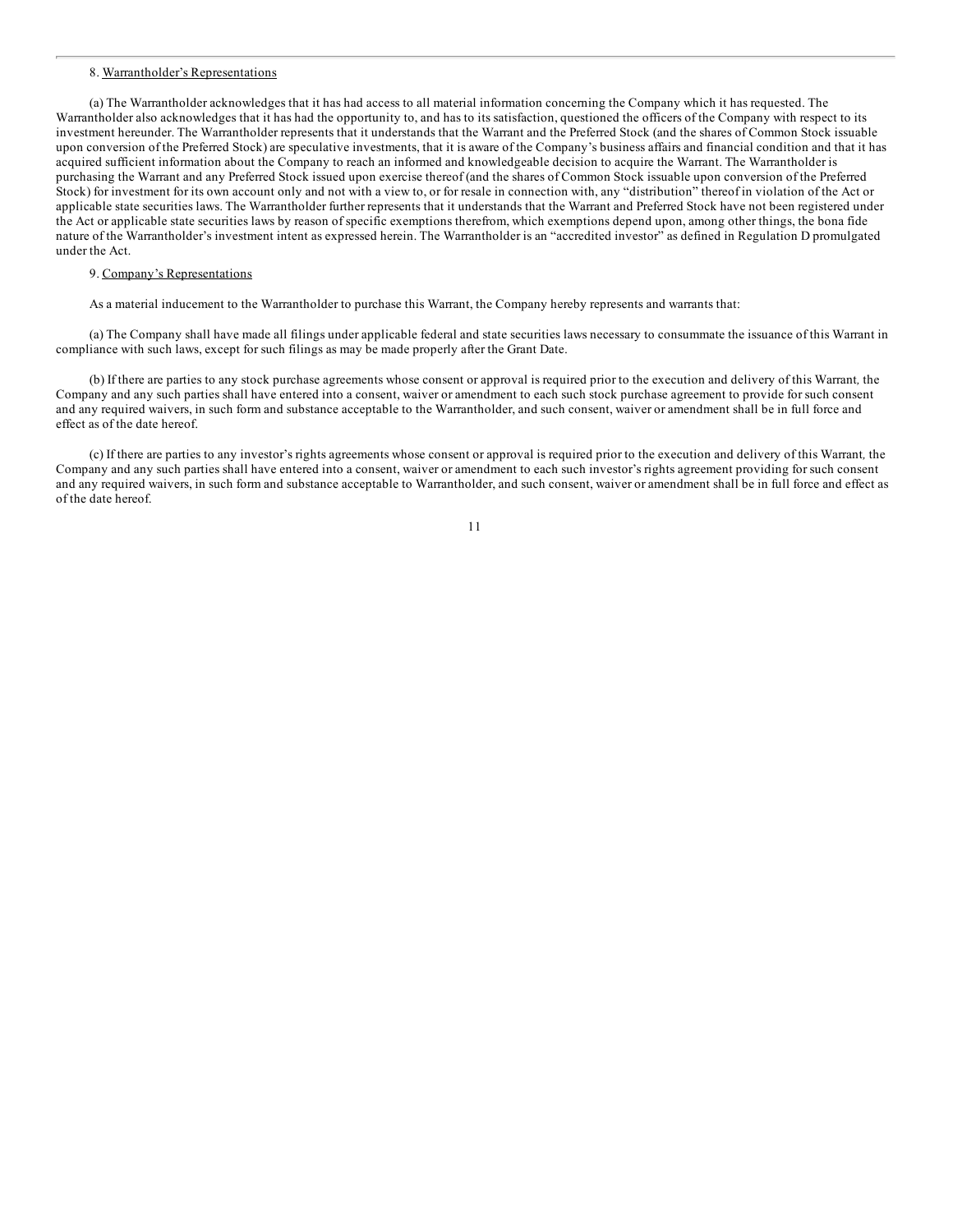#### 8. [Warranth](#page-1-0)older's Representations

(a) The Warrantholder acknowledges that it has had access to all material information concerning the Company which it has requested. The Warrantholder also acknowledges that it has had the opportunity to, and has to its satisfaction, questioned the officers of the Company with respect to its investment hereunder. The Warrantholder represents that it understands that the Warrant and the Preferred Stock (and the shares of Common Stock issuable upon conversion of the Preferred Stock) are speculative investments, that it is aware of the Company's business affairs and financial condition and that it has acquired sufficient information about the Company to reach an informed and knowledgeable decision to acquire the Warrant. The Warrantholder is purchasing the Warrant and any Preferred Stock issued upon exercise thereof (and the shares of Common Stock issuable upon conversion of the Preferred Stock) for investment for its own account only and not with a view to, or for resale in connection with, any "distribution" thereof in violation of the Act or applicable state securities laws. The Warrantholder further represents that it understands that the Warrant and Preferred Stock have not been registered under the Act or applicable state securities laws by reason of specific exemptions therefrom, which exemptions depend upon, among other things, the bona fide nature of the Warrantholder's investment intent as expressed herein. The Warrantholder is an "accredited investor" as defined in Regulation D promulgated under the Act.

# 9. Company's Representations

As a material inducement to the Warrantholder to purchase this Warrant, the Company hereby represents and warrants that:

(a) The Company shall have made all filings under applicable federal and state securities laws necessary to consummate the issuance of this Warrant in compliance with such laws, except for such filings as may be made properly after the Grant Date.

(b) If there are parties to any stock purchase agreements whose consent or approval is required prior to the execution and delivery of this Warrant*,* the Company and any such parties shall have entered into a consent, waiver or amendment to each such stock purchase agreement to provide for such consent and any required waivers, in such form and substance acceptable to the Warrantholder, and such consent, waiver or amendment shall be in full force and effect as of the date hereof.

(c) If there are parties to any investor's rights agreements whose consent or approval is required prior to the execution and delivery of this Warrant*,* the Company and any such parties shall have entered into a consent, waiver or amendment to each such investor's rights agreement providing for such consent and any required waivers, in such form and substance acceptable to Warrantholder, and such consent, waiver or amendment shall be in full force and effect as of the date hereof.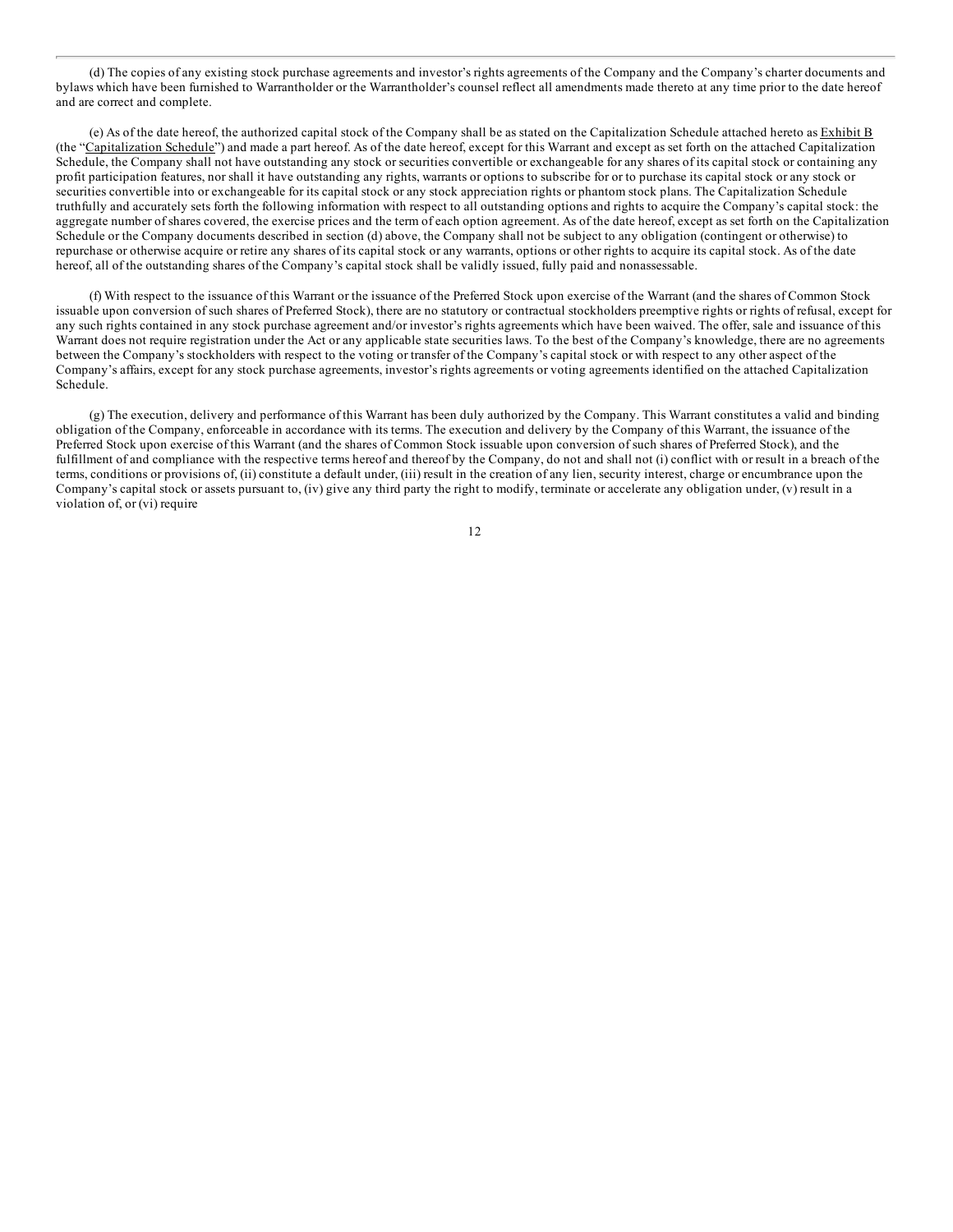(d) The copies of any existing stock purchase agreements and investor's rights agreements of the Company and the Company's charter documents and [bylaws](#page-1-0) which have been furnished to Warrantholder or the Warrantholder's counsel reflect all amendments made thereto at any time prior to the date hereof and are correct and complete.

(e) As of the date hereof, the authorized capital stock of the Company shall be as stated on the Capitalization Schedule attached hereto as Exhibit B (the "Capitalization Schedule") and made a part hereof. As of the date hereof, except for this Warrant and except as set forth on the attached Capitalization Schedule, the Company shall not have outstanding any stock or securities convertible or exchangeable for any shares of its capital stock or containing any profit participation features, nor shall it have outstanding any rights, warrants or options to subscribe for or to purchase its capital stock or any stock or securities convertible into or exchangeable for its capital stock or any stock appreciation rights or phantom stock plans. The Capitalization Schedule truthfully and accurately sets forth the following information with respect to all outstanding options and rights to acquire the Company's capital stock: the aggregate number of shares covered, the exercise prices and the term of each option agreement. As of the date hereof, except as set forth on the Capitalization Schedule or the Company documents described in section (d) above, the Company shall not be subject to any obligation (contingent or otherwise) to repurchase or otherwise acquire or retire any shares of its capital stock or any warrants, options or other rights to acquire its capital stock. As of the date hereof, all of the outstanding shares of the Company's capital stock shall be validly issued, fully paid and nonassessable.

(f) With respect to the issuance of this Warrant or the issuance of the Preferred Stock upon exercise of the Warrant (and the shares of Common Stock issuable upon conversion of such shares of Preferred Stock), there are no statutory or contractual stockholders preemptive rights or rights of refusal, except for any such rights contained in any stock purchase agreement and/or investor's rights agreements which have been waived. The offer, sale and issuance of this Warrant does not require registration under the Act or any applicable state securities laws. To the best of the Company's knowledge, there are no agreements between the Company's stockholders with respect to the voting or transfer of the Company's capital stock or with respect to any other aspect of the Company's affairs, except for any stock purchase agreements, investor's rights agreements or voting agreements identified on the attached Capitalization Schedule.

(g) The execution, delivery and performance of this Warrant has been duly authorized by the Company. This Warrant constitutes a valid and binding obligation of the Company, enforceable in accordance with its terms. The execution and delivery by the Company of this Warrant, the issuance of the Preferred Stock upon exercise of this Warrant (and the shares of Common Stock issuable upon conversion of such shares of Preferred Stock), and the fulfillment of and compliance with the respective terms hereof and thereof by the Company, do not and shall not (i) conflict with or result in a breach of the terms, conditions or provisions of, (ii) constitute a default under, (iii) result in the creation of any lien, security interest, charge or encumbrance upon the Company's capital stock or assets pursuant to, (iv) give any third party the right to modify, terminate or accelerate any obligation under, (v) result in a violation of, or (vi) require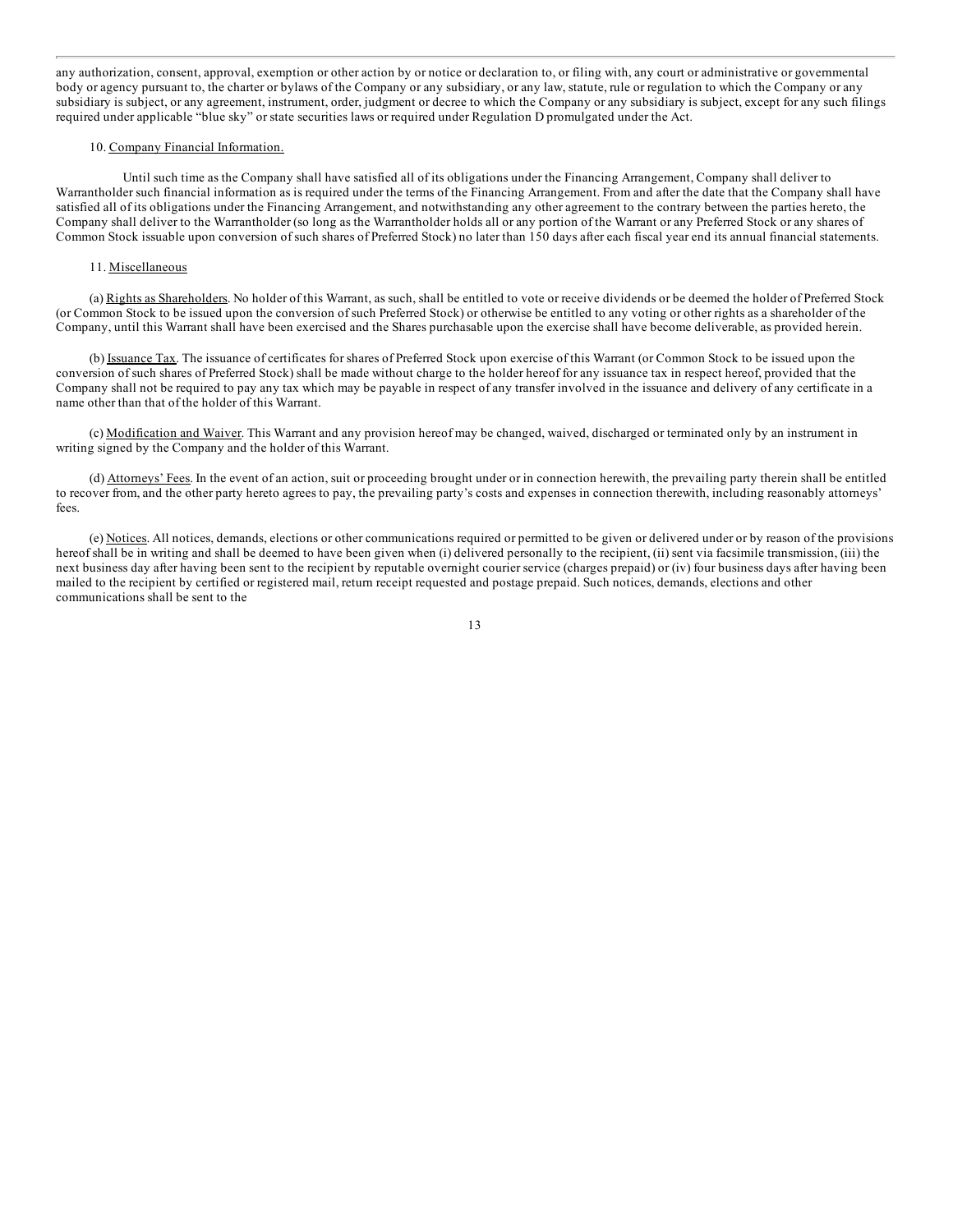any [authorization](#page-1-0), consent, approval, exemption or other action by or notice or declaration to, or filing with, any court or administrative or governmental body or agency pursuant to, the charter or bylaws of the Company or any subsidiary, or any law, statute, rule or regulation to which the Company or any subsidiary is subject, or any agreement, instrument, order, judgment or decree to which the Company or any subsidiary is subject, except for any such filings required under applicable "blue sky" or state securities laws or required under Regulation D promulgated under the Act.

# 10. Company Financial Information.

Until such time as the Company shall have satisfied all of its obligations under the Financing Arrangement, Company shall deliver to Warrantholder such financial information as is required under the terms of the Financing Arrangement. From and after the date that the Company shall have satisfied all of its obligations under the Financing Arrangement, and notwithstanding any other agreement to the contrary between the parties hereto, the Company shall deliver to the Warrantholder (so long as the Warrantholder holds all or any portion of the Warrant or any Preferred Stock or any shares of Common Stock issuable upon conversion of such shares of Preferred Stock) no later than 150 days after each fiscal year end its annual financial statements.

# 11. Miscellaneous

(a) Rights as Shareholders. No holder of this Warrant, as such, shall be entitled to vote or receive dividends or be deemed the holder of Preferred Stock (or Common Stock to be issued upon the conversion of such Preferred Stock) or otherwise be entitled to any voting or other rights as a shareholder of the Company, until this Warrant shall have been exercised and the Shares purchasable upon the exercise shall have become deliverable, as provided herein.

(b) Issuance Tax. The issuance of certificates for shares of Preferred Stock upon exercise of this Warrant (or Common Stock to be issued upon the conversion of such shares of Preferred Stock) shall be made without charge to the holder hereof for any issuance tax in respect hereof, provided that the Company shall not be required to pay any tax which may be payable in respect of any transfer involved in the issuance and delivery of any certificate in a name other than that of the holder of this Warrant.

(c) Modification and Waiver. This Warrant and any provision hereof may be changed, waived, discharged or terminated only by an instrument in writing signed by the Company and the holder of this Warrant.

(d) Attorneys' Fees. In the event of an action, suit or proceeding brought under or in connection herewith, the prevailing party therein shall be entitled to recover from, and the other party hereto agrees to pay, the prevailing party's costs and expenses in connection therewith, including reasonably attorneys' fees.

(e) Notices. All notices, demands, elections or other communications required or permitted to be given or delivered under or by reason of the provisions hereof shall be in writing and shall be deemed to have been given when (i) delivered personally to the recipient, (ii) sent via facsimile transmission, (iii) the next business day after having been sent to the recipient by reputable overnight courier service (charges prepaid) or (iv) four business days after having been mailed to the recipient by certified or registered mail, return receipt requested and postage prepaid. Such notices, demands, elections and other communications shall be sent to the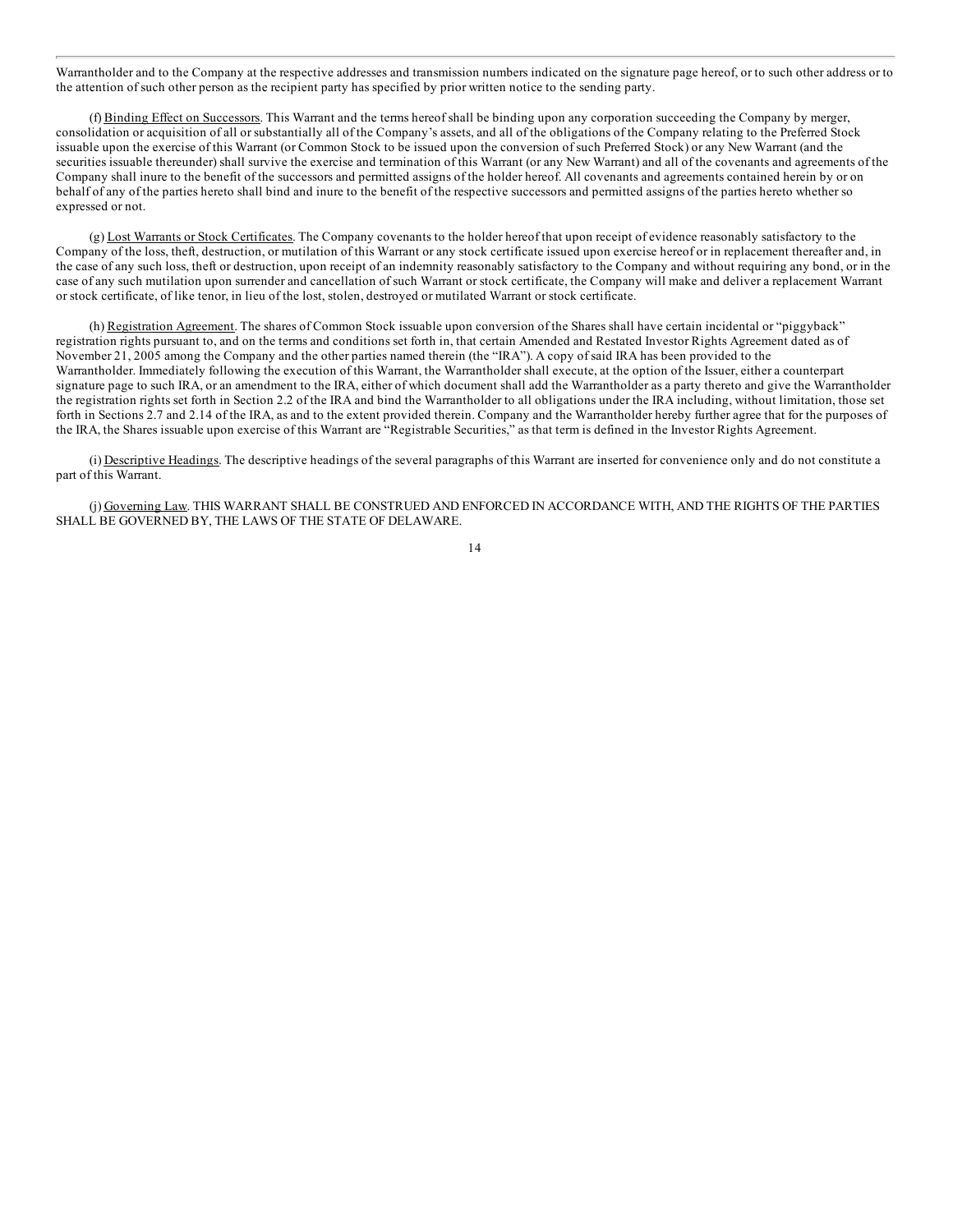[Warrantholder](#page-1-0) and to the Company at the respective addresses and transmission numbers indicated on the signature page hereof, or to such other address or to the attention of such other person as the recipient party has specified by prior written notice to the sending party.

(f) Binding Effect on Successors. This Warrant and the terms hereof shall be binding upon any corporation succeeding the Company by merger, consolidation or acquisition of all or substantially all of the Company's assets, and all of the obligations of the Company relating to the Preferred Stock issuable upon the exercise of this Warrant (or Common Stock to be issued upon the conversion of such Preferred Stock) or any New Warrant (and the securities issuable thereunder) shall survive the exercise and termination of this Warrant (or any New Warrant) and all of the covenants and agreements of the Company shall inure to the benefit of the successors and permitted assigns of the holder hereof. All covenants and agreements contained herein by or on behalf of any of the parties hereto shall bind and inure to the benefit of the respective successors and permitted assigns of the parties hereto whether so expressed or not.

(g) Lost Warrants or Stock Certificates. The Company covenants to the holder hereof that upon receipt of evidence reasonably satisfactory to the Company of the loss, theft, destruction, or mutilation of this Warrant or any stock certificate issued upon exercise hereof or in replacement thereafter and, in the case of any such loss, theft or destruction, upon receipt of an indemnity reasonably satisfactory to the Company and without requiring any bond, or in the case of any such mutilation upon surrender and cancellation of such Warrant or stock certificate, the Company will make and deliver a replacement Warrant or stock certificate, of like tenor, in lieu of the lost, stolen, destroyed or mutilated Warrant or stock certificate.

(h) Registration Agreement. The shares of Common Stock issuable upon conversion of the Shares shall have certain incidental or "piggyback" registration rights pursuant to, and on the terms and conditions set forth in, that certain Amended and Restated Investor Rights Agreement dated as of November 21, 2005 among the Company and the other parties named therein (the "IRA"). A copy of said IRA has been provided to the Warrantholder. Immediately following the execution of this Warrant, the Warrantholder shall execute, at the option of the Issuer, either a counterpart signature page to such IRA, or an amendment to the IRA, either of which document shall add the Warrantholder as a party thereto and give the Warrantholder the registration rights set forth in Section 2.2 of the IRA and bind the Warrantholder to all obligations under the IRA including, without limitation, those set forth in Sections 2.7 and 2.14 of the IRA, as and to the extent provided therein. Company and the Warrantholder hereby further agree that for the purposes of the IRA, the Shares issuable upon exercise of this Warrant are "Registrable Securities," as that term is defined in the Investor Rights Agreement.

(i) Descriptive Headings. The descriptive headings of the several paragraphs of this Warrant are inserted for convenience only and do not constitute a part of this Warrant.

(j) Governing Law. THIS WARRANT SHALL BE CONSTRUED AND ENFORCED IN ACCORDANCE WITH, AND THE RIGHTS OF THE PARTIES SHALL BE GOVERNED BY, THE LAWS OF THE STATE OF DELAWARE.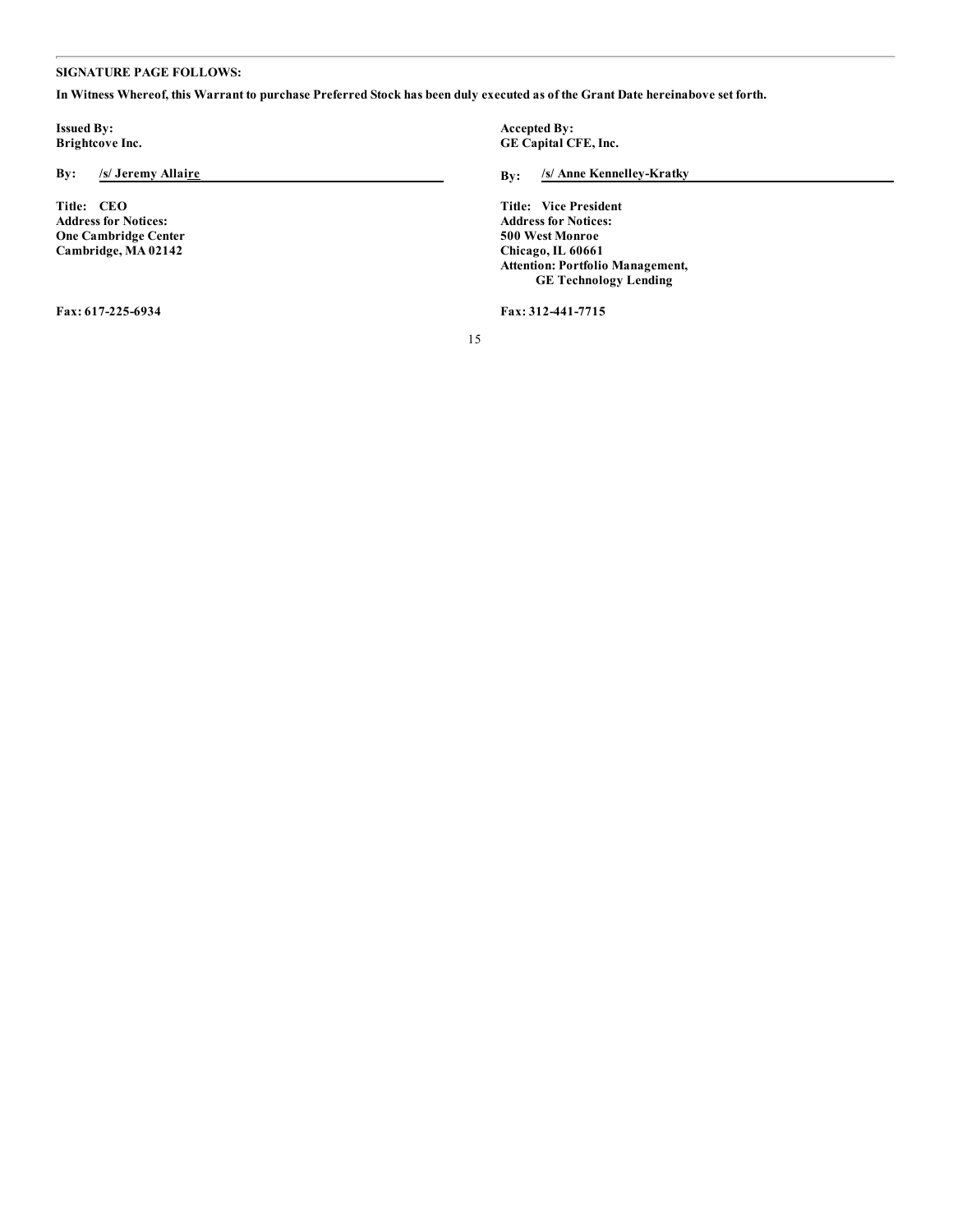# **[SIGNATURE](#page-1-0) PAGE FOLLOWS:**

In Witness Whereof, this Warrant to purchase Preferred Stock has been duly executed as of the Grant Date hereinabove set forth.

**Issued By: Accepted By: Accepted By: Accepted By: Accepted By: CE Capital C** 

**Address for Notices: One Cambridge Center Cambridge, MA 02142**

**Brightcove Inc. GE Capital CFE, Inc.**

**By: /s/ Jeremy Allaire By: /s/ Anne Kennelley-Kratky**

**Title: CEO Title: Vice President Address for Notices: 500 West Monroe Chicago, IL 60661 Attention: Portfolio Management, GE Technology Lending**

**Fax: 617-225-6934 Fax: 312-441-7715**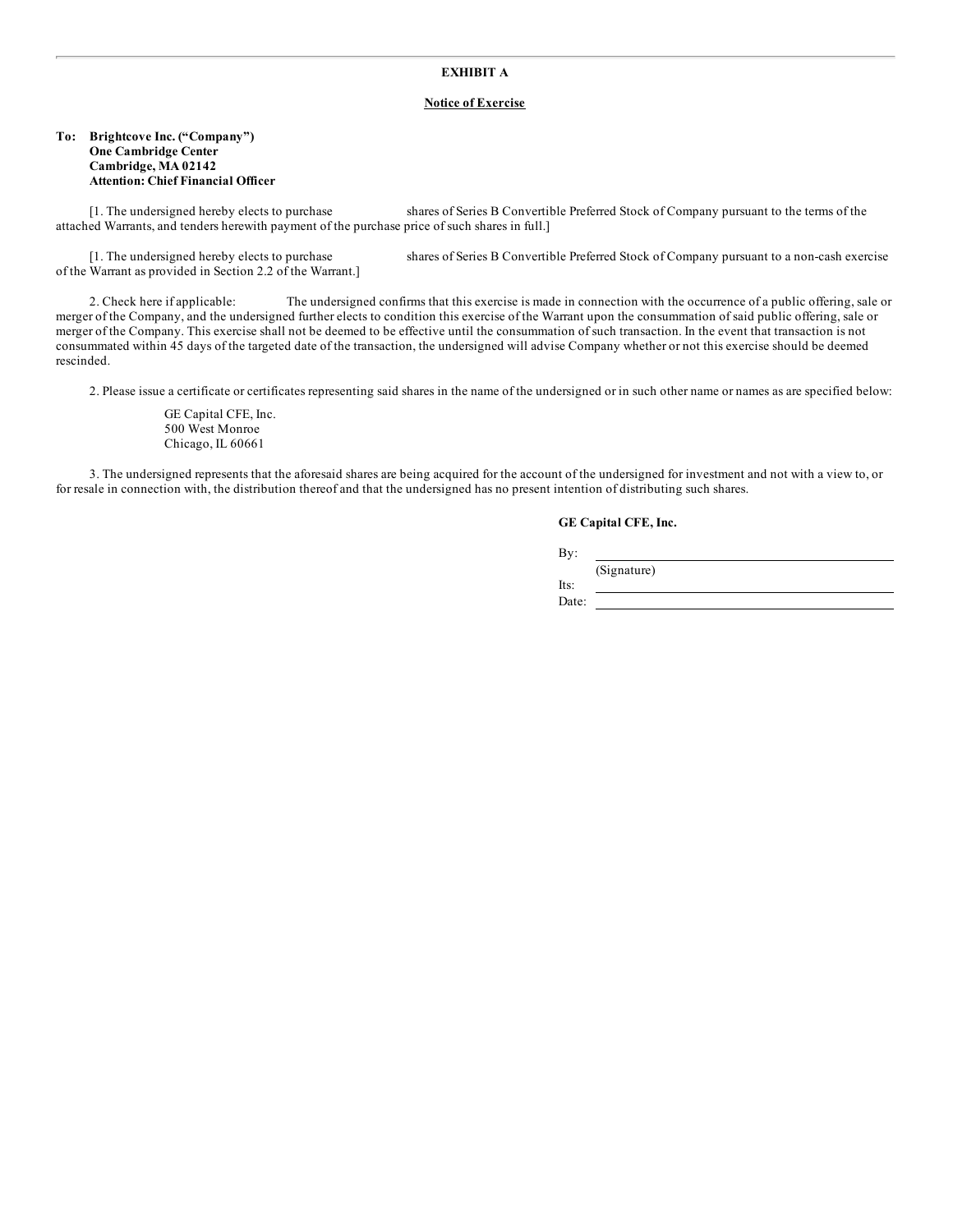# **EXHIBIT A**

# **Notice of Exercise**

# **To: Brightcove Inc. ("Company") One Cambridge Center Cambridge, MA 02142 Attention: Chief Financial Officer**

[1. The undersigned hereby elects to purchase shares of Series B Convertible Preferred Stock of Company pursuant to the terms of the attached Warrants, and tenders herewith payment of the purchase price of such shares in full.]

of the Warrant as provided in Section 2.2 of the Warrant.]

[1. The undersigned hereby elects to purchase shares of Series B Convertible Preferred Stock of Company pursuant to a non-cash exercise

2. Check here if applicable: The undersigned confirms that this exercise is made in connection with the occurrence of a public offering, sale or merger of the Company, and the undersigned further elects to condition this exercise of the Warrant upon the consummation of said public offering, sale or merger of the Company. This exercise shall not be deemed to be effective until the consummation of such transaction. In the event that transaction is not consummated within 45 days of the targeted date of the transaction, the undersigned will advise Company whether or not this exercise should be deemed rescinded.

2. Please issue a certificate or certificates representing said shares in the name of the undersigned or in such other name or names as are specified below:

GE Capital CFE, Inc. 500 West Monroe Chicago, IL 60661

3. The undersigned represents that the aforesaid shares are being acquired for the account of the undersigned for investment and not with a view to, or for resale in connection with, the distribution thereof and that the undersigned has no present intention of distributing such shares.

# **GE Capital CFE, Inc.**

By:

(Signature)

Its: Date: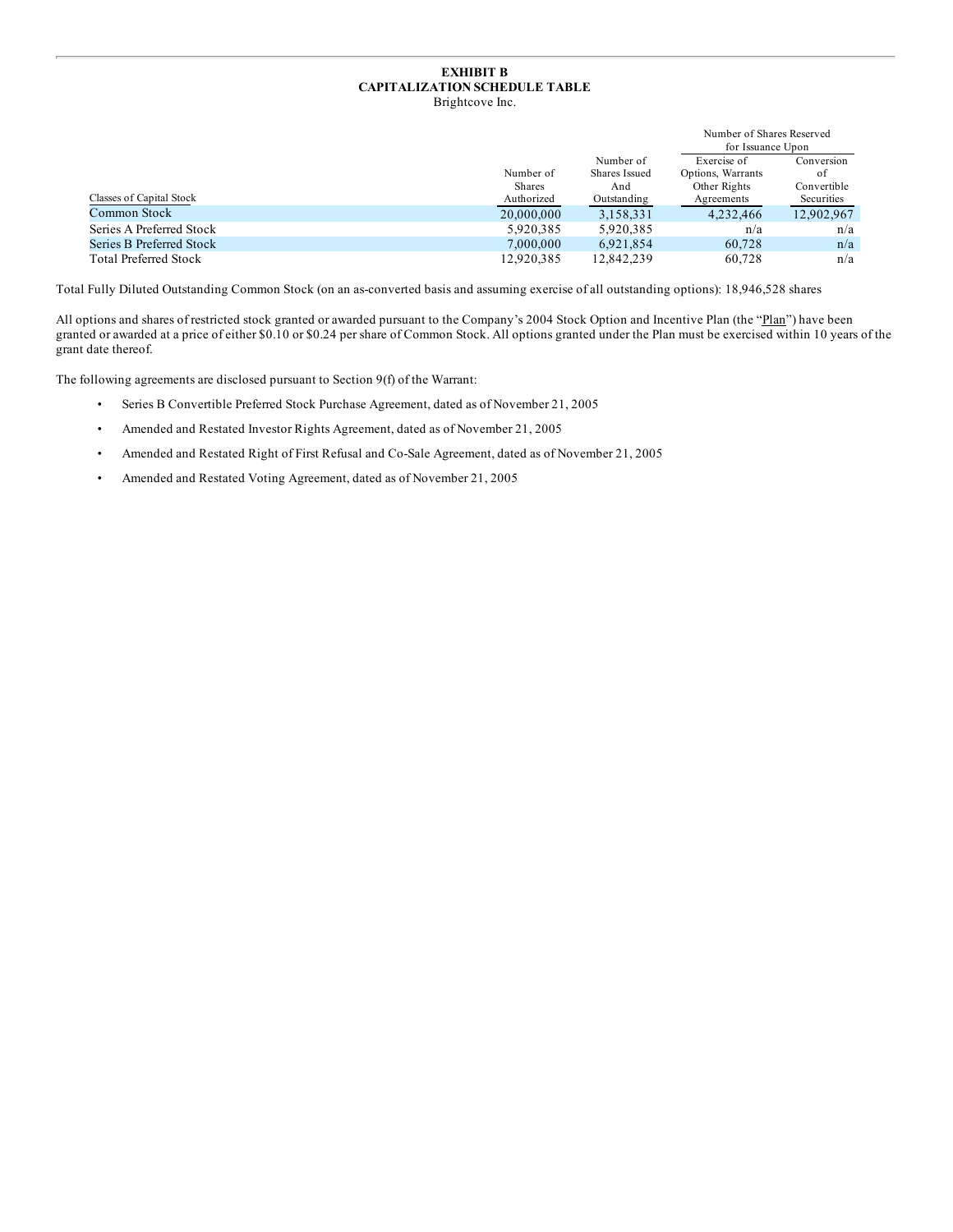# **EXHIBIT B CAPITALIZATION SCHEDULE TABLE** Brightcove Inc.

|                              |               |               | Number of Shares Reserved<br>for Issuance Upon |             |
|------------------------------|---------------|---------------|------------------------------------------------|-------------|
|                              |               | Number of     | Exercise of                                    | Conversion  |
|                              | Number of     | Shares Issued | Options, Warrants                              | of          |
|                              | <b>Shares</b> | And           | Other Rights                                   | Convertible |
| Classes of Capital Stock     | Authorized    | Outstanding   | Agreements                                     | Securities  |
| Common Stock                 | 20,000,000    | 3,158,331     | 4,232,466                                      | 12,902,967  |
| Series A Preferred Stock     | 5.920.385     | 5.920.385     | n/a                                            | n/a         |
| Series B Preferred Stock     | 7,000,000     | 6,921,854     | 60.728                                         | n/a         |
| <b>Total Preferred Stock</b> | 12.920.385    | 12,842,239    | 60.728                                         | n/a         |

Total Fully Diluted Outstanding Common Stock (on an as-converted basis and assuming exercise of all outstanding options): 18,946,528 shares

All options and shares of restricted stock granted or awarded pursuant to the Company's 2004 Stock Option and Incentive Plan (the "Plan") have been granted or awarded at a price of either \$0.10 or \$0.24 per share of Common Stock. All options granted under the Plan must be exercised within 10 years of the grant date thereof.

The following agreements are disclosed pursuant to Section 9(f) of the Warrant:

- Series B Convertible Preferred Stock Purchase Agreement, dated as of November 21, 2005
- Amended and Restated Investor Rights Agreement, dated as of November 21, 2005
- Amended and Restated Right of First Refusal and Co-Sale Agreement, dated as of November 21, 2005
- Amended and Restated Voting Agreement, dated as of November 21, 2005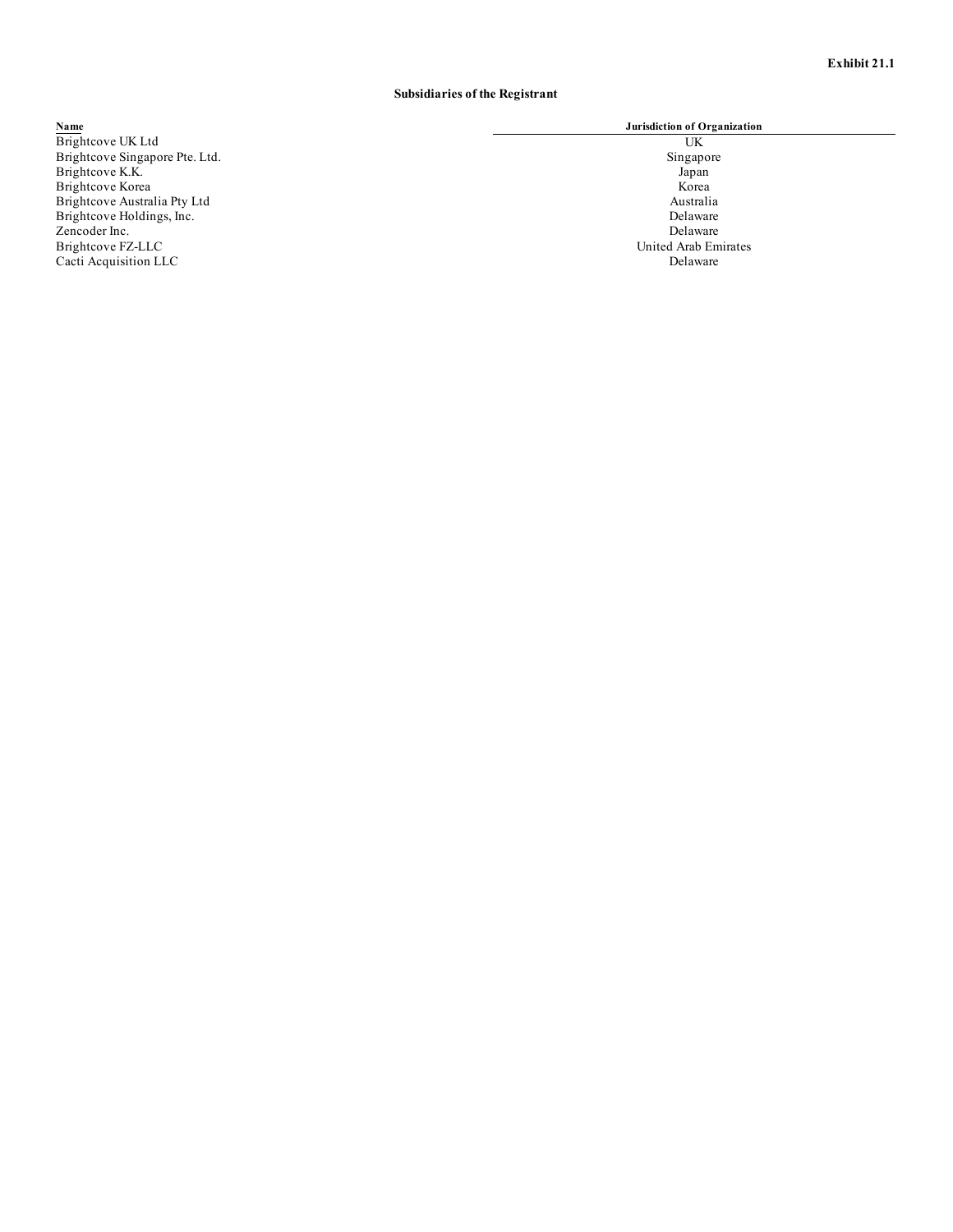# **Subsidiaries of the Registrant**

# **Name Jurisdiction of Organization**

Name<br>
Brightcove UK Ltd<br>
Brightcove Singapore Pte. Ltd.<br>
Brightcove K.K.<br>
Brightcove K.C.<br>
Brightcove Korea<br>
UK<br>
Dispapore<br>
UR<br>
Dispapore<br>
UR<br>
Dispapore<br>
UR<br>
Dispapore<br>
UR<br>
UR<br>
Dispapore<br>
UR<br>
UR<br>
UR<br>
UR<br>
UR<br>
UR<br>
UR<br>
UR<br>
UR Brightcove Singapore Pte. Ltd. Singapore Pte. Ltd. Singapore Singapore Singapore Singapore Singapore Brightcove K.K. Japan Brightcove Korea Korea Korea Korea Korea Korea Korea Korea Korea Korea Korea Korea Korea Korea Korea Korea Korea Brightcove Australia Pty Ltd Australia Brightcove Holdings, Inc. 2008 and 2008 and 2008 and 2008 and 2008 and 2008 and 2008 and 2008 and 2008 and 200 Zencoder Inc. Delaware Brightcove FZ-LLC United Arab Emirates Cacti Acquisition LLC Delaware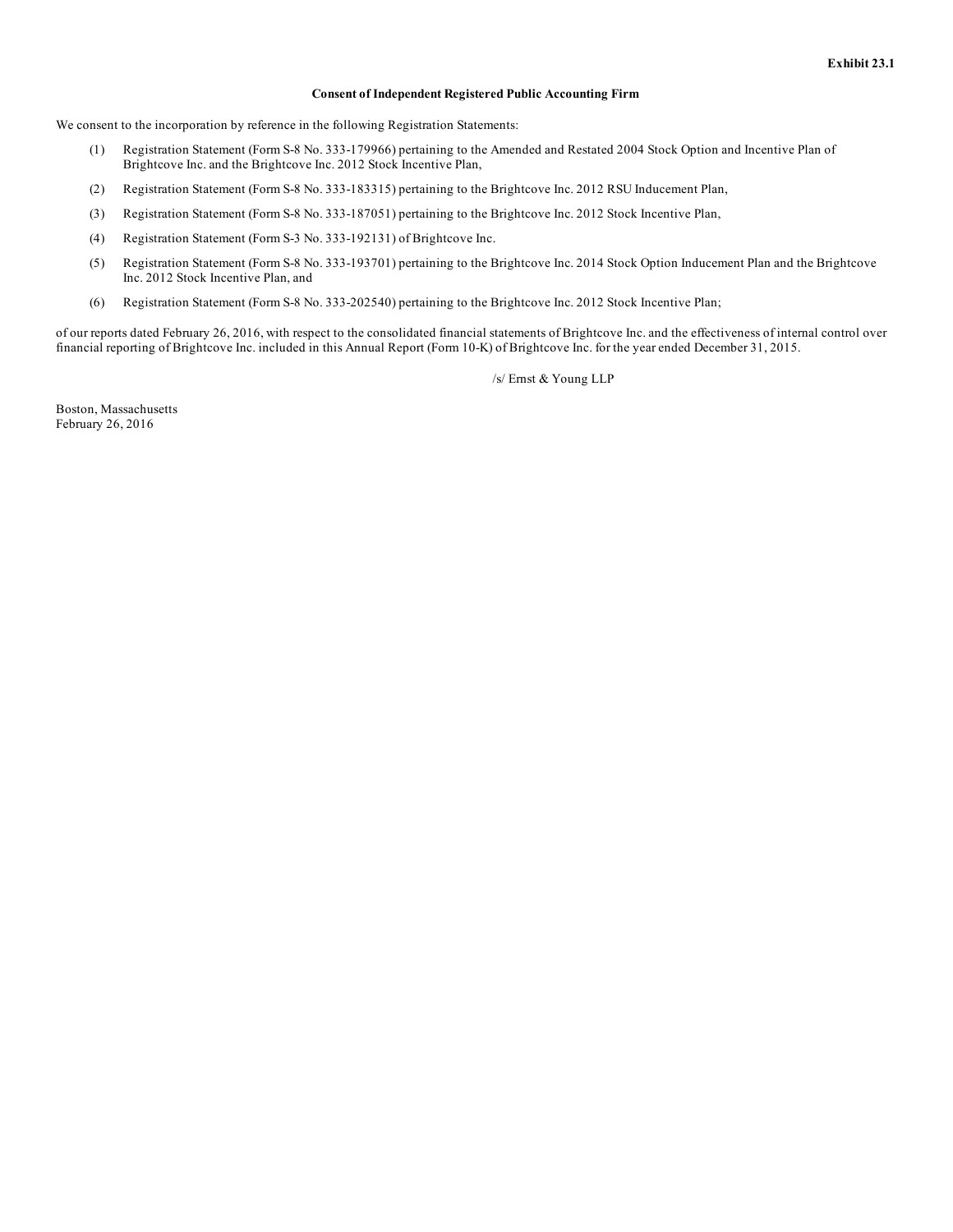### **Consent of Independent Registered Public Accounting Firm**

We consent to the incorporation by reference in the following Registration Statements:

- (1) Registration Statement (Form S-8 No. 333-179966) pertaining to the Amended and Restated 2004 Stock Option and Incentive Plan of Brightcove Inc. and the Brightcove Inc. 2012 Stock Incentive Plan,
- (2) Registration Statement (Form S-8 No. 333-183315) pertaining to the Brightcove Inc. 2012 RSU Inducement Plan,
- (3) Registration Statement (Form S-8 No. 333-187051) pertaining to the Brightcove Inc. 2012 Stock Incentive Plan,
- (4) Registration Statement (Form S-3 No. 333-192131) of Brightcove Inc.
- (5) Registration Statement (Form S-8 No. 333-193701) pertaining to the Brightcove Inc. 2014 Stock Option Inducement Plan and the Brightcove Inc. 2012 Stock Incentive Plan, and
- (6) Registration Statement (Form S-8 No. 333-202540) pertaining to the Brightcove Inc. 2012 Stock Incentive Plan;

of our reports dated February 26, 2016, with respect to the consolidated financial statements of Brightcove Inc. and the effectiveness of internal control over financial reporting of Brightcove Inc. included in this Annual Report (Form 10-K) of Brightcove Inc. for the year ended December 31, 2015.

/s/ Ernst & Young LLP

Boston, Massachusetts February 26, 2016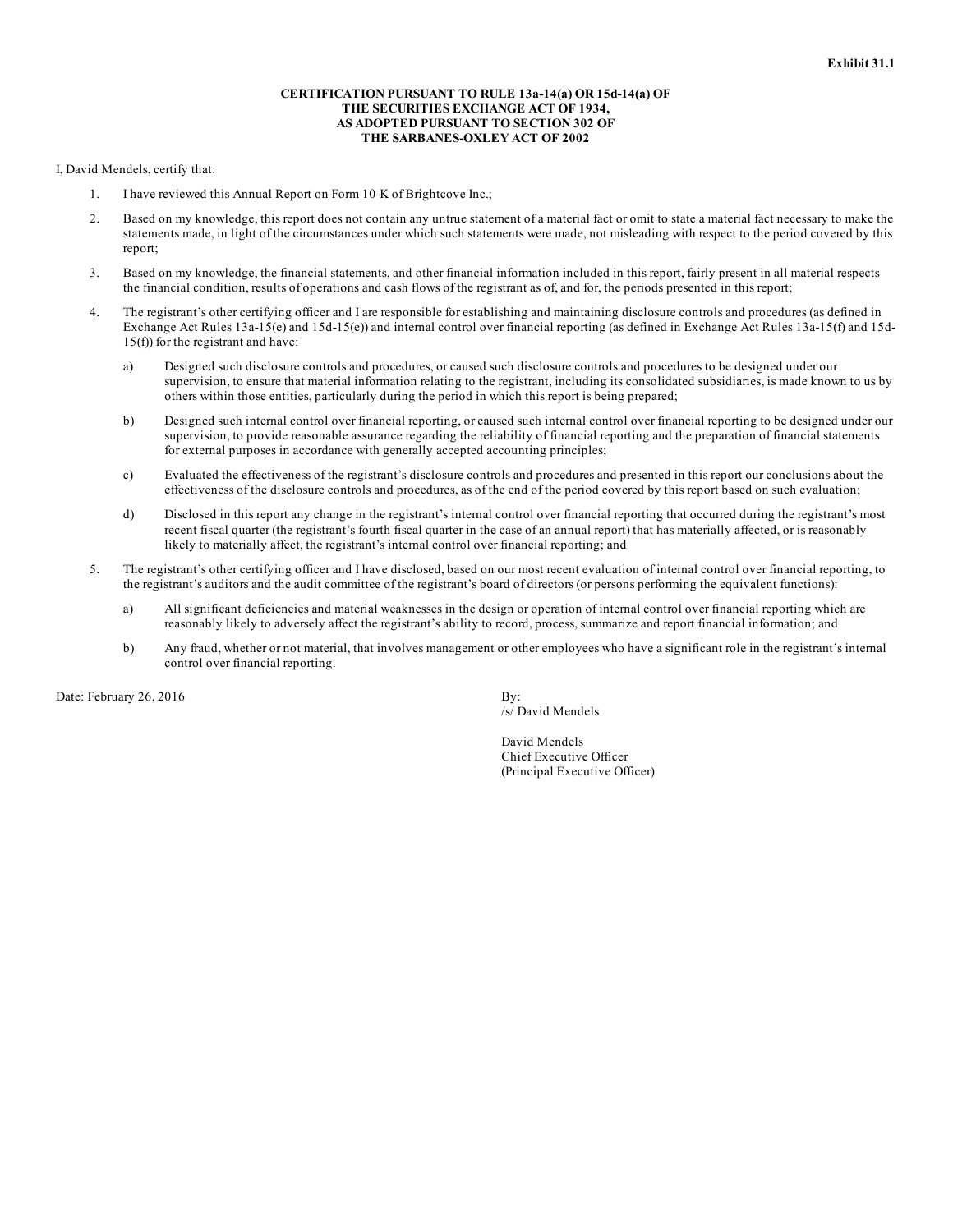# **CERTIFICATION PURSUANT TO RULE 13a-14(a) OR 15d-14(a) OF THE SECURITIES EXCHANGE ACT OF 1934, AS ADOPTED PURSUANT TO SECTION 302 OF THE SARBANES-OXLEY ACT OF 2002**

# I, David Mendels, certify that:

- 1. I have reviewed this Annual Report on Form 10-K of Brightcove Inc.;
- 2. Based on my knowledge, this report does not contain any untrue statement of a material fact or omit to state a material fact necessary to make the statements made, in light of the circumstances under which such statements were made, not misleading with respect to the period covered by this report;
- 3. Based on my knowledge, the financial statements, and other financial information included in this report, fairly present in all material respects the financial condition, results of operations and cash flows of the registrant as of, and for, the periods presented in this report;
- 4. The registrant's other certifying officer and I are responsible for establishing and maintaining disclosure controls and procedures (as defined in Exchange Act Rules 13a-15(e) and 15d-15(e)) and internal control over financial reporting (as defined in Exchange Act Rules 13a-15(f) and 15d-15(f)) for the registrant and have:
	- a) Designed such disclosure controls and procedures, or caused such disclosure controls and procedures to be designed under our supervision, to ensure that material information relating to the registrant, including its consolidated subsidiaries, is made known to us by others within those entities, particularly during the period in which this report is being prepared;
	- b) Designed such internal control over financial reporting, or caused such internal control over financial reporting to be designed under our supervision, to provide reasonable assurance regarding the reliability of financial reporting and the preparation of financial statements for external purposes in accordance with generally accepted accounting principles;
	- c) Evaluated the effectiveness of the registrant's disclosure controls and procedures and presented in this report our conclusions about the effectiveness of the disclosure controls and procedures, as of the end of the period covered by this report based on such evaluation;
	- d) Disclosed in this report any change in the registrant's internal control over financial reporting that occurred during the registrant's most recent fiscal quarter (the registrant's fourth fiscal quarter in the case of an annual report) that has materially affected, or is reasonably likely to materially affect, the registrant's internal control over financial reporting; and
- 5. The registrant's other certifying officer and I have disclosed, based on our most recent evaluation of internal control over financial reporting, to the registrant's auditors and the audit committee of the registrant's board of directors (or persons performing the equivalent functions):
	- a) All significant deficiencies and material weaknesses in the design or operation of internal control over financial reporting which are reasonably likely to adversely affect the registrant's ability to record, process, summarize and report financial information; and
	- b) Any fraud, whether or not material, that involves management or other employees who have a significant role in the registrant's internal control over financial reporting.

Date: February 26, 2016  $\qquad \qquad$  By:

/s/ David Mendels

David Mendels Chief Executive Officer (Principal Executive Officer)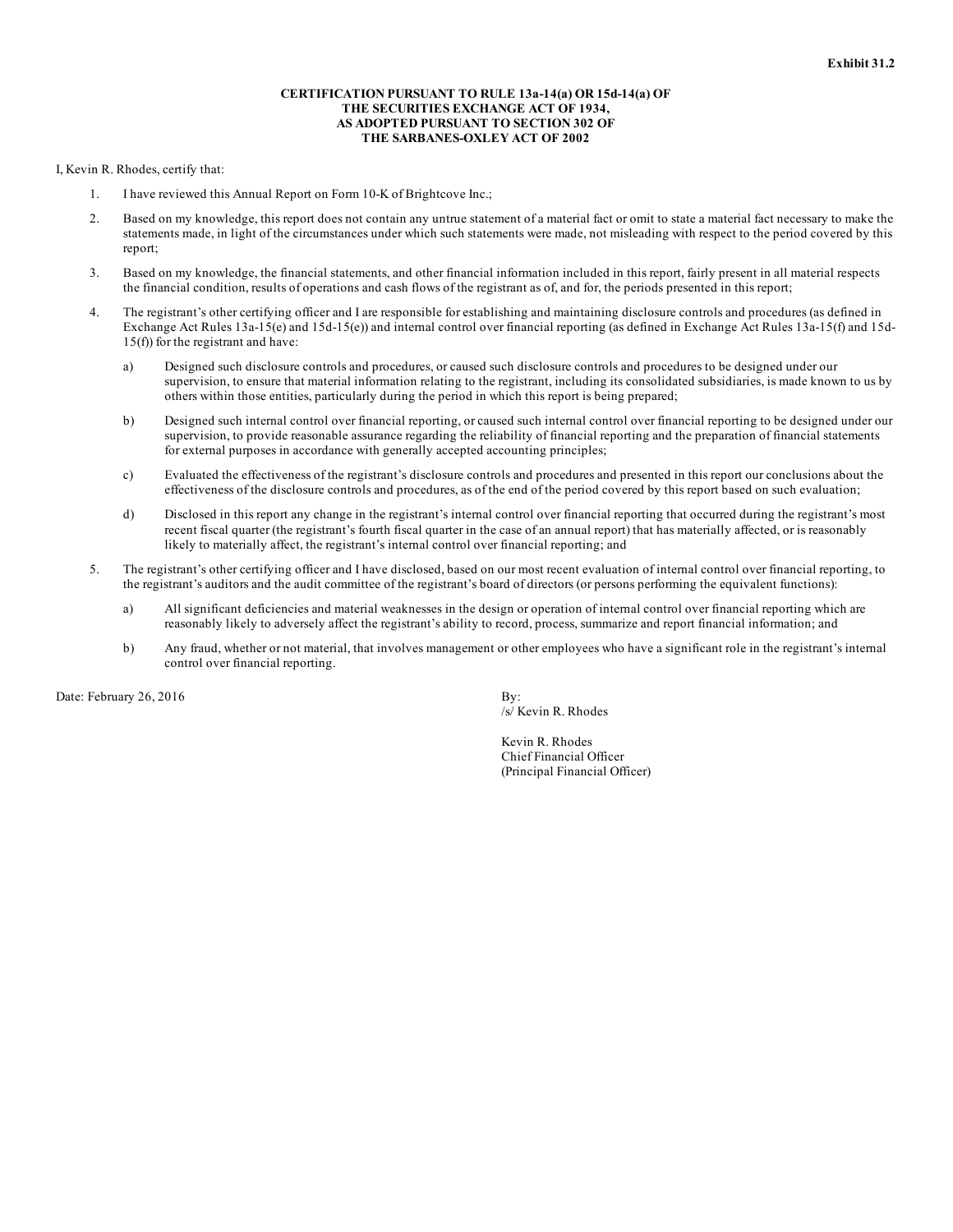# **CERTIFICATION PURSUANT TO RULE 13a-14(a) OR 15d-14(a) OF THE SECURITIES EXCHANGE ACT OF 1934, AS ADOPTED PURSUANT TO SECTION 302 OF THE SARBANES-OXLEY ACT OF 2002**

I, Kevin R. Rhodes, certify that:

- 1. I have reviewed this Annual Report on Form 10-K of Brightcove Inc.;
- 2. Based on my knowledge, this report does not contain any untrue statement of a material fact or omit to state a material fact necessary to make the statements made, in light of the circumstances under which such statements were made, not misleading with respect to the period covered by this report;
- 3. Based on my knowledge, the financial statements, and other financial information included in this report, fairly present in all material respects the financial condition, results of operations and cash flows of the registrant as of, and for, the periods presented in this report;
- 4. The registrant's other certifying officer and I are responsible for establishing and maintaining disclosure controls and procedures (as defined in Exchange Act Rules 13a-15(e) and 15d-15(e)) and internal control over financial reporting (as defined in Exchange Act Rules 13a-15(f) and 15d-15(f)) for the registrant and have:
	- a) Designed such disclosure controls and procedures, or caused such disclosure controls and procedures to be designed under our supervision, to ensure that material information relating to the registrant, including its consolidated subsidiaries, is made known to us by others within those entities, particularly during the period in which this report is being prepared;
	- b) Designed such internal control over financial reporting, or caused such internal control over financial reporting to be designed under our supervision, to provide reasonable assurance regarding the reliability of financial reporting and the preparation of financial statements for external purposes in accordance with generally accepted accounting principles;
	- c) Evaluated the effectiveness of the registrant's disclosure controls and procedures and presented in this report our conclusions about the effectiveness of the disclosure controls and procedures, as of the end of the period covered by this report based on such evaluation;
	- d) Disclosed in this report any change in the registrant's internal control over financial reporting that occurred during the registrant's most recent fiscal quarter (the registrant's fourth fiscal quarter in the case of an annual report) that has materially affected, or is reasonably likely to materially affect, the registrant's internal control over financial reporting; and
- 5. The registrant's other certifying officer and I have disclosed, based on our most recent evaluation of internal control over financial reporting, to the registrant's auditors and the audit committee of the registrant's board of directors (or persons performing the equivalent functions):
	- a) All significant deficiencies and material weaknesses in the design or operation of internal control over financial reporting which are reasonably likely to adversely affect the registrant's ability to record, process, summarize and report financial information; and
	- b) Any fraud, whether or not material, that involves management or other employees who have a significant role in the registrant's internal control over financial reporting.

Date: February 26, 2016  $\qquad \qquad$  By:

/s/ Kevin R. Rhodes

Kevin R. Rhodes Chief Financial Officer (Principal Financial Officer)